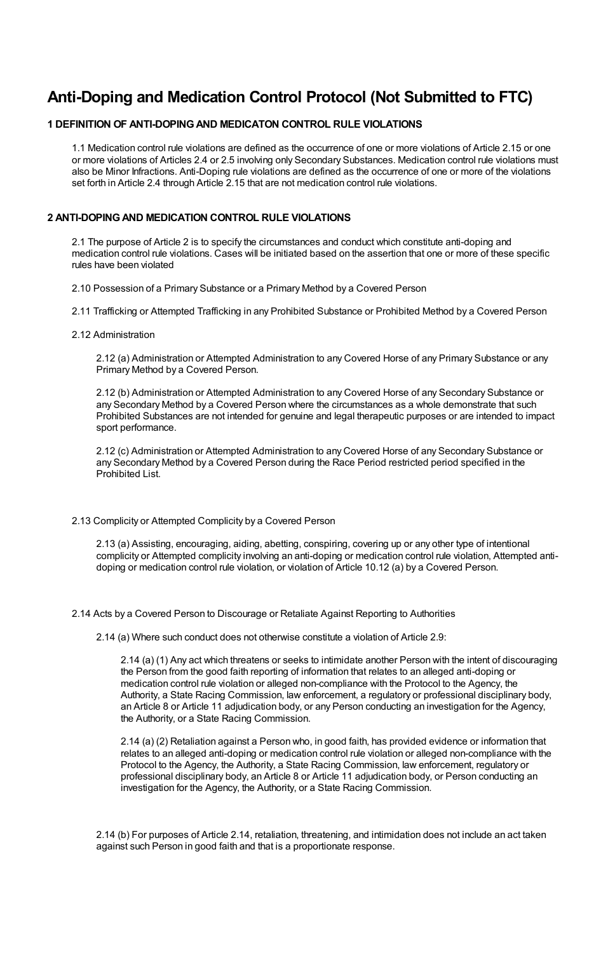# **Anti-Doping and Medication Control Protocol (Not Submitted to FTC)**

# **1 DEFINITION OF ANTI-DOPINGAND MEDICATON CONTROL RULE VIOLATIONS**

1.1 Medication control rule violations are defined as the occurrence of one or more violations of Article 2.15 or one or more violations of Articles 2.4 or 2.5 involving only Secondary Substances. Medication control rule violations must also be Minor Infractions. Anti-Doping rule violations are defined as the occurrence of one or more of the violations set forth in Article 2.4 through Article 2.15 that are not medication control rule violations.

# **2 ANTI-DOPINGAND MEDICATION CONTROL RULE VIOLATIONS**

2.1 The purpose of Article 2 is to specify the circumstances and conduct which constitute anti-doping and medication control rule violations. Cases will be initiated based on the assertion that one or more of these specific rules have been violated

2.10 Possession of a Primary Substance or a Primary Method by a Covered Person

2.11 Trafficking or Attempted Trafficking in any Prohibited Substance or Prohibited Method by a Covered Person

2.12 Administration

2.12 (a) Administration or Attempted Administration to any Covered Horse of any Primary Substance or any Primary Method by a Covered Person.

2.12 (b) Administration or Attempted Administration to any Covered Horse of any Secondary Substance or any Secondary Method by a Covered Person where the circumstances as a whole demonstrate that such Prohibited Substances are not intended for genuine and legal therapeutic purposes or are intended to impact sport performance.

2.12 (c) Administration or Attempted Administration to any Covered Horse of any Secondary Substance or any Secondary Method by a Covered Person during the Race Period restricted period specified in the Prohibited List.

# 2.13 Complicity or Attempted Complicity by a Covered Person

2.13 (a) Assisting, encouraging, aiding, abetting, conspiring, covering up or any other type of intentional complicity or Attempted complicity involving an anti-doping or medication control rule violation, Attempted antidoping or medication control rule violation, or violation of Article 10.12 (a) by a Covered Person.

2.14 Acts by a Covered Person to Discourage or Retaliate Against Reporting to Authorities

2.14 (a) Where such conduct does not otherwise constitute a violation of Article 2.9:

2.14 (a) (1) Any act which threatens or seeks to intimidate another Person with the intent of discouraging the Person from the good faith reporting of information that relates to an alleged anti-doping or medication control rule violation or alleged non-compliance with the Protocol to the Agency, the Authority, a State Racing Commission, law enforcement, a regulatory or professional disciplinary body, an Article 8 or Article 11 adjudication body, or any Person conducting an investigation for the Agency, the Authority, or a State Racing Commission.

2.14 (a) (2) Retaliation against a Person who, in good faith, has provided evidence or information that relates to an alleged anti-doping or medication control rule violation or alleged non-compliance with the Protocol to the Agency, the Authority, a State Racing Commission, law enforcement, regulatory or professional disciplinary body, an Article 8 or Article 11 adjudication body, or Person conducting an investigation for the Agency, the Authority, or a State Racing Commission.

2.14 (b) For purposes of Article 2.14, retaliation, threatening, and intimidation does not include an act taken against such Person in good faith and that is a proportionate response.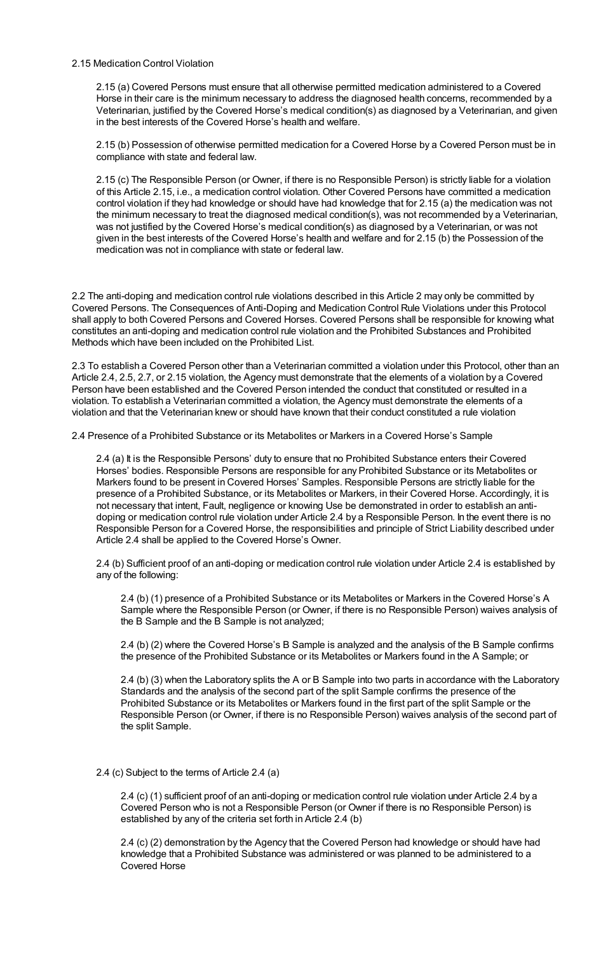# 2.15 Medication Control Violation

2.15 (a) Covered Persons must ensure that all otherwise permitted medication administered to a Covered Horse in their care is the minimum necessary to address the diagnosed health concerns, recommended by a Veterinarian, justified by the Covered Horse's medical condition(s) as diagnosed by a Veterinarian, and given in the best interests of the Covered Horse's health and welfare.

2.15 (b) Possession of otherwise permitted medication for a Covered Horse by a Covered Person must be in compliance with state and federal law.

2.15 (c) The Responsible Person (or Owner, if there is no Responsible Person) is strictly liable for a violation of this Article 2.15, i.e., a medication control violation. Other Covered Persons have committed a medication control violation if they had knowledge or should have had knowledge that for 2.15 (a) the medication was not the minimum necessary to treat the diagnosed medical condition(s), was not recommended by a Veterinarian, was not justified by the Covered Horse's medical condition(s) as diagnosed by a Veterinarian, or was not given in the best interests of the Covered Horse's health and welfare and for 2.15 (b) the Possession of the medication was not in compliance with state or federal law.

2.2 The anti-doping and medication control rule violations described in this Article 2 may only be committed by Covered Persons. The Consequences of Anti-Doping and Medication Control Rule Violations under this Protocol shall apply to both Covered Persons and Covered Horses. Covered Persons shall be responsible for knowing what constitutes an anti-doping and medication control rule violation and the Prohibited Substances and Prohibited Methods which have been included on the Prohibited List.

2.3 To establish a Covered Person other than a Veterinarian committed a violation under this Protocol, other than an Article 2.4, 2.5, 2.7, or 2.15 violation, the Agency must demonstrate that the elements of a violation by a Covered Person have been established and the Covered Person intended the conduct that constituted or resulted in a violation. To establish a Veterinarian committed a violation, the Agency must demonstrate the elements of a violation and that the Veterinarian knew or should have known that their conduct constituted a rule violation

2.4 Presence of a Prohibited Substance or its Metabolites or Markers in a Covered Horse's Sample

2.4 (a) It is the Responsible Persons' duty to ensure that no Prohibited Substance enters their Covered Horses' bodies. Responsible Persons are responsible for any Prohibited Substance or its Metabolites or Markers found to be present in Covered Horses' Samples. Responsible Persons are strictly liable for the presence of a Prohibited Substance, or its Metabolites or Markers, in their Covered Horse. Accordingly, it is not necessary that intent, Fault, negligence or knowing Use be demonstrated in order to establish an antidoping or medication control rule violation under Article 2.4 by a Responsible Person. In the event there is no Responsible Person for a Covered Horse, the responsibilities and principle of Strict Liability described under Article 2.4 shall be applied to the Covered Horse's Owner.

2.4 (b) Sufficient proof of an anti-doping or medication control rule violation under Article 2.4 is established by any of the following:

2.4 (b) (1) presence of a Prohibited Substance or its Metabolites or Markers in the Covered Horse's A Sample where the Responsible Person (or Owner, if there is no Responsible Person) waives analysis of the B Sample and the B Sample is not analyzed;

2.4 (b) (2) where the Covered Horse's B Sample is analyzed and the analysis of the B Sample confirms the presence of the Prohibited Substance or its Metabolites or Markers found in the A Sample; or

2.4 (b) (3) when the Laboratory splits the A or B Sample into two parts in accordance with the Laboratory Standards and the analysis of the second part of the split Sample confirms the presence of the Prohibited Substance or its Metabolites or Markers found in the first part of the split Sample or the Responsible Person (or Owner, if there is no Responsible Person) waives analysis of the second part of the split Sample.

# 2.4 (c) Subject to the terms of Article 2.4 (a)

2.4 (c) (1) sufficient proof of an anti-doping or medication control rule violation under Article 2.4 by a Covered Person who is not a Responsible Person (or Owner if there is no Responsible Person) is established by any of the criteria set forth in Article 2.4 (b)

2.4 (c) (2) demonstration by the Agency that the Covered Person had knowledge or should have had knowledge that a Prohibited Substance was administered or was planned to be administered to a Covered Horse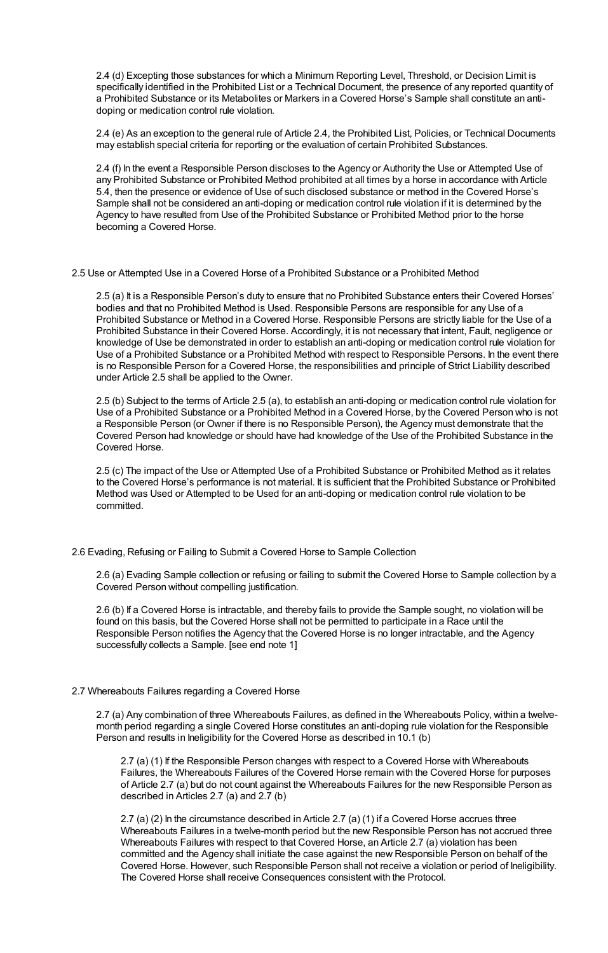2.4 (d) Excepting those substances for which a Minimum Reporting Level, Threshold, or Decision Limit is specifically identified in the Prohibited List or a Technical Document, the presence of any reported quantity of a Prohibited Substance or its Metabolites or Markers in a Covered Horse's Sample shall constitute an antidoping or medication control rule violation.

2.4 (e) As an exception to the general rule of Article 2.4, the Prohibited List, Policies, or Technical Documents may establish special criteria for reporting or the evaluation of certain Prohibited Substances.

2.4 (f) In the event a Responsible Person discloses to the Agency or Authority the Use or Attempted Use of any Prohibited Substance or Prohibited Method prohibited at all times by a horse in accordance with Article 5.4, then the presence or evidence of Use of such disclosed substance or method in the Covered Horse's Sample shall not be considered an anti-doping or medication control rule violation if it is determined by the Agency to have resulted from Use of the Prohibited Substance or Prohibited Method prior to the horse becoming a Covered Horse.

2.5 Use or Attempted Use in a Covered Horse of a Prohibited Substance or a Prohibited Method

2.5 (a) It is a Responsible Person's duty to ensure that no Prohibited Substance enters their Covered Horses' bodies and that no Prohibited Method is Used. Responsible Persons are responsible for any Use of a Prohibited Substance or Method in a Covered Horse. Responsible Persons are strictly liable for the Use of a Prohibited Substance in their Covered Horse. Accordingly, it is not necessary that intent, Fault, negligence or knowledge of Use be demonstrated in order to establish an anti-doping or medication control rule violation for Use of a Prohibited Substance or a Prohibited Method with respect to Responsible Persons. In the event there is no Responsible Person for a Covered Horse, the responsibilities and principle of Strict Liability described under Article 2.5 shall be applied to the Owner.

2.5 (b) Subject to the terms of Article 2.5 (a), to establish an anti-doping or medication control rule violation for Use of a Prohibited Substance or a Prohibited Method in a Covered Horse, by the Covered Person who is not a Responsible Person (or Owner if there is no Responsible Person), the Agency must demonstrate that the Covered Person had knowledge or should have had knowledge of the Use of the Prohibited Substance in the Covered Horse.

2.5 (c) The impact of the Use or Attempted Use of a Prohibited Substance or Prohibited Method as it relates to the Covered Horse's performance is not material. It is sufficient that the Prohibited Substance or Prohibited Method was Used or Attempted to be Used for an anti-doping or medication control rule violation to be committed.

2.6 Evading, Refusing or Failing to Submit a Covered Horse to Sample Collection

2.6 (a) Evading Sample collection or refusing or failing to submit the Covered Horse to Sample collection by a Covered Person without compelling justification.

2.6 (b) If a Covered Horse is intractable, and thereby fails to provide the Sample sought, no violation will be found on this basis, but the Covered Horse shall not be permitted to participate in a Race until the Responsible Person notifies the Agency that the Covered Horse is no longer intractable, and the Agency successfully collects a Sample. [see end note 1]

#### 2.7 Whereabouts Failures regarding a Covered Horse

2.7 (a) Any combination of three Whereabouts Failures, as defined in the Whereabouts Policy, within a twelvemonth period regarding a single Covered Horse constitutes an anti-doping rule violation for the Responsible Person and results in Ineligibility for the Covered Horse as described in 10.1 (b)

2.7 (a) (1) If the Responsible Person changes with respect to a Covered Horse with Whereabouts Failures, the Whereabouts Failures of the Covered Horse remain with the Covered Horse for purposes of Article 2.7 (a) but do not count against the Whereabouts Failures for the new Responsible Person as described in Articles 2.7 (a) and 2.7 (b)

2.7 (a) (2) In the circumstance described in Article 2.7 (a) (1) if a Covered Horse accrues three Whereabouts Failures in a twelve-month period but the new Responsible Person has not accrued three Whereabouts Failures with respect to that Covered Horse, an Article 2.7 (a) violation has been committed and the Agency shall initiate the case against the new Responsible Person on behalf of the Covered Horse. However, such Responsible Person shall not receive a violation or period of Ineligibility. The Covered Horse shall receive Consequences consistent with the Protocol.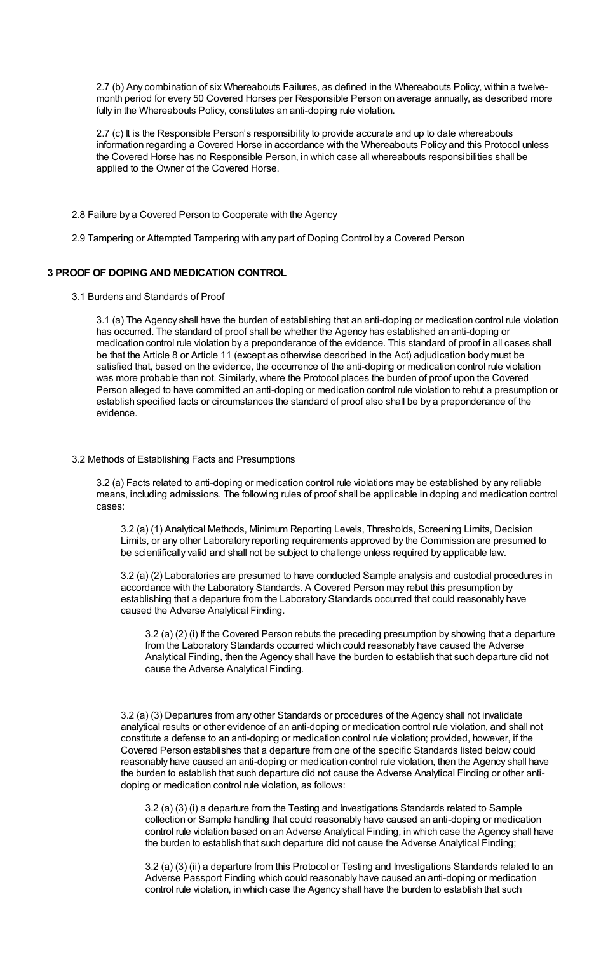2.7 (b) Any combination of six Whereabouts Failures, as defined in the Whereabouts Policy, within a twelvemonth period for every 50 Covered Horses per Responsible Person on average annually, as described more fully in the Whereabouts Policy, constitutes an anti-doping rule violation.

2.7 (c) It is the Responsible Person's responsibility to provide accurate and up to date whereabouts information regarding a Covered Horse in accordance with the Whereabouts Policy and this Protocol unless the Covered Horse has no Responsible Person, in which case all whereabouts responsibilities shall be applied to the Owner of the Covered Horse.

2.8 Failure by a Covered Person to Cooperate with the Agency

2.9 Tampering or Attempted Tampering with any part of Doping Control by a Covered Person

# **3 PROOF OF DOPINGAND MEDICATION CONTROL**

3.1 Burdens and Standards of Proof

3.1 (a) The Agency shall have the burden of establishing that an anti-doping or medication control rule violation has occurred. The standard of proof shall be whether the Agency has established an anti-doping or medication control rule violation by a preponderance of the evidence. This standard of proof in all cases shall be that the Article 8 or Article 11 (except as otherwise described in the Act) adjudication body must be satisfied that, based on the evidence, the occurrence of the anti-doping or medication control rule violation was more probable than not. Similarly, where the Protocol places the burden of proof upon the Covered Person alleged to have committed an anti-doping or medication control rule violation to rebut a presumption or establish specified facts or circumstances the standard of proof also shall be by a preponderance of the evidence.

## 3.2 Methods of Establishing Facts and Presumptions

3.2 (a) Facts related to anti-doping or medication control rule violations may be established by any reliable means, including admissions. The following rules of proof shall be applicable in doping and medication control cases:

3.2 (a) (1) Analytical Methods, Minimum Reporting Levels, Thresholds, Screening Limits, Decision Limits, or any other Laboratory reporting requirements approved by the Commission are presumed to be scientifically valid and shall not be subject to challenge unless required by applicable law.

3.2 (a) (2) Laboratories are presumed to have conducted Sample analysis and custodial procedures in accordance with the Laboratory Standards. A Covered Person may rebut this presumption by establishing that a departure from the Laboratory Standards occurred that could reasonably have caused the Adverse Analytical Finding.

3.2 (a) (2) (i) If the Covered Person rebuts the preceding presumption by showing that a departure from the Laboratory Standards occurred which could reasonably have caused the Adverse Analytical Finding, then the Agency shall have the burden to establish that such departure did not cause the Adverse Analytical Finding.

3.2 (a) (3) Departures from any other Standards or procedures of the Agency shall not invalidate analytical results or other evidence of an anti-doping or medication control rule violation, and shall not constitute a defense to an anti-doping or medication control rule violation; provided, however, if the Covered Person establishes that a departure from one of the specific Standards listed below could reasonably have caused an anti-doping or medication control rule violation, then the Agency shall have the burden to establish that such departure did not cause the Adverse Analytical Finding or other antidoping or medication control rule violation, as follows:

3.2 (a) (3) (i) a departure from the Testing and Investigations Standards related to Sample collection or Sample handling that could reasonably have caused an anti-doping or medication control rule violation based on an Adverse Analytical Finding, in which case the Agency shall have the burden to establish that such departure did not cause the Adverse Analytical Finding;

3.2 (a) (3) (ii) a departure from this Protocol or Testing and Investigations Standards related to an Adverse Passport Finding which could reasonably have caused an anti-doping or medication control rule violation, in which case the Agency shall have the burden to establish that such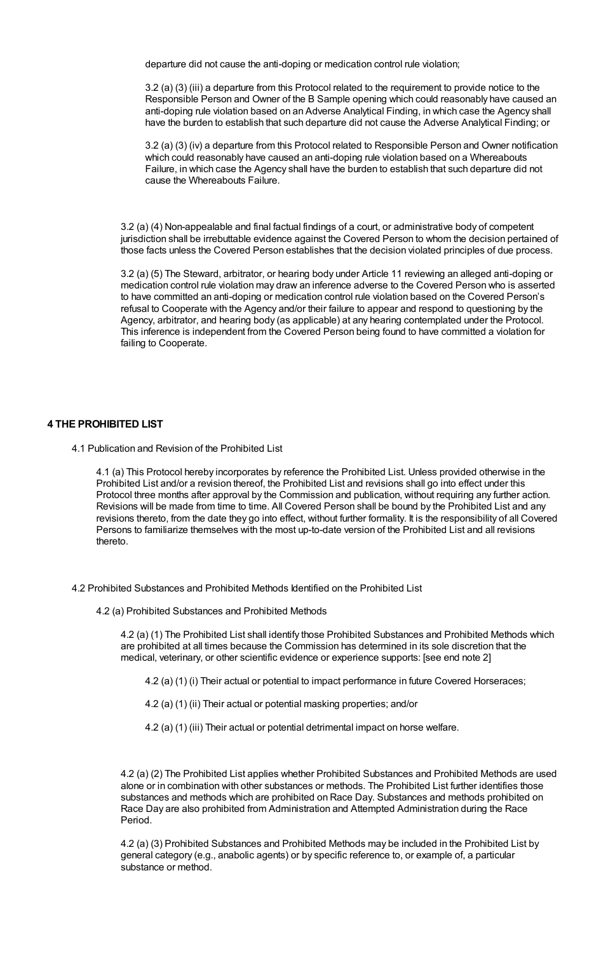departure did not cause the anti-doping or medication control rule violation;

3.2 (a) (3) (iii) a departure from this Protocol related to the requirement to provide notice to the Responsible Person and Owner of the B Sample opening which could reasonably have caused an anti-doping rule violation based on an Adverse Analytical Finding, in which case the Agency shall have the burden to establish that such departure did not cause the Adverse Analytical Finding; or

3.2 (a) (3) (iv) a departure from this Protocol related to Responsible Person and Owner notification which could reasonably have caused an anti-doping rule violation based on a Whereabouts Failure, in which case the Agency shall have the burden to establish that such departure did not cause the Whereabouts Failure.

3.2 (a) (4) Non-appealable and final factual findings of a court, or administrative body of competent jurisdiction shall be irrebuttable evidence against the Covered Person to whom the decision pertained of those facts unless the Covered Person establishes that the decision violated principles of due process.

3.2 (a) (5) The Steward, arbitrator, or hearing body under Article 11 reviewing an alleged anti-doping or medication control rule violation may draw an inference adverse to the Covered Person who is asserted to have committed an anti-doping or medication control rule violation based on the Covered Person's refusal to Cooperate with the Agency and/or their failure to appear and respond to questioning by the Agency, arbitrator, and hearing body (as applicable) at any hearing contemplated under the Protocol. This inference is independent from the Covered Person being found to have committed a violation for failing to Cooperate.

# **4 THE PROHIBITED LIST**

4.1 Publication and Revision of the Prohibited List

4.1 (a) This Protocol hereby incorporates by reference the Prohibited List. Unless provided otherwise in the Prohibited List and/or a revision thereof, the Prohibited List and revisions shall go into effect under this Protocol three months after approval by the Commission and publication, without requiring any further action. Revisions will be made from time to time. All Covered Person shall be bound by the Prohibited List and any revisions thereto, from the date they go into effect, without further formality. It is the responsibility of all Covered Persons to familiarize themselves with the most up-to-date version of the Prohibited List and all revisions thereto.

4.2 Prohibited Substances and Prohibited Methods Identified on the Prohibited List

4.2 (a) Prohibited Substances and Prohibited Methods

4.2 (a) (1) The Prohibited List shall identify those Prohibited Substances and Prohibited Methods which are prohibited at all times because the Commission has determined in its sole discretion that the medical, veterinary, or other scientific evidence or experience supports: [see end note 2]

4.2 (a) (1) (i) Their actual or potential to impact performance in future Covered Horseraces;

- 4.2 (a) (1) (ii) Their actual or potential masking properties; and/or
- 4.2 (a) (1) (iii) Their actual or potential detrimental impact on horse welfare.

4.2 (a) (2) The Prohibited List applies whether Prohibited Substances and Prohibited Methods are used alone or in combination with other substances or methods. The Prohibited List further identifies those substances and methods which are prohibited on Race Day. Substances and methods prohibited on Race Day are also prohibited from Administration and Attempted Administration during the Race Period.

4.2 (a) (3) Prohibited Substances and Prohibited Methods may be included in the Prohibited List by general category (e.g., anabolic agents) or by specific reference to, or example of, a particular substance or method.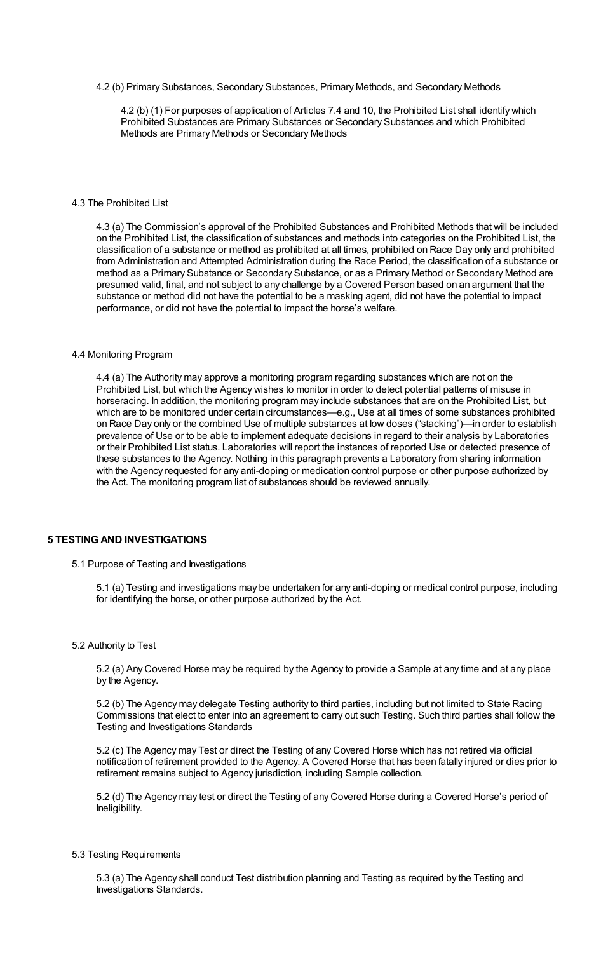4.2 (b) Primary Substances, Secondary Substances, Primary Methods, and Secondary Methods

4.2 (b) (1) For purposes of application of Articles 7.4 and 10, the Prohibited List shall identify which Prohibited Substances are Primary Substances or Secondary Substances and which Prohibited Methods are Primary Methods or Secondary Methods

## 4.3 The Prohibited List

4.3 (a) The Commission's approval of the Prohibited Substances and Prohibited Methods that will be included on the Prohibited List, the classification of substances and methods into categories on the Prohibited List, the classification of a substance or method as prohibited at all times, prohibited on Race Day only and prohibited from Administration and Attempted Administration during the Race Period, the classification of a substance or method as a Primary Substance or Secondary Substance, or as a Primary Method or Secondary Method are presumed valid, final, and not subject to any challenge by a Covered Person based on an argument that the substance or method did not have the potential to be a masking agent, did not have the potential to impact performance, or did not have the potential to impact the horse's welfare.

#### 4.4 Monitoring Program

4.4 (a) The Authority may approve a monitoring program regarding substances which are not on the Prohibited List, but which the Agency wishes to monitor in order to detect potential patterns of misuse in horseracing. In addition, the monitoring program may include substances that are on the Prohibited List, but which are to be monitored under certain circumstances—e.g., Use at all times of some substances prohibited on Race Day only or the combined Use of multiple substances at low doses ("stacking")—in order to establish prevalence of Use or to be able to implement adequate decisions in regard to their analysis by Laboratories or their Prohibited List status. Laboratories will report the instances of reported Use or detected presence of these substances to the Agency. Nothing in this paragraph prevents a Laboratory from sharing information with the Agency requested for any anti-doping or medication control purpose or other purpose authorized by the Act. The monitoring program list of substances should be reviewed annually.

# **5 TESTINGAND INVESTIGATIONS**

### 5.1 Purpose of Testing and Investigations

5.1 (a) Testing and investigations may be undertaken for any anti-doping or medical control purpose, including for identifying the horse, or other purpose authorized by the Act.

#### 5.2 Authority to Test

5.2 (a) Any Covered Horse may be required by the Agency to provide a Sample at any time and at any place by the Agency.

5.2 (b) The Agency may delegate Testing authority to third parties, including but not limited to State Racing Commissions that elect to enter into an agreement to carry out such Testing. Such third parties shall follow the Testing and Investigations Standards

5.2 (c) The Agency may Test or direct the Testing of any Covered Horse which has not retired via official notification of retirement provided to the Agency. A Covered Horse that has been fatally injured or dies prior to retirement remains subject to Agency jurisdiction, including Sample collection.

5.2 (d) The Agency may test or direct the Testing of any Covered Horse during a Covered Horse's period of Ineligibility.

### 5.3 Testing Requirements

5.3 (a) The Agency shall conduct Test distribution planning and Testing as required by the Testing and Investigations Standards.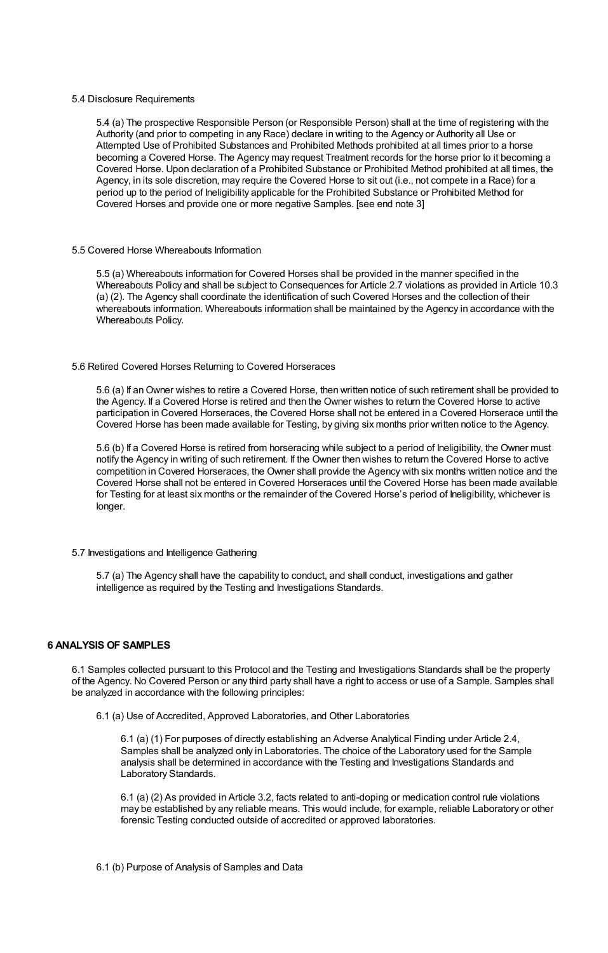#### 5.4 Disclosure Requirements

5.4 (a) The prospective Responsible Person (or Responsible Person) shall at the time of registering with the Authority (and prior to competing in any Race) declare in writing to the Agency or Authority all Use or Attempted Use of Prohibited Substances and Prohibited Methods prohibited at all times prior to a horse becoming a Covered Horse. The Agency may request Treatment records for the horse prior to it becoming a Covered Horse. Upon declaration of a Prohibited Substance or Prohibited Method prohibited at all times, the Agency, in its sole discretion, may require the Covered Horse to sit out (i.e., not compete in a Race) for a period up to the period of Ineligibility applicable for the Prohibited Substance or Prohibited Method for Covered Horses and provide one or more negative Samples. [see end note 3]

#### 5.5 Covered Horse Whereabouts Information

5.5 (a) Whereabouts information for Covered Horses shall be provided in the manner specified in the Whereabouts Policy and shall be subject to Consequences for Article 2.7 violations as provided in Article 10.3 (a) (2). The Agency shall coordinate the identification of such Covered Horses and the collection of their whereabouts information. Whereabouts information shall be maintained by the Agency in accordance with the Whereabouts Policy.

#### 5.6 Retired Covered Horses Returning to Covered Horseraces

5.6 (a) If anOwner wishes to retire a Covered Horse, then written notice of such retirement shall be provided to the Agency. If a Covered Horse is retired and then the Owner wishes to return the Covered Horse to active participation in Covered Horseraces, the Covered Horse shall not be entered in a Covered Horserace until the Covered Horse has been made available for Testing, by giving six months prior written notice to the Agency.

5.6 (b) If a Covered Horse is retired from horseracing while subject to a period of Ineligibility, the Owner must notify the Agency in writing of such retirement. If the Owner then wishes to return the Covered Horse to active competition in Covered Horseraces, the Owner shall provide the Agency with six months written notice and the Covered Horse shall not be entered in Covered Horseraces until the Covered Horse has been made available for Testing for at least six months or the remainder of the Covered Horse's period of Ineligibility, whichever is longer.

## 5.7 Investigations and Intelligence Gathering

5.7 (a) The Agency shall have the capability to conduct, and shall conduct, investigations and gather intelligence as required by the Testing and Investigations Standards.

# **6 ANALYSIS OF SAMPLES**

6.1 Samples collected pursuant to this Protocol and the Testing and Investigations Standards shall be the property of the Agency. No Covered Person or any third party shall have a right to access or use of a Sample. Samples shall be analyzed in accordance with the following principles:

6.1 (a) Use of Accredited, Approved Laboratories, and Other Laboratories

6.1 (a) (1) For purposes of directly establishing an Adverse Analytical Finding under Article 2.4, Samples shall be analyzed only in Laboratories. The choice of the Laboratory used for the Sample analysis shall be determined in accordance with the Testing and Investigations Standards and Laboratory Standards.

6.1 (a) (2) As provided in Article 3.2, facts related to anti-doping or medication control rule violations may be established by any reliable means. This would include, for example, reliable Laboratory or other forensic Testing conducted outside of accredited or approved laboratories.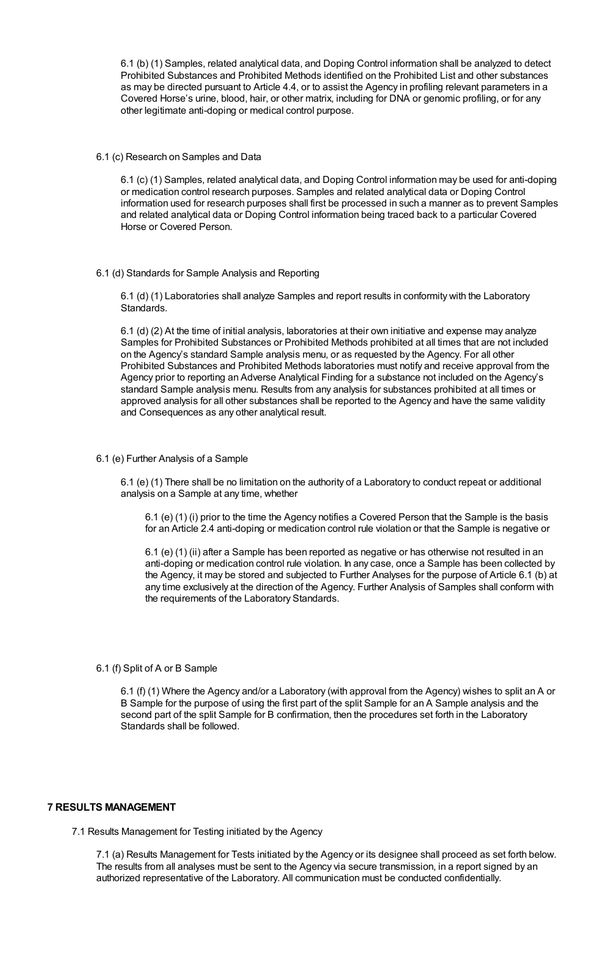6.1 (b) (1) Samples, related analytical data, and Doping Control information shall be analyzed to detect Prohibited Substances and Prohibited Methods identified on the Prohibited List and other substances as may be directed pursuant to Article 4.4, or to assist the Agency in profiling relevant parameters in a Covered Horse's urine, blood, hair, or other matrix, including for DNA or genomic profiling, or for any other legitimate anti-doping or medical control purpose.

6.1 (c) Research on Samples and Data

6.1 (c) (1) Samples, related analytical data, and Doping Control information may be used for anti-doping or medication control research purposes. Samples and related analytical data or Doping Control information used for research purposes shall first be processed in such a manner as to prevent Samples and related analytical data or Doping Control information being traced back to a particular Covered Horse or Covered Person.

6.1 (d) Standards for Sample Analysis and Reporting

6.1 (d) (1) Laboratories shall analyze Samples and report results in conformity with the Laboratory Standards.

6.1 (d) (2) At the time of initial analysis, laboratories at their own initiative and expense may analyze Samples for Prohibited Substances or Prohibited Methods prohibited at all times that are not included on the Agency's standard Sample analysis menu, or as requested by the Agency. For all other Prohibited Substances and Prohibited Methods laboratories must notify and receive approval from the Agency prior to reporting an Adverse Analytical Finding for a substance not included on the Agency's standard Sample analysis menu. Results from any analysis for substances prohibited at all times or approved analysis for all other substances shall be reported to the Agency and have the same validity and Consequences as any other analytical result.

# 6.1 (e) Further Analysis of a Sample

6.1 (e) (1) There shall be no limitation on the authority of a Laboratory to conduct repeat or additional analysis on a Sample at any time, whether

6.1 (e) (1) (i) prior to the time the Agency notifies a Covered Person that the Sample is the basis for an Article 2.4 anti-doping or medication control rule violation or that the Sample is negative or

6.1 (e) (1) (ii) after a Sample has been reported as negative or has otherwise not resulted in an anti-doping or medication control rule violation. In any case, once a Sample has been collected by the Agency, it may be stored and subjected to Further Analyses for the purpose of Article 6.1 (b) at any time exclusively at the direction of the Agency. Further Analysis of Samples shall conform with the requirements of the Laboratory Standards.

#### 6.1 (f) Split of A or B Sample

6.1 (f) (1) Where the Agency and/or a Laboratory (with approval from the Agency) wishes to split an A or B Sample for the purpose of using the first part of the split Sample for an A Sample analysis and the second part of the split Sample for B confirmation, then the procedures set forth in the Laboratory Standards shall be followed.

# **7 RESULTS MANAGEMENT**

7.1 Results Management for Testing initiated by the Agency

7.1 (a) Results Management for Tests initiated by the Agency or its designee shall proceed as set forth below. The results from all analyses must be sent to the Agency via secure transmission, in a report signed by an authorized representative of the Laboratory. All communication must be conducted confidentially.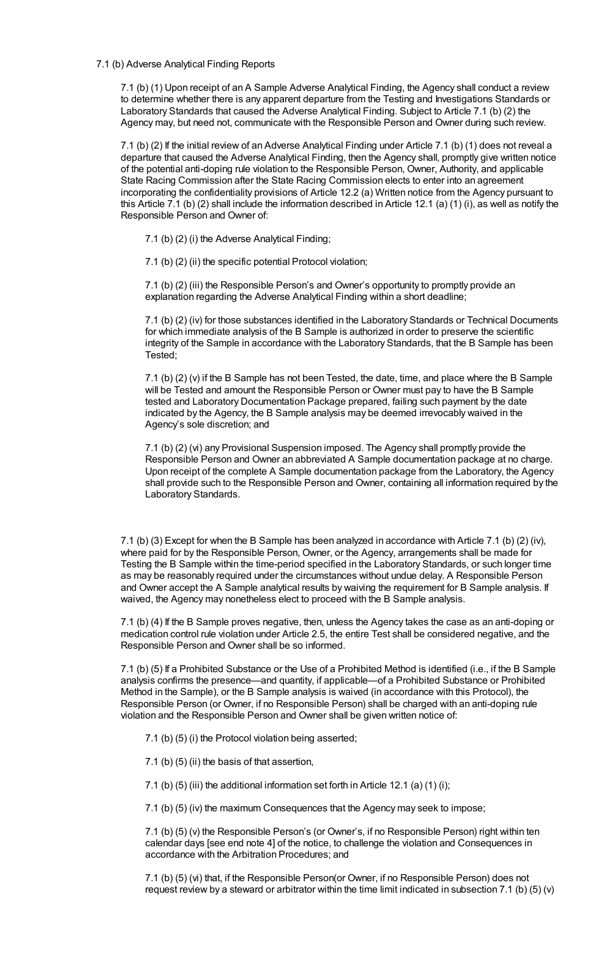## 7.1 (b) Adverse Analytical Finding Reports

7.1 (b) (1) Upon receipt of an A Sample Adverse Analytical Finding, the Agency shall conduct a review to determine whether there is any apparent departure from the Testing and Investigations Standards or Laboratory Standards that caused the Adverse Analytical Finding. Subject to Article 7.1 (b) (2) the Agency may, but need not, communicate with the Responsible Person and Owner during such review.

7.1 (b) (2) If the initial review of an Adverse Analytical Finding under Article 7.1 (b) (1) does not reveal a departure that caused the Adverse Analytical Finding, then the Agency shall, promptly give written notice of the potential anti-doping rule violation to the Responsible Person, Owner, Authority, and applicable State Racing Commission after the State Racing Commission elects to enter into an agreement incorporating the confidentiality provisions of Article 12.2 (a) Written notice from the Agency pursuant to this Article 7.1 (b) (2) shall include the information described in Article 12.1 (a) (1) (i), as well as notify the Responsible Person and Owner of:

7.1 (b) (2) (i) the Adverse Analytical Finding;

7.1 (b) (2) (ii) the specific potential Protocol violation;

7.1 (b) (2) (iii) the Responsible Person's and Owner's opportunity to promptly provide an explanation regarding the Adverse Analytical Finding within a short deadline;

7.1 (b) (2) (iv) for those substances identified in the Laboratory Standards or Technical Documents for which immediate analysis of the B Sample is authorized in order to preserve the scientific integrity of the Sample in accordance with the Laboratory Standards, that the B Sample has been Tested;

7.1 (b) (2) (v) if the B Sample has not been Tested, the date, time, and place where the B Sample will be Tested and amount the Responsible Person or Owner must pay to have the B Sample tested and Laboratory Documentation Package prepared, failing such payment by the date indicated by the Agency, the B Sample analysis may be deemed irrevocably waived in the Agency's sole discretion; and

7.1 (b) (2) (vi) any Provisional Suspension imposed. The Agency shall promptly provide the Responsible Person and Owner an abbreviated A Sample documentation package at no charge. Upon receipt of the complete A Sample documentation package from the Laboratory, the Agency shall provide such to the Responsible Person and Owner, containing all information required by the Laboratory Standards.

7.1 (b) (3) Except for when the B Sample has been analyzed in accordance with Article 7.1 (b) (2) (iv), where paid for by the Responsible Person, Owner, or the Agency, arrangements shall be made for Testing the B Sample within the time-period specified in the Laboratory Standards, or such longer time as may be reasonably required under the circumstances without undue delay. A Responsible Person and Owner accept the A Sample analytical results by waiving the requirement for B Sample analysis. If waived, the Agency may nonetheless elect to proceed with the B Sample analysis.

7.1 (b) (4) If the B Sample proves negative, then, unless the Agency takes the case as an anti-doping or medication control rule violation under Article 2.5, the entire Test shall be considered negative, and the Responsible Person and Owner shall be so informed.

7.1 (b) (5) If a Prohibited Substance or the Use of a Prohibited Method is identified (i.e., if the B Sample analysis confirms the presence—and quantity, if applicable—of a Prohibited Substance or Prohibited Method in the Sample), or the B Sample analysis is waived (in accordance with this Protocol), the Responsible Person (or Owner, if no Responsible Person) shall be charged with an anti-doping rule violation and the Responsible Person and Owner shall be given written notice of:

- 7.1 (b) (5) (i) the Protocol violation being asserted;
- 7.1 (b) (5) (ii) the basis of that assertion,

7.1 (b) (5) (iii) the additional information set forth in Article 12.1 (a) (1) (i);

7.1 (b) (5) (iv) the maximum Consequences that the Agency may seek to impose;

7.1 (b) (5) (v) the Responsible Person's (or Owner's, if no Responsible Person) right within ten calendar days [see end note 4] of the notice, to challenge the violation and Consequences in accordance with the Arbitration Procedures; and

7.1 (b) (5) (vi) that, if the Responsible Person(or Owner, if no Responsible Person) does not request review by a steward or arbitrator within the time limit indicated in subsection 7.1 (b) (5) (v)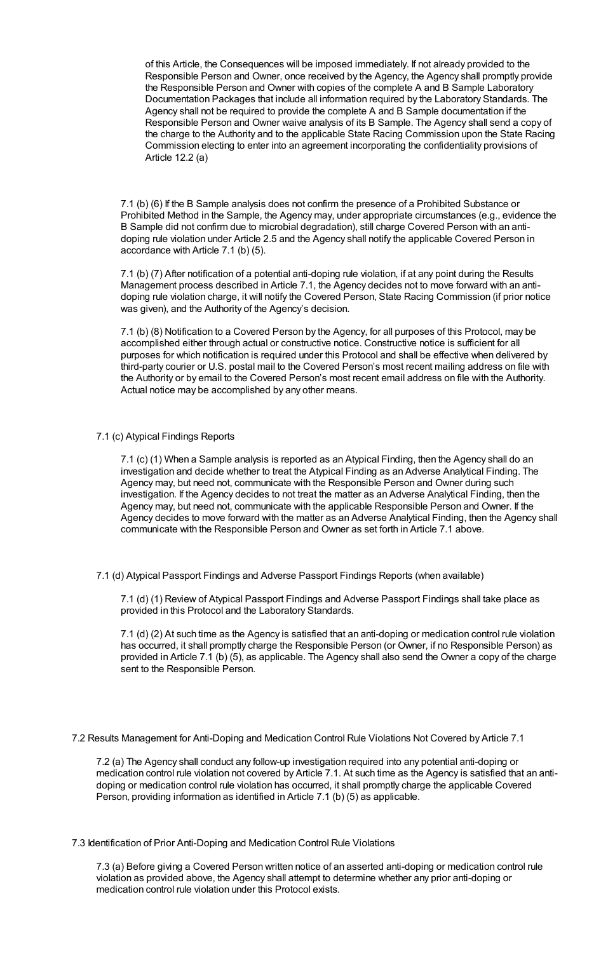of this Article, the Consequences will be imposed immediately. If not already provided to the Responsible Person and Owner, once received by the Agency, the Agency shall promptly provide the Responsible Person and Owner with copies of the complete A and B Sample Laboratory Documentation Packages that include all information required by the Laboratory Standards. The Agency shall not be required to provide the complete A and B Sample documentation if the Responsible Person and Owner waive analysis of its B Sample. The Agency shall send a copy of the charge to the Authority and to the applicable State Racing Commission upon the State Racing Commission electing to enter into an agreement incorporating the confidentiality provisions of Article 12.2 (a)

7.1 (b) (6) If the B Sample analysis does not confirm the presence of a Prohibited Substance or Prohibited Method in the Sample, the Agency may, under appropriate circumstances (e.g., evidence the B Sample did not confirm due to microbial degradation), still charge Covered Person with an antidoping rule violation under Article 2.5 and the Agency shall notify the applicable Covered Person in accordance with Article 7.1 (b) (5).

7.1 (b) (7) After notification of a potential anti-doping rule violation, if at any point during the Results Management process described in Article 7.1, the Agency decides not to move forward with an antidoping rule violation charge, it will notify the Covered Person, State Racing Commission (if prior notice was given), and the Authority of the Agency's decision.

7.1 (b) (8) Notification to a Covered Person by the Agency, for all purposes of this Protocol, may be accomplished either through actual or constructive notice. Constructive notice is sufficient for all purposes for which notification is required under this Protocol and shall be effective when delivered by third-party courier or U.S. postal mail to the Covered Person's most recent mailing address on file with the Authority or by email to the Covered Person's most recent email address on file with the Authority. Actual notice may be accomplished by any other means.

# 7.1 (c) Atypical Findings Reports

7.1 (c) (1) When a Sample analysis is reported as an Atypical Finding, then the Agency shall do an investigation and decide whether to treat the Atypical Finding as an Adverse Analytical Finding. The Agency may, but need not, communicate with the Responsible Person and Owner during such investigation. If the Agency decides to not treat the matter as an Adverse Analytical Finding, then the Agency may, but need not, communicate with the applicable Responsible Person and Owner. If the Agency decides to move forward with the matter as an Adverse Analytical Finding, then the Agency shall communicate with the Responsible Person and Owner as set forth in Article 7.1 above.

7.1 (d) Atypical Passport Findings and Adverse Passport Findings Reports (when available)

7.1 (d) (1) Review of Atypical Passport Findings and Adverse Passport Findings shall take place as provided in this Protocol and the Laboratory Standards.

7.1 (d) (2) At such time as the Agency is satisfied that an anti-doping or medication control rule violation has occurred, it shall promptly charge the Responsible Person (or Owner, if no Responsible Person) as provided in Article 7.1 (b) (5), as applicable. The Agency shall also send the Owner a copy of the charge sent to the Responsible Person.

7.2 Results Management for Anti-Doping and Medication Control Rule Violations Not Covered by Article 7.1

7.2 (a) The Agency shall conduct any follow-up investigation required into any potential anti-doping or medication control rule violation not covered by Article 7.1. At such time as the Agency is satisfied that an antidoping or medication control rule violation has occurred, it shall promptly charge the applicable Covered Person, providing information as identified in Article 7.1 (b) (5) as applicable.

7.3 Identification of Prior Anti-Doping and Medication Control Rule Violations

7.3 (a) Before giving a Covered Person written notice of an asserted anti-doping or medication control rule violation as provided above, the Agency shall attempt to determine whether any prior anti-doping or medication control rule violation under this Protocol exists.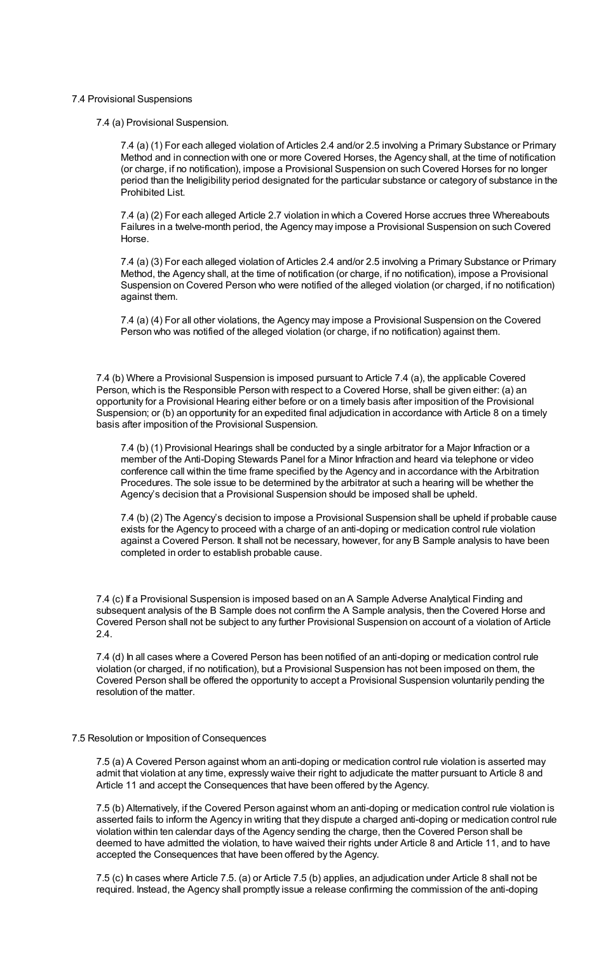#### 7.4 Provisional Suspensions

7.4 (a) Provisional Suspension.

7.4 (a) (1) For each alleged violation of Articles 2.4 and/or 2.5 involving a Primary Substance or Primary Method and in connection with one or more Covered Horses, the Agency shall, at the time of notification (or charge, if no notification), impose a Provisional Suspension on such Covered Horses for no longer period than the Ineligibility period designated for the particular substance or category of substance in the Prohibited List.

7.4 (a) (2) For each alleged Article 2.7 violation in which a Covered Horse accrues three Whereabouts Failures in a twelve-month period, the Agency may impose a Provisional Suspension on such Covered Horse.

7.4 (a) (3) For each alleged violation of Articles 2.4 and/or 2.5 involving a Primary Substance or Primary Method, the Agency shall, at the time of notification (or charge, if no notification), impose a Provisional Suspension on Covered Person who were notified of the alleged violation (or charged, if no notification) against them.

7.4 (a) (4) For all other violations, the Agency may impose a Provisional Suspension on the Covered Person who was notified of the alleged violation (or charge, if no notification) against them.

7.4 (b) Where a Provisional Suspension is imposed pursuant to Article 7.4 (a), the applicable Covered Person, which is the Responsible Person with respect to a Covered Horse, shall be given either: (a) an opportunity for a Provisional Hearing either before or on a timely basis after imposition of the Provisional Suspension; or (b) an opportunity for an expedited final adjudication in accordance with Article 8 on a timely basis after imposition of the Provisional Suspension.

7.4 (b) (1) Provisional Hearings shall be conducted by a single arbitrator for a Major Infraction or a member of the Anti-Doping Stewards Panel for a Minor Infraction and heard via telephone or video conference call within the time frame specified by the Agency and in accordance with the Arbitration Procedures. The sole issue to be determined by the arbitrator at such a hearing will be whether the Agency's decision that a Provisional Suspension should be imposed shall be upheld.

7.4 (b) (2) The Agency's decision to impose a Provisional Suspension shall be upheld if probable cause exists for the Agency to proceed with a charge of an anti-doping or medication control rule violation against a Covered Person. It shall not be necessary, however, for any B Sample analysis to have been completed in order to establish probable cause.

7.4 (c) If a Provisional Suspension is imposed based on an A Sample Adverse Analytical Finding and subsequent analysis of the B Sample does not confirm the A Sample analysis, then the Covered Horse and Covered Person shall not be subject to any further Provisional Suspension on account of a violation of Article 2.4.

7.4 (d) In all cases where a Covered Person has been notified of an anti-doping or medication control rule violation (or charged, if no notification), but a Provisional Suspension has not been imposed on them, the Covered Person shall be offered the opportunity to accept a Provisional Suspension voluntarily pending the resolution of the matter.

#### 7.5 Resolution or Imposition of Consequences

7.5 (a) A Covered Person against whom an anti-doping or medication control rule violation is asserted may admit that violation at any time, expressly waive their right to adjudicate the matter pursuant to Article 8 and Article 11 and accept the Consequences that have been offered by the Agency.

7.5 (b) Alternatively, if the Covered Person against whom an anti-doping or medication control rule violation is asserted fails to inform the Agency in writing that they dispute a charged anti-doping or medication control rule violation within ten calendar days of the Agency sending the charge, then the Covered Person shall be deemed to have admitted the violation, to have waived their rights under Article 8 and Article 11, and to have accepted the Consequences that have been offered by the Agency.

7.5 (c) In cases where Article 7.5. (a) or Article 7.5 (b) applies, an adjudication under Article 8 shall not be required. Instead, the Agency shall promptly issue a release confirming the commission of the anti-doping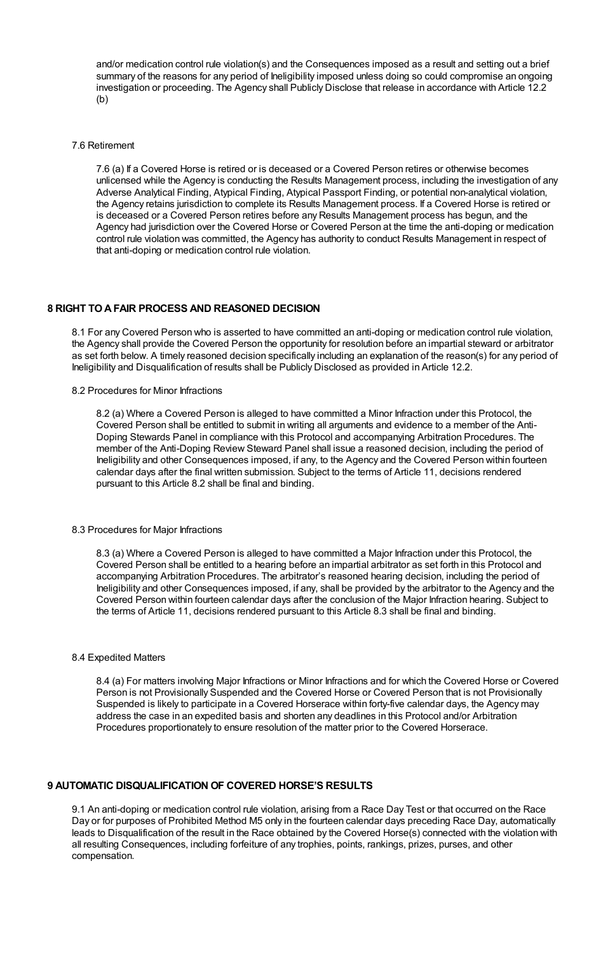and/or medication control rule violation(s) and the Consequences imposed as a result and setting out a brief summary of the reasons for any period of Ineligibility imposed unless doing so could compromise an ongoing investigation or proceeding. The Agency shall Publicly Disclose that release in accordance with Article 12.2  $(b)$ 

7.6 Retirement

7.6 (a) If a Covered Horse is retired or is deceased or a Covered Person retires or otherwise becomes unlicensed while the Agency is conducting the Results Management process, including the investigation of any Adverse Analytical Finding, Atypical Finding, Atypical Passport Finding, or potential non-analytical violation, the Agency retains jurisdiction to complete its Results Management process. If a Covered Horse is retired or is deceased or a Covered Person retires before any Results Management process has begun, and the Agency had jurisdiction over the Covered Horse or Covered Person at the time the anti-doping or medication control rule violation was committed, the Agency has authority to conduct Results Management in respect of that anti-doping or medication control rule violation.

## **8 RIGHT TOAFAIR PROCESS AND REASONED DECISION**

8.1 For any Covered Person who is asserted to have committed an anti-doping or medication control rule violation, the Agency shall provide the Covered Person the opportunity for resolution before an impartial steward or arbitrator as set forth below. A timely reasoned decision specifically including an explanation of the reason(s) for any period of Ineligibility and Disqualification of results shall be Publicly Disclosed as provided in Article 12.2.

8.2 Procedures for Minor Infractions

8.2 (a) Where a Covered Person is alleged to have committed a Minor Infraction under this Protocol, the Covered Person shall be entitled to submit in writing all arguments and evidence to a member of the Anti-Doping Stewards Panel in compliance with this Protocol and accompanying Arbitration Procedures. The member of the Anti-Doping Review Steward Panel shall issue a reasoned decision, including the period of Ineligibility and other Consequences imposed, if any, to the Agency and the Covered Person within fourteen calendar days after the final written submission. Subject to the terms of Article 11, decisions rendered pursuant to this Article 8.2 shall be final and binding.

### 8.3 Procedures for Major Infractions

8.3 (a) Where a Covered Person is alleged to have committed a Major Infraction under this Protocol, the Covered Person shall be entitled to a hearing before an impartial arbitrator as set forth in this Protocol and accompanying Arbitration Procedures. The arbitrator's reasoned hearing decision, including the period of Ineligibility and other Consequences imposed, if any, shall be provided by the arbitrator to the Agency and the Covered Person within fourteen calendar days after the conclusion of the Major Infraction hearing. Subject to the terms of Article 11, decisions rendered pursuant to this Article 8.3 shall be final and binding.

#### 8.4 Expedited Matters

8.4 (a) For matters involving Major Infractions or Minor Infractions and for which the Covered Horse or Covered Person is not Provisionally Suspended and the Covered Horse or Covered Person that is not Provisionally Suspended is likely to participate in a Covered Horserace within forty-five calendar days, the Agency may address the case in an expedited basis and shorten any deadlines in this Protocol and/or Arbitration Procedures proportionately to ensure resolution of the matter prior to the Covered Horserace.

## **9 AUTOMATIC DISQUALIFICATION OF COVERED HORSE'S RESULTS**

9.1 An anti-doping or medication control rule violation, arising from a Race Day Test or that occurred on the Race Day or for purposes of Prohibited Method M5 only in the fourteen calendar days preceding Race Day, automatically leads to Disqualification of the result in the Race obtained by the Covered Horse(s) connected with the violation with all resulting Consequences, including forfeiture of any trophies, points, rankings, prizes, purses, and other compensation.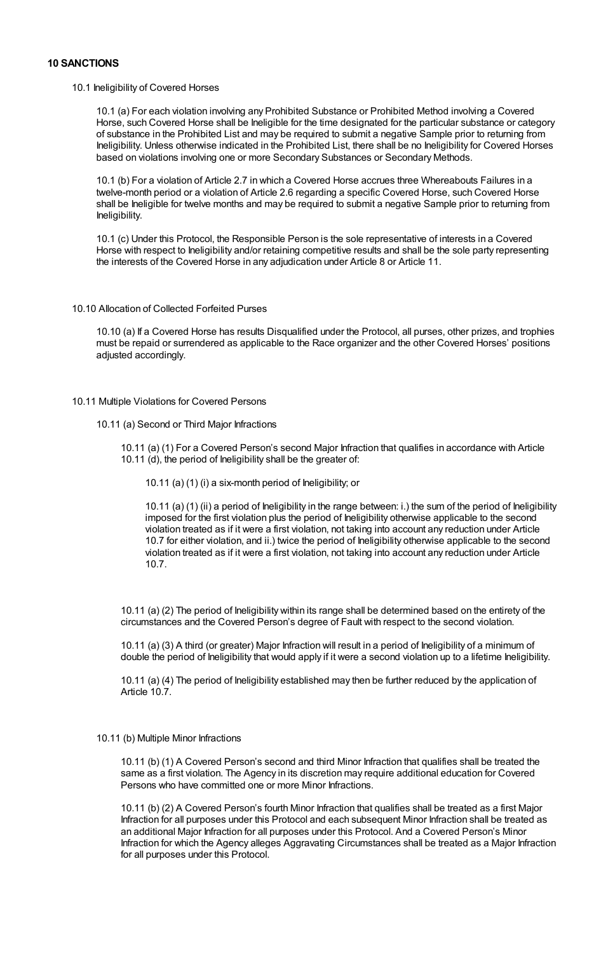# **10 SANCTIONS**

#### 10.1 Ineligibility of Covered Horses

10.1 (a) For each violation involving any Prohibited Substance or Prohibited Method involving a Covered Horse, such Covered Horse shall be Ineligible for the time designated for the particular substance or category of substance in the Prohibited List and may be required to submit a negative Sample prior to returning from Ineligibility. Unless otherwise indicated in the Prohibited List, there shall be no Ineligibility for Covered Horses based on violations involving one or more Secondary Substances or Secondary Methods.

10.1 (b) For a violation of Article 2.7 in which a Covered Horse accrues three Whereabouts Failures in a twelve-month period or a violation of Article 2.6 regarding a specific Covered Horse, such Covered Horse shall be Ineligible for twelve months and may be required to submit a negative Sample prior to returning from Ineligibility.

10.1 (c) Under this Protocol, the Responsible Person is the sole representative of interests in a Covered Horse with respect to Ineligibility and/or retaining competitive results and shall be the sole party representing the interests of the Covered Horse in any adjudication under Article 8 or Article 11.

## 10.10 Allocation of Collected Forfeited Purses

10.10 (a) If a Covered Horse has results Disqualified under the Protocol, all purses, other prizes, and trophies must be repaid or surrendered as applicable to the Race organizer and the other Covered Horses' positions adjusted accordingly.

#### 10.11 Multiple Violations for Covered Persons

#### 10.11 (a) Second or Third Major Infractions

10.11 (a) (1) For a Covered Person's second Major Infraction that qualifies in accordance with Article 10.11 (d), the period of Ineligibility shall be the greater of:

10.11 (a) (1) (i) a six-month period of Ineligibility; or

10.11 (a) (1) (ii) a period of Ineligibility in the range between: i.) the sum of the period of Ineligibility imposed for the first violation plus the period of Ineligibility otherwise applicable to the second violation treated as if it were a first violation, not taking into account any reduction under Article 10.7 for either violation, and ii.) twice the period of Ineligibility otherwise applicable to the second violation treated as if it were a first violation, not taking into account any reduction under Article 10.7.

10.11 (a) (2) The period of Ineligibility within its range shall be determined based on the entirety of the circumstances and the Covered Person's degree of Fault with respect to the second violation.

10.11 (a) (3) A third (or greater) Major Infraction will result in a period of Ineligibility of a minimum of double the period of Ineligibility that would apply if it were a second violation up to a lifetime Ineligibility.

10.11 (a) (4) The period of Ineligibility established may then be further reduced by the application of Article 10.7.

#### 10.11 (b) Multiple Minor Infractions

10.11 (b) (1) A Covered Person's second and third Minor Infraction that qualifies shall be treated the same as a first violation. The Agency in its discretion may require additional education for Covered Persons who have committed one or more Minor Infractions.

10.11 (b) (2) A Covered Person's fourth Minor Infraction that qualifies shall be treated as a first Major Infraction for all purposes under this Protocol and each subsequent Minor Infraction shall be treated as an additional Major Infraction for all purposes under this Protocol. And a Covered Person's Minor Infraction for which the Agency alleges Aggravating Circumstances shall be treated as a Major Infraction for all purposes under this Protocol.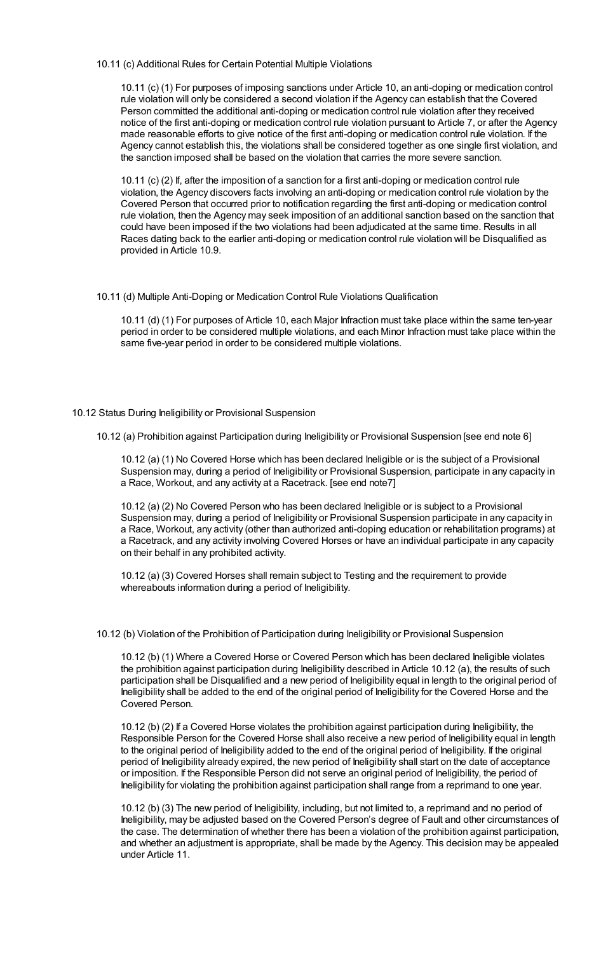## 10.11 (c) Additional Rules for Certain Potential Multiple Violations

10.11 (c) (1) For purposes of imposing sanctions under Article 10, an anti-doping or medication control rule violation will only be considered a second violation if the Agency can establish that the Covered Person committed the additional anti-doping or medication control rule violation after they received notice of the first anti-doping or medication control rule violation pursuant to Article 7, or after the Agency made reasonable efforts to give notice of the first anti-doping or medication control rule violation. If the Agency cannot establish this, the violations shall be considered together as one single first violation, and the sanction imposed shall be based on the violation that carries the more severe sanction.

10.11 (c) (2) If, after the imposition of a sanction for a first anti-doping or medication control rule violation, the Agency discovers facts involving an anti-doping or medication control rule violation by the Covered Person that occurred prior to notification regarding the first anti-doping or medication control rule violation, then the Agency may seek imposition of an additional sanction based on the sanction that could have been imposed if the two violations had been adjudicated at the same time. Results in all Races dating back to the earlier anti-doping or medication control rule violation will be Disqualified as provided in Article 10.9.

## 10.11 (d) Multiple Anti-Doping or Medication Control Rule Violations Qualification

10.11 (d) (1) For purposes of Article 10, each Major Infraction must take place within the same ten-year period in order to be considered multiple violations, and each Minor Infraction must take place within the same five-year period in order to be considered multiple violations.

## 10.12 Status During Ineligibility or Provisional Suspension

10.12 (a) Prohibition against Participation during Ineligibility or Provisional Suspension [see end note 6]

10.12 (a) (1) No Covered Horse which has been declared Ineligible or is the subject of a Provisional Suspension may, during a period of Ineligibility or Provisional Suspension, participate in any capacity in a Race, Workout, and any activity at a Racetrack. [see end note7]

10.12 (a) (2) No Covered Person who has been declared Ineligible or is subject to a Provisional Suspension may, during a period of Ineligibility or Provisional Suspension participate in any capacity in a Race, Workout, any activity (other than authorized anti-doping education or rehabilitation programs) at a Racetrack, and any activity involving Covered Horses or have an individual participate in any capacity on their behalf in any prohibited activity.

10.12 (a) (3) Covered Horses shall remain subject to Testing and the requirement to provide whereabouts information during a period of Ineligibility.

#### 10.12 (b) Violation of the Prohibition of Participation during Ineligibility or Provisional Suspension

10.12 (b) (1) Where a Covered Horse or Covered Person which has been declared Ineligible violates the prohibition against participation during Ineligibility described in Article 10.12 (a), the results of such participation shall be Disqualified and a new period of Ineligibility equal in length to the original period of Ineligibility shall be added to the end of the original period of Ineligibility for the Covered Horse and the Covered Person.

10.12 (b) (2) If a Covered Horse violates the prohibition against participation during Ineligibility, the Responsible Person for the Covered Horse shall also receive a new period of Ineligibility equal in length to the original period of Ineligibility added to the end of the original period of Ineligibility. If the original period of Ineligibility already expired, the new period of Ineligibility shall start on the date of acceptance or imposition. If the Responsible Person did not serve an original period of Ineligibility, the period of Ineligibility for violating the prohibition against participation shall range from a reprimand to one year.

10.12 (b) (3) The new period of Ineligibility, including, but not limited to, a reprimand and no period of Ineligibility, may be adjusted based on the Covered Person's degree of Fault and other circumstances of the case. The determination of whether there has been a violation of the prohibition against participation, and whether an adjustment is appropriate, shall be made by the Agency. This decision may be appealed under Article 11.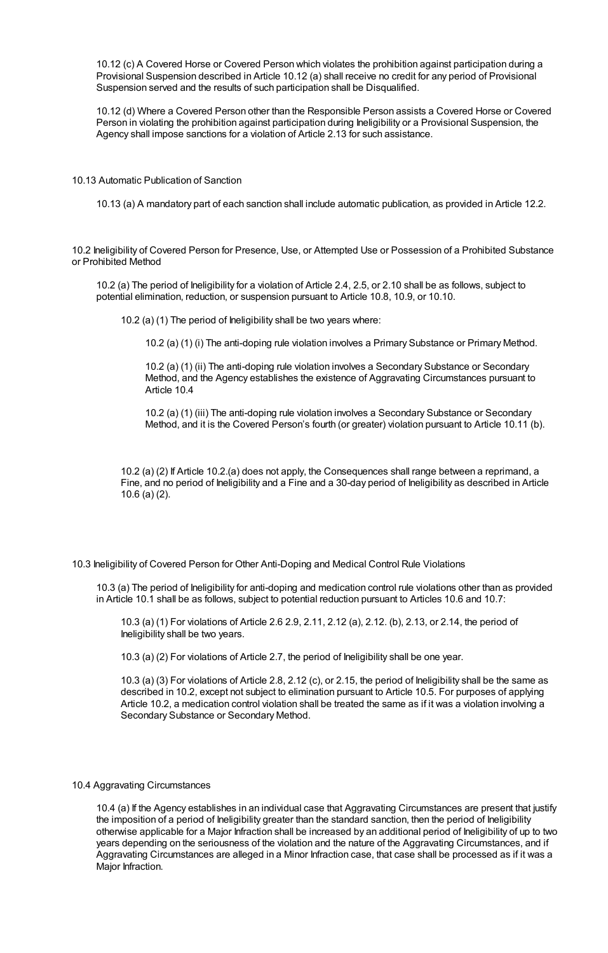10.12 (c) A Covered Horse or Covered Person which violates the prohibition against participation during a Provisional Suspension described in Article 10.12 (a) shall receive no credit for any period of Provisional Suspension served and the results of such participation shall be Disqualified.

10.12 (d) Where a Covered Person other than the Responsible Person assists a Covered Horse or Covered Person in violating the prohibition against participation during Ineligibility or a Provisional Suspension, the Agency shall impose sanctions for a violation of Article 2.13 for such assistance.

10.13 Automatic Publication of Sanction

10.13 (a) A mandatory part of each sanction shall include automatic publication, as provided in Article 12.2.

10.2 Ineligibility of Covered Person for Presence, Use, or Attempted Use or Possession of a Prohibited Substance or Prohibited Method

10.2 (a) The period of Ineligibility for a violation of Article 2.4, 2.5, or 2.10 shall be as follows, subject to potential elimination, reduction, or suspension pursuant to Article 10.8, 10.9, or 10.10.

10.2 (a) (1) The period of Ineligibility shall be two years where:

10.2 (a) (1) (i) The anti-doping rule violation involves a Primary Substance or Primary Method.

10.2 (a) (1) (ii) The anti-doping rule violation involves a Secondary Substance or Secondary Method, and the Agency establishes the existence of Aggravating Circumstances pursuant to Article 10.4

10.2 (a) (1) (iii) The anti-doping rule violation involves a Secondary Substance or Secondary Method, and it is the Covered Person's fourth (or greater) violation pursuant to Article 10.11 (b).

10.2 (a) (2) If Article 10.2.(a) does not apply, the Consequences shall range between a reprimand, a Fine, and no period of Ineligibility and a Fine and a 30-day period of Ineligibility as described in Article 10.6 (a) (2).

10.3 Ineligibility of Covered Person for Other Anti-Doping and Medical Control Rule Violations

10.3 (a) The period of Ineligibility for anti-doping and medication control rule violations other than as provided in Article 10.1 shall be as follows, subject to potential reduction pursuant to Articles 10.6 and 10.7:

10.3 (a) (1) For violations of Article 2.6 2.9, 2.11, 2.12 (a), 2.12. (b), 2.13, or 2.14, the period of Ineligibility shall be two years.

10.3 (a) (2) For violations of Article 2.7, the period of Ineligibility shall be one year.

10.3 (a) (3) For violations of Article 2.8, 2.12 (c), or 2.15, the period of Ineligibility shall be the same as described in 10.2, except not subject to elimination pursuant to Article 10.5. For purposes of applying Article 10.2, a medication control violation shall be treated the same as if it was a violation involving a Secondary Substance or Secondary Method.

# 10.4 Aggravating Circumstances

10.4 (a) If the Agency establishes in an individual case that Aggravating Circumstances are present that justify the imposition of a period of Ineligibility greater than the standard sanction, then the period of Ineligibility otherwise applicable for a Major Infraction shall be increased by an additional period of Ineligibility of up to two years depending on the seriousness of the violation and the nature of the Aggravating Circumstances, and if Aggravating Circumstances are alleged in a Minor Infraction case, that case shall be processed as if it was a Major Infraction.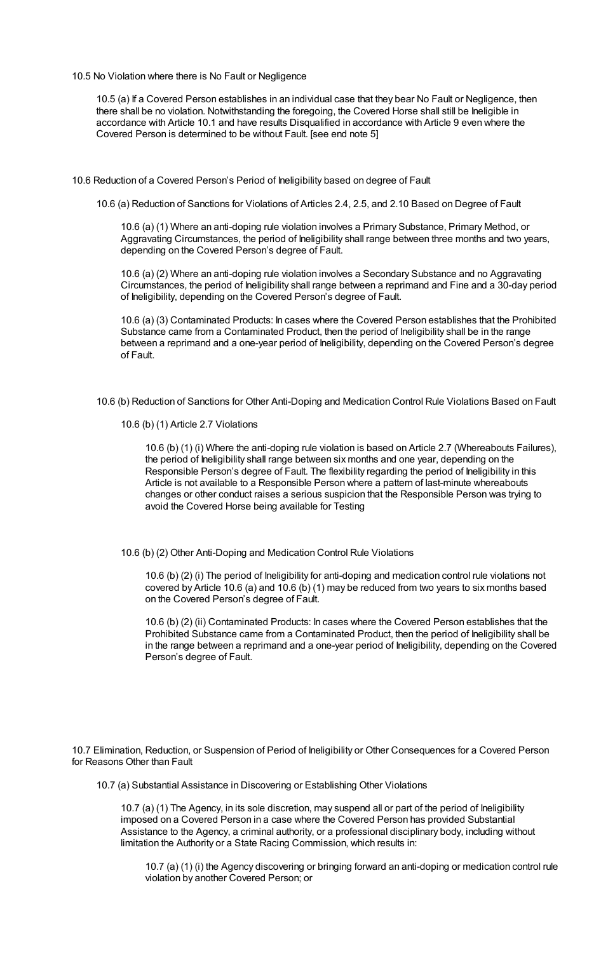10.5 No Violation where there is No Fault or Negligence

10.5 (a) If a Covered Person establishes in an individual case that they bear No Fault or Negligence, then there shall be no violation. Notwithstanding the foregoing, the Covered Horse shall still be Ineligible in accordance with Article 10.1 and have results Disqualified in accordance with Article 9 even where the Covered Person is determined to be without Fault. [see end note 5]

- 10.6 Reduction of a Covered Person's Period of Ineligibility based on degree of Fault
	- 10.6 (a) Reduction of Sanctions for Violations of Articles 2.4, 2.5, and 2.10 Based on Degree of Fault

10.6 (a) (1) Where an anti-doping rule violation involves a Primary Substance, Primary Method, or Aggravating Circumstances, the period of Ineligibility shall range between three months and two years, depending on the Covered Person's degree of Fault.

10.6 (a) (2) Where an anti-doping rule violation involves a Secondary Substance and no Aggravating Circumstances, the period of Ineligibility shall range between a reprimand and Fine and a 30-day period of Ineligibility, depending on the Covered Person's degree of Fault.

10.6 (a) (3) Contaminated Products: In cases where the Covered Person establishes that the Prohibited Substance came from a Contaminated Product, then the period of Ineligibility shall be in the range between a reprimand and a one-year period of Ineligibility, depending on the Covered Person's degree of Fault.

- 10.6 (b) Reduction of Sanctions for Other Anti-Doping and Medication Control Rule Violations Based on Fault
	- 10.6 (b) (1) Article 2.7 Violations

10.6 (b) (1) (i) Where the anti-doping rule violation is based on Article 2.7 (Whereabouts Failures), the period of Ineligibility shall range between six months and one year, depending on the Responsible Person's degree of Fault. The flexibility regarding the period of Ineligibility in this Article is not available to a Responsible Person where a pattern of last-minute whereabouts changes or other conduct raises a serious suspicion that the Responsible Person was trying to avoid the Covered Horse being available for Testing

10.6 (b) (2) Other Anti-Doping and Medication Control Rule Violations

10.6 (b) (2) (i) The period of Ineligibility for anti-doping and medication control rule violations not covered by Article 10.6 (a) and 10.6 (b) (1) may be reduced from two years to six months based on the Covered Person's degree of Fault.

10.6 (b) (2) (ii) Contaminated Products: In cases where the Covered Person establishes that the Prohibited Substance came from a Contaminated Product, then the period of Ineligibility shall be in the range between a reprimand and a one-year period of Ineligibility, depending on the Covered Person's degree of Fault.

10.7 Elimination, Reduction, or Suspension of Period of Ineligibility or Other Consequences for a Covered Person for Reasons Other than Fault

10.7 (a) Substantial Assistance in Discovering or Establishing Other Violations

10.7 (a) (1) The Agency, in its sole discretion, may suspend all or part of the period of Ineligibility imposed on a Covered Person in a case where the Covered Person has provided Substantial Assistance to the Agency, a criminal authority, or a professional disciplinary body, including without limitation the Authority or a State Racing Commission, which results in:

10.7 (a) (1) (i) the Agency discovering or bringing forward an anti-doping or medication control rule violation by another Covered Person; or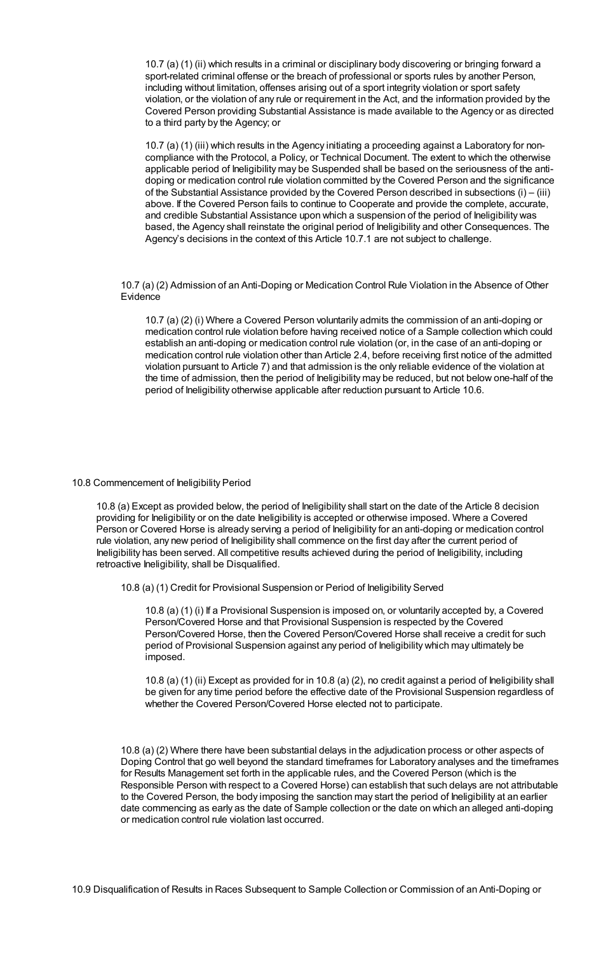10.7 (a) (1) (ii) which results in a criminal or disciplinary body discovering or bringing forward a sport-related criminal offense or the breach of professional or sports rules by another Person, including without limitation, offenses arising out of a sport integrity violation or sport safety violation, or the violation of any rule or requirement in the Act, and the information provided by the Covered Person providing Substantial Assistance is made available to the Agency or as directed to a third party by the Agency; or

10.7 (a) (1) (iii) which results in the Agency initiating a proceeding against a Laboratory for noncompliance with the Protocol, a Policy, or Technical Document. The extent to which the otherwise applicable period of Ineligibility may be Suspended shall be based on the seriousness of the antidoping or medication control rule violation committed by the Covered Person and the significance of the Substantial Assistance provided by the Covered Person described in subsections (i) – (iii) above. If the Covered Person fails to continue to Cooperate and provide the complete, accurate, and credible Substantial Assistance upon which a suspension of the period of Ineligibility was based, the Agency shall reinstate the original period of Ineligibility and other Consequences. The Agency's decisions in the context of this Article 10.7.1 are not subject to challenge.

10.7 (a) (2) Admission of an Anti-Doping or Medication Control Rule Violation in the Absence of Other Evidence

10.7 (a) (2) (i) Where a Covered Person voluntarily admits the commission of an anti-doping or medication control rule violation before having received notice of a Sample collection which could establish an anti-doping or medication control rule violation (or, in the case of an anti-doping or medication control rule violation other than Article 2.4, before receiving first notice of the admitted violation pursuant to Article 7) and that admission is the only reliable evidence of the violation at the time of admission, then the period of Ineligibility may be reduced, but not below one-half of the period of Ineligibility otherwise applicable after reduction pursuant to Article 10.6.

#### 10.8 Commencement of Ineligibility Period

10.8 (a) Except as provided below, the period of Ineligibility shall start on the date of the Article 8 decision providing for Ineligibility or on the date Ineligibility is accepted or otherwise imposed. Where a Covered Person or Covered Horse is already serving a period of Ineligibility for an anti-doping or medication control rule violation, any new period of Ineligibility shall commence on the first day after the current period of Ineligibility has been served. All competitive results achieved during the period of Ineligibility, including retroactive Ineligibility, shall be Disqualified.

10.8 (a) (1) Credit for Provisional Suspension or Period of Ineligibility Served

10.8 (a) (1) (i) If a Provisional Suspension is imposed on, or voluntarily accepted by, a Covered Person/Covered Horse and that Provisional Suspension is respected by the Covered Person/Covered Horse, then the Covered Person/Covered Horse shall receive a credit for such period of Provisional Suspension against any period of Ineligibility which may ultimately be imposed.

10.8 (a) (1) (ii) Except as provided for in 10.8 (a) (2), no credit against a period of Ineligibility shall be given for any time period before the effective date of the Provisional Suspension regardless of whether the Covered Person/Covered Horse elected not to participate.

10.8 (a) (2) Where there have been substantial delays in the adjudication process or other aspects of Doping Control that go well beyond the standard timeframes for Laboratory analyses and the timeframes for Results Management set forth in the applicable rules, and the Covered Person (which is the Responsible Person with respect to a Covered Horse) can establish that such delays are not attributable to the Covered Person, the body imposing the sanction may start the period of Ineligibility at an earlier date commencing as early as the date of Sample collection or the date on which an alleged anti-doping or medication control rule violation last occurred.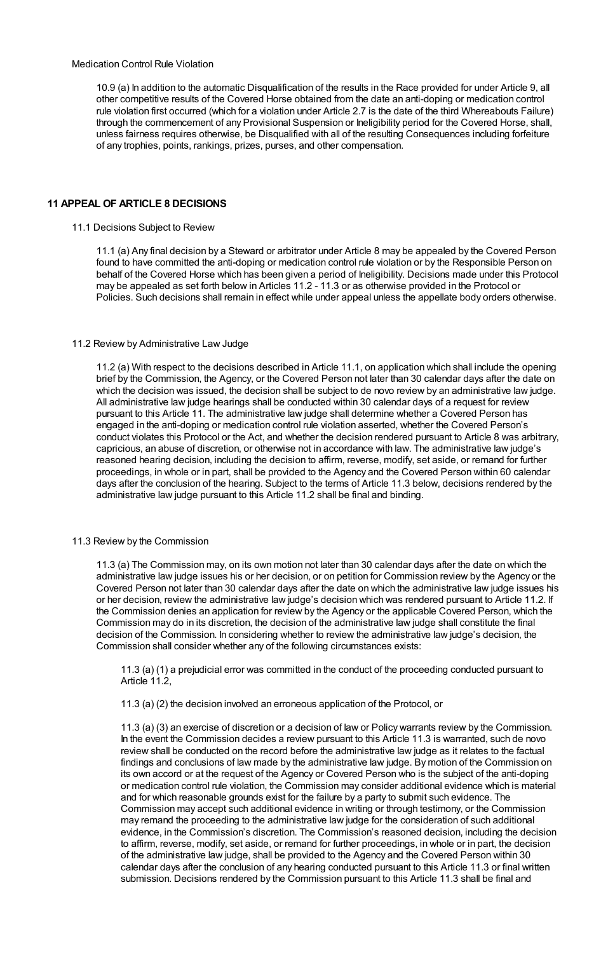# Medication Control Rule Violation

10.9 (a) In addition to the automatic Disqualification of the results in the Race provided for under Article 9, all other competitive results of the Covered Horse obtained from the date an anti-doping or medication control rule violation first occurred (which for a violation under Article 2.7 is the date of the third Whereabouts Failure) through the commencement of any Provisional Suspension or Ineligibility period for the Covered Horse, shall, unless fairness requires otherwise, be Disqualified with all of the resulting Consequences including forfeiture of any trophies, points, rankings, prizes, purses, and other compensation.

# **11 APPEAL OF ARTICLE 8 DECISIONS**

### 11.1 Decisions Subject to Review

11.1 (a) Any final decision by a Steward or arbitrator under Article 8 may be appealed by the Covered Person found to have committed the anti-doping or medication control rule violation or by the Responsible Person on behalf of the Covered Horse which has been given a period of Ineligibility. Decisions made under this Protocol may be appealed as set forth below in Articles 11.2 - 11.3 or as otherwise provided in the Protocol or Policies. Such decisions shall remain in effect while under appeal unless the appellate body orders otherwise.

## 11.2 Review by Administrative Law Judge

11.2 (a) With respect to the decisions described in Article 11.1, on application which shall include the opening brief by the Commission, the Agency, or the Covered Person not later than 30 calendar days after the date on which the decision was issued, the decision shall be subject to de novo review by an administrative law judge. All administrative law judge hearings shall be conducted within 30 calendar days of a request for review pursuant to this Article 11. The administrative law judge shall determine whether a Covered Person has engaged in the anti-doping or medication control rule violation asserted, whether the Covered Person's conduct violates this Protocol or the Act, and whether the decision rendered pursuant to Article 8 was arbitrary, capricious, an abuse of discretion, or otherwise not in accordance with law. The administrative law judge's reasoned hearing decision, including the decision to affirm, reverse, modify, set aside, or remand for further proceedings, in whole or in part, shall be provided to the Agency and the Covered Person within 60 calendar days after the conclusion of the hearing. Subject to the terms of Article 11.3 below, decisions rendered by the administrative law judge pursuant to this Article 11.2 shall be final and binding.

#### 11.3 Review by the Commission

11.3 (a) The Commission may, on its own motion not later than 30 calendar days after the date on which the administrative law judge issues his or her decision, or on petition for Commission review by the Agency or the Covered Person not later than 30 calendar days after the date on which the administrative law judge issues his or her decision, review the administrative law judge's decision which was rendered pursuant to Article 11.2. If the Commission denies an application for review by the Agency or the applicable Covered Person, which the Commission may do in its discretion, the decision of the administrative law judge shall constitute the final decision of the Commission. In considering whether to review the administrative law judge's decision, the Commission shall consider whether any of the following circumstances exists:

11.3 (a) (1) a prejudicial error was committed in the conduct of the proceeding conducted pursuant to Article 11.2,

11.3 (a) (2) the decision involved an erroneous application of the Protocol, or

11.3 (a) (3) an exercise of discretion or a decision of law or Policy warrants review by the Commission. In the event the Commission decides a review pursuant to this Article 11.3 is warranted, such de novo review shall be conducted on the record before the administrative law judge as it relates to the factual findings and conclusions of law made by the administrative law judge. By motion of the Commission on its own accord or at the request of the Agency or Covered Person who is the subject of the anti-doping or medication control rule violation, the Commission may consider additional evidence which is material and for which reasonable grounds exist for the failure by a party to submit such evidence. The Commission may accept such additional evidence in writing or through testimony, or the Commission may remand the proceeding to the administrative law judge for the consideration of such additional evidence, in the Commission's discretion. The Commission's reasoned decision, including the decision to affirm, reverse, modify, set aside, or remand for further proceedings, in whole or in part, the decision of the administrative law judge, shall be provided to the Agency and the Covered Person within 30 calendar days after the conclusion of any hearing conducted pursuant to this Article 11.3 or final written submission. Decisions rendered by the Commission pursuant to this Article 11.3 shall be final and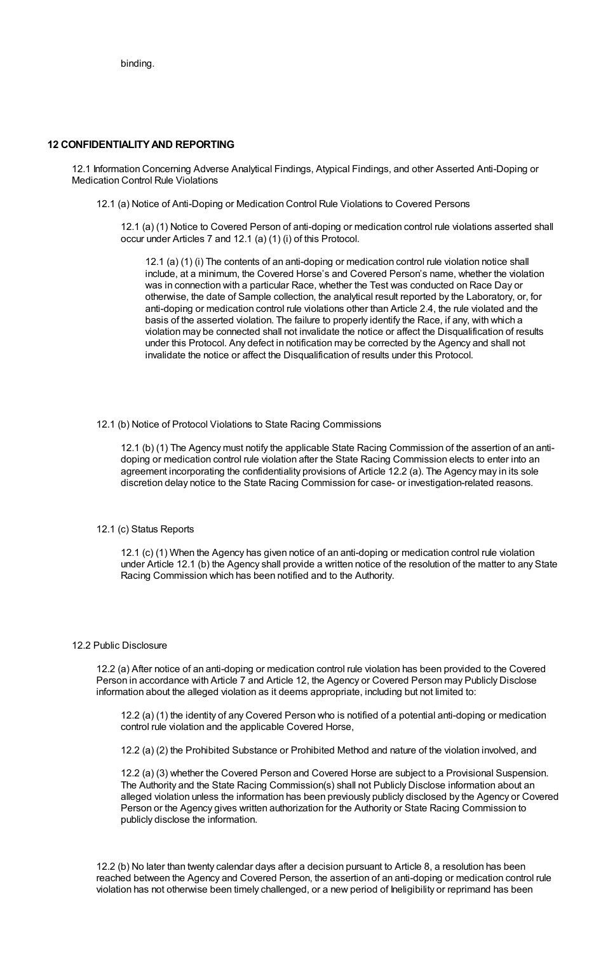# **12 CONFIDENTIALITYAND REPORTING**

12.1 Information Concerning Adverse Analytical Findings, Atypical Findings, and other Asserted Anti-Doping or Medication Control Rule Violations

12.1 (a) Notice of Anti-Doping or Medication Control Rule Violations to Covered Persons

12.1 (a) (1) Notice to Covered Person of anti-doping or medication control rule violations asserted shall occur under Articles 7 and 12.1 (a) (1) (i) of this Protocol.

12.1 (a) (1) (i) The contents of an anti-doping or medication control rule violation notice shall include, at a minimum, the Covered Horse's and Covered Person's name, whether the violation was in connection with a particular Race, whether the Test was conducted on Race Day or otherwise, the date of Sample collection, the analytical result reported by the Laboratory, or, for anti-doping or medication control rule violations other than Article 2.4, the rule violated and the basis of the asserted violation. The failure to properly identify the Race, if any, with which a violation may be connected shall not invalidate the notice or affect the Disqualification of results under this Protocol. Any defect in notification may be corrected by the Agency and shall not invalidate the notice or affect the Disqualification of results under this Protocol.

#### 12.1 (b) Notice of Protocol Violations to State Racing Commissions

12.1 (b) (1) The Agency must notify the applicable State Racing Commission of the assertion of an antidoping or medication control rule violation after the State Racing Commission elects to enter into an agreement incorporating the confidentiality provisions of Article 12.2 (a). The Agency may in its sole discretion delay notice to the State Racing Commission for case- or investigation-related reasons.

#### 12.1 (c) Status Reports

12.1 (c) (1) When the Agency has given notice of an anti-doping or medication control rule violation under Article 12.1 (b) the Agency shall provide a written notice of the resolution of the matter to any State Racing Commission which has been notified and to the Authority.

#### 12.2 Public Disclosure

12.2 (a) After notice of an anti-doping or medication control rule violation has been provided to the Covered Person in accordance with Article 7 and Article 12, the Agency or Covered Person may Publicly Disclose information about the alleged violation as it deems appropriate, including but not limited to:

12.2 (a) (1) the identity of any Covered Person who is notified of a potential anti-doping or medication control rule violation and the applicable Covered Horse,

12.2 (a) (2) the Prohibited Substance or Prohibited Method and nature of the violation involved, and

12.2 (a) (3) whether the Covered Person and Covered Horse are subject to a Provisional Suspension. The Authority and the State Racing Commission(s) shall not Publicly Disclose information about an alleged violation unless the information has been previously publicly disclosed by the Agency or Covered Person or the Agency gives written authorization for the Authority or State Racing Commission to publicly disclose the information.

12.2 (b) No later than twenty calendar days after a decision pursuant to Article 8, a resolution has been reached between the Agency and Covered Person, the assertion of an anti-doping or medication control rule violation has not otherwise been timely challenged, or a new period of Ineligibility or reprimand has been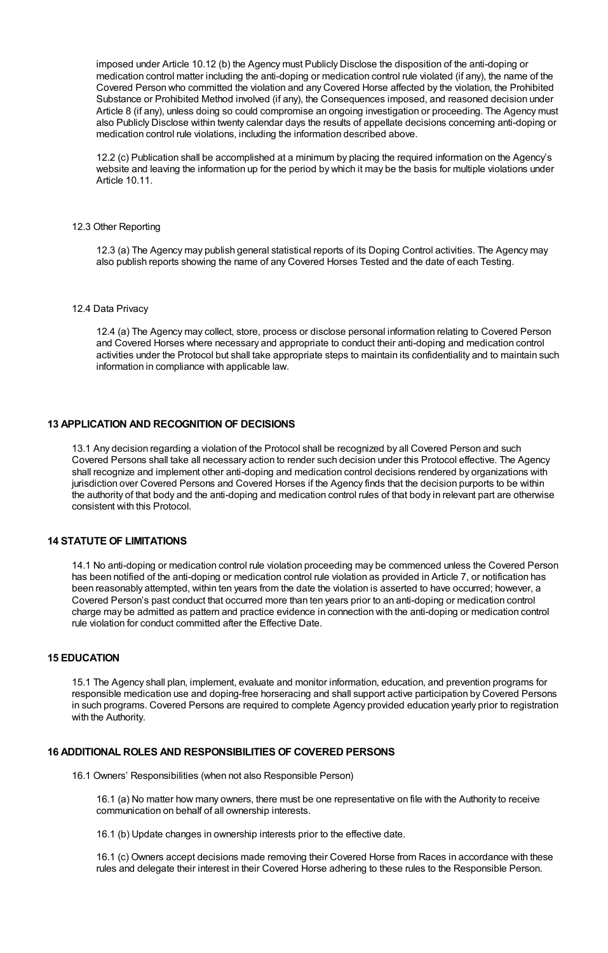imposed under Article 10.12 (b) the Agency must Publicly Disclose the disposition of the anti-doping or medication control matter including the anti-doping or medication control rule violated (if any), the name of the Covered Person who committed the violation and any Covered Horse affected by the violation, the Prohibited Substance or Prohibited Method involved (if any), the Consequences imposed, and reasoned decision under Article 8 (if any), unless doing so could compromise an ongoing investigation or proceeding. The Agency must also Publicly Disclose within twenty calendar days the results of appellate decisions concerning anti-doping or medication control rule violations, including the information described above.

12.2 (c) Publication shall be accomplished at a minimum by placing the required information on the Agency's website and leaving the information up for the period by which it may be the basis for multiple violations under Article 10.11.

### 12.3 Other Reporting

12.3 (a) The Agency may publish general statistical reports of its Doping Control activities. The Agency may also publish reports showing the name of any Covered Horses Tested and the date of each Testing.

### 12.4 Data Privacy

12.4 (a) The Agency may collect, store, process or disclose personal information relating to Covered Person and Covered Horses where necessary and appropriate to conduct their anti-doping and medication control activities under the Protocol but shall take appropriate steps to maintain its confidentiality and to maintain such information in compliance with applicable law.

# **13 APPLICATION AND RECOGNITION OF DECISIONS**

13.1 Any decision regarding a violation of the Protocol shall be recognized by all Covered Person and such Covered Persons shall take all necessary action to render such decision under this Protocol effective. The Agency shall recognize and implement other anti-doping and medication control decisions rendered by organizations with jurisdiction over Covered Persons and Covered Horses if the Agency finds that the decision purports to be within the authority of that body and the anti-doping and medication control rules of that body in relevant part are otherwise consistent with this Protocol.

# **14 STATUTE OF LIMITATIONS**

14.1 No anti-doping or medication control rule violation proceeding may be commenced unless the Covered Person has been notified of the anti-doping or medication control rule violation as provided in Article 7, or notification has been reasonably attempted, within ten years from the date the violation is asserted to have occurred; however, a Covered Person's past conduct that occurred more than ten years prior to an anti-doping or medication control charge may be admitted as pattern and practice evidence in connection with the anti-doping or medication control rule violation for conduct committed after the Effective Date.

# **15 EDUCATION**

15.1 The Agency shall plan, implement, evaluate and monitor information, education, and prevention programs for responsible medication use and doping-free horseracing and shall support active participation by Covered Persons in such programs. Covered Persons are required to complete Agency provided education yearly prior to registration with the Authority.

#### **16 ADDITIONAL ROLES AND RESPONSIBILITIES OF COVERED PERSONS**

16.1 Owners' Responsibilities (when not also Responsible Person)

16.1 (a) No matter how many owners, there must be one representative on file with the Authority to receive communication on behalf of all ownership interests.

16.1 (b) Update changes in ownership interests prior to the effective date.

16.1 (c) Owners accept decisions made removing their Covered Horse from Races in accordance with these rules and delegate their interest in their Covered Horse adhering to these rules to the Responsible Person.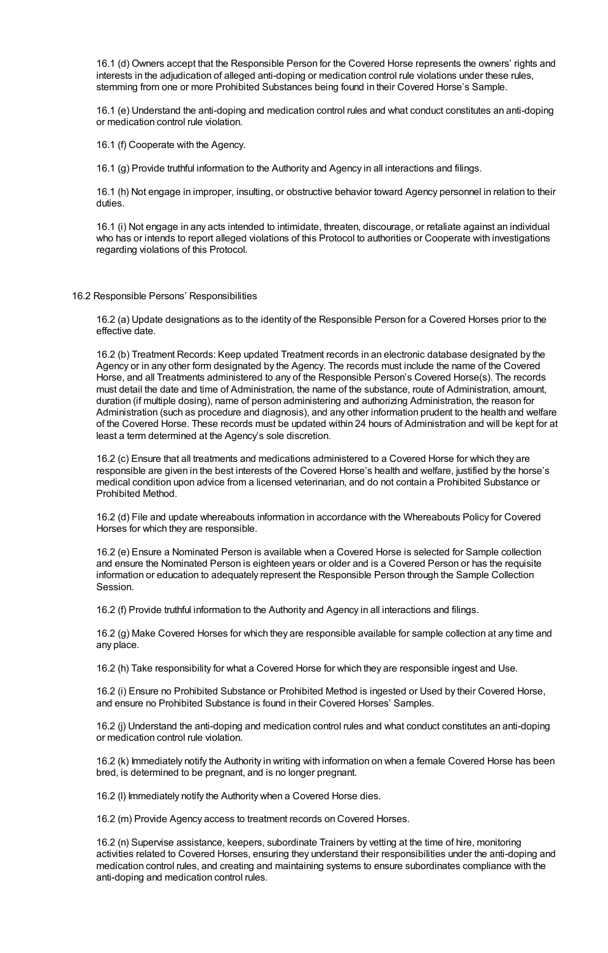16.1 (d) Owners accept that the Responsible Person for the Covered Horse represents the owners' rights and interests in the adjudication of alleged anti-doping or medication control rule violations under these rules, stemming from one or more Prohibited Substances being found in their Covered Horse's Sample.

16.1 (e) Understand the anti-doping and medication control rules and what conduct constitutes an anti-doping or medication control rule violation.

16.1 (f) Cooperate with the Agency.

16.1 (g) Provide truthful information to the Authority and Agency in all interactions and filings.

16.1 (h) Not engage in improper, insulting, or obstructive behavior toward Agency personnel in relation to their duties.

16.1 (i) Not engage in any acts intended to intimidate, threaten, discourage, or retaliate against an individual who has or intends to report alleged violations of this Protocol to authorities or Cooperate with investigations regarding violations of this Protocol.

#### 16.2 Responsible Persons' Responsibilities

16.2 (a) Update designations as to the identity of the Responsible Person for a Covered Horses prior to the effective date.

16.2 (b) Treatment Records: Keep updated Treatment records in an electronic database designated by the Agency or in any other form designated by the Agency. The records must include the name of the Covered Horse, and all Treatments administered to any of the Responsible Person's Covered Horse(s). The records must detail the date and time of Administration, the name of the substance, route of Administration, amount, duration (if multiple dosing), name of person administering and authorizing Administration, the reason for Administration (such as procedure and diagnosis), and any other information prudent to the health and welfare of the Covered Horse. These records must be updated within 24 hours of Administration and will be kept for at least a term determined at the Agency's sole discretion.

16.2 (c) Ensure that all treatments and medications administered to a Covered Horse for which they are responsible are given in the best interests of the Covered Horse's health and welfare, justified by the horse's medical condition upon advice from a licensed veterinarian, and do not contain a Prohibited Substance or Prohibited Method.

16.2 (d) File and update whereabouts information in accordance with the Whereabouts Policy for Covered Horses for which they are responsible.

16.2 (e) Ensure a Nominated Person is available when a Covered Horse is selected for Sample collection and ensure the Nominated Person is eighteen years or older and is a Covered Person or has the requisite information or education to adequately represent the Responsible Person through the Sample Collection Session.

16.2 (f) Provide truthful information to the Authority and Agency in all interactions and filings.

16.2 (g) Make Covered Horses for which they are responsible available for sample collection at any time and any place.

16.2 (h) Take responsibility for what a Covered Horse for which they are responsible ingest and Use.

16.2 (i) Ensure no Prohibited Substance or Prohibited Method is ingested or Used by their Covered Horse, and ensure no Prohibited Substance is found in their Covered Horses' Samples.

16.2 (j) Understand the anti-doping and medication control rules and what conduct constitutes an anti-doping or medication control rule violation.

16.2 (k) Immediately notify the Authority in writing with information on when a female Covered Horse has been bred, is determined to be pregnant, and is no longer pregnant.

16.2 (l) Immediately notify the Authority when a Covered Horse dies.

16.2 (m) Provide Agency access to treatment records on Covered Horses.

16.2 (n) Supervise assistance, keepers, subordinate Trainers by vetting at the time of hire, monitoring activities related to Covered Horses, ensuring they understand their responsibilities under the anti-doping and medication control rules, and creating and maintaining systems to ensure subordinates compliance with the anti-doping and medication control rules.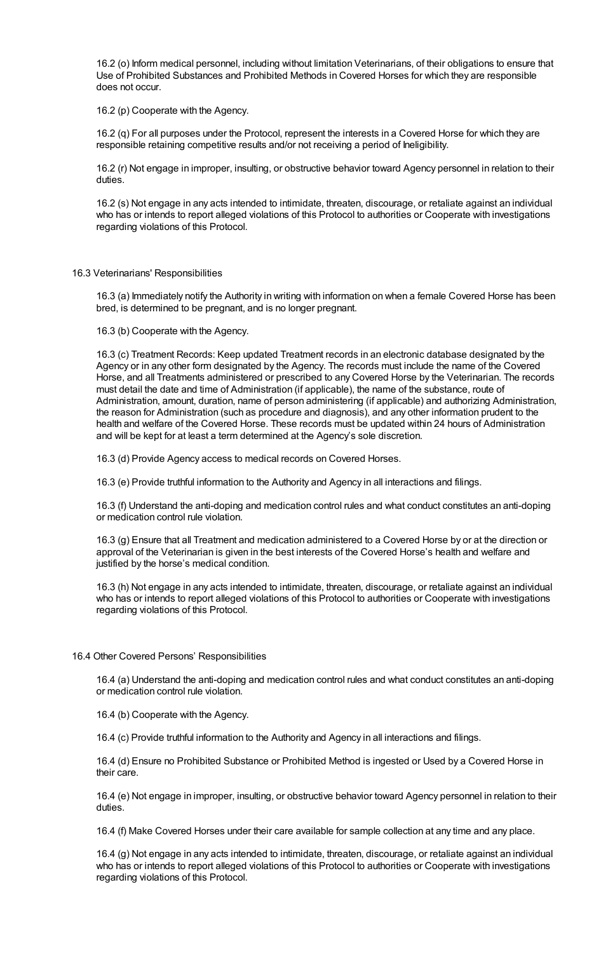16.2 (o) Inform medical personnel, including without limitation Veterinarians, of their obligations to ensure that Use of Prohibited Substances and Prohibited Methods in Covered Horses for which they are responsible does not occur.

16.2 (p) Cooperate with the Agency.

16.2 (q) For all purposes under the Protocol, represent the interests in a Covered Horse for which they are responsible retaining competitive results and/or not receiving a period of Ineligibility.

16.2 (r) Not engage in improper, insulting, or obstructive behavior toward Agency personnel in relation to their duties.

16.2 (s) Not engage in any acts intended to intimidate, threaten, discourage, or retaliate against an individual who has or intends to report alleged violations of this Protocol to authorities or Cooperate with investigations regarding violations of this Protocol.

## 16.3 Veterinarians' Responsibilities

16.3 (a) Immediately notify the Authority in writing with information on when a female Covered Horse has been bred, is determined to be pregnant, and is no longer pregnant.

16.3 (b) Cooperate with the Agency.

16.3 (c) Treatment Records: Keep updated Treatment records in an electronic database designated by the Agency or in any other form designated by the Agency. The records must include the name of the Covered Horse, and all Treatments administered or prescribed to any Covered Horse by the Veterinarian. The records must detail the date and time of Administration (if applicable), the name of the substance, route of Administration, amount, duration, name of person administering (if applicable) and authorizing Administration, the reason for Administration (such as procedure and diagnosis), and any other information prudent to the health and welfare of the Covered Horse. These records must be updated within 24 hours of Administration and will be kept for at least a term determined at the Agency's sole discretion.

16.3 (d) Provide Agency access to medical records on Covered Horses.

16.3 (e) Provide truthful information to the Authority and Agency in all interactions and filings.

16.3 (f) Understand the anti-doping and medication control rules and what conduct constitutes an anti-doping or medication control rule violation.

16.3 (g) Ensure that all Treatment and medication administered to a Covered Horse by or at the direction or approval of the Veterinarian is given in the best interests of the Covered Horse's health and welfare and justified by the horse's medical condition.

16.3 (h) Not engage in any acts intended to intimidate, threaten, discourage, or retaliate against an individual who has or intends to report alleged violations of this Protocol to authorities or Cooperate with investigations regarding violations of this Protocol.

#### 16.4 Other Covered Persons' Responsibilities

16.4 (a) Understand the anti-doping and medication control rules and what conduct constitutes an anti-doping or medication control rule violation.

16.4 (b) Cooperate with the Agency.

16.4 (c) Provide truthful information to the Authority and Agency in all interactions and filings.

16.4 (d) Ensure no Prohibited Substance or Prohibited Method is ingested or Used by a Covered Horse in their care.

16.4 (e) Not engage in improper, insulting, or obstructive behavior toward Agency personnel in relation to their duties.

16.4 (f) Make Covered Horses under their care available for sample collection at any time and any place.

16.4 (g) Not engage in any acts intended to intimidate, threaten, discourage, or retaliate against an individual who has or intends to report alleged violations of this Protocol to authorities or Cooperate with investigations regarding violations of this Protocol.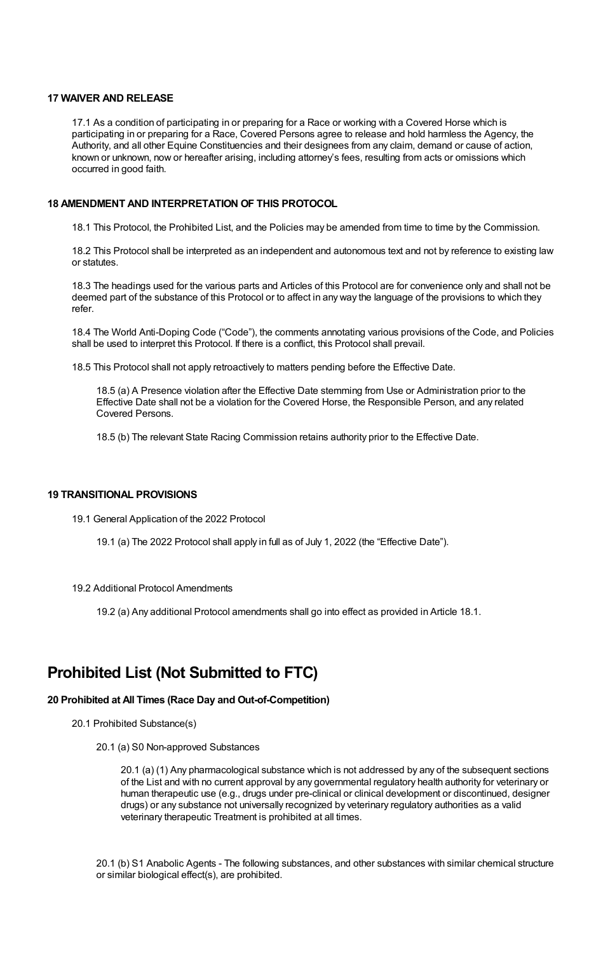## **17 WAIVER AND RELEASE**

17.1 As a condition of participating in or preparing for a Race or working with a Covered Horse which is participating in or preparing for a Race, Covered Persons agree to release and hold harmless the Agency, the Authority, and all other Equine Constituencies and their designees from any claim, demand or cause of action, known or unknown, now or hereafter arising, including attorney's fees, resulting from acts or omissions which occurred in good faith.

# **18 AMENDMENT AND INTERPRETATION OF THIS PROTOCOL**

18.1 This Protocol, the Prohibited List, and the Policies may be amended from time to time by the Commission.

18.2 This Protocol shall be interpreted as an independent and autonomous text and not by reference to existing law or statutes.

18.3 The headings used for the various parts and Articles of this Protocol are for convenience only and shall not be deemed part of the substance of this Protocol or to affect in any way the language of the provisions to which they refer.

18.4 The World Anti-Doping Code ("Code"), the comments annotating various provisions of the Code, and Policies shall be used to interpret this Protocol. If there is a conflict, this Protocol shall prevail.

18.5 This Protocol shall not apply retroactively to matters pending before the Effective Date.

18.5 (a) A Presence violation after the Effective Date stemming from Use or Administration prior to the Effective Date shall not be a violation for the Covered Horse, the Responsible Person, and any related Covered Persons.

18.5 (b) The relevant State Racing Commission retains authority prior to the Effective Date.

#### **19 TRANSITIONAL PROVISIONS**

19.1 General Application of the 2022 Protocol

19.1 (a) The 2022 Protocol shall apply in full as of July 1, 2022 (the "Effective Date").

19.2 Additional Protocol Amendments

19.2 (a) Any additional Protocol amendments shall go into effect as provided in Article 18.1.

# **Prohibited List (Not Submitted to FTC)**

# **20 Prohibited at All Times (Race Day and Out-of-Competition)**

- 20.1 Prohibited Substance(s)
	- 20.1 (a) S0 Non-approved Substances

20.1 (a) (1) Any pharmacological substance which is not addressed by any of the subsequent sections of the List and with no current approval by any governmental regulatory health authority for veterinary or human therapeutic use (e.g., drugs under pre-clinical or clinical development or discontinued, designer drugs) or any substance not universally recognized by veterinary regulatory authorities as a valid veterinary therapeutic Treatment is prohibited at all times.

20.1 (b) S1 Anabolic Agents - The following substances, and other substances with similar chemical structure or similar biological effect(s), are prohibited.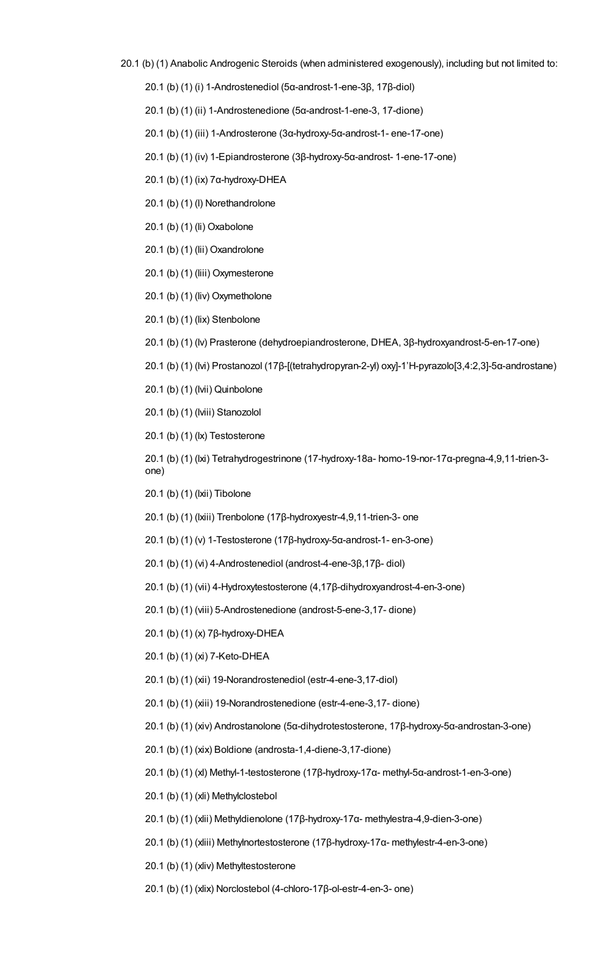- 20.1 (b) (1) Anabolic Androgenic Steroids (when administered exogenously), including but not limited to:
	- 20.1 (b) (1) (i) 1-Androstenediol (5α-androst-1-ene-3β, 17β-diol)

20.1 (b) (1) (ii) 1-Androstenedione (5α-androst-1-ene-3, 17-dione)

- 20.1 (b) (1) (iii) 1-Androsterone (3α-hydroxy-5α-androst-1- ene-17-one)
- 20.1 (b) (1) (iv) 1-Epiandrosterone (3β-hydroxy-5α-androst- 1-ene-17-one)
- 20.1 (b) (1) (ix) 7α-hydroxy-DHEA
- 20.1 (b) (1) (l) Norethandrolone
- 20.1 (b) (1) (li) Oxabolone
- 20.1 (b) (1) (lii) Oxandrolone
- 20.1 (b) (1) (liii) Oxymesterone
- 20.1 (b) (1) (liv) Oxymetholone
- 20.1 (b) (1) (lix) Stenbolone
- 20.1 (b) (1) (lv) Prasterone (dehydroepiandrosterone, DHEA, 3β-hydroxyandrost-5-en-17-one)
- 20.1 (b) (1) (lvi) Prostanozol (17β-[(tetrahydropyran-2-yl) oxy]-1'H-pyrazolo[3,4:2,3]-5α-androstane)
- 20.1 (b) (1) (lvii) Quinbolone
- 20.1 (b) (1) (lviii) Stanozolol
- 20.1 (b) (1) (lx) Testosterone

20.1 (b) (1) (lxi) Tetrahydrogestrinone (17-hydroxy-18a- homo-19-nor-17α-pregna-4,9,11-trien-3 one)

- 20.1 (b) (1) (lxii) Tibolone
- 20.1 (b) (1) (lxiii) Trenbolone (17β-hydroxyestr-4,9,11-trien-3- one
- 20.1 (b) (1) (v) 1-Testosterone (17β-hydroxy-5α-androst-1- en-3-one)
- 20.1 (b) (1) (vi) 4-Androstenediol (androst-4-ene-3β,17β- diol)
- 20.1 (b) (1) (vii) 4-Hydroxytestosterone (4,17β-dihydroxyandrost-4-en-3-one)
- 20.1 (b) (1) (viii) 5-Androstenedione (androst-5-ene-3,17- dione)
- 20.1 (b) (1) (x) 7β-hydroxy-DHEA
- 20.1 (b) (1) (xi) 7-Keto-DHEA
- 20.1 (b) (1) (xii) 19-Norandrostenediol (estr-4-ene-3,17-diol)
- 20.1 (b) (1) (xiii) 19-Norandrostenedione (estr-4-ene-3,17- dione)
- 20.1 (b) (1) (xiv) Androstanolone (5α-dihydrotestosterone, 17β-hydroxy-5α-androstan-3-one)
- 20.1 (b) (1) (xix) Boldione (androsta-1,4-diene-3,17-dione)
- 20.1 (b) (1) (xl) Methyl-1-testosterone (17β-hydroxy-17α- methyl-5α-androst-1-en-3-one)
- 20.1 (b) (1) (xli) Methylclostebol
- 20.1 (b) (1) (xlii) Methyldienolone (17β-hydroxy-17α- methylestra-4,9-dien-3-one)
- 20.1 (b) (1) (xliii) Methylnortestosterone (17β-hydroxy-17α- methylestr-4-en-3-one)
- 20.1 (b) (1) (xliv) Methyltestosterone
- 20.1 (b) (1) (xlix) Norclostebol (4-chloro-17β-ol-estr-4-en-3- one)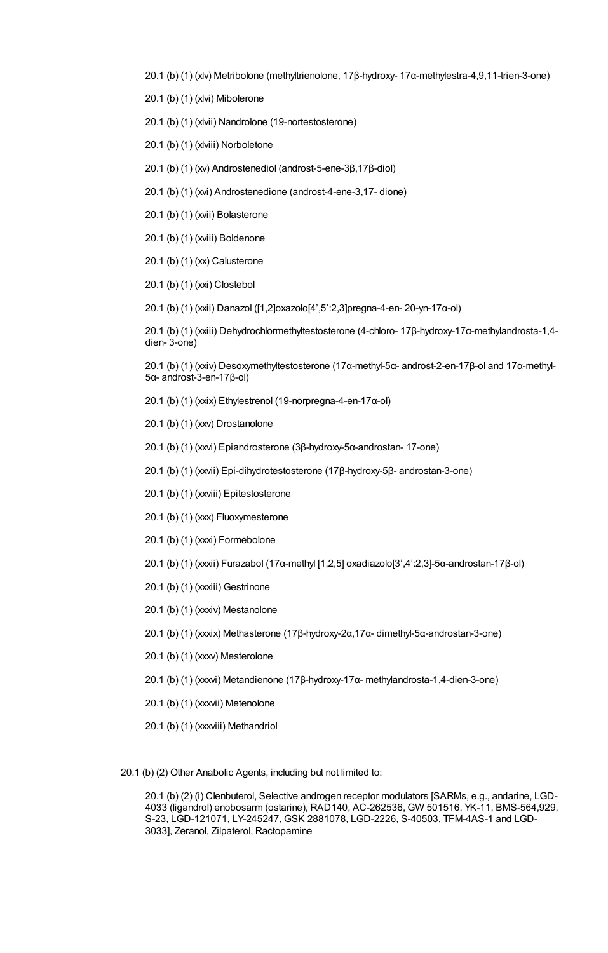20.1 (b) (1) (xlv) Metribolone (methyltrienolone, 17β-hydroxy- 17α-methylestra-4,9,11-trien-3-one)

20.1 (b) (1) (xlvi) Mibolerone

20.1 (b) (1) (xlvii) Nandrolone (19-nortestosterone)

20.1 (b) (1) (xlviii) Norboletone

20.1 (b) (1) (xv) Androstenediol (androst-5-ene-3β,17β-diol)

20.1 (b) (1) (xvi) Androstenedione (androst-4-ene-3,17- dione)

20.1 (b) (1) (xvii) Bolasterone

20.1 (b) (1) (xviii) Boldenone

20.1 (b) (1) (xx) Calusterone

20.1 (b) (1) (xxi) Clostebol

20.1 (b) (1) (xxii) Danazol ([1,2]oxazolo[4',5':2,3]pregna-4-en- 20-yn-17α-ol)

20.1 (b) (1) (xxiii) Dehydrochlormethyltestosterone (4-chloro- 17β-hydroxy-17α-methylandrosta-1,4 dien- 3-one)

20.1 (b) (1) (xxiv) Desoxymethyltestosterone (17α-methyl-5α- androst-2-en-17β-ol and 17α-methyl-5α- androst-3-en-17β-ol)

20.1 (b) (1) (xxix) Ethylestrenol (19-norpregna-4-en-17α-ol)

20.1 (b) (1) (xxv) Drostanolone

20.1 (b) (1) (xxvi) Epiandrosterone (3β-hydroxy-5α-androstan- 17-one)

20.1 (b) (1) (xxvii) Epi-dihydrotestosterone (17β-hydroxy-5β- androstan-3-one)

20.1 (b) (1) (xxviii) Epitestosterone

20.1 (b) (1) (xxx) Fluoxymesterone

20.1 (b) (1) (xxxi) Formebolone

20.1 (b) (1) (xxxii) Furazabol (17α-methyl [1,2,5] oxadiazolo[3',4':2,3]-5α-androstan-17β-ol)

20.1 (b) (1) (xxxiii) Gestrinone

20.1 (b) (1) (xxxiv) Mestanolone

20.1 (b) (1) (xxxix) Methasterone (17β-hydroxy-2α,17α- dimethyl-5α-androstan-3-one)

20.1 (b) (1) (xxxv) Mesterolone

20.1 (b) (1) (xxxvi) Metandienone (17β-hydroxy-17α- methylandrosta-1,4-dien-3-one)

20.1 (b) (1) (xxxvii) Metenolone

20.1 (b) (1) (xxxviii) Methandriol

20.1 (b) (2) Other Anabolic Agents, including but not limited to:

20.1 (b) (2) (i) Clenbuterol, Selective androgen receptor modulators [SARMs, e.g., andarine, LGD-4033 (ligandrol) enobosarm (ostarine), RAD140, AC-262536, GW 501516, YK-11, BMS-564,929, S-23, LGD-121071, LY-245247, GSK 2881078, LGD-2226, S-40503, TFM-4AS-1 and LGD-3033], Zeranol, Zilpaterol, Ractopamine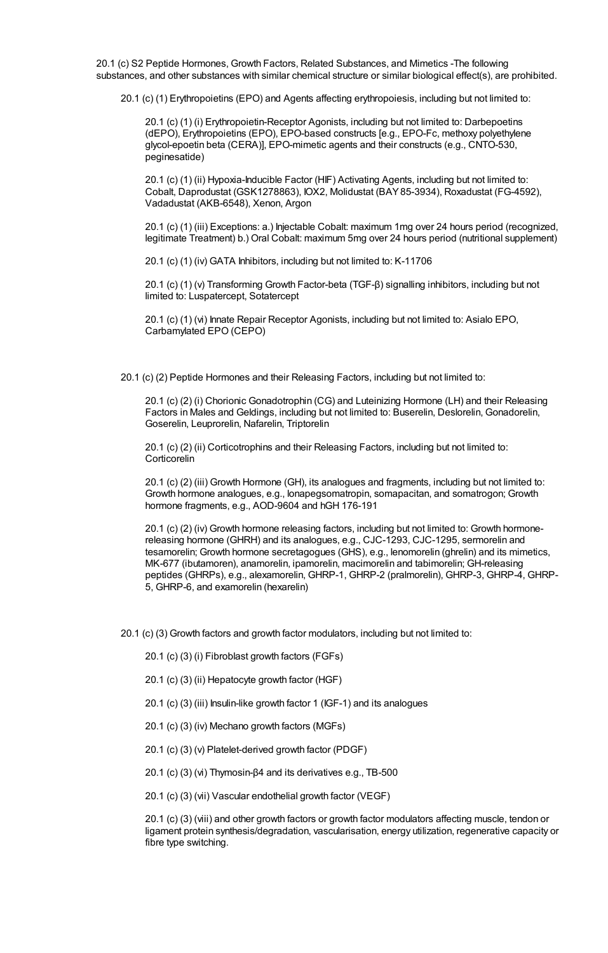20.1 (c) S2 Peptide Hormones, Growth Factors, Related Substances, and Mimetics -The following substances, and other substances with similar chemical structure or similar biological effect(s), are prohibited.

20.1 (c) (1) Erythropoietins (EPO) and Agents affecting erythropoiesis, including but not limited to:

20.1 (c) (1) (i) Erythropoietin-Receptor Agonists, including but not limited to: Darbepoetins (dEPO), Erythropoietins (EPO), EPO-based constructs [e.g., EPO-Fc, methoxy polyethylene glycol-epoetin beta (CERA)], EPO-mimetic agents and their constructs (e.g., CNTO-530, peginesatide)

20.1 (c) (1) (ii) Hypoxia-Inducible Factor (HIF) Activating Agents, including but not limited to: Cobalt, Daprodustat (GSK1278863), IOX2, Molidustat (BAY85-3934), Roxadustat (FG-4592), Vadadustat (AKB-6548), Xenon, Argon

20.1 (c) (1) (iii) Exceptions: a.) Injectable Cobalt: maximum 1mg over 24 hours period (recognized, legitimate Treatment) b.) Oral Cobalt: maximum 5mg over 24 hours period (nutritional supplement)

20.1 (c) (1) (iv) GATA Inhibitors, including but not limited to: K-11706

20.1 (c) (1) (v) Transforming Growth Factor-beta (TGF-β) signalling inhibitors, including but not limited to: Luspatercept, Sotatercept

20.1 (c) (1) (vi) Innate Repair Receptor Agonists, including but not limited to: Asialo EPO, Carbamylated EPO (CEPO)

20.1 (c) (2) Peptide Hormones and their Releasing Factors, including but not limited to:

20.1 (c) (2) (i) Chorionic Gonadotrophin (CG) and Luteinizing Hormone (LH) and their Releasing Factors in Males and Geldings, including but not limited to: Buserelin, Deslorelin, Gonadorelin, Goserelin, Leuprorelin, Nafarelin, Triptorelin

20.1 (c) (2) (ii) Corticotrophins and their Releasing Factors, including but not limited to: **Corticorelin** 

20.1 (c) (2) (iii) Growth Hormone (GH), its analogues and fragments, including but not limited to: Growth hormone analogues, e.g., lonapegsomatropin, somapacitan, and somatrogon; Growth hormone fragments, e.g., AOD-9604 and hGH 176-191

20.1 (c) (2) (iv) Growth hormone releasing factors, including but not limited to: Growth hormonereleasing hormone (GHRH) and its analogues, e.g., CJC-1293, CJC-1295, sermorelin and tesamorelin; Growth hormone secretagogues (GHS), e.g., lenomorelin (ghrelin) and its mimetics, MK-677 (ibutamoren), anamorelin, ipamorelin, macimorelin and tabimorelin; GH-releasing peptides (GHRPs), e.g., alexamorelin, GHRP-1, GHRP-2 (pralmorelin), GHRP-3, GHRP-4, GHRP-5, GHRP-6, and examorelin (hexarelin)

20.1 (c) (3) Growth factors and growth factor modulators, including but not limited to:

20.1 (c) (3) (i) Fibroblast growth factors (FGFs)

20.1 (c) (3) (ii) Hepatocyte growth factor (HGF)

20.1 (c) (3) (iii) Insulin-like growth factor 1 (IGF-1) and its analogues

20.1 (c) (3) (iv) Mechano growth factors (MGFs)

20.1 (c) (3) (v) Platelet-derived growth factor (PDGF)

20.1 (c) (3) (vi) Thymosin- $β$ 4 and its derivatives e.g., TB-500

20.1 (c) (3) (vii) Vascular endothelial growth factor (VEGF)

20.1 (c) (3) (viii) and other growth factors or growth factor modulators affecting muscle, tendon or ligament protein synthesis/degradation, vascularisation, energy utilization, regenerative capacity or fibre type switching.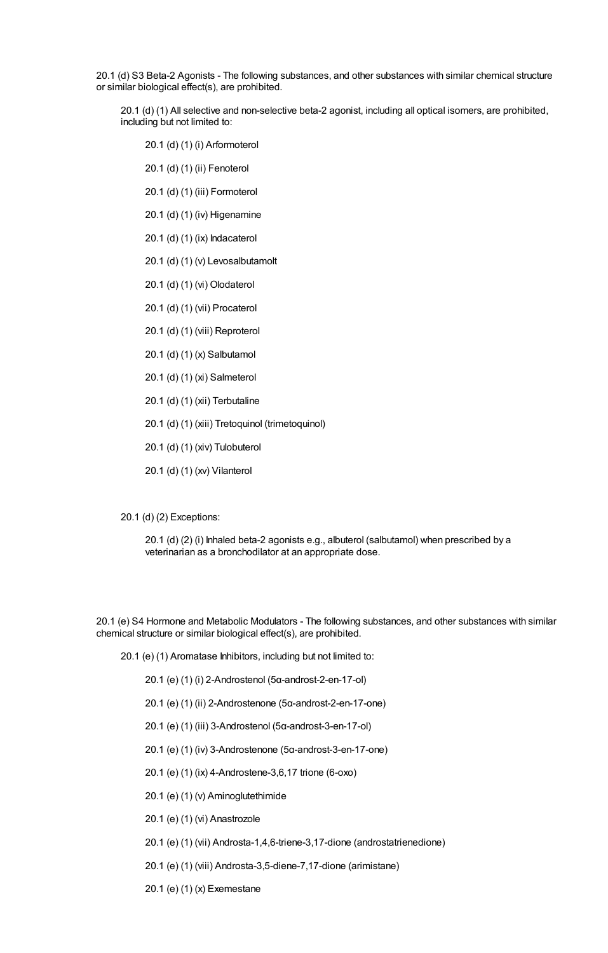20.1 (d) S3 Beta-2 Agonists - The following substances, and other substances with similar chemical structure or similar biological effect(s), are prohibited.

20.1 (d) (1) All selective and non-selective beta-2 agonist, including all optical isomers, are prohibited, including but not limited to:

20.1 (d) (1) (i) Arformoterol

- 20.1 (d) (1) (ii) Fenoterol
- 20.1 (d) (1) (iii) Formoterol
- 20.1 (d) (1) (iv) Higenamine
- 20.1 (d) (1) (ix) Indacaterol
- 20.1 (d) (1) (v) Levosalbutamolt
- 20.1 (d) (1) (vi) Olodaterol
- 20.1 (d) (1) (vii) Procaterol
- 20.1 (d) (1) (viii) Reproterol
- 20.1 (d) (1) (x) Salbutamol
- 20.1 (d) (1) (xi) Salmeterol
- 20.1 (d) (1) (xii) Terbutaline
- 20.1 (d) (1) (xiii) Tretoquinol (trimetoquinol)
- 20.1 (d) (1) (xiv) Tulobuterol
- 20.1 (d) (1) (xv) Vilanterol

20.1 (d) (2) Exceptions:

20.1 (d) (2) (i) Inhaled beta-2 agonists e.g., albuterol (salbutamol) when prescribed by a veterinarian as a bronchodilator at an appropriate dose.

20.1 (e) S4 Hormone and Metabolic Modulators - The following substances, and other substances with similar chemical structure or similar biological effect(s), are prohibited.

20.1 (e) (1) Aromatase Inhibitors, including but not limited to:

20.1 (e) (1) (i) 2-Androstenol (5α-androst-2-en-17-ol)

20.1 (e) (1) (ii) 2-Androstenone (5α-androst-2-en-17-one)

- 20.1 (e) (1) (iii) 3-Androstenol (5α-androst-3-en-17-ol)
- 20.1 (e) (1) (iv) 3-Androstenone (5α-androst-3-en-17-one)
- 20.1 (e) (1) (ix) 4-Androstene-3,6,17 trione (6-oxo)
- 20.1 (e) (1) (v) Aminoglutethimide
- 20.1 (e) (1) (vi) Anastrozole
- 20.1 (e) (1) (vii) Androsta-1,4,6-triene-3,17-dione (androstatrienedione)
- 20.1 (e) (1) (viii) Androsta-3,5-diene-7,17-dione (arimistane)

20.1 (e) (1) (x) Exemestane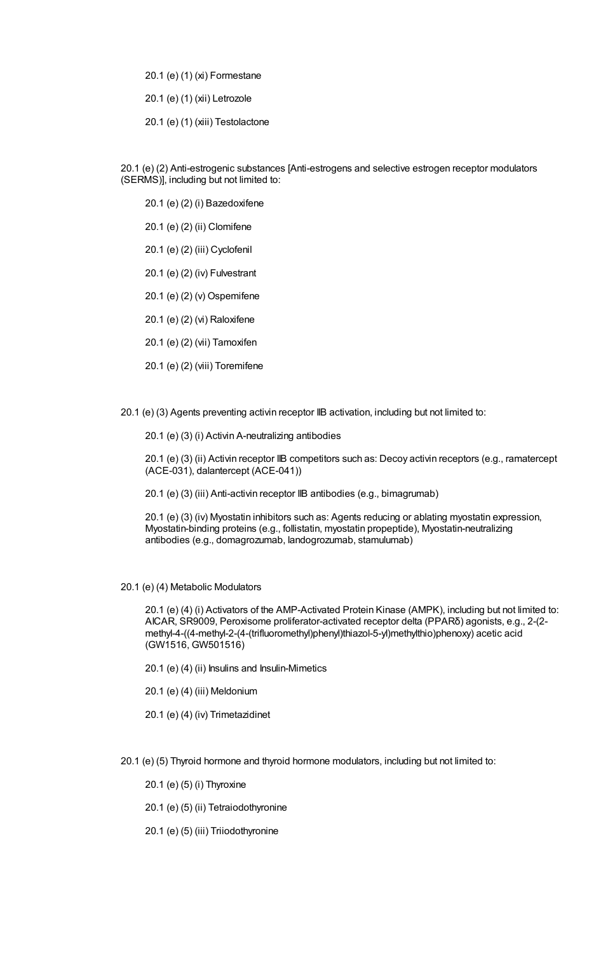20.1 (e) (1) (xi) Formestane

20.1 (e) (1) (xii) Letrozole

20.1 (e) (1) (xiii) Testolactone

20.1 (e) (2) Anti-estrogenic substances [Anti-estrogens and selective estrogen receptor modulators (SERMS)], including but not limited to:

20.1 (e) (2) (i) Bazedoxifene

20.1 (e) (2) (ii) Clomifene

20.1 (e) (2) (iii) Cyclofenil

20.1 (e) (2) (iv) Fulvestrant

20.1 (e) (2) (v) Ospemifene

20.1 (e) (2) (vi) Raloxifene

20.1 (e) (2) (vii) Tamoxifen

20.1 (e) (2) (viii) Toremifene

20.1 (e) (3) Agents preventing activin receptor IIB activation, including but not limited to:

20.1 (e) (3) (i) Activin A-neutralizing antibodies

20.1 (e) (3) (ii) Activin receptor IIB competitors such as: Decoy activin receptors (e.g., ramatercept (ACE-031), dalantercept (ACE-041))

20.1 (e) (3) (iii) Anti-activin receptor IIB antibodies (e.g., bimagrumab)

20.1 (e) (3) (iv) Myostatin inhibitors such as: Agents reducing or ablating myostatin expression, Myostatin-binding proteins (e.g., follistatin, myostatin propeptide), Myostatin-neutralizing antibodies (e.g., domagrozumab, landogrozumab, stamulumab)

20.1 (e) (4) Metabolic Modulators

20.1 (e) (4) (i) Activators of the AMP-Activated Protein Kinase (AMPK), including but not limited to: AICAR, SR9009, Peroxisome proliferator-activated receptor delta (PPARδ) agonists, e.g., 2-(2 methyl-4-((4-methyl-2-(4-(trifluoromethyl)phenyl)thiazol-5-yl)methylthio)phenoxy) acetic acid (GW1516, GW501516)

- 20.1 (e) (4) (ii) Insulins and Insulin-Mimetics
- 20.1 (e) (4) (iii) Meldonium

20.1 (e) (4) (iv) Trimetazidinet

20.1 (e) (5) Thyroid hormone and thyroid hormone modulators, including but not limited to:

20.1 (e) (5) (i) Thyroxine

20.1 (e) (5) (ii) Tetraiodothyronine

20.1 (e) (5) (iii) Triiodothyronine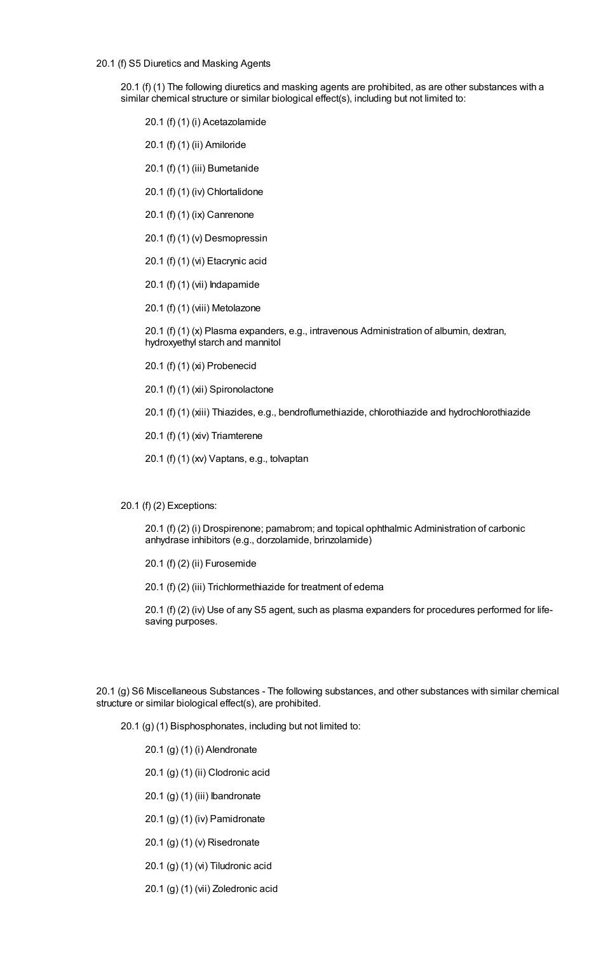20.1 (f) S5 Diuretics and Masking Agents

20.1 (f) (1) The following diuretics and masking agents are prohibited, as are other substances with a similar chemical structure or similar biological effect(s), including but not limited to:

20.1 (f) (1) (i) Acetazolamide

- 20.1 (f) (1) (ii) Amiloride
- 20.1 (f) (1) (iii) Bumetanide

20.1 (f) (1) (iv) Chlortalidone

- 20.1 (f) (1) (ix) Canrenone
- 20.1 (f) (1) (v) Desmopressin
- 20.1 (f) (1) (vi) Etacrynic acid
- 20.1 (f) (1) (vii) Indapamide
- 20.1 (f) (1) (viii) Metolazone

20.1 (f) (1) (x) Plasma expanders, e.g., intravenous Administration of albumin, dextran, hydroxyethyl starch and mannitol

- 20.1 (f) (1) (xi) Probenecid
- 20.1 (f) (1) (xii) Spironolactone
- 20.1 (f) (1) (xiii) Thiazides, e.g., bendroflumethiazide, chlorothiazide and hydrochlorothiazide
- 20.1 (f) (1) (xiv) Triamterene
- 20.1 (f) (1) (xv) Vaptans, e.g., tolvaptan
- 20.1 (f) (2) Exceptions:

20.1 (f) (2) (i) Drospirenone; pamabrom; and topical ophthalmic Administration of carbonic anhydrase inhibitors (e.g., dorzolamide, brinzolamide)

20.1 (f) (2) (ii) Furosemide

20.1 (f) (2) (iii) Trichlormethiazide for treatment of edema

20.1 (f) (2) (iv) Use of any S5 agent, such as plasma expanders for procedures performed for lifesaving purposes.

20.1 (g) S6 Miscellaneous Substances - The following substances, and other substances with similar chemical structure or similar biological effect(s), are prohibited.

20.1 (g) (1) Bisphosphonates, including but not limited to:

20.1 (g) (1) (i) Alendronate

- 20.1 (g) (1) (ii) Clodronic acid
- 20.1 (g) (1) (iii) Ibandronate
- 20.1 (g) (1) (iv) Pamidronate
- 20.1 (g) (1) (v) Risedronate
- 20.1 (g) (1) (vi) Tiludronic acid
- 20.1 (g) (1) (vii) Zoledronic acid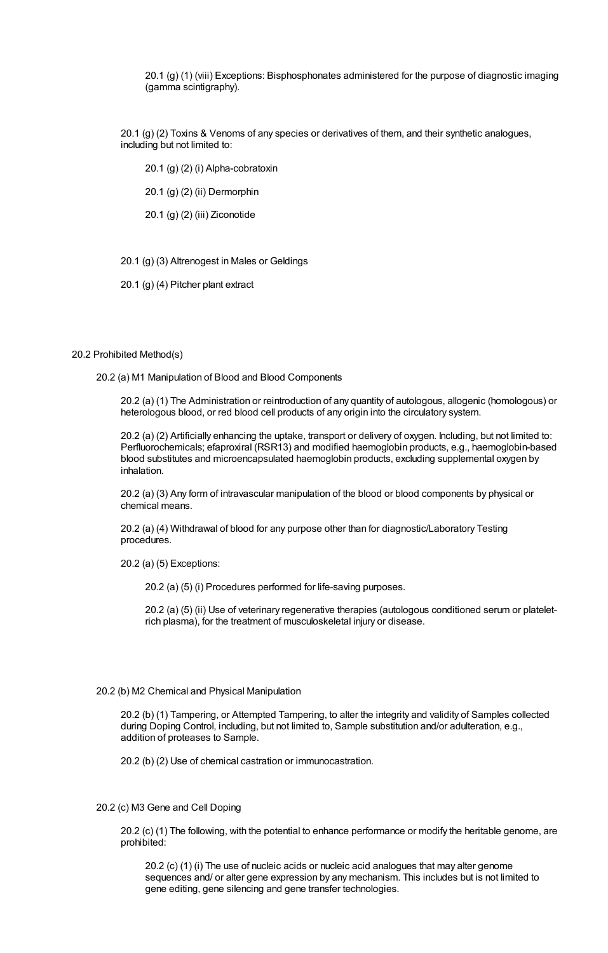20.1 (g) (1) (viii) Exceptions: Bisphosphonates administered for the purpose of diagnostic imaging (gamma scintigraphy).

20.1 (g) (2) Toxins & Venoms of any species or derivatives of them, and their synthetic analogues, including but not limited to:

20.1 (g) (2) (i) Alpha-cobratoxin

20.1 (g) (2) (ii) Dermorphin

20.1 (g) (2) (iii) Ziconotide

20.1 (g) (3) Altrenogest in Males or Geldings

20.1 (g) (4) Pitcher plant extract

#### 20.2 Prohibited Method(s)

20.2 (a) M1 Manipulation of Blood and Blood Components

20.2 (a) (1) The Administration or reintroduction of any quantity of autologous, allogenic (homologous) or heterologous blood, or red blood cell products of any origin into the circulatory system.

20.2 (a) (2) Artificially enhancing the uptake, transport or delivery of oxygen. Including, but not limited to: Perfluorochemicals; efaproxiral (RSR13) and modified haemoglobin products, e.g., haemoglobin-based blood substitutes and microencapsulated haemoglobin products, excluding supplemental oxygen by inhalation.

20.2 (a) (3) Any form of intravascular manipulation of the blood or blood components by physical or chemical means.

20.2 (a) (4) Withdrawal of blood for any purpose other than for diagnostic/Laboratory Testing procedures.

20.2 (a) (5) Exceptions:

20.2 (a) (5) (i) Procedures performed for life-saving purposes.

20.2 (a) (5) (ii) Use of veterinary regenerative therapies (autologous conditioned serum or plateletrich plasma), for the treatment of musculoskeletal injury or disease.

#### 20.2 (b) M2 Chemical and Physical Manipulation

20.2 (b) (1) Tampering, or Attempted Tampering, to alter the integrity and validity of Samples collected during Doping Control, including, but not limited to, Sample substitution and/or adulteration, e.g., addition of proteases to Sample.

20.2 (b) (2) Use of chemical castration or immunocastration.

## 20.2 (c) M3 Gene and Cell Doping

20.2 (c) (1) The following, with the potential to enhance performance or modify the heritable genome, are prohibited:

20.2 (c) (1) (i) The use of nucleic acids or nucleic acid analogues that may alter genome sequences and/ or alter gene expression by any mechanism. This includes but is not limited to gene editing, gene silencing and gene transfer technologies.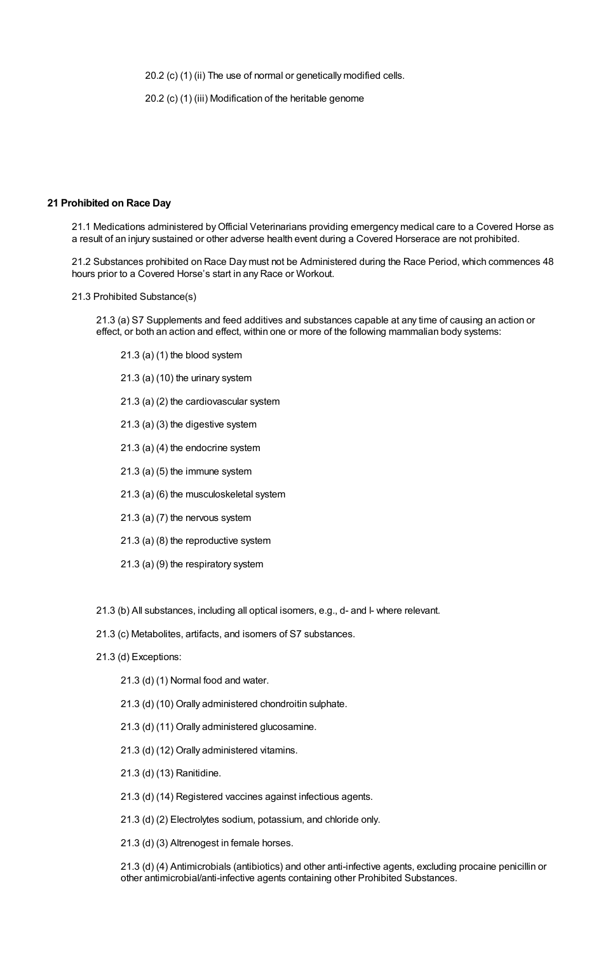20.2 (c) (1) (ii) The use of normal or genetically modified cells.

20.2 (c) (1) (iii) Modification of the heritable genome

# **21 Prohibited on Race Day**

21.1 Medications administered byOfficial Veterinarians providing emergency medical care to a Covered Horse as a result of an injury sustained or other adverse health event during a Covered Horserace are not prohibited.

21.2 Substances prohibited on Race Day must not be Administered during the Race Period, which commences 48 hours prior to a Covered Horse's start in any Race or Workout.

21.3 Prohibited Substance(s)

21.3 (a) S7 Supplements and feed additives and substances capable at any time of causing an action or effect, or both an action and effect, within one or more of the following mammalian body systems:

- 21.3 (a) (1) the blood system
- 21.3 (a) (10) the urinary system
- 21.3 (a) (2) the cardiovascular system
- 21.3 (a) (3) the digestive system
- 21.3 (a) (4) the endocrine system
- 21.3 (a) (5) the immune system
- 21.3 (a) (6) the musculoskeletal system
- 21.3 (a) (7) the nervous system
- 21.3 (a) (8) the reproductive system
- 21.3 (a) (9) the respiratory system
- 21.3 (b) All substances, including all optical isomers, e.g., d- and l- where relevant.
- 21.3 (c) Metabolites, artifacts, and isomers of S7 substances.
- 21.3 (d) Exceptions:
	- 21.3 (d) (1) Normal food and water.
	- 21.3 (d) (10) Orally administered chondroitin sulphate.
	- 21.3 (d) (11) Orally administered glucosamine.
	- 21.3 (d) (12) Orally administered vitamins.
	- 21.3 (d) (13) Ranitidine.
	- 21.3 (d) (14) Registered vaccines against infectious agents.
	- 21.3 (d) (2) Electrolytes sodium, potassium, and chloride only.
	- 21.3 (d) (3) Altrenogest in female horses.

21.3 (d) (4) Antimicrobials (antibiotics) and other anti-infective agents, excluding procaine penicillin or other antimicrobial/anti-infective agents containing other Prohibited Substances.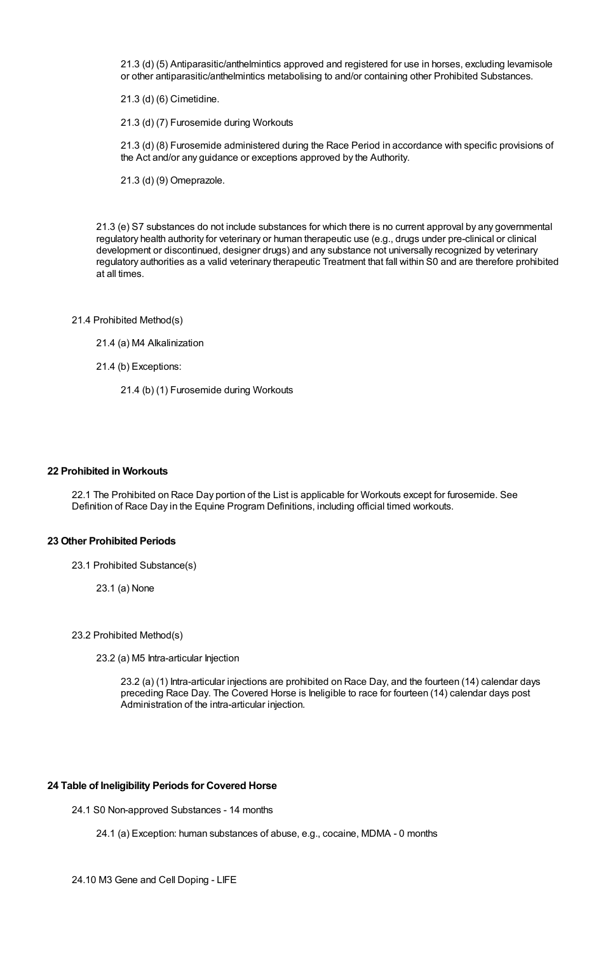21.3 (d) (5) Antiparasitic/anthelmintics approved and registered for use in horses, excluding levamisole or other antiparasitic/anthelmintics metabolising to and/or containing other Prohibited Substances.

21.3 (d) (6) Cimetidine.

21.3 (d) (7) Furosemide during Workouts

21.3 (d) (8) Furosemide administered during the Race Period in accordance with specific provisions of the Act and/or any guidance or exceptions approved by the Authority.

21.3 (d) (9) Omeprazole.

21.3 (e) S7 substances do not include substances for which there is no current approval by any governmental regulatory health authority for veterinary or human therapeutic use (e.g., drugs under pre-clinical or clinical development or discontinued, designer drugs) and any substance not universally recognized by veterinary regulatory authorities as a valid veterinary therapeutic Treatment that fall within S0 and are therefore prohibited at all times.

- 21.4 Prohibited Method(s)
	- 21.4 (a) M4 Alkalinization
	- 21.4 (b) Exceptions:
		- 21.4 (b) (1) Furosemide during Workouts

## **22 Prohibited in Workouts**

22.1 The Prohibited on Race Day portion of the List is applicable for Workouts except for furosemide. See Definition of Race Day in the Equine Program Definitions, including official timed workouts.

## **23 Other Prohibited Periods**

- 23.1 Prohibited Substance(s)
	- 23.1 (a) None

23.2 Prohibited Method(s)

23.2 (a) M5 Intra-articular Injection

23.2 (a) (1) Intra-articular injections are prohibited on Race Day, and the fourteen (14) calendar days preceding Race Day. The Covered Horse is Ineligible to race for fourteen (14) calendar days post Administration of the intra-articular injection.

## **24 Table of Ineligibility Periods for Covered Horse**

24.1 S0 Non-approved Substances - 14 months

- 24.1 (a) Exception: human substances of abuse, e.g., cocaine, MDMA 0 months
- 24.10 M3 Gene and Cell Doping LIFE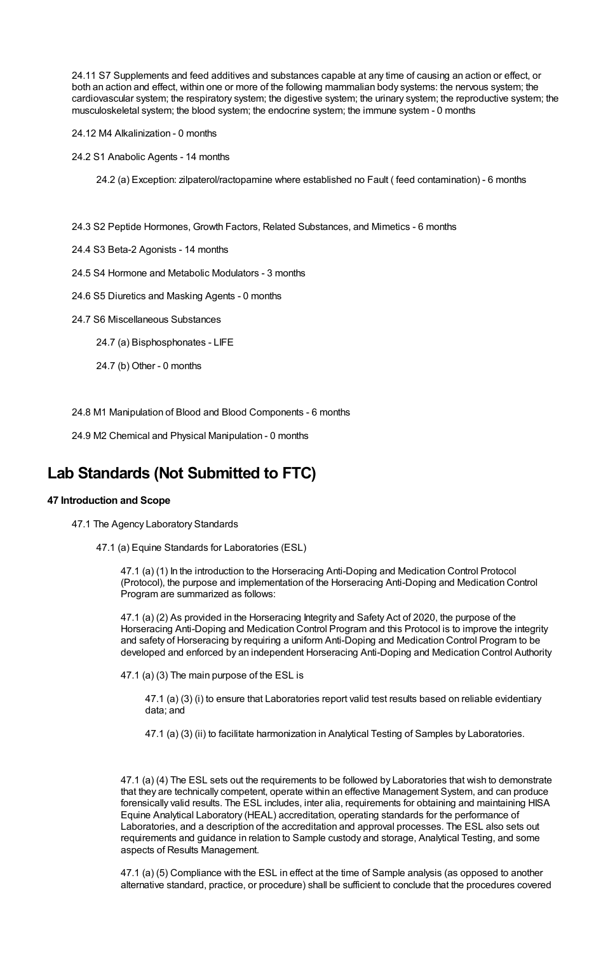24.11 S7 Supplements and feed additives and substances capable at any time of causing an action or effect, or both an action and effect, within one or more of the following mammalian body systems: the nervous system; the cardiovascular system; the respiratory system; the digestive system; the urinary system; the reproductive system; the musculoskeletal system; the blood system; the endocrine system; the immune system - 0 months

24.12 M4 Alkalinization - 0 months

24.2 S1 Anabolic Agents - 14 months

24.2 (a) Exception: zilpaterol/ractopamine where established no Fault ( feed contamination) - 6 months

24.3 S2 Peptide Hormones, Growth Factors, Related Substances, and Mimetics - 6 months

24.4 S3 Beta-2 Agonists - 14 months

24.5 S4 Hormone and Metabolic Modulators - 3 months

24.6 S5 Diuretics and Masking Agents - 0 months

24.7 S6 Miscellaneous Substances

24.7 (a) Bisphosphonates - LIFE

24.7 (b) Other - 0 months

24.8 M1 Manipulation of Blood and Blood Components - 6 months

24.9 M2 Chemical and Physical Manipulation - 0 months

# **Lab Standards (Not Submitted to FTC)**

## **47 Introduction and Scope**

47.1 The Agency Laboratory Standards

47.1 (a) Equine Standards for Laboratories (ESL)

47.1 (a) (1) In the introduction to the Horseracing Anti-Doping and Medication Control Protocol (Protocol), the purpose and implementation of the Horseracing Anti-Doping and Medication Control Program are summarized as follows:

47.1 (a) (2) As provided in the Horseracing Integrity and Safety Act of 2020, the purpose of the Horseracing Anti-Doping and Medication Control Program and this Protocol is to improve the integrity and safety of Horseracing by requiring a uniform Anti-Doping and Medication Control Program to be developed and enforced by an independent Horseracing Anti-Doping and Medication Control Authority

47.1 (a) (3) The main purpose of the ESL is

47.1 (a) (3) (i) to ensure that Laboratories report valid test results based on reliable evidentiary data; and

47.1 (a) (3) (ii) to facilitate harmonization in Analytical Testing of Samples by Laboratories.

47.1 (a) (4) The ESL sets out the requirements to be followed by Laboratories that wish to demonstrate that they are technically competent, operate within an effective Management System, and can produce forensically valid results. The ESL includes, inter alia, requirements for obtaining and maintaining HISA Equine Analytical Laboratory (HEAL) accreditation, operating standards for the performance of Laboratories, and a description of the accreditation and approval processes. The ESL also sets out requirements and guidance in relation to Sample custody and storage, Analytical Testing, and some aspects of Results Management.

47.1 (a) (5) Compliance with the ESL in effect at the time of Sample analysis (as opposed to another alternative standard, practice, or procedure) shall be sufficient to conclude that the procedures covered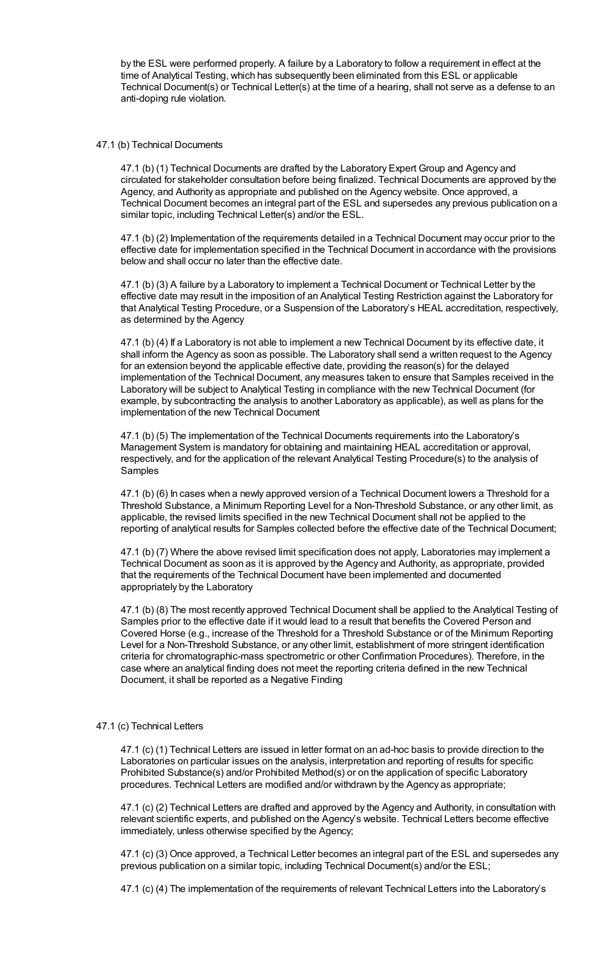by the ESL were performed properly. A failure by a Laboratory to follow a requirement in effect at the time of Analytical Testing, which has subsequently been eliminated from this ESL or applicable Technical Document(s) or Technical Letter(s) at the time of a hearing, shall not serve as a defense to an anti-doping rule violation.

## 47.1 (b) Technical Documents

47.1 (b) (1) Technical Documents are drafted by the Laboratory Expert Group and Agency and circulated for stakeholder consultation before being finalized. Technical Documents are approved by the Agency, and Authority as appropriate and published on the Agency website. Once approved, a Technical Document becomes an integral part of the ESL and supersedes any previous publication on a similar topic, including Technical Letter(s) and/or the ESL.

47.1 (b) (2) Implementation of the requirements detailed in a Technical Document may occur prior to the effective date for implementation specified in the Technical Document in accordance with the provisions below and shall occur no later than the effective date.

47.1 (b) (3) A failure by a Laboratory to implement a Technical Document or Technical Letter by the effective date may result in the imposition of an Analytical Testing Restriction against the Laboratory for that Analytical Testing Procedure, or a Suspension of the Laboratory's HEAL accreditation, respectively, as determined by the Agency

47.1 (b) (4) If a Laboratory is not able to implement a new Technical Document by its effective date, it shall inform the Agency as soon as possible. The Laboratory shall send a written request to the Agency for an extension beyond the applicable effective date, providing the reason(s) for the delayed implementation of the Technical Document, any measures taken to ensure that Samples received in the Laboratory will be subject to Analytical Testing in compliance with the new Technical Document (for example, by subcontracting the analysis to another Laboratory as applicable), as well as plans for the implementation of the new Technical Document

47.1 (b) (5) The implementation of the Technical Documents requirements into the Laboratory's Management System is mandatory for obtaining and maintaining HEAL accreditation or approval, respectively, and for the application of the relevant Analytical Testing Procedure(s) to the analysis of Samples

47.1 (b) (6) In cases when a newly approved version of a Technical Document lowers a Threshold for a Threshold Substance, a Minimum Reporting Level for a Non-Threshold Substance, or any other limit, as applicable, the revised limits specified in the new Technical Document shall not be applied to the reporting of analytical results for Samples collected before the effective date of the Technical Document;

47.1 (b) (7) Where the above revised limit specification does not apply, Laboratories may implement a Technical Document as soon as it is approved by the Agency and Authority, as appropriate, provided that the requirements of the Technical Document have been implemented and documented appropriately by the Laboratory

47.1 (b) (8) The most recently approved Technical Document shall be applied to the Analytical Testing of Samples prior to the effective date if it would lead to a result that benefits the Covered Person and Covered Horse (e.g., increase of the Threshold for a Threshold Substance or of the Minimum Reporting Level for a Non-Threshold Substance, or any other limit, establishment of more stringent identification criteria for chromatographic-mass spectrometric or other Confirmation Procedures). Therefore, in the case where an analytical finding does not meet the reporting criteria defined in the new Technical Document, it shall be reported as a Negative Finding

#### 47.1 (c) Technical Letters

47.1 (c) (1) Technical Letters are issued in letter format on an ad-hoc basis to provide direction to the Laboratories on particular issues on the analysis, interpretation and reporting of results for specific Prohibited Substance(s) and/or Prohibited Method(s) or on the application of specific Laboratory procedures. Technical Letters are modified and/or withdrawn by the Agency as appropriate;

47.1 (c) (2) Technical Letters are drafted and approved by the Agency and Authority, in consultation with relevant scientific experts, and published on the Agency's website. Technical Letters become effective immediately, unless otherwise specified by the Agency;

47.1 (c) (3) Once approved, a Technical Letter becomes an integral part of the ESL and supersedes any previous publication on a similar topic, including Technical Document(s) and/or the ESL;

47.1 (c) (4) The implementation of the requirements of relevant Technical Letters into the Laboratory's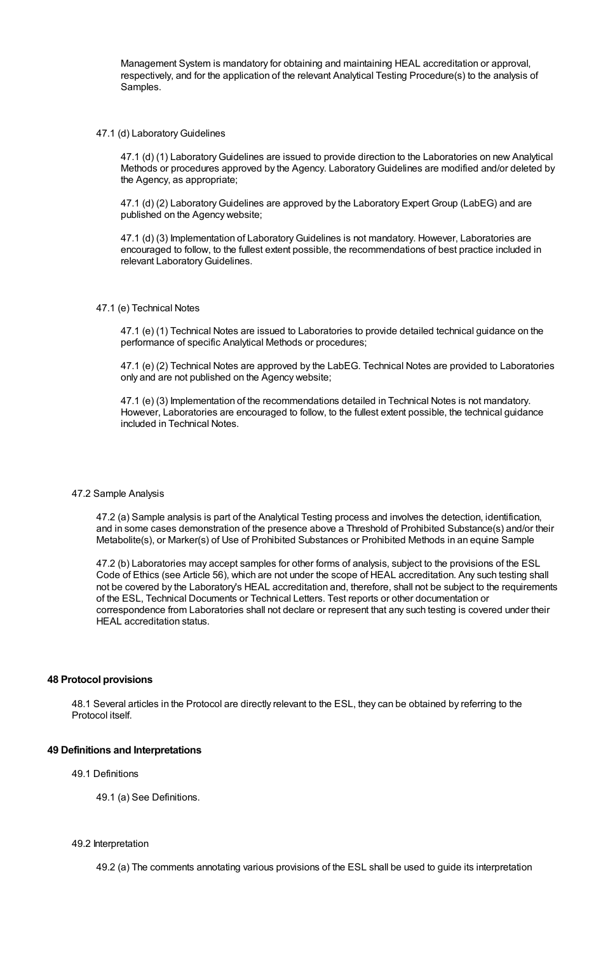Management System is mandatory for obtaining and maintaining HEAL accreditation or approval, respectively, and for the application of the relevant Analytical Testing Procedure(s) to the analysis of **Samples** 

#### 47.1 (d) Laboratory Guidelines

47.1 (d) (1) LaboratoryGuidelines are issued to provide direction to the Laboratories on new Analytical Methods or procedures approved by the Agency. LaboratoryGuidelines are modified and/or deleted by the Agency, as appropriate;

47.1 (d) (2) Laboratory Guidelines are approved by the Laboratory Expert Group (LabEG) and are published on the Agency website;

47.1 (d) (3) Implementation of LaboratoryGuidelines is not mandatory. However, Laboratories are encouraged to follow, to the fullest extent possible, the recommendations of best practice included in relevant Laboratory Guidelines.

#### 47.1 (e) Technical Notes

47.1 (e) (1) Technical Notes are issued to Laboratories to provide detailed technical guidance on the performance of specific Analytical Methods or procedures;

47.1 (e) (2) Technical Notes are approved by the LabEG. Technical Notes are provided to Laboratories only and are not published on the Agency website;

47.1 (e) (3) Implementation of the recommendations detailed in Technical Notes is not mandatory. However, Laboratories are encouraged to follow, to the fullest extent possible, the technical guidance included in Technical Notes.

#### 47.2 Sample Analysis

47.2 (a) Sample analysis is part of the Analytical Testing process and involves the detection, identification, and in some cases demonstration of the presence above a Threshold of Prohibited Substance(s) and/or their Metabolite(s), or Marker(s) of Use of Prohibited Substances or Prohibited Methods in an equine Sample

47.2 (b) Laboratories may accept samples for other forms of analysis, subject to the provisions of the ESL Code of Ethics (see Article 56), which are not under the scope of HEAL accreditation. Any such testing shall not be covered by the Laboratory's HEAL accreditation and, therefore, shall not be subject to the requirements of the ESL, Technical Documents or Technical Letters. Test reports or other documentation or correspondence from Laboratories shall not declare or represent that any such testing is covered under their HEAL accreditation status.

#### **48 Protocol provisions**

48.1 Several articles in the Protocol are directly relevant to the ESL, they can be obtained by referring to the Protocol itself.

# **49 Definitions and Interpretations**

### 49.1 Definitions

49.1 (a) See Definitions.

#### 49.2 Interpretation

49.2 (a) The comments annotating various provisions of the ESL shall be used to guide its interpretation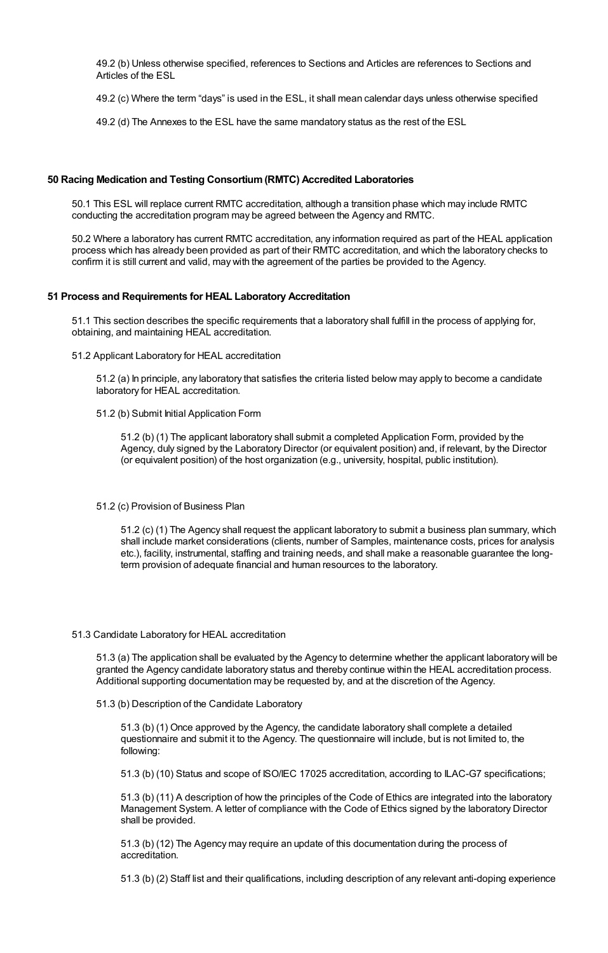49.2 (b) Unless otherwise specified, references to Sections and Articles are references to Sections and Articles of the ESL

49.2 (c) Where the term "days" is used in the ESL, it shall mean calendar days unless otherwise specified

49.2 (d) The Annexes to the ESL have the same mandatory status as the rest of the ESL

## **50 Racing Medication and Testing Consortium(RMTC) Accredited Laboratories**

50.1 This ESL will replace current RMTC accreditation, although a transition phase which may include RMTC conducting the accreditation program may be agreed between the Agency and RMTC.

50.2 Where a laboratory has current RMTC accreditation, any information required as part of the HEAL application process which has already been provided as part of their RMTC accreditation, and which the laboratory checks to confirm it is still current and valid, may with the agreement of the parties be provided to the Agency.

#### **51 Process and Requirements for HEAL Laboratory Accreditation**

51.1 This section describes the specific requirements that a laboratory shall fulfill in the process of applying for, obtaining, and maintaining HEAL accreditation.

51.2 Applicant Laboratory for HEAL accreditation

51.2 (a) In principle, any laboratory that satisfies the criteria listed below may apply to become a candidate laboratory for HEAL accreditation.

51.2 (b) Submit Initial Application Form

51.2 (b) (1) The applicant laboratory shall submit a completed Application Form, provided by the Agency, duly signed by the Laboratory Director (or equivalent position) and, if relevant, by the Director (or equivalent position) of the host organization (e.g., university, hospital, public institution).

51.2 (c) Provision of Business Plan

51.2 (c) (1) The Agency shall request the applicant laboratory to submit a business plan summary, which shall include market considerations (clients, number of Samples, maintenance costs, prices for analysis etc.), facility, instrumental, staffing and training needs, and shall make a reasonable guarantee the longterm provision of adequate financial and human resources to the laboratory.

#### 51.3 Candidate Laboratory for HEAL accreditation

51.3 (a) The application shall be evaluated by the Agency to determine whether the applicant laboratory will be granted the Agency candidate laboratory status and thereby continue within the HEAL accreditation process. Additional supporting documentation may be requested by, and at the discretion of the Agency.

51.3 (b) Description of the Candidate Laboratory

51.3 (b) (1) Once approved by the Agency, the candidate laboratory shall complete a detailed questionnaire and submit it to the Agency. The questionnaire will include, but is not limited to, the following:

51.3 (b) (10) Status and scope of ISO/IEC 17025 accreditation, according to ILAC-G7 specifications;

51.3 (b) (11) A description of how the principles of the Code of Ethics are integrated into the laboratory Management System. A letter of compliance with the Code of Ethics signed by the laboratory Director shall be provided.

51.3 (b) (12) The Agency may require an update of this documentation during the process of accreditation.

51.3 (b) (2) Staff list and their qualifications, including description of any relevant anti-doping experience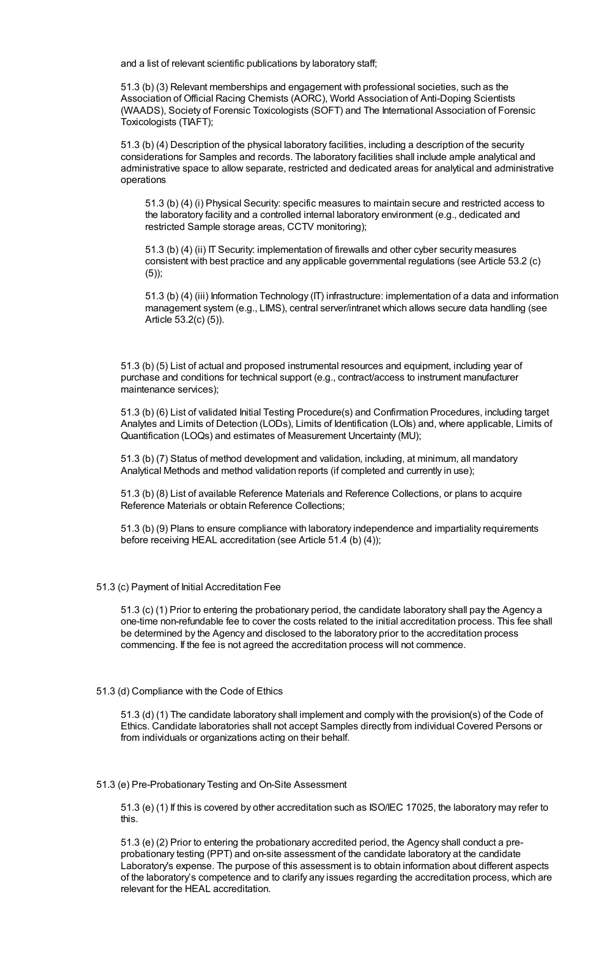and a list of relevant scientific publications by laboratory staff;

51.3 (b) (3) Relevant memberships and engagement with professional societies, such as the Association of Official Racing Chemists (AORC), World Association of Anti-Doping Scientists (WAADS), Society of Forensic Toxicologists (SOFT) and The International Association of Forensic Toxicologists (TIAFT);

51.3 (b) (4) Description of the physical laboratory facilities, including a description of the security considerations for Samples and records. The laboratory facilities shall include ample analytical and administrative space to allow separate, restricted and dedicated areas for analytical and administrative operations

51.3 (b) (4) (i) Physical Security: specific measures to maintain secure and restricted access to the laboratory facility and a controlled internal laboratory environment (e.g., dedicated and restricted Sample storage areas, CCTV monitoring);

51.3 (b) (4) (ii) IT Security: implementation of firewalls and other cyber security measures consistent with best practice and any applicable governmental regulations (see Article 53.2 (c) (5));

51.3 (b) (4) (iii) Information Technology (IT) infrastructure: implementation of a data and information management system (e.g., LIMS), central server/intranet which allows secure data handling (see Article 53.2(c) (5)).

51.3 (b) (5) List of actual and proposed instrumental resources and equipment, including year of purchase and conditions for technical support (e.g., contract/access to instrument manufacturer maintenance services);

51.3 (b) (6) List of validated Initial Testing Procedure(s) and Confirmation Procedures, including target Analytes and Limits of Detection (LODs), Limits of Identification (LOIs) and, where applicable, Limits of Quantification (LOQs) and estimates of Measurement Uncertainty (MU);

51.3 (b) (7) Status of method development and validation, including, at minimum, all mandatory Analytical Methods and method validation reports (if completed and currently in use);

51.3 (b) (8) List of available Reference Materials and Reference Collections, or plans to acquire Reference Materials or obtain Reference Collections;

51.3 (b) (9) Plans to ensure compliance with laboratory independence and impartiality requirements before receiving HEAL accreditation (see Article 51.4 (b) (4));

### 51.3 (c) Payment of Initial Accreditation Fee

51.3 (c) (1) Prior to entering the probationary period, the candidate laboratory shall pay the Agency a one-time non-refundable fee to cover the costs related to the initial accreditation process. This fee shall be determined by the Agency and disclosed to the laboratory prior to the accreditation process commencing. If the fee is not agreed the accreditation process will not commence.

### 51.3 (d) Compliance with the Code of Ethics

51.3 (d) (1) The candidate laboratory shall implement and comply with the provision(s) of the Code of Ethics. Candidate laboratories shall not accept Samples directly from individual Covered Persons or from individuals or organizations acting on their behalf.

### 51.3 (e) Pre-Probationary Testing and On-Site Assessment

51.3 (e) (1) If this is covered by other accreditation such as ISO/IEC 17025, the laboratory may refer to this.

51.3 (e) (2) Prior to entering the probationary accredited period, the Agency shall conduct a preprobationary testing (PPT) and on-site assessment of the candidate laboratory at the candidate Laboratory's expense. The purpose of this assessment is to obtain information about different aspects of the laboratory's competence and to clarify any issues regarding the accreditation process, which are relevant for the HEAL accreditation.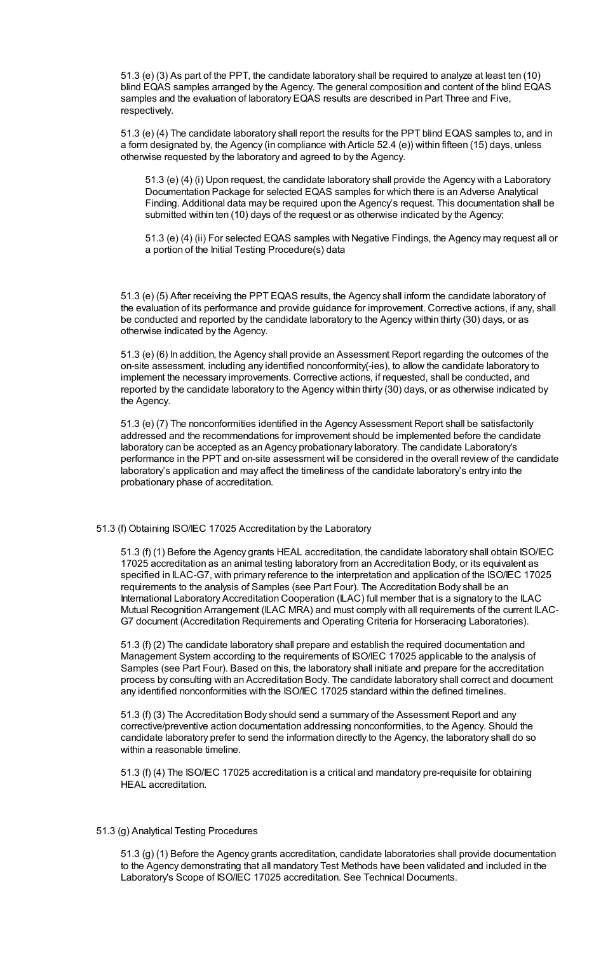51.3 (e) (3) As part of the PPT, the candidate laboratory shall be required to analyze at least ten (10) blind EQAS samples arranged by the Agency. The general composition and content of the blind EQAS samples and the evaluation of laboratory EQAS results are described in Part Three and Five, respectively.

51.3 (e) (4) The candidate laboratory shall report the results for the PPT blind EQAS samples to, and in a form designated by, the Agency (in compliance with Article 52.4 (e)) within fifteen (15) days, unless otherwise requested by the laboratory and agreed to by the Agency.

51.3 (e) (4) (i) Upon request, the candidate laboratory shall provide the Agency with a Laboratory Documentation Package for selected EQAS samples for which there is an Adverse Analytical Finding. Additional data may be required upon the Agency's request. This documentation shall be submitted within ten (10) days of the request or as otherwise indicated by the Agency;

51.3 (e) (4) (ii) For selected EQAS samples with Negative Findings, the Agency may request all or a portion of the Initial Testing Procedure(s) data

51.3 (e) (5) After receiving the PPT EQAS results, the Agency shall inform the candidate laboratory of the evaluation of its performance and provide guidance for improvement. Corrective actions, if any, shall be conducted and reported by the candidate laboratory to the Agency within thirty (30) days, or as otherwise indicated by the Agency.

51.3 (e) (6) In addition, the Agency shall provide an Assessment Report regarding the outcomes of the on-site assessment, including any identified nonconformity(-ies), to allow the candidate laboratory to implement the necessary improvements. Corrective actions, if requested, shall be conducted, and reported by the candidate laboratory to the Agency within thirty (30) days, or as otherwise indicated by the Agency.

51.3 (e) (7) The nonconformities identified in the Agency Assessment Report shall be satisfactorily addressed and the recommendations for improvement should be implemented before the candidate laboratory can be accepted as an Agency probationary laboratory. The candidate Laboratory's performance in the PPT and on-site assessment will be considered in the overall review of the candidate laboratory's application and may affect the timeliness of the candidate laboratory's entry into the probationary phase of accreditation.

# 51.3 (f) Obtaining ISO/IEC 17025 Accreditation by the Laboratory

51.3 (f) (1) Before the Agency grants HEAL accreditation, the candidate laboratory shall obtain ISO/IEC 17025 accreditation as an animal testing laboratory from an Accreditation Body, or its equivalent as specified in ILAC-G7, with primary reference to the interpretation and application of the ISO/IEC 17025 requirements to the analysis of Samples (see Part Four). The Accreditation Body shall be an International Laboratory Accreditation Cooperation (ILAC) full member that is a signatory to the ILAC Mutual Recognition Arrangement (ILAC MRA) and must comply with all requirements of the current ILAC-G7 document (Accreditation Requirements and Operating Criteria for Horseracing Laboratories).

51.3 (f) (2) The candidate laboratory shall prepare and establish the required documentation and Management System according to the requirements of ISO/IEC 17025 applicable to the analysis of Samples (see Part Four). Based on this, the laboratory shall initiate and prepare for the accreditation process by consulting with an Accreditation Body. The candidate laboratory shall correct and document any identified nonconformities with the ISO/IEC 17025 standard within the defined timelines.

51.3 (f) (3) The Accreditation Body should send a summary of the Assessment Report and any corrective/preventive action documentation addressing nonconformities, to the Agency. Should the candidate laboratory prefer to send the information directly to the Agency, the laboratory shall do so within a reasonable timeline.

51.3 (f) (4) The ISO/IEC 17025 accreditation is a critical and mandatory pre-requisite for obtaining HEAL accreditation.

## 51.3 (g) Analytical Testing Procedures

51.3 (g) (1) Before the Agency grants accreditation, candidate laboratories shall provide documentation to the Agency demonstrating that all mandatory Test Methods have been validated and included in the Laboratory's Scope of ISO/IEC 17025 accreditation. See Technical Documents.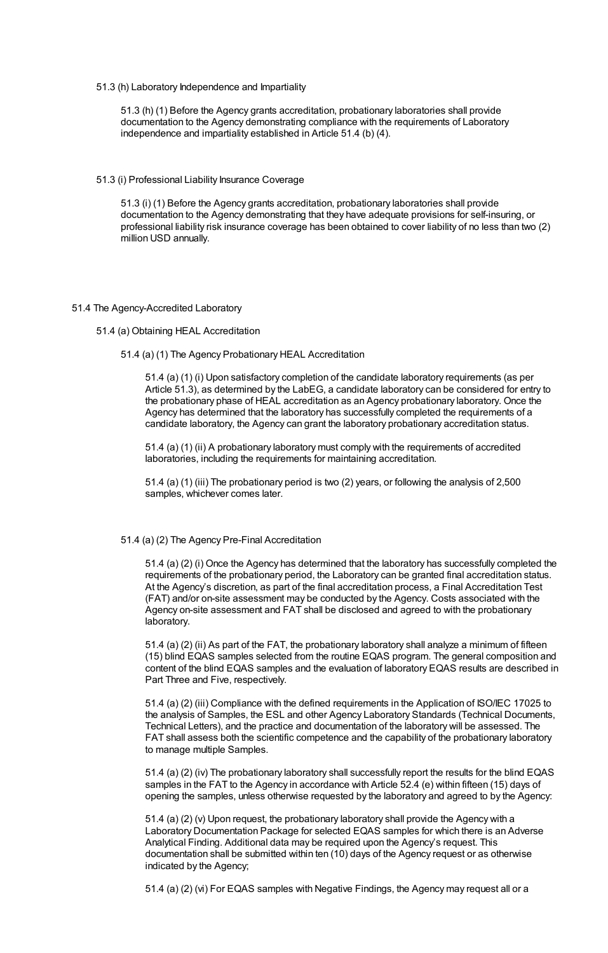51.3 (h) Laboratory Independence and Impartiality

51.3 (h) (1) Before the Agency grants accreditation, probationary laboratories shall provide documentation to the Agency demonstrating compliance with the requirements of Laboratory independence and impartiality established in Article 51.4 (b) (4).

51.3 (i) Professional Liability Insurance Coverage

51.3 (i) (1) Before the Agency grants accreditation, probationary laboratories shall provide documentation to the Agency demonstrating that they have adequate provisions for self-insuring, or professional liability risk insurance coverage has been obtained to cover liability of no less than two (2) million USD annually.

#### 51.4 The Agency-Accredited Laboratory

## 51.4 (a) Obtaining HEAL Accreditation

51.4 (a) (1) The Agency Probationary HEAL Accreditation

51.4 (a) (1) (i) Upon satisfactory completion of the candidate laboratory requirements (as per Article 51.3), as determined by the LabEG, a candidate laboratory can be considered for entry to the probationary phase of HEAL accreditation as an Agency probationary laboratory. Once the Agency has determined that the laboratory has successfully completed the requirements of a candidate laboratory, the Agency can grant the laboratory probationary accreditation status.

51.4 (a) (1) (ii) A probationary laboratory must comply with the requirements of accredited laboratories, including the requirements for maintaining accreditation.

51.4 (a) (1) (iii) The probationary period is two (2) years, or following the analysis of 2,500 samples, whichever comes later.

## 51.4 (a) (2) The Agency Pre-Final Accreditation

51.4 (a) (2) (i) Once the Agency has determined that the laboratory has successfully completed the requirements of the probationary period, the Laboratory can be granted final accreditation status. At the Agency's discretion, as part of the final accreditation process, a Final Accreditation Test (FAT) and/or on-site assessment may be conducted by the Agency. Costs associated with the Agency on-site assessment and FAT shall be disclosed and agreed to with the probationary laboratory.

51.4 (a) (2) (ii) As part of the FAT, the probationary laboratory shall analyze a minimum of fifteen (15) blind EQAS samples selected from the routine EQAS program. The general composition and content of the blind EQAS samples and the evaluation of laboratory EQAS results are described in Part Three and Five, respectively.

51.4 (a) (2) (iii) Compliance with the defined requirements in the Application of ISO/IEC 17025 to the analysis of Samples, the ESL and other Agency Laboratory Standards (Technical Documents, Technical Letters), and the practice and documentation of the laboratory will be assessed. The FAT shall assess both the scientific competence and the capability of the probationary laboratory to manage multiple Samples.

51.4 (a) (2) (iv) The probationary laboratory shall successfully report the results for the blind EQAS samples in the FAT to the Agency in accordance with Article 52.4 (e) within fifteen (15) days of opening the samples, unless otherwise requested by the laboratory and agreed to by the Agency:

51.4 (a) (2) (v) Upon request, the probationary laboratory shall provide the Agency with a Laboratory Documentation Package for selected EQAS samples for which there is an Adverse Analytical Finding. Additional data may be required upon the Agency's request. This documentation shall be submitted within ten (10) days of the Agency request or as otherwise indicated by the Agency;

51.4 (a) (2) (vi) For EQAS samples with Negative Findings, the Agency may request all or a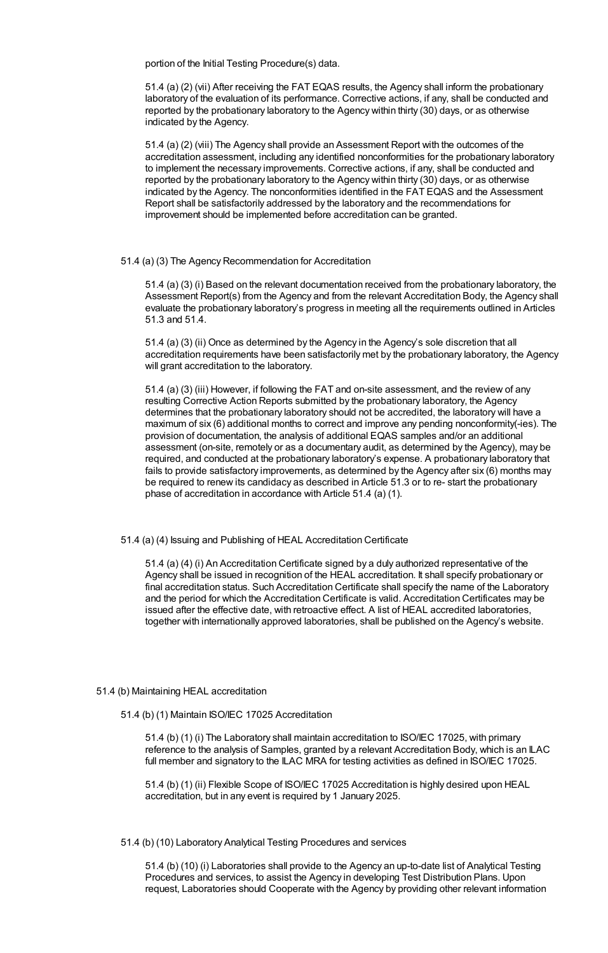portion of the Initial Testing Procedure(s) data.

51.4 (a) (2) (vii) After receiving the FAT EQAS results, the Agency shall inform the probationary laboratory of the evaluation of its performance. Corrective actions, if any, shall be conducted and reported by the probationary laboratory to the Agency within thirty (30) days, or as otherwise indicated by the Agency.

51.4 (a) (2) (viii) The Agency shall provide an Assessment Report with the outcomes of the accreditation assessment, including any identified nonconformities for the probationary laboratory to implement the necessary improvements. Corrective actions, if any, shall be conducted and reported by the probationary laboratory to the Agency within thirty (30) days, or as otherwise indicated by the Agency. The nonconformities identified in the FAT EQAS and the Assessment Report shall be satisfactorily addressed by the laboratory and the recommendations for improvement should be implemented before accreditation can be granted.

## 51.4 (a) (3) The Agency Recommendation for Accreditation

51.4 (a) (3) (i) Based on the relevant documentation received from the probationary laboratory, the Assessment Report(s) from the Agency and from the relevant Accreditation Body, the Agency shall evaluate the probationary laboratory's progress in meeting all the requirements outlined in Articles 51.3 and 51.4.

51.4 (a) (3) (ii) Once as determined by the Agency in the Agency's sole discretion that all accreditation requirements have been satisfactorily met by the probationary laboratory, the Agency will grant accreditation to the laboratory.

51.4 (a) (3) (iii) However, if following the FAT and on-site assessment, and the review of any resulting Corrective Action Reports submitted by the probationary laboratory, the Agency determines that the probationary laboratory should not be accredited, the laboratory will have a maximum of six (6) additional months to correct and improve any pending nonconformity(-ies). The provision of documentation, the analysis of additional EQAS samples and/or an additional assessment (on-site, remotely or as a documentary audit, as determined by the Agency), may be required, and conducted at the probationary laboratory's expense. A probationary laboratory that fails to provide satisfactory improvements, as determined by the Agency after six (6) months may be required to renew its candidacy as described in Article 51.3 or to re- start the probationary phase of accreditation in accordance with Article 51.4 (a) (1).

51.4 (a) (4) Issuing and Publishing of HEAL Accreditation Certificate

51.4 (a) (4) (i) An Accreditation Certificate signed by a duly authorized representative of the Agency shall be issued in recognition of the HEAL accreditation. It shall specify probationary or final accreditation status. Such Accreditation Certificate shall specify the name of the Laboratory and the period for which the Accreditation Certificate is valid. Accreditation Certificates may be issued after the effective date, with retroactive effect. A list of HEAL accredited laboratories, together with internationally approved laboratories, shall be published on the Agency's website.

## 51.4 (b) Maintaining HEAL accreditation

51.4 (b) (1) Maintain ISO/IEC 17025 Accreditation

51.4 (b) (1) (i) The Laboratory shall maintain accreditation to ISO/IEC 17025, with primary reference to the analysis of Samples, granted by a relevant Accreditation Body, which is an ILAC full member and signatory to the ILAC MRA for testing activities as defined in ISO/IEC 17025.

51.4 (b) (1) (ii) Flexible Scope of ISO/IEC 17025 Accreditation is highly desired upon HEAL accreditation, but in any event is required by 1 January 2025.

## 51.4 (b) (10) Laboratory Analytical Testing Procedures and services

51.4 (b) (10) (i) Laboratories shall provide to the Agency an up-to-date list of Analytical Testing Procedures and services, to assist the Agency in developing Test Distribution Plans. Upon request, Laboratories should Cooperate with the Agency by providing other relevant information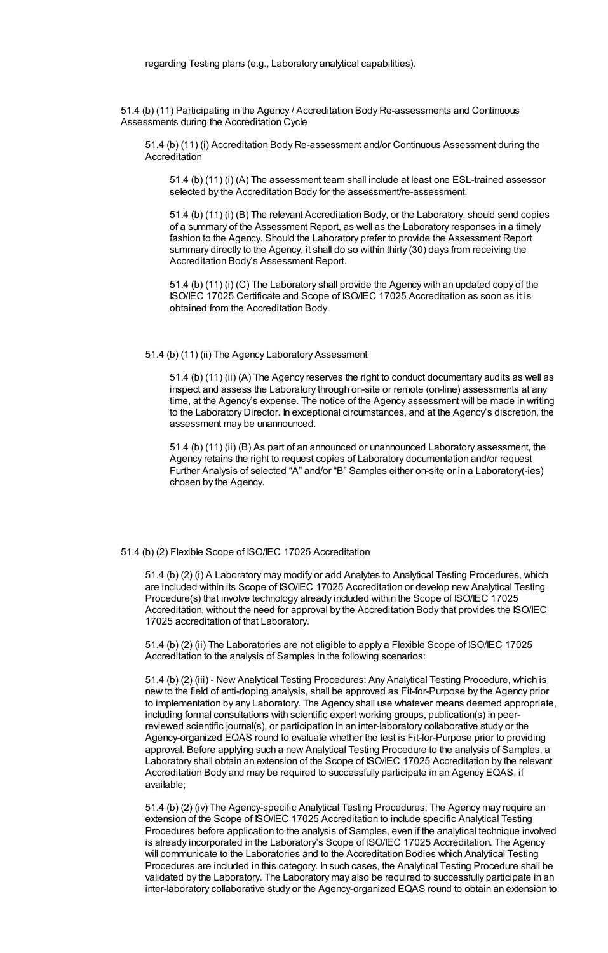51.4 (b) (11) Participating in the Agency / Accreditation Body Re-assessments and Continuous Assessments during the Accreditation Cycle

51.4 (b) (11) (i) Accreditation Body Re-assessment and/or Continuous Assessment during the Accreditation

51.4 (b) (11) (i) (A) The assessment team shall include at least one ESL-trained assessor selected by the Accreditation Body for the assessment/re-assessment.

51.4 (b) (11) (i) (B) The relevant Accreditation Body, or the Laboratory, should send copies of a summary of the Assessment Report, as well as the Laboratory responses in a timely fashion to the Agency. Should the Laboratory prefer to provide the Assessment Report summary directly to the Agency, it shall do so within thirty (30) days from receiving the Accreditation Body's Assessment Report.

51.4 (b) (11) (i) (C) The Laboratory shall provide the Agency with an updated copy of the ISO/IEC 17025 Certificate and Scope of ISO/IEC 17025 Accreditation as soon as it is obtained from the Accreditation Body.

## 51.4 (b) (11) (ii) The Agency Laboratory Assessment

51.4 (b) (11) (ii) (A) The Agency reserves the right to conduct documentary audits as well as inspect and assess the Laboratory through on-site or remote (on-line) assessments at any time, at the Agency's expense. The notice of the Agency assessment will be made in writing to the Laboratory Director. In exceptional circumstances, and at the Agency's discretion, the assessment may be unannounced.

51.4 (b) (11) (ii) (B) As part of an announced or unannounced Laboratory assessment, the Agency retains the right to request copies of Laboratory documentation and/or request Further Analysis of selected "A" and/or "B" Samples either on-site or in a Laboratory(-ies) chosen by the Agency.

#### 51.4 (b) (2) Flexible Scope of ISO/IEC 17025 Accreditation

51.4 (b) (2) (i) A Laboratory may modify or add Analytes to Analytical Testing Procedures, which are included within its Scope of ISO/IEC 17025 Accreditation or develop new Analytical Testing Procedure(s) that involve technology already included within the Scope of ISO/IEC 17025 Accreditation, without the need for approval by the Accreditation Body that provides the ISO/IEC 17025 accreditation of that Laboratory.

51.4 (b) (2) (ii) The Laboratories are not eligible to apply a Flexible Scope of ISO/IEC 17025 Accreditation to the analysis of Samples in the following scenarios:

51.4 (b) (2) (iii) - New Analytical Testing Procedures: Any Analytical Testing Procedure, which is new to the field of anti-doping analysis, shall be approved as Fit-for-Purpose by the Agency prior to implementation by any Laboratory. The Agency shall use whatever means deemed appropriate, including formal consultations with scientific expert working groups, publication(s) in peerreviewed scientific journal(s), or participation in an inter-laboratory collaborative study or the Agency-organized EQAS round to evaluate whether the test is Fit-for-Purpose prior to providing approval. Before applying such a new Analytical Testing Procedure to the analysis of Samples, a Laboratory shall obtain an extension of the Scope of ISO/IEC 17025 Accreditation by the relevant Accreditation Body and may be required to successfully participate in an Agency EQAS, if available;

51.4 (b) (2) (iv) The Agency-specific Analytical Testing Procedures: The Agency may require an extension of the Scope of ISO/IEC 17025 Accreditation to include specific Analytical Testing Procedures before application to the analysis of Samples, even if the analytical technique involved is already incorporated in the Laboratory's Scope of ISO/IEC 17025 Accreditation. The Agency will communicate to the Laboratories and to the Accreditation Bodies which Analytical Testing Procedures are included in this category. In such cases, the Analytical Testing Procedure shall be validated by the Laboratory. The Laboratory may also be required to successfully participate in an inter-laboratory collaborative study or the Agency-organized EQAS round to obtain an extension to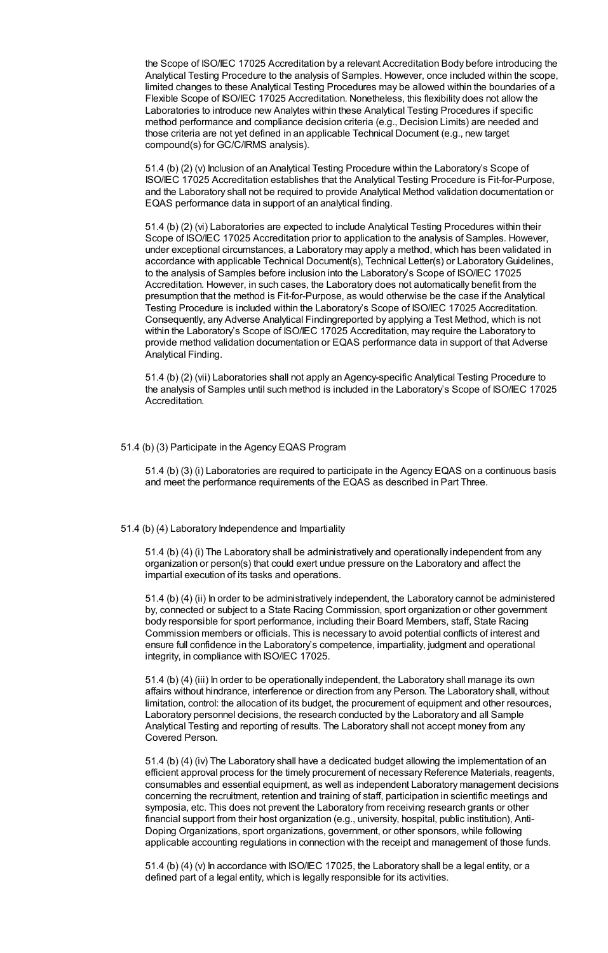the Scope of ISO/IEC 17025 Accreditation by a relevant Accreditation Body before introducing the Analytical Testing Procedure to the analysis of Samples. However, once included within the scope, limited changes to these Analytical Testing Procedures may be allowed within the boundaries of a Flexible Scope of ISO/IEC 17025 Accreditation. Nonetheless, this flexibility does not allow the Laboratories to introduce new Analytes within these Analytical Testing Procedures if specific method performance and compliance decision criteria (e.g., Decision Limits) are needed and those criteria are not yet defined in an applicable Technical Document (e.g., new target compound(s) for GC/C/IRMS analysis).

51.4 (b) (2) (v) Inclusion of an Analytical Testing Procedure within the Laboratory's Scope of ISO/IEC 17025 Accreditation establishes that the Analytical Testing Procedure is Fit-for-Purpose, and the Laboratory shall not be required to provide Analytical Method validation documentation or EQAS performance data in support of an analytical finding.

51.4 (b) (2) (vi) Laboratories are expected to include Analytical Testing Procedures within their Scope of ISO/IEC 17025 Accreditation prior to application to the analysis of Samples. However, under exceptional circumstances, a Laboratory may apply a method, which has been validated in accordance with applicable Technical Document(s), Technical Letter(s) or LaboratoryGuidelines, to the analysis of Samples before inclusion into the Laboratory's Scope of ISO/IEC 17025 Accreditation. However, in such cases, the Laboratory does not automatically benefit from the presumption that the method is Fit-for-Purpose, as would otherwise be the case if the Analytical Testing Procedure is included within the Laboratory's Scope of ISO/IEC 17025 Accreditation. Consequently, any Adverse Analytical Findingreported by applying a Test Method, which is not within the Laboratory's Scope of ISO/IEC 17025 Accreditation, may require the Laboratory to provide method validation documentation or EQAS performance data in support of that Adverse Analytical Finding.

51.4 (b) (2) (vii) Laboratories shall not apply an Agency-specific Analytical Testing Procedure to the analysis of Samples until such method is included in the Laboratory's Scope of ISO/IEC 17025 **Accreditation** 

## 51.4 (b) (3) Participate in the Agency EQAS Program

51.4 (b) (3) (i) Laboratories are required to participate in the Agency EQAS on a continuous basis and meet the performance requirements of the EQAS as described in Part Three.

#### 51.4 (b) (4) Laboratory Independence and Impartiality

51.4 (b) (4) (i) The Laboratory shall be administratively and operationally independent from any organization or person(s) that could exert undue pressure on the Laboratory and affect the impartial execution of its tasks and operations.

51.4 (b) (4) (ii) In order to be administratively independent, the Laboratory cannot be administered by, connected or subject to a State Racing Commission, sport organization or other government body responsible for sport performance, including their Board Members, staff, State Racing Commission members or officials. This is necessary to avoid potential conflicts of interest and ensure full confidence in the Laboratory's competence, impartiality, judgment and operational integrity, in compliance with ISO/IEC 17025.

51.4 (b) (4) (iii) In order to be operationally independent, the Laboratory shall manage its own affairs without hindrance, interference or direction from any Person. The Laboratory shall, without limitation, control: the allocation of its budget, the procurement of equipment and other resources, Laboratory personnel decisions, the research conducted by the Laboratory and all Sample Analytical Testing and reporting of results. The Laboratory shall not accept money from any Covered Person.

51.4 (b) (4) (iv) The Laboratory shall have a dedicated budget allowing the implementation of an efficient approval process for the timely procurement of necessary Reference Materials, reagents, consumables and essential equipment, as well as independent Laboratory management decisions concerning the recruitment, retention and training of staff, participation in scientific meetings and symposia, etc. This does not prevent the Laboratory from receiving research grants or other financial support from their host organization (e.g., university, hospital, public institution), Anti-Doping Organizations, sport organizations, government, or other sponsors, while following applicable accounting regulations in connection with the receipt and management of those funds.

51.4 (b) (4) (v) In accordance with ISO/IEC 17025, the Laboratory shall be a legal entity, or a defined part of a legal entity, which is legally responsible for its activities.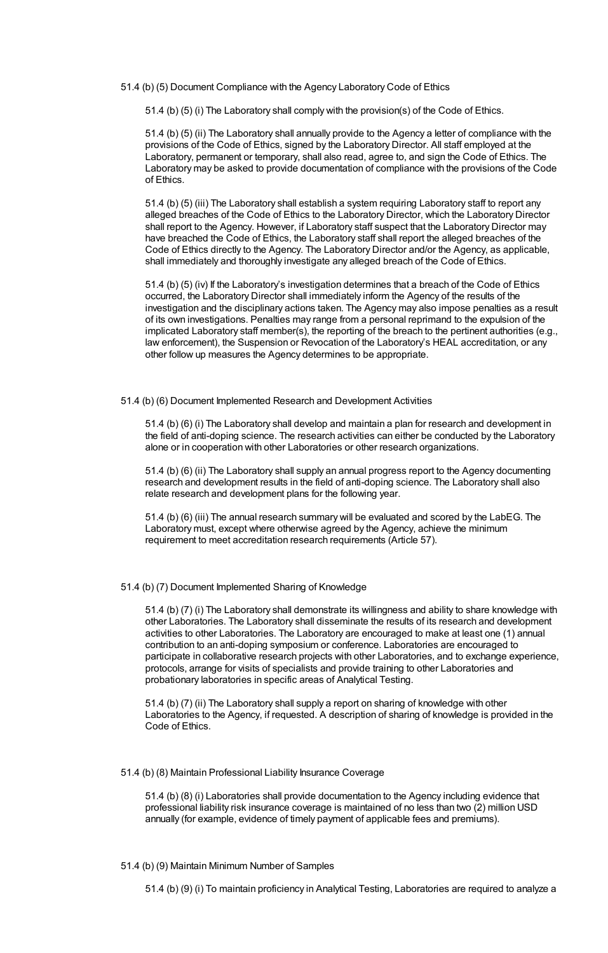51.4 (b) (5) Document Compliance with the Agency Laboratory Code of Ethics

51.4 (b) (5) (i) The Laboratory shall comply with the provision(s) of the Code of Ethics.

51.4 (b) (5) (ii) The Laboratory shall annually provide to the Agency a letter of compliance with the provisions of the Code of Ethics, signed by the Laboratory Director. All staff employed at the Laboratory, permanent or temporary, shall also read, agree to, and sign the Code of Ethics. The Laboratory may be asked to provide documentation of compliance with the provisions of the Code of Ethics.

51.4 (b) (5) (iii) The Laboratory shall establish a system requiring Laboratory staff to report any alleged breaches of the Code of Ethics to the Laboratory Director, which the Laboratory Director shall report to the Agency. However, if Laboratory staff suspect that the Laboratory Director may have breached the Code of Ethics, the Laboratory staff shall report the alleged breaches of the Code of Ethics directly to the Agency. The Laboratory Director and/or the Agency, as applicable, shall immediately and thoroughly investigate any alleged breach of the Code of Ethics.

51.4 (b) (5) (iv) If the Laboratory's investigation determines that a breach of the Code of Ethics occurred, the Laboratory Director shall immediately inform the Agency of the results of the investigation and the disciplinary actions taken. The Agency may also impose penalties as a result of its own investigations. Penalties may range from a personal reprimand to the expulsion of the implicated Laboratory staff member(s), the reporting of the breach to the pertinent authorities (e.g., law enforcement), the Suspension or Revocation of the Laboratory's HEAL accreditation, or any other follow up measures the Agency determines to be appropriate.

51.4 (b) (6) Document Implemented Research and Development Activities

51.4 (b) (6) (i) The Laboratory shall develop and maintain a plan for research and development in the field of anti-doping science. The research activities can either be conducted by the Laboratory alone or in cooperation with other Laboratories or other research organizations.

51.4 (b) (6) (ii) The Laboratory shall supply an annual progress report to the Agency documenting research and development results in the field of anti-doping science. The Laboratory shall also relate research and development plans for the following year.

51.4 (b) (6) (iii) The annual research summary will be evaluated and scored by the LabEG. The Laboratory must, except where otherwise agreed by the Agency, achieve the minimum requirement to meet accreditation research requirements (Article 57).

## 51.4 (b) (7) Document Implemented Sharing of Knowledge

51.4 (b) (7) (i) The Laboratory shall demonstrate its willingness and ability to share knowledge with other Laboratories. The Laboratory shall disseminate the results of its research and development activities to other Laboratories. The Laboratory are encouraged to make at least one (1) annual contribution to an anti-doping symposium or conference. Laboratories are encouraged to participate in collaborative research projects with other Laboratories, and to exchange experience, protocols, arrange for visits of specialists and provide training to other Laboratories and probationary laboratories in specific areas of Analytical Testing.

51.4 (b) (7) (ii) The Laboratory shall supply a report on sharing of knowledge with other Laboratories to the Agency, if requested. A description of sharing of knowledge is provided in the Code of Ethics.

## 51.4 (b) (8) Maintain Professional Liability Insurance Coverage

51.4 (b) (8) (i) Laboratories shall provide documentation to the Agency including evidence that professional liability risk insurance coverage is maintained of no less than two (2) million USD annually (for example, evidence of timely payment of applicable fees and premiums).

## 51.4 (b) (9) Maintain Minimum Number of Samples

51.4 (b) (9) (i) To maintain proficiency in Analytical Testing, Laboratories are required to analyze a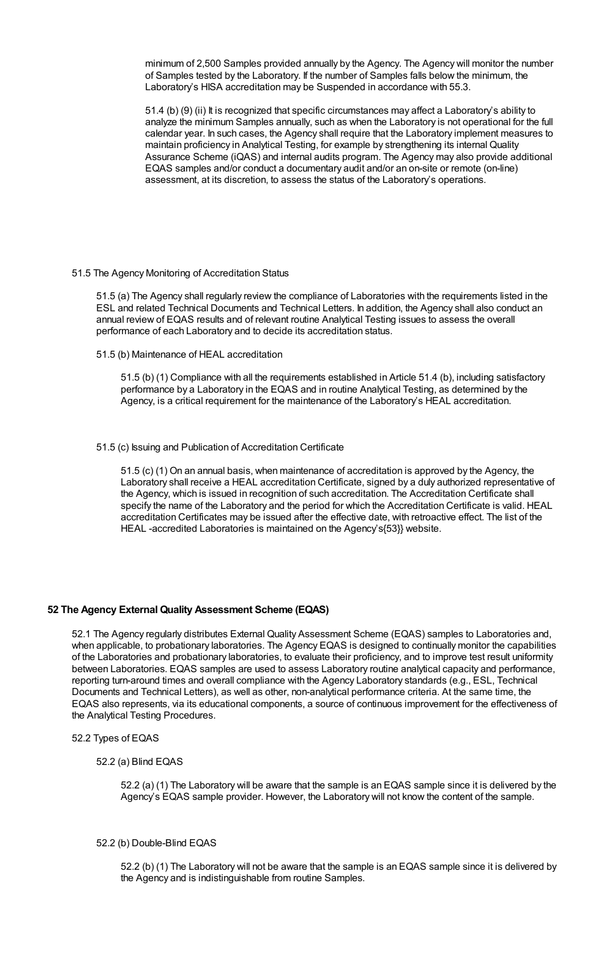minimum of 2,500 Samples provided annually by the Agency. The Agency will monitor the number of Samples tested by the Laboratory. If the number of Samples falls below the minimum, the Laboratory's HISA accreditation may be Suspended in accordance with 55.3.

51.4 (b) (9) (ii) It is recognized that specific circumstances may affect a Laboratory's ability to analyze the minimum Samples annually, such as when the Laboratory is not operational for the full calendar year. In such cases, the Agency shall require that the Laboratory implement measures to maintain proficiency in Analytical Testing, for example by strengthening its internal Quality Assurance Scheme (iQAS) and internal audits program. The Agency may also provide additional EQAS samples and/or conduct a documentary audit and/or an on-site or remote (on-line) assessment, at its discretion, to assess the status of the Laboratory's operations.

51.5 The Agency Monitoring of Accreditation Status

51.5 (a) The Agency shall regularly review the compliance of Laboratories with the requirements listed in the ESL and related Technical Documents and Technical Letters. In addition, the Agency shall also conduct an annual review of EQAS results and of relevant routine Analytical Testing issues to assess the overall performance of each Laboratory and to decide its accreditation status.

51.5 (b) Maintenance of HEAL accreditation

51.5 (b) (1) Compliance with all the requirements established in Article 51.4 (b), including satisfactory performance by a Laboratory in the EQAS and in routine Analytical Testing, as determined by the Agency, is a critical requirement for the maintenance of the Laboratory's HEAL accreditation.

## 51.5 (c) Issuing and Publication of Accreditation Certificate

51.5 (c) (1) On an annual basis, when maintenance of accreditation is approved by the Agency, the Laboratory shall receive a HEAL accreditation Certificate, signed by a duly authorized representative of the Agency, which is issued in recognition of such accreditation. The Accreditation Certificate shall specify the name of the Laboratory and the period for which the Accreditation Certificate is valid. HEAL accreditation Certificates may be issued after the effective date, with retroactive effect. The list of the HEAL -accredited Laboratories is maintained on the Agency's{53}} website.

## **52 The Agency External Quality Assessment Scheme (EQAS)**

52.1 The Agency regularly distributes External Quality Assessment Scheme (EQAS) samples to Laboratories and, when applicable, to probationary laboratories. The Agency EQAS is designed to continually monitor the capabilities of the Laboratories and probationary laboratories, to evaluate their proficiency, and to improve test result uniformity between Laboratories. EQAS samples are used to assess Laboratory routine analytical capacity and performance, reporting turn-around times and overall compliance with the Agency Laboratory standards (e.g., ESL, Technical Documents and Technical Letters), as well as other, non-analytical performance criteria. At the same time, the EQAS also represents, via its educational components, a source of continuous improvement for the effectiveness of the Analytical Testing Procedures.

- 52.2 Types of EQAS
	- 52.2 (a) Blind EQAS

52.2 (a) (1) The Laboratory will be aware that the sample is an EQAS sample since it is delivered by the Agency's EQAS sample provider. However, the Laboratory will not know the content of the sample.

### 52.2 (b) Double-Blind EQAS

52.2 (b) (1) The Laboratory will not be aware that the sample is an EQAS sample since it is delivered by the Agency and is indistinguishable from routine Samples.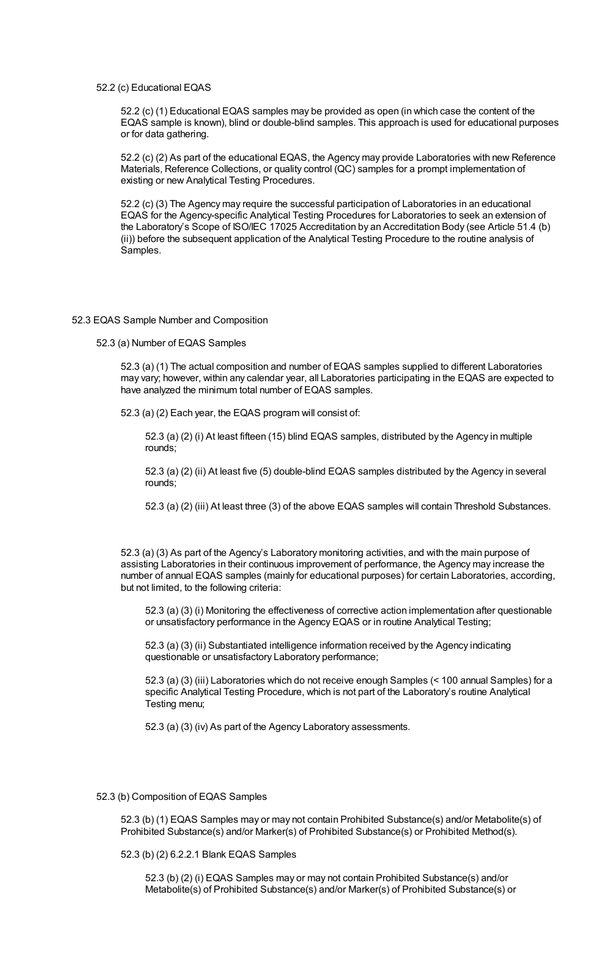52.2 (c) Educational EQAS

52.2 (c) (1) Educational EQAS samples may be provided as open (in which case the content of the EQAS sample is known), blind or double-blind samples. This approach is used for educational purposes or for data gathering.

52.2 (c) (2) As part of the educational EQAS, the Agency may provide Laboratories with new Reference Materials, Reference Collections, or quality control (QC) samples for a prompt implementation of existing or new Analytical Testing Procedures.

52.2 (c) (3) The Agency may require the successful participation of Laboratories in an educational EQAS for the Agency-specific Analytical Testing Procedures for Laboratories to seek an extension of the Laboratory's Scope of ISO/IEC 17025 Accreditation by an Accreditation Body (see Article 51.4 (b) (ii)) before the subsequent application of the Analytical Testing Procedure to the routine analysis of Samples.

#### 52.3 EQAS Sample Number and Composition

52.3 (a) Number of EQAS Samples

52.3 (a) (1) The actual composition and number of EQAS samples supplied to different Laboratories may vary; however, within any calendar year, all Laboratories participating in the EQAS are expected to have analyzed the minimum total number of EQAS samples.

52.3 (a) (2) Each year, the EQAS program will consist of:

52.3 (a) (2) (i) At least fifteen (15) blind EQAS samples, distributed by the Agency in multiple rounds;

52.3 (a) (2) (ii) At least five (5) double-blind EQAS samples distributed by the Agency in several rounds;

52.3 (a) (2) (iii) At least three (3) of the above EQAS samples will contain Threshold Substances.

52.3 (a) (3) As part of the Agency's Laboratory monitoring activities, and with the main purpose of assisting Laboratories in their continuous improvement of performance, the Agency may increase the number of annual EQAS samples (mainly for educational purposes) for certain Laboratories, according, but not limited, to the following criteria:

52.3 (a) (3) (i) Monitoring the effectiveness of corrective action implementation after questionable or unsatisfactory performance in the Agency EQAS or in routine Analytical Testing;

52.3 (a) (3) (ii) Substantiated intelligence information received by the Agency indicating questionable or unsatisfactory Laboratory performance;

52.3 (a) (3) (iii) Laboratories which do not receive enough Samples (< 100 annual Samples) for a specific Analytical Testing Procedure, which is not part of the Laboratory's routine Analytical Testing menu;

52.3 (a) (3) (iv) As part of the Agency Laboratory assessments.

### 52.3 (b) Composition of EQAS Samples

52.3 (b) (1) EQAS Samples may or may not contain Prohibited Substance(s) and/or Metabolite(s) of Prohibited Substance(s) and/or Marker(s) of Prohibited Substance(s) or Prohibited Method(s).

52.3 (b) (2) 6.2.2.1 Blank EQAS Samples

52.3 (b) (2) (i) EQAS Samples may or may not contain Prohibited Substance(s) and/or Metabolite(s) of Prohibited Substance(s) and/or Marker(s) of Prohibited Substance(s) or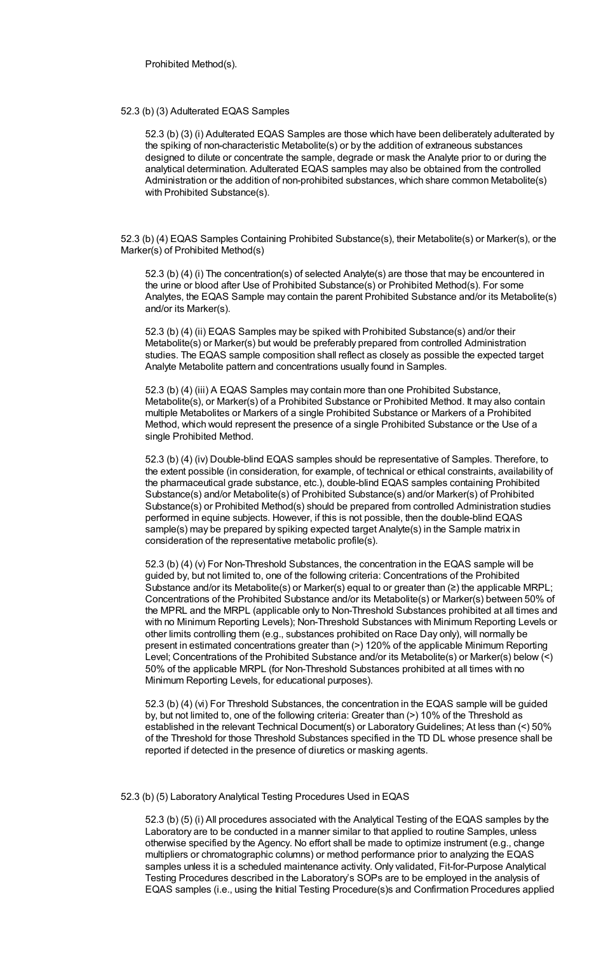## 52.3 (b) (3) Adulterated EQAS Samples

52.3 (b) (3) (i) Adulterated EQAS Samples are those which have been deliberately adulterated by the spiking of non-characteristic Metabolite(s) or by the addition of extraneous substances designed to dilute or concentrate the sample, degrade or mask the Analyte prior to or during the analytical determination. Adulterated EQAS samples may also be obtained from the controlled Administration or the addition of non-prohibited substances, which share common Metabolite(s) with Prohibited Substance(s).

52.3 (b) (4) EQAS Samples Containing Prohibited Substance(s), their Metabolite(s) or Marker(s), or the Marker(s) of Prohibited Method(s)

52.3 (b) (4) (i) The concentration(s) of selected Analyte(s) are those that may be encountered in the urine or blood after Use of Prohibited Substance(s) or Prohibited Method(s). For some Analytes, the EQAS Sample may contain the parent Prohibited Substance and/or its Metabolite(s) and/or its Marker(s).

52.3 (b) (4) (ii) EQAS Samples may be spiked with Prohibited Substance(s) and/or their Metabolite(s) or Marker(s) but would be preferably prepared from controlled Administration studies. The EQAS sample composition shall reflect as closely as possible the expected target Analyte Metabolite pattern and concentrations usually found in Samples.

52.3 (b) (4) (iii) A EQAS Samples may contain more than one Prohibited Substance, Metabolite(s), or Marker(s) of a Prohibited Substance or Prohibited Method. It may also contain multiple Metabolites or Markers of a single Prohibited Substance or Markers of a Prohibited Method, which would represent the presence of a single Prohibited Substance or the Use of a single Prohibited Method.

52.3 (b) (4) (iv) Double-blind EQAS samples should be representative of Samples. Therefore, to the extent possible (in consideration, for example, of technical or ethical constraints, availability of the pharmaceutical grade substance, etc.), double-blind EQAS samples containing Prohibited Substance(s) and/or Metabolite(s) of Prohibited Substance(s) and/or Marker(s) of Prohibited Substance(s) or Prohibited Method(s) should be prepared from controlled Administration studies performed in equine subjects. However, if this is not possible, then the double-blind EQAS sample(s) may be prepared by spiking expected target Analyte(s) in the Sample matrix in consideration of the representative metabolic profile(s).

52.3 (b) (4) (v) For Non-Threshold Substances, the concentration in the EQAS sample will be guided by, but not limited to, one of the following criteria: Concentrations of the Prohibited Substance and/or its Metabolite(s) or Marker(s) equal to or greater than (≥) the applicable MRPL; Concentrations of the Prohibited Substance and/or its Metabolite(s) or Marker(s) between 50% of the MPRL and the MRPL (applicable only to Non-Threshold Substances prohibited at all times and with no Minimum Reporting Levels); Non-Threshold Substances with Minimum Reporting Levels or other limits controlling them (e.g., substances prohibited on Race Day only), will normally be present in estimated concentrations greater than (>) 120% of the applicable Minimum Reporting Level; Concentrations of the Prohibited Substance and/or its Metabolite(s) or Marker(s) below (<) 50% of the applicable MRPL (for Non-Threshold Substances prohibited at all times with no Minimum Reporting Levels, for educational purposes).

52.3 (b) (4) (vi) For Threshold Substances, the concentration in the EQAS sample will be guided by, but not limited to, one of the following criteria: Greater than (>) 10% of the Threshold as established in the relevant Technical Document(s) or Laboratory Guidelines; At less than (<) 50% of the Threshold for those Threshold Substances specified in the TD DL whose presence shall be reported if detected in the presence of diuretics or masking agents.

52.3 (b) (5) Laboratory Analytical Testing Procedures Used in EQAS

52.3 (b) (5) (i) All procedures associated with the Analytical Testing of the EQAS samples by the Laboratory are to be conducted in a manner similar to that applied to routine Samples, unless otherwise specified by the Agency. No effort shall be made to optimize instrument (e.g., change multipliers or chromatographic columns) or method performance prior to analyzing the EQAS samples unless it is a scheduled maintenance activity. Only validated, Fit-for-Purpose Analytical Testing Procedures described in the Laboratory's SOPs are to be employed in the analysis of EQAS samples (i.e., using the Initial Testing Procedure(s)s and Confirmation Procedures applied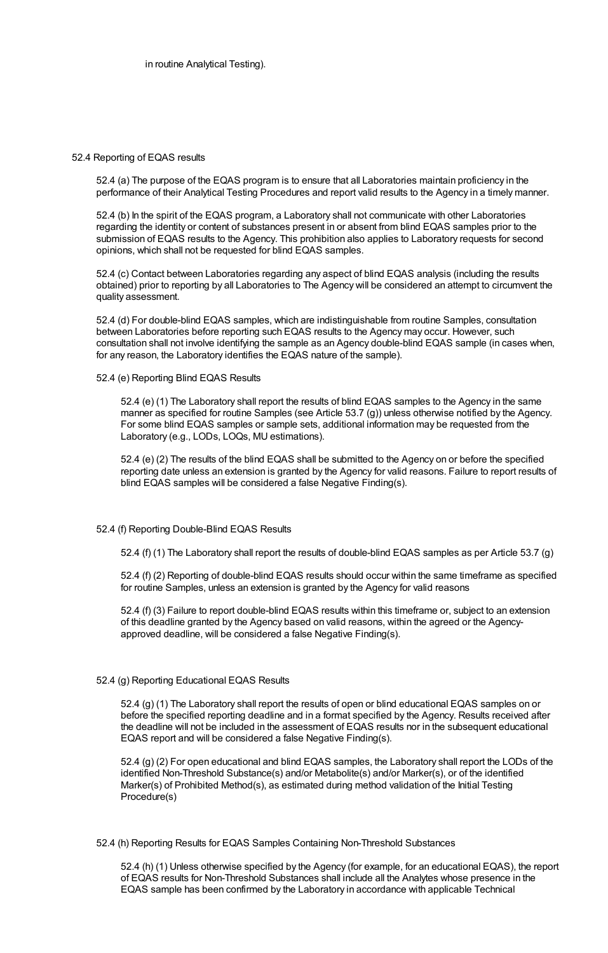### 52.4 Reporting of EQAS results

52.4 (a) The purpose of the EQAS program is to ensure that all Laboratories maintain proficiency in the performance of their Analytical Testing Procedures and report valid results to the Agency in a timely manner.

52.4 (b) In the spirit of the EQAS program, a Laboratory shall not communicate with other Laboratories regarding the identity or content of substances present in or absent from blind EQAS samples prior to the submission of EQAS results to the Agency. This prohibition also applies to Laboratory requests for second opinions, which shall not be requested for blind EQAS samples.

52.4 (c) Contact between Laboratories regarding any aspect of blind EQAS analysis (including the results obtained) prior to reporting by all Laboratories to The Agency will be considered an attempt to circumvent the quality assessment.

52.4 (d) For double-blind EQAS samples, which are indistinguishable from routine Samples, consultation between Laboratories before reporting such EQAS results to the Agency may occur. However, such consultation shall not involve identifying the sample as an Agency double-blind EQAS sample (in cases when, for any reason, the Laboratory identifies the EQAS nature of the sample).

52.4 (e) Reporting Blind EQAS Results

52.4 (e) (1) The Laboratory shall report the results of blind EQAS samples to the Agency in the same manner as specified for routine Samples (see Article 53.7 (g)) unless otherwise notified by the Agency. For some blind EQAS samples or sample sets, additional information may be requested from the Laboratory (e.g., LODs, LOQs, MU estimations).

52.4 (e) (2) The results of the blind EQAS shall be submitted to the Agency on or before the specified reporting date unless an extension is granted by the Agency for valid reasons. Failure to report results of blind EQAS samples will be considered a false Negative Finding(s).

### 52.4 (f) Reporting Double-Blind EQAS Results

52.4 (f) (1) The Laboratory shall report the results of double-blind EQAS samples as per Article 53.7 (g)

52.4 (f) (2) Reporting of double-blind EQAS results should occur within the same timeframe as specified for routine Samples, unless an extension is granted by the Agency for valid reasons

52.4 (f) (3) Failure to report double-blind EQAS results within this timeframe or, subject to an extension of this deadline granted by the Agency based on valid reasons, within the agreed or the Agencyapproved deadline, will be considered a false Negative Finding(s).

### 52.4 (g) Reporting Educational EQAS Results

52.4 (g) (1) The Laboratory shall report the results of open or blind educational EQAS samples on or before the specified reporting deadline and in a format specified by the Agency. Results received after the deadline will not be included in the assessment of EQAS results nor in the subsequent educational EQAS report and will be considered a false Negative Finding(s).

52.4 (g) (2) For open educational and blind EQAS samples, the Laboratory shall report the LODs of the identified Non-Threshold Substance(s) and/or Metabolite(s) and/or Marker(s), or of the identified Marker(s) of Prohibited Method(s), as estimated during method validation of the Initial Testing Procedure(s)

52.4 (h) Reporting Results for EQAS Samples Containing Non-Threshold Substances

52.4 (h) (1) Unless otherwise specified by the Agency (for example, for an educational EQAS), the report of EQAS results for Non-Threshold Substances shall include all the Analytes whose presence in the EQAS sample has been confirmed by the Laboratory in accordance with applicable Technical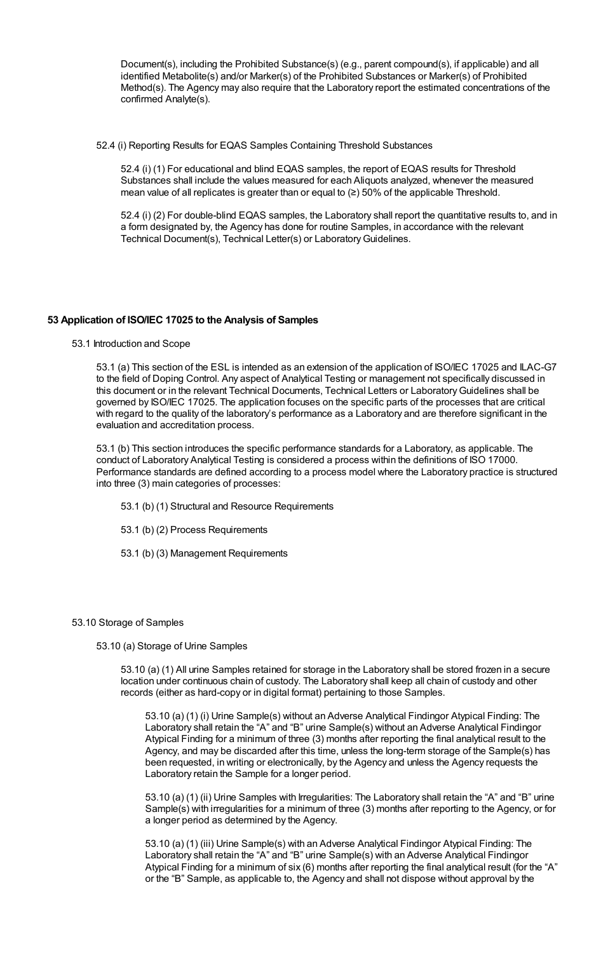Document(s), including the Prohibited Substance(s) (e.g., parent compound(s), if applicable) and all identified Metabolite(s) and/or Marker(s) of the Prohibited Substances or Marker(s) of Prohibited Method(s). The Agency may also require that the Laboratory report the estimated concentrations of the confirmed Analyte(s).

52.4 (i) Reporting Results for EQAS Samples Containing Threshold Substances

52.4 (i) (1) For educational and blind EQAS samples, the report of EQAS results for Threshold Substances shall include the values measured for each Aliquots analyzed, whenever the measured mean value of all replicates is greater than or equal to (≥) 50% of the applicable Threshold.

52.4 (i) (2) For double-blind EQAS samples, the Laboratory shall report the quantitative results to, and in a form designated by, the Agency has done for routine Samples, in accordance with the relevant Technical Document(s), Technical Letter(s) or LaboratoryGuidelines.

# **53 Application of ISO/IEC 17025 to the Analysis of Samples**

53.1 Introduction and Scope

53.1 (a) This section of the ESL is intended as an extension of the application of ISO/IEC 17025 and ILAC-G7 to the field of Doping Control. Any aspect of Analytical Testing or management not specifically discussed in this document or in the relevant Technical Documents, Technical Letters or LaboratoryGuidelines shall be governed by ISO/IEC 17025. The application focuses on the specific parts of the processes that are critical with regard to the quality of the laboratory's performance as a Laboratory and are therefore significant in the evaluation and accreditation process.

53.1 (b) This section introduces the specific performance standards for a Laboratory, as applicable. The conduct of Laboratory Analytical Testing is considered a process within the definitions of ISO 17000. Performance standards are defined according to a process model where the Laboratory practice is structured into three (3) main categories of processes:

- 53.1 (b) (1) Structural and Resource Requirements
- 53.1 (b) (2) Process Requirements
- 53.1 (b) (3) Management Requirements

### 53.10 Storage of Samples

53.10 (a) Storage of Urine Samples

53.10 (a) (1) All urine Samples retained for storage in the Laboratory shall be stored frozen in a secure location under continuous chain of custody. The Laboratory shall keep all chain of custody and other records (either as hard-copy or in digital format) pertaining to those Samples.

53.10 (a) (1) (i) Urine Sample(s) without an Adverse Analytical Findingor Atypical Finding: The Laboratory shall retain the "A" and "B" urine Sample(s) without an Adverse Analytical Findingor Atypical Finding for a minimum of three (3) months after reporting the final analytical result to the Agency, and may be discarded after this time, unless the long-term storage of the Sample(s) has been requested, in writing or electronically, by the Agency and unless the Agency requests the Laboratory retain the Sample for a longer period.

53.10 (a) (1) (ii) Urine Samples with Irregularities: The Laboratory shall retain the "A" and "B" urine Sample(s) with irregularities for a minimum of three (3) months after reporting to the Agency, or for a longer period as determined by the Agency.

53.10 (a) (1) (iii) Urine Sample(s) with an Adverse Analytical Findingor Atypical Finding: The Laboratory shall retain the "A" and "B" urine Sample(s) with an Adverse Analytical Findingor Atypical Finding for a minimum of six (6) months after reporting the final analytical result (for the "A" or the "B" Sample, as applicable to, the Agency and shall not dispose without approval by the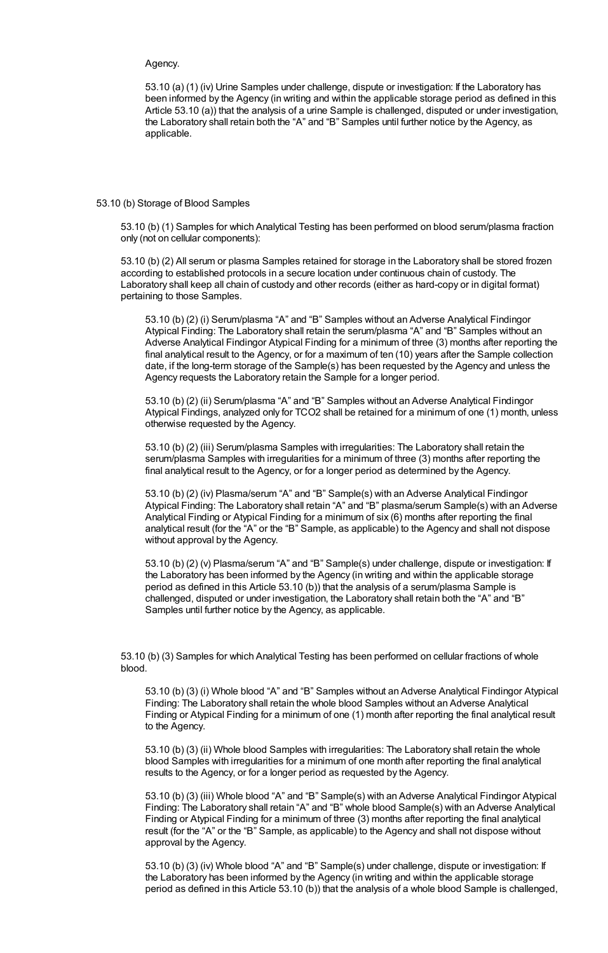# Agency.

53.10 (a) (1) (iv) Urine Samples under challenge, dispute or investigation: If the Laboratory has been informed by the Agency (in writing and within the applicable storage period as defined in this Article 53.10 (a)) that the analysis of a urine Sample is challenged, disputed or under investigation, the Laboratory shall retain both the "A" and "B" Samples until further notice by the Agency, as applicable.

### 53.10 (b) Storage of Blood Samples

53.10 (b) (1) Samples for which Analytical Testing has been performed on blood serum/plasma fraction only (not on cellular components):

53.10 (b) (2) All serum or plasma Samples retained for storage in the Laboratory shall be stored frozen according to established protocols in a secure location under continuous chain of custody. The Laboratory shall keep all chain of custody and other records (either as hard-copy or in digital format) pertaining to those Samples.

53.10 (b) (2) (i) Serum/plasma "A" and "B" Samples without an Adverse Analytical Findingor Atypical Finding: The Laboratory shall retain the serum/plasma "A" and "B" Samples without an Adverse Analytical Findingor Atypical Finding for a minimum of three (3) months after reporting the final analytical result to the Agency, or for a maximum of ten (10) years after the Sample collection date, if the long-term storage of the Sample(s) has been requested by the Agency and unless the Agency requests the Laboratory retain the Sample for a longer period.

53.10 (b) (2) (ii) Serum/plasma "A" and "B" Samples without an Adverse Analytical Findingor Atypical Findings, analyzed only for TCO2 shall be retained for a minimum of one (1) month, unless otherwise requested by the Agency.

53.10 (b) (2) (iii) Serum/plasma Samples with irregularities: The Laboratory shall retain the serum/plasma Samples with irregularities for a minimum of three (3) months after reporting the final analytical result to the Agency, or for a longer period as determined by the Agency.

53.10 (b) (2) (iv) Plasma/serum "A" and "B" Sample(s) with an Adverse Analytical Findingor Atypical Finding: The Laboratory shall retain "A" and "B" plasma/serum Sample(s) with an Adverse Analytical Finding or Atypical Finding for a minimum of six (6) months after reporting the final analytical result (for the "A" or the "B" Sample, as applicable) to the Agency and shall not dispose without approval by the Agency.

53.10 (b) (2) (v) Plasma/serum "A" and "B" Sample(s) under challenge, dispute or investigation: If the Laboratory has been informed by the Agency (in writing and within the applicable storage period as defined in this Article 53.10 (b)) that the analysis of a serum/plasma Sample is challenged, disputed or under investigation, the Laboratory shall retain both the "A" and "B" Samples until further notice by the Agency, as applicable.

53.10 (b) (3) Samples for which Analytical Testing has been performed on cellular fractions of whole blood.

53.10 (b) (3) (i) Whole blood "A" and "B" Samples without an Adverse Analytical Findingor Atypical Finding: The Laboratory shall retain the whole blood Samples without an Adverse Analytical Finding or Atypical Finding for a minimum of one (1) month after reporting the final analytical result to the Agency.

53.10 (b) (3) (ii) Whole blood Samples with irregularities: The Laboratory shall retain the whole blood Samples with irregularities for a minimum of one month after reporting the final analytical results to the Agency, or for a longer period as requested by the Agency.

53.10 (b) (3) (iii) Whole blood "A" and "B" Sample(s) with an Adverse Analytical Findingor Atypical Finding: The Laboratory shall retain "A" and "B" whole blood Sample(s) with an Adverse Analytical Finding or Atypical Finding for a minimum of three (3) months after reporting the final analytical result (for the "A" or the "B" Sample, as applicable) to the Agency and shall not dispose without approval by the Agency.

53.10 (b) (3) (iv) Whole blood "A" and "B" Sample(s) under challenge, dispute or investigation: If the Laboratory has been informed by the Agency (in writing and within the applicable storage period as defined in this Article 53.10 (b)) that the analysis of a whole blood Sample is challenged,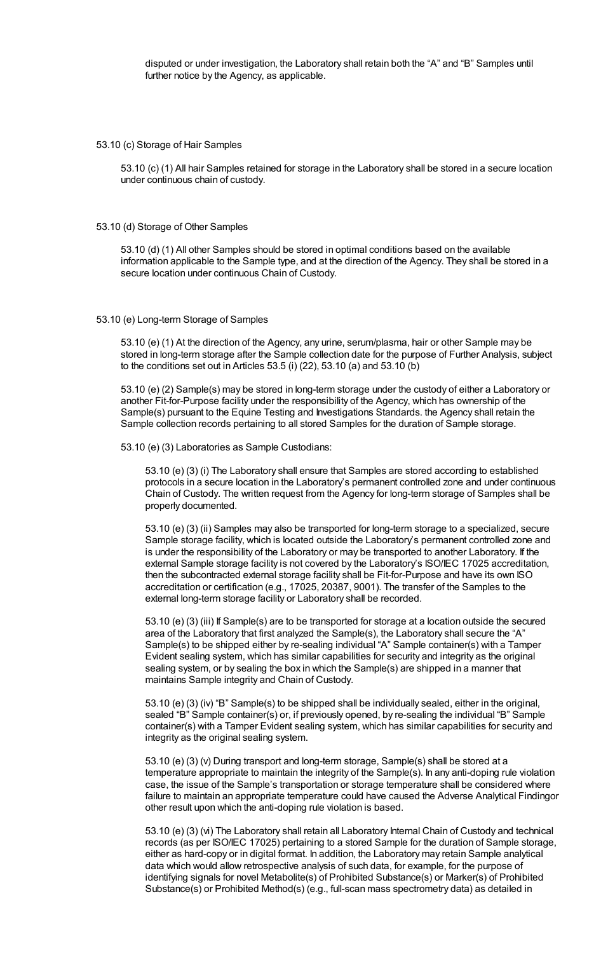disputed or under investigation, the Laboratory shall retain both the "A" and "B" Samples until further notice by the Agency, as applicable.

53.10 (c) Storage of Hair Samples

53.10 (c) (1) All hair Samples retained for storage in the Laboratory shall be stored in a secure location under continuous chain of custody.

53.10 (d) Storage of Other Samples

53.10 (d) (1) All other Samples should be stored in optimal conditions based on the available information applicable to the Sample type, and at the direction of the Agency. They shall be stored in a secure location under continuous Chain of Custody.

## 53.10 (e) Long-term Storage of Samples

53.10 (e) (1) At the direction of the Agency, any urine, serum/plasma, hair or other Sample may be stored in long-term storage after the Sample collection date for the purpose of Further Analysis, subject to the conditions set out in Articles 53.5 (i) (22), 53.10 (a) and 53.10 (b)

53.10 (e) (2) Sample(s) may be stored in long-term storage under the custody of either a Laboratory or another Fit-for-Purpose facility under the responsibility of the Agency, which has ownership of the Sample(s) pursuant to the Equine Testing and Investigations Standards. the Agency shall retain the Sample collection records pertaining to all stored Samples for the duration of Sample storage.

53.10 (e) (3) Laboratories as Sample Custodians:

53.10 (e) (3) (i) The Laboratory shall ensure that Samples are stored according to established protocols in a secure location in the Laboratory's permanent controlled zone and under continuous Chain of Custody. The written request from the Agency for long-term storage of Samples shall be properly documented.

53.10 (e) (3) (ii) Samples may also be transported for long-term storage to a specialized, secure Sample storage facility, which is located outside the Laboratory's permanent controlled zone and is under the responsibility of the Laboratory or may be transported to another Laboratory. If the external Sample storage facility is not covered by the Laboratory's ISO/IEC 17025 accreditation, then the subcontracted external storage facility shall be Fit-for-Purpose and have its own ISO accreditation or certification (e.g., 17025, 20387, 9001). The transfer of the Samples to the external long-term storage facility or Laboratory shall be recorded.

53.10 (e) (3) (iii) If Sample(s) are to be transported for storage at a location outside the secured area of the Laboratory that first analyzed the Sample(s), the Laboratory shall secure the "A" Sample(s) to be shipped either by re-sealing individual "A" Sample container(s) with a Tamper Evident sealing system, which has similar capabilities for security and integrity as the original sealing system, or by sealing the box in which the Sample(s) are shipped in a manner that maintains Sample integrity and Chain of Custody.

53.10 (e) (3) (iv) "B" Sample(s) to be shipped shall be individually sealed, either in the original, sealed "B" Sample container(s) or, if previously opened, by re-sealing the individual "B" Sample container(s) with a Tamper Evident sealing system, which has similar capabilities for security and integrity as the original sealing system.

53.10 (e) (3) (v) During transport and long-term storage, Sample(s) shall be stored at a temperature appropriate to maintain the integrity of the Sample(s). In any anti-doping rule violation case, the issue of the Sample's transportation or storage temperature shall be considered where failure to maintain an appropriate temperature could have caused the Adverse Analytical Findingor other result upon which the anti-doping rule violation is based.

53.10 (e) (3) (vi) The Laboratory shall retain all Laboratory Internal Chain of Custody and technical records (as per ISO/IEC 17025) pertaining to a stored Sample for the duration of Sample storage, either as hard-copy or in digital format. In addition, the Laboratory may retain Sample analytical data which would allow retrospective analysis of such data, for example, for the purpose of identifying signals for novel Metabolite(s) of Prohibited Substance(s) or Marker(s) of Prohibited Substance(s) or Prohibited Method(s) (e.g., full-scan mass spectrometry data) as detailed in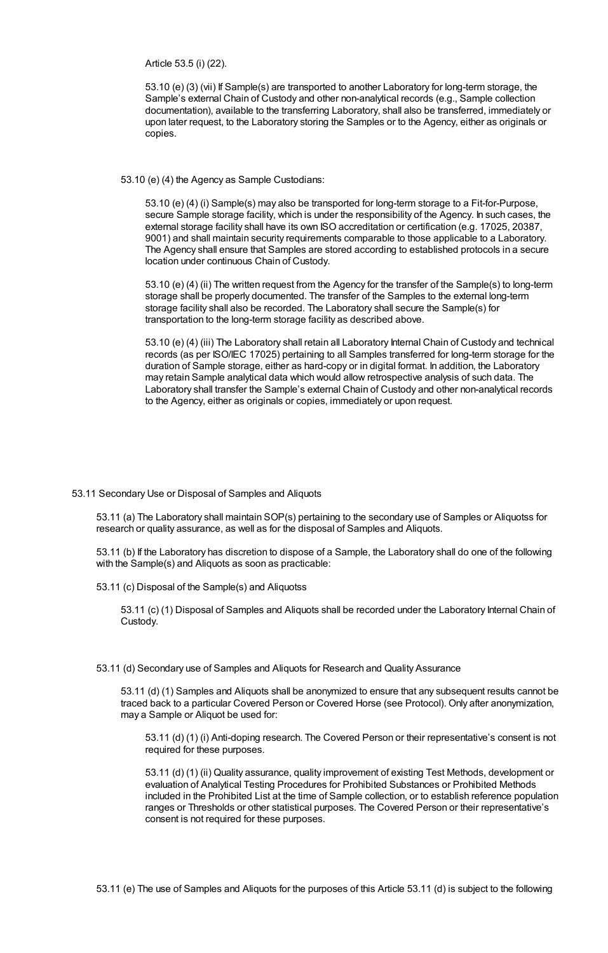Article 53.5 (i) (22).

53.10 (e) (3) (vii) If Sample(s) are transported to another Laboratory for long-term storage, the Sample's external Chain of Custody and other non-analytical records (e.g., Sample collection documentation), available to the transferring Laboratory, shall also be transferred, immediately or upon later request, to the Laboratory storing the Samples or to the Agency, either as originals or copies.

53.10 (e) (4) the Agency as Sample Custodians:

53.10 (e) (4) (i) Sample(s) may also be transported for long-term storage to a Fit-for-Purpose, secure Sample storage facility, which is under the responsibility of the Agency. In such cases, the external storage facility shall have its own ISO accreditation or certification (e.g. 17025, 20387, 9001) and shall maintain security requirements comparable to those applicable to a Laboratory. The Agency shall ensure that Samples are stored according to established protocols in a secure location under continuous Chain of Custody.

53.10 (e) (4) (ii) The written request from the Agency for the transfer of the Sample(s) to long-term storage shall be properly documented. The transfer of the Samples to the external long-term storage facility shall also be recorded. The Laboratory shall secure the Sample(s) for transportation to the long-term storage facility as described above.

53.10 (e) (4) (iii) The Laboratory shall retain all Laboratory Internal Chain of Custody and technical records (as per ISO/IEC 17025) pertaining to all Samples transferred for long-term storage for the duration of Sample storage, either as hard-copy or in digital format. In addition, the Laboratory may retain Sample analytical data which would allow retrospective analysis of such data. The Laboratory shall transfer the Sample's external Chain of Custody and other non-analytical records to the Agency, either as originals or copies, immediately or upon request.

### 53.11 Secondary Use or Disposal of Samples and Aliquots

53.11 (a) The Laboratory shall maintain SOP(s) pertaining to the secondary use of Samples or Aliquotss for research or quality assurance, as well as for the disposal of Samples and Aliquots.

53.11 (b) If the Laboratory has discretion to dispose of a Sample, the Laboratory shall do one of the following with the Sample(s) and Aliquots as soon as practicable:

53.11 (c) Disposal of the Sample(s) and Aliquotss

53.11 (c) (1) Disposal of Samples and Aliquots shall be recorded under the Laboratory Internal Chain of Custody.

53.11 (d) Secondary use of Samples and Aliquots for Research and Quality Assurance

53.11 (d) (1) Samples and Aliquots shall be anonymized to ensure that any subsequent results cannot be traced back to a particular Covered Person or Covered Horse (see Protocol). Only after anonymization, may a Sample or Aliquot be used for:

53.11 (d) (1) (i) Anti-doping research. The Covered Person or their representative's consent is not required for these purposes.

53.11 (d) (1) (ii) Quality assurance, quality improvement of existing Test Methods, development or evaluation of Analytical Testing Procedures for Prohibited Substances or Prohibited Methods included in the Prohibited List at the time of Sample collection, or to establish reference population ranges or Thresholds or other statistical purposes. The Covered Person or their representative's consent is not required for these purposes.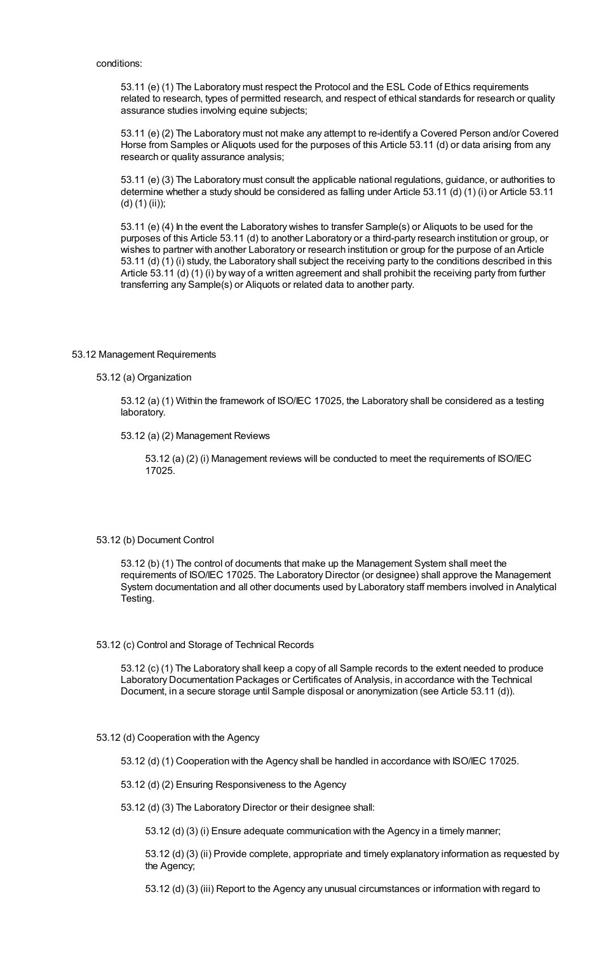conditions:

53.11 (e) (1) The Laboratory must respect the Protocol and the ESL Code of Ethics requirements related to research, types of permitted research, and respect of ethical standards for research or quality assurance studies involving equine subjects;

53.11 (e) (2) The Laboratory must not make any attempt to re-identify a Covered Person and/or Covered Horse from Samples or Aliquots used for the purposes of this Article 53.11 (d) or data arising from any research or quality assurance analysis;

53.11 (e) (3) The Laboratory must consult the applicable national regulations, guidance, or authorities to determine whether a study should be considered as falling under Article 53.11 (d) (1) (i) or Article 53.11 (d) (1) (ii));

53.11 (e) (4) In the event the Laboratory wishes to transfer Sample(s) or Aliquots to be used for the purposes of this Article 53.11 (d) to another Laboratory or a third-party research institution or group, or wishes to partner with another Laboratory or research institution or group for the purpose of an Article 53.11 (d) (1) (i) study, the Laboratory shall subject the receiving party to the conditions described in this Article 53.11 (d) (1) (i) by way of a written agreement and shall prohibit the receiving party from further transferring any Sample(s) or Aliquots or related data to another party.

# 53.12 Management Requirements

## 53.12 (a) Organization

53.12 (a) (1) Within the framework of ISO/IEC 17025, the Laboratory shall be considered as a testing laboratory.

53.12 (a) (2) Management Reviews

53.12 (a) (2) (i) Management reviews will be conducted to meet the requirements of ISO/IEC 17025.

## 53.12 (b) Document Control

53.12 (b) (1) The control of documents that make up the Management System shall meet the requirements of ISO/IEC 17025. The Laboratory Director (or designee) shall approve the Management System documentation and all other documents used by Laboratory staff members involved in Analytical Testing.

### 53.12 (c) Control and Storage of Technical Records

53.12 (c) (1) The Laboratory shall keep a copy of all Sample records to the extent needed to produce Laboratory Documentation Packages or Certificates of Analysis, in accordance with the Technical Document, in a secure storage until Sample disposal or anonymization (see Article 53.11 (d)).

## 53.12 (d) Cooperation with the Agency

53.12 (d) (1) Cooperation with the Agency shall be handled in accordance with ISO/IEC 17025.

53.12 (d) (2) Ensuring Responsiveness to the Agency

53.12 (d) (3) The Laboratory Director or their designee shall:

53.12 (d) (3) (i) Ensure adequate communication with the Agency in a timely manner;

53.12 (d) (3) (ii) Provide complete, appropriate and timely explanatory information as requested by the Agency;

53.12 (d) (3) (iii) Report to the Agency any unusual circumstances or information with regard to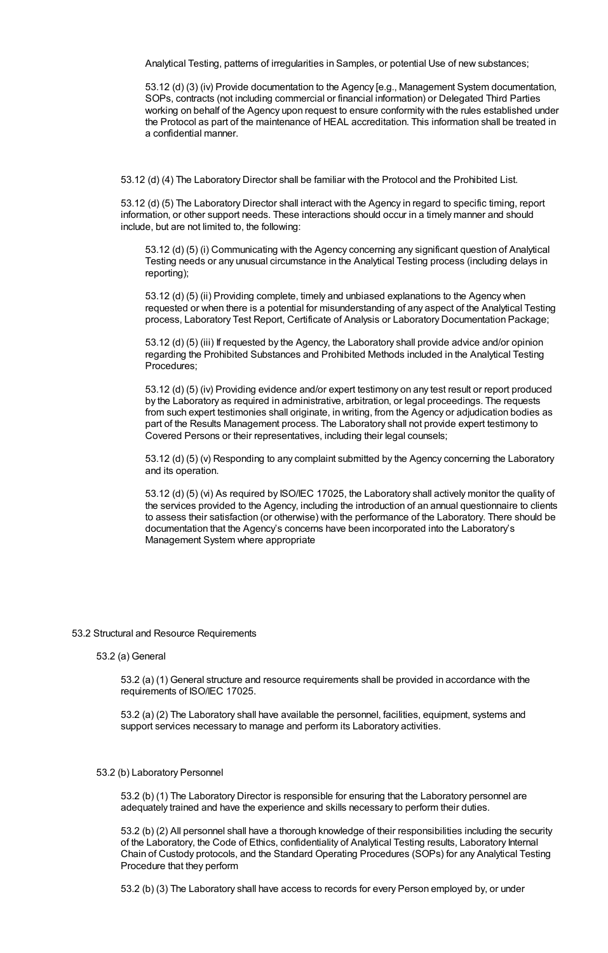Analytical Testing, patterns of irregularities in Samples, or potential Use of new substances;

53.12 (d) (3) (iv) Provide documentation to the Agency [e.g., Management System documentation, SOPs, contracts (not including commercial or financial information) or Delegated Third Parties working on behalf of the Agency upon request to ensure conformity with the rules established under the Protocol as part of the maintenance of HEAL accreditation. This information shall be treated in a confidential manner.

53.12 (d) (4) The Laboratory Director shall be familiar with the Protocol and the Prohibited List.

53.12 (d) (5) The Laboratory Director shall interact with the Agency in regard to specific timing, report information, or other support needs. These interactions should occur in a timely manner and should include, but are not limited to, the following:

53.12 (d) (5) (i) Communicating with the Agency concerning any significant question of Analytical Testing needs or any unusual circumstance in the Analytical Testing process (including delays in reporting);

53.12 (d) (5) (ii) Providing complete, timely and unbiased explanations to the Agency when requested or when there is a potential for misunderstanding of any aspect of the Analytical Testing process, Laboratory Test Report, Certificate of Analysis or Laboratory Documentation Package;

53.12 (d) (5) (iii) If requested by the Agency, the Laboratory shall provide advice and/or opinion regarding the Prohibited Substances and Prohibited Methods included in the Analytical Testing Procedures;

53.12 (d) (5) (iv) Providing evidence and/or expert testimony on any test result or report produced by the Laboratory as required in administrative, arbitration, or legal proceedings. The requests from such expert testimonies shall originate, in writing, from the Agency or adjudication bodies as part of the Results Management process. The Laboratory shall not provide expert testimony to Covered Persons or their representatives, including their legal counsels;

53.12 (d) (5) (v) Responding to any complaint submitted by the Agency concerning the Laboratory and its operation.

53.12 (d) (5) (vi) As required by ISO/IEC 17025, the Laboratory shall actively monitor the quality of the services provided to the Agency, including the introduction of an annual questionnaire to clients to assess their satisfaction (or otherwise) with the performance of the Laboratory. There should be documentation that the Agency's concerns have been incorporated into the Laboratory's Management System where appropriate

### 53.2 Structural and Resource Requirements

53.2 (a) General

53.2 (a) (1) General structure and resource requirements shall be provided in accordance with the requirements of ISO/IEC 17025.

53.2 (a) (2) The Laboratory shall have available the personnel, facilities, equipment, systems and support services necessary to manage and perform its Laboratory activities.

## 53.2 (b) Laboratory Personnel

53.2 (b) (1) The Laboratory Director is responsible for ensuring that the Laboratory personnel are adequately trained and have the experience and skills necessary to perform their duties.

53.2 (b) (2) All personnel shall have a thorough knowledge of their responsibilities including the security of the Laboratory, the Code of Ethics, confidentiality of Analytical Testing results, Laboratory Internal Chain of Custody protocols, and the Standard Operating Procedures (SOPs) for any Analytical Testing Procedure that they perform

53.2 (b) (3) The Laboratory shall have access to records for every Person employed by, or under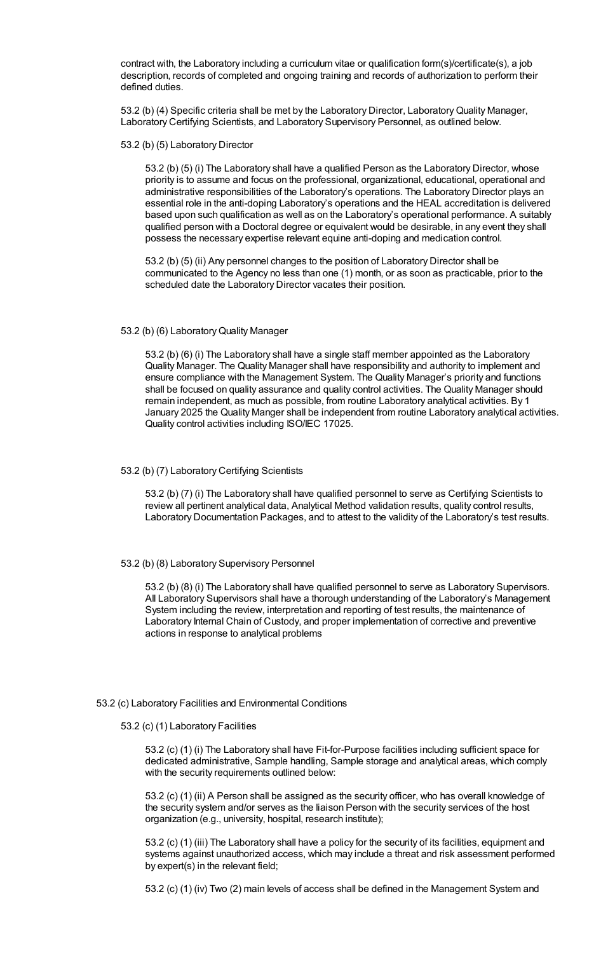contract with, the Laboratory including a curriculum vitae or qualification form(s)/certificate(s), a job description, records of completed and ongoing training and records of authorization to perform their defined duties.

53.2 (b) (4) Specific criteria shall be met by the Laboratory Director, LaboratoryQuality Manager, Laboratory Certifying Scientists, and Laboratory Supervisory Personnel, as outlined below.

53.2 (b) (5) Laboratory Director

53.2 (b) (5) (i) The Laboratory shall have a qualified Person as the Laboratory Director, whose priority is to assume and focus on the professional, organizational, educational, operational and administrative responsibilities of the Laboratory's operations. The Laboratory Director plays an essential role in the anti-doping Laboratory's operations and the HEAL accreditation is delivered based upon such qualification as well as on the Laboratory's operational performance. A suitably qualified person with a Doctoral degree or equivalent would be desirable, in any event they shall possess the necessary expertise relevant equine anti-doping and medication control.

53.2 (b) (5) (ii) Any personnel changes to the position of Laboratory Director shall be communicated to the Agency no less than one (1) month, or as soon as practicable, prior to the scheduled date the Laboratory Director vacates their position.

### 53.2 (b) (6) LaboratoryQuality Manager

53.2 (b) (6) (i) The Laboratory shall have a single staff member appointed as the Laboratory Quality Manager. The Quality Manager shall have responsibility and authority to implement and ensure compliance with the Management System. The Quality Manager's priority and functions shall be focused on quality assurance and quality control activities. The Quality Manager should remain independent, as much as possible, from routine Laboratory analytical activities. By 1 January 2025 the Quality Manger shall be independent from routine Laboratory analytical activities. Quality control activities including ISO/IEC 17025.

## 53.2 (b) (7) Laboratory Certifying Scientists

53.2 (b) (7) (i) The Laboratory shall have qualified personnel to serve as Certifying Scientists to review all pertinent analytical data, Analytical Method validation results, quality control results, Laboratory Documentation Packages, and to attest to the validity of the Laboratory's test results.

## 53.2 (b) (8) Laboratory Supervisory Personnel

53.2 (b) (8) (i) The Laboratory shall have qualified personnel to serve as Laboratory Supervisors. All Laboratory Supervisors shall have a thorough understanding of the Laboratory's Management System including the review, interpretation and reporting of test results, the maintenance of Laboratory Internal Chain of Custody, and proper implementation of corrective and preventive actions in response to analytical problems

## 53.2 (c) Laboratory Facilities and Environmental Conditions

#### 53.2 (c) (1) Laboratory Facilities

53.2 (c) (1) (i) The Laboratory shall have Fit-for-Purpose facilities including sufficient space for dedicated administrative, Sample handling, Sample storage and analytical areas, which comply with the security requirements outlined below:

53.2 (c) (1) (ii) A Person shall be assigned as the security officer, who has overall knowledge of the security system and/or serves as the liaison Person with the security services of the host organization (e.g., university, hospital, research institute);

53.2 (c) (1) (iii) The Laboratory shall have a policy for the security of its facilities, equipment and systems against unauthorized access, which may include a threat and risk assessment performed by expert(s) in the relevant field;

53.2 (c) (1) (iv) Two (2) main levels of access shall be defined in the Management System and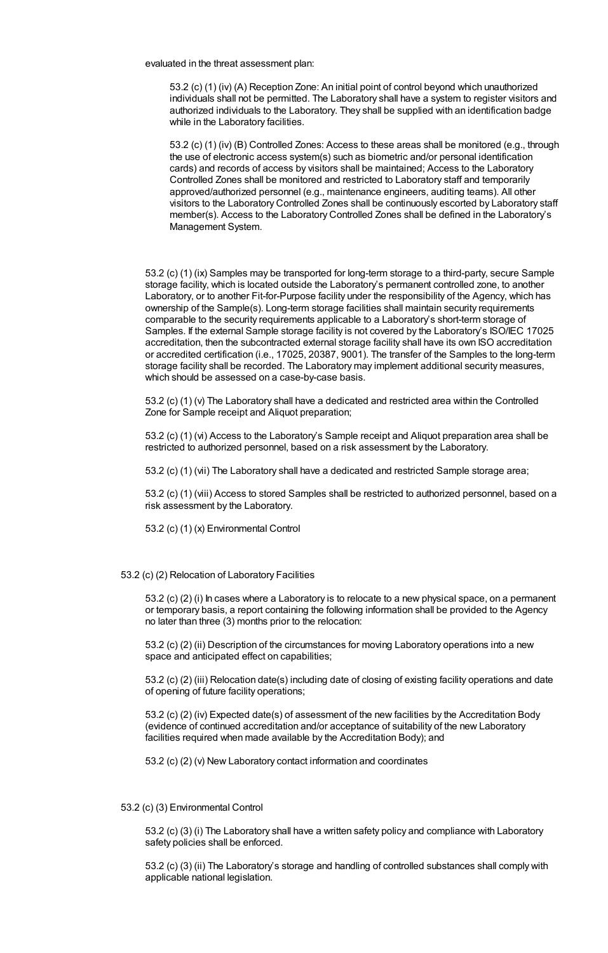evaluated in the threat assessment plan:

53.2 (c) (1) (iv) (A) Reception Zone: An initial point of control beyond which unauthorized individuals shall not be permitted. The Laboratory shall have a system to register visitors and authorized individuals to the Laboratory. They shall be supplied with an identification badge while in the Laboratory facilities.

53.2 (c) (1) (iv) (B) Controlled Zones: Access to these areas shall be monitored (e.g., through the use of electronic access system(s) such as biometric and/or personal identification cards) and records of access by visitors shall be maintained; Access to the Laboratory Controlled Zones shall be monitored and restricted to Laboratory staff and temporarily approved/authorized personnel (e.g., maintenance engineers, auditing teams). All other visitors to the Laboratory Controlled Zones shall be continuously escorted by Laboratory staff member(s). Access to the Laboratory Controlled Zones shall be defined in the Laboratory's Management System.

53.2 (c) (1) (ix) Samples may be transported for long-term storage to a third-party, secure Sample storage facility, which is located outside the Laboratory's permanent controlled zone, to another Laboratory, or to another Fit-for-Purpose facility under the responsibility of the Agency, which has ownership of the Sample(s). Long-term storage facilities shall maintain security requirements comparable to the security requirements applicable to a Laboratory's short-term storage of Samples. If the external Sample storage facility is not covered by the Laboratory's ISO/IEC 17025 accreditation, then the subcontracted external storage facility shall have its own ISO accreditation or accredited certification (i.e., 17025, 20387, 9001). The transfer of the Samples to the long-term storage facility shall be recorded. The Laboratory may implement additional security measures, which should be assessed on a case-by-case basis.

53.2 (c) (1) (v) The Laboratory shall have a dedicated and restricted area within the Controlled Zone for Sample receipt and Aliquot preparation;

53.2 (c) (1) (vi) Access to the Laboratory's Sample receipt and Aliquot preparation area shall be restricted to authorized personnel, based on a risk assessment by the Laboratory.

53.2 (c) (1) (vii) The Laboratory shall have a dedicated and restricted Sample storage area;

53.2 (c) (1) (viii) Access to stored Samples shall be restricted to authorized personnel, based on a risk assessment by the Laboratory.

53.2 (c) (1) (x) Environmental Control

#### 53.2 (c) (2) Relocation of Laboratory Facilities

53.2 (c) (2) (i) In cases where a Laboratory is to relocate to a new physical space, on a permanent or temporary basis, a report containing the following information shall be provided to the Agency no later than three (3) months prior to the relocation:

53.2 (c) (2) (ii) Description of the circumstances for moving Laboratory operations into a new space and anticipated effect on capabilities;

53.2 (c) (2) (iii) Relocation date(s) including date of closing of existing facility operations and date of opening of future facility operations;

53.2 (c) (2) (iv) Expected date(s) of assessment of the new facilities by the Accreditation Body (evidence of continued accreditation and/or acceptance of suitability of the new Laboratory facilities required when made available by the Accreditation Body); and

53.2 (c) (2) (v) New Laboratory contact information and coordinates

## 53.2 (c) (3) Environmental Control

53.2 (c) (3) (i) The Laboratory shall have a written safety policy and compliance with Laboratory safety policies shall be enforced.

53.2 (c) (3) (ii) The Laboratory's storage and handling of controlled substances shall comply with applicable national legislation.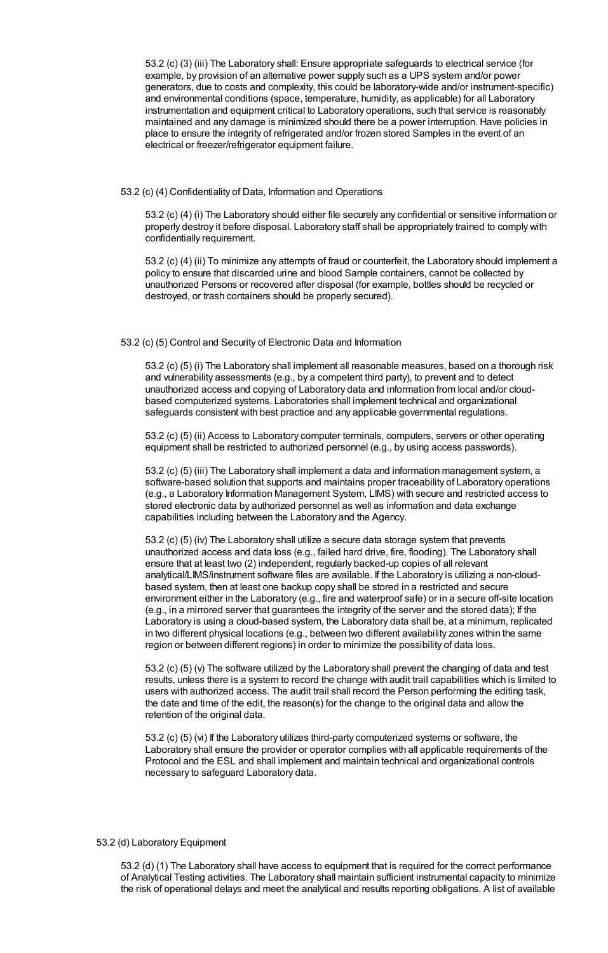53.2 (c) (3) (iii) The Laboratory shall: Ensure appropriate safeguards to electrical service (for example, by provision of an alternative power supply such as a UPS system and/or power generators, due to costs and complexity, this could be laboratory-wide and/or instrument-specific) and environmental conditions (space, temperature, humidity, as applicable) for all Laboratory instrumentation and equipment critical to Laboratory operations, such that service is reasonably maintained and any damage is minimized should there be a power interruption. Have policies in place to ensure the integrity of refrigerated and/or frozen stored Samples in the event of an electrical or freezer/refrigerator equipment failure.

53.2 (c) (4) Confidentiality of Data, Information and Operations

53.2 (c) (4) (i) The Laboratory should either file securely any confidential or sensitive information or properly destroy it before disposal. Laboratory staff shall be appropriately trained to comply with confidentially requirement.

53.2 (c) (4) (ii) To minimize any attempts of fraud or counterfeit, the Laboratory should implement a policy to ensure that discarded urine and blood Sample containers, cannot be collected by unauthorized Persons or recovered after disposal (for example, bottles should be recycled or destroyed, or trash containers should be properly secured).

### 53.2 (c) (5) Control and Security of Electronic Data and Information

53.2 (c) (5) (i) The Laboratory shall implement all reasonable measures, based on a thorough risk and vulnerability assessments (e.g., by a competent third party), to prevent and to detect unauthorized access and copying of Laboratory data and information from local and/or cloudbased computerized systems. Laboratories shall implement technical and organizational safeguards consistent with best practice and any applicable governmental regulations.

53.2 (c) (5) (ii) Access to Laboratory computer terminals, computers, servers or other operating equipment shall be restricted to authorized personnel (e.g., by using access passwords).

53.2 (c) (5) (iii) The Laboratory shall implement a data and information management system, a software-based solution that supports and maintains proper traceability of Laboratory operations (e.g., a Laboratory Information Management System, LIMS) with secure and restricted access to stored electronic data by authorized personnel as well as information and data exchange capabilities including between the Laboratory and the Agency.

53.2 (c) (5) (iv) The Laboratory shall utilize a secure data storage system that prevents unauthorized access and data loss (e.g., failed hard drive, fire, flooding). The Laboratory shall ensure that at least two (2) independent, regularly backed-up copies of all relevant analytical/LIMS/instrument software files are available. If the Laboratory is utilizing a non-cloudbased system, then at least one backup copy shall be stored in a restricted and secure environment either in the Laboratory (e.g., fire and waterproof safe) or in a secure off-site location (e.g., in a mirrored server that guarantees the integrity of the server and the stored data); If the Laboratory is using a cloud-based system, the Laboratory data shall be, at a minimum, replicated in two different physical locations (e.g., between two different availability zones within the same region or between different regions) in order to minimize the possibility of data loss.

53.2 (c) (5) (v) The software utilized by the Laboratory shall prevent the changing of data and test results, unless there is a system to record the change with audit trail capabilities which is limited to users with authorized access. The audit trail shall record the Person performing the editing task, the date and time of the edit, the reason(s) for the change to the original data and allow the retention of the original data.

53.2 (c) (5) (vi) If the Laboratory utilizes third-party computerized systems or software, the Laboratory shall ensure the provider or operator complies with all applicable requirements of the Protocol and the ESL and shall implement and maintain technical and organizational controls necessary to safeguard Laboratory data.

## 53.2 (d) Laboratory Equipment

53.2 (d) (1) The Laboratory shall have access to equipment that is required for the correct performance of Analytical Testing activities. The Laboratory shall maintain sufficient instrumental capacity to minimize the risk of operational delays and meet the analytical and results reporting obligations. A list of available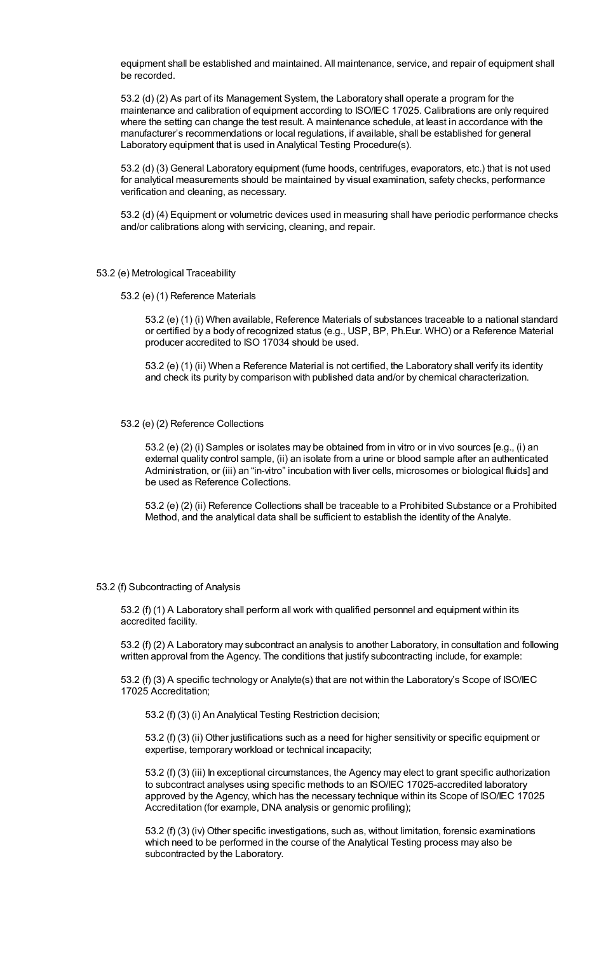equipment shall be established and maintained. All maintenance, service, and repair of equipment shall be recorded.

53.2 (d) (2) As part of its Management System, the Laboratory shall operate a program for the maintenance and calibration of equipment according to ISO/IEC 17025. Calibrations are only required where the setting can change the test result. A maintenance schedule, at least in accordance with the manufacturer's recommendations or local regulations, if available, shall be established for general Laboratory equipment that is used in Analytical Testing Procedure(s).

53.2 (d) (3) General Laboratory equipment (fume hoods, centrifuges, evaporators, etc.) that is not used for analytical measurements should be maintained by visual examination, safety checks, performance verification and cleaning, as necessary.

53.2 (d) (4) Equipment or volumetric devices used in measuring shall have periodic performance checks and/or calibrations along with servicing, cleaning, and repair.

## 53.2 (e) Metrological Traceability

53.2 (e) (1) Reference Materials

53.2 (e) (1) (i) When available, Reference Materials of substances traceable to a national standard or certified by a body of recognized status (e.g., USP, BP, Ph.Eur. WHO) or a Reference Material producer accredited to ISO 17034 should be used.

53.2 (e) (1) (ii) When a Reference Material is not certified, the Laboratory shall verify its identity and check its purity by comparison with published data and/or by chemical characterization.

#### 53.2 (e) (2) Reference Collections

53.2 (e) (2) (i) Samples or isolates may be obtained from in vitro or in vivo sources [e.g., (i) an external quality control sample, (ii) an isolate from a urine or blood sample after an authenticated Administration, or (iii) an "in-vitro" incubation with liver cells, microsomes or biological fluids] and be used as Reference Collections.

53.2 (e) (2) (ii) Reference Collections shall be traceable to a Prohibited Substance or a Prohibited Method, and the analytical data shall be sufficient to establish the identity of the Analyte.

53.2 (f) Subcontracting of Analysis

53.2 (f) (1) A Laboratory shall perform all work with qualified personnel and equipment within its accredited facility.

53.2 (f) (2) A Laboratory may subcontract an analysis to another Laboratory, in consultation and following written approval from the Agency. The conditions that justify subcontracting include, for example:

53.2 (f) (3) A specific technology or Analyte(s) that are not within the Laboratory's Scope of ISO/IEC 17025 Accreditation;

53.2 (f) (3) (i) An Analytical Testing Restriction decision;

53.2 (f) (3) (ii) Other justifications such as a need for higher sensitivity or specific equipment or expertise, temporary workload or technical incapacity;

53.2 (f) (3) (iii) In exceptional circumstances, the Agency may elect to grant specific authorization to subcontract analyses using specific methods to an ISO/IEC 17025-accredited laboratory approved by the Agency, which has the necessary technique within its Scope of ISO/IEC 17025 Accreditation (for example, DNA analysis or genomic profiling);

53.2 (f) (3) (iv) Other specific investigations, such as, without limitation, forensic examinations which need to be performed in the course of the Analytical Testing process may also be subcontracted by the Laboratory.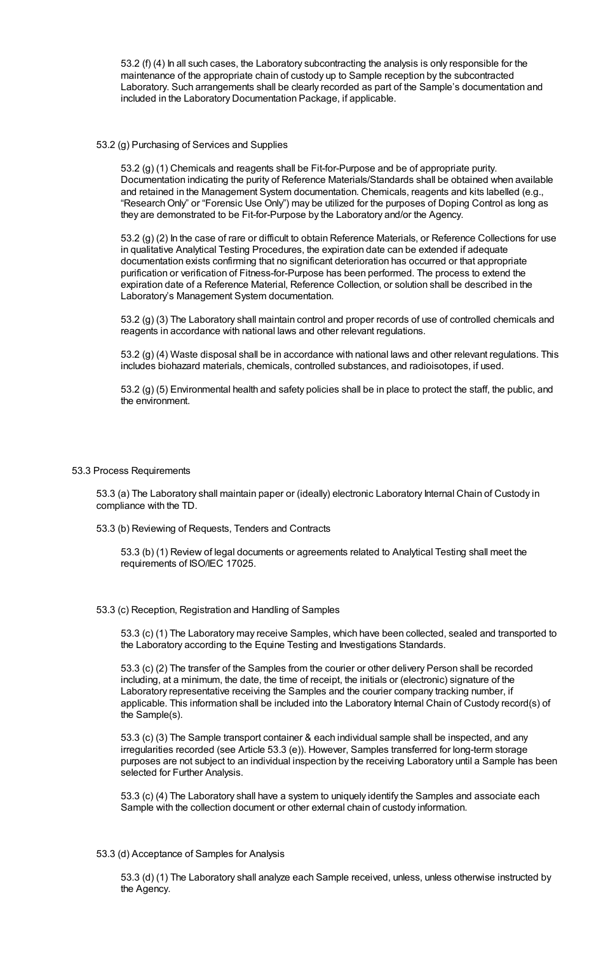53.2 (f) (4) In all such cases, the Laboratory subcontracting the analysis is only responsible for the maintenance of the appropriate chain of custody up to Sample reception by the subcontracted Laboratory. Such arrangements shall be clearly recorded as part of the Sample's documentation and included in the Laboratory Documentation Package, if applicable.

### 53.2 (g) Purchasing of Services and Supplies

53.2 (g) (1) Chemicals and reagents shall be Fit-for-Purpose and be of appropriate purity. Documentation indicating the purity of Reference Materials/Standards shall be obtained when available and retained in the Management System documentation. Chemicals, reagents and kits labelled (e.g., "ResearchOnly" or "Forensic Use Only") may be utilized for the purposes of Doping Control as long as they are demonstrated to be Fit-for-Purpose by the Laboratory and/or the Agency.

53.2 (g) (2) In the case of rare or difficult to obtain Reference Materials, or Reference Collections for use in qualitative Analytical Testing Procedures, the expiration date can be extended if adequate documentation exists confirming that no significant deterioration has occurred or that appropriate purification or verification of Fitness-for-Purpose has been performed. The process to extend the expiration date of a Reference Material, Reference Collection, or solution shall be described in the Laboratory's Management System documentation.

53.2 (g) (3) The Laboratory shall maintain control and proper records of use of controlled chemicals and reagents in accordance with national laws and other relevant regulations.

53.2 (g) (4) Waste disposal shall be in accordance with national laws and other relevant regulations. This includes biohazard materials, chemicals, controlled substances, and radioisotopes, if used.

53.2 (g) (5) Environmental health and safety policies shall be in place to protect the staff, the public, and the environment.

### 53.3 Process Requirements

53.3 (a) The Laboratory shall maintain paper or (ideally) electronic Laboratory Internal Chain of Custody in compliance with the TD.

53.3 (b) Reviewing of Requests, Tenders and Contracts

53.3 (b) (1) Review of legal documents or agreements related to Analytical Testing shall meet the requirements of ISO/IEC 17025.

# 53.3 (c) Reception, Registration and Handling of Samples

53.3 (c) (1) The Laboratory may receive Samples, which have been collected, sealed and transported to the Laboratory according to the Equine Testing and Investigations Standards.

53.3 (c) (2) The transfer of the Samples from the courier or other delivery Person shall be recorded including, at a minimum, the date, the time of receipt, the initials or (electronic) signature of the Laboratory representative receiving the Samples and the courier company tracking number, if applicable. This information shall be included into the Laboratory Internal Chain of Custody record(s) of the Sample(s).

53.3 (c) (3) The Sample transport container & each individual sample shall be inspected, and any irregularities recorded (see Article 53.3 (e)). However, Samples transferred for long-term storage purposes are not subject to an individual inspection by the receiving Laboratory until a Sample has been selected for Further Analysis.

53.3 (c) (4) The Laboratory shall have a system to uniquely identify the Samples and associate each Sample with the collection document or other external chain of custody information.

53.3 (d) Acceptance of Samples for Analysis

53.3 (d) (1) The Laboratory shall analyze each Sample received, unless, unless otherwise instructed by the Agency.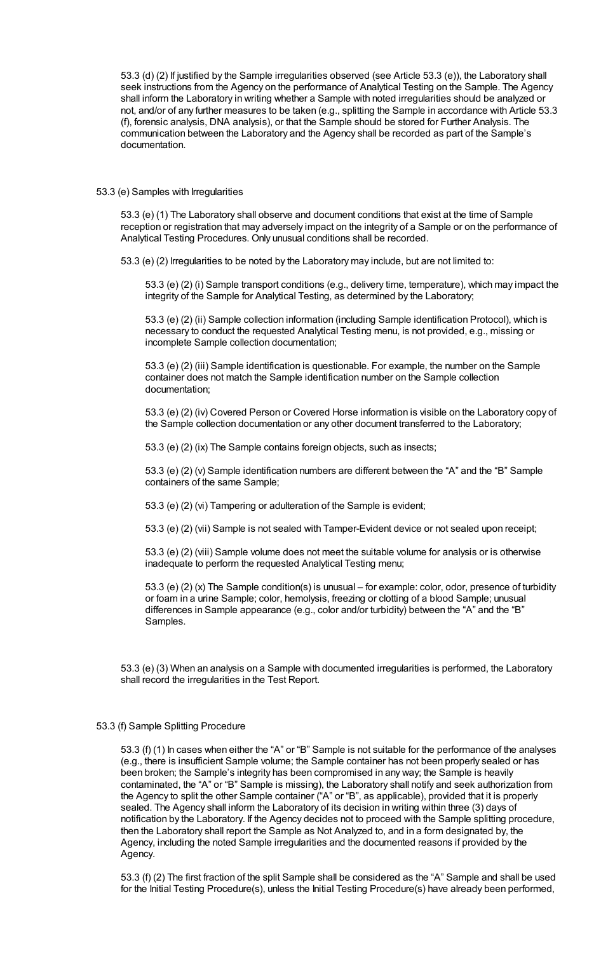53.3 (d) (2) If justified by the Sample irregularities observed (see Article 53.3 (e)), the Laboratory shall seek instructions from the Agency on the performance of Analytical Testing on the Sample. The Agency shall inform the Laboratory in writing whether a Sample with noted irregularities should be analyzed or not, and/or of any further measures to be taken (e.g., splitting the Sample in accordance with Article 53.3 (f), forensic analysis, DNA analysis), or that the Sample should be stored for Further Analysis. The communication between the Laboratory and the Agency shall be recorded as part of the Sample's documentation.

#### 53.3 (e) Samples with Irregularities

53.3 (e) (1) The Laboratory shall observe and document conditions that exist at the time of Sample reception or registration that may adversely impact on the integrity of a Sample or on the performance of Analytical Testing Procedures. Only unusual conditions shall be recorded.

53.3 (e) (2) Irregularities to be noted by the Laboratory may include, but are not limited to:

53.3 (e) (2) (i) Sample transport conditions (e.g., delivery time, temperature), which may impact the integrity of the Sample for Analytical Testing, as determined by the Laboratory;

53.3 (e) (2) (ii) Sample collection information (including Sample identification Protocol), which is necessary to conduct the requested Analytical Testing menu, is not provided, e.g., missing or incomplete Sample collection documentation;

53.3 (e) (2) (iii) Sample identification is questionable. For example, the number on the Sample container does not match the Sample identification number on the Sample collection documentation;

53.3 (e) (2) (iv) Covered Person or Covered Horse information is visible on the Laboratory copy of the Sample collection documentation or any other document transferred to the Laboratory;

53.3 (e) (2) (ix) The Sample contains foreign objects, such as insects;

53.3 (e) (2) (v) Sample identification numbers are different between the "A" and the "B" Sample containers of the same Sample;

53.3 (e) (2) (vi) Tampering or adulteration of the Sample is evident;

53.3 (e) (2) (vii) Sample is not sealed with Tamper-Evident device or not sealed upon receipt;

53.3 (e) (2) (viii) Sample volume does not meet the suitable volume for analysis or is otherwise inadequate to perform the requested Analytical Testing menu;

53.3 (e) (2) (x) The Sample condition(s) is unusual – for example: color, odor, presence of turbidity or foam in a urine Sample; color, hemolysis, freezing or clotting of a blood Sample; unusual differences in Sample appearance (e.g., color and/or turbidity) between the "A" and the "B" Samples.

53.3 (e) (3) When an analysis on a Sample with documented irregularities is performed, the Laboratory shall record the irregularities in the Test Report.

#### 53.3 (f) Sample Splitting Procedure

53.3 (f) (1) In cases when either the "A" or "B" Sample is not suitable for the performance of the analyses (e.g., there is insufficient Sample volume; the Sample container has not been properly sealed or has been broken; the Sample's integrity has been compromised in any way; the Sample is heavily contaminated, the "A" or "B" Sample is missing), the Laboratory shall notify and seek authorization from the Agency to split the other Sample container ("A" or "B", as applicable), provided that it is properly sealed. The Agency shall inform the Laboratory of its decision in writing within three (3) days of notification by the Laboratory. If the Agency decides not to proceed with the Sample splitting procedure, then the Laboratory shall report the Sample as Not Analyzed to, and in a form designated by, the Agency, including the noted Sample irregularities and the documented reasons if provided by the Agency.

53.3 (f) (2) The first fraction of the split Sample shall be considered as the "A" Sample and shall be used for the Initial Testing Procedure(s), unless the Initial Testing Procedure(s) have already been performed,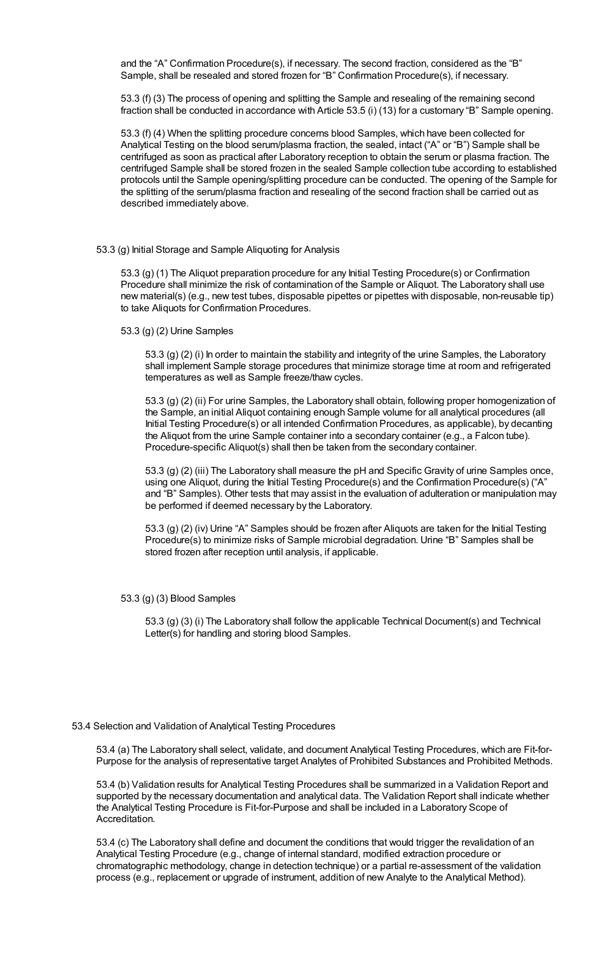and the "A" Confirmation Procedure(s), if necessary. The second fraction, considered as the "B" Sample, shall be resealed and stored frozen for "B" Confirmation Procedure(s), if necessary.

53.3 (f) (3) The process of opening and splitting the Sample and resealing of the remaining second fraction shall be conducted in accordance with Article 53.5 (i) (13) for a customary "B" Sample opening.

53.3 (f) (4) When the splitting procedure concerns blood Samples, which have been collected for Analytical Testing on the blood serum/plasma fraction, the sealed, intact ("A" or "B") Sample shall be centrifuged as soon as practical after Laboratory reception to obtain the serum or plasma fraction. The centrifuged Sample shall be stored frozen in the sealed Sample collection tube according to established protocols until the Sample opening/splitting procedure can be conducted. The opening of the Sample for the splitting of the serum/plasma fraction and resealing of the second fraction shall be carried out as described immediately above.

### 53.3 (g) Initial Storage and Sample Aliquoting for Analysis

53.3 (g) (1) The Aliquot preparation procedure for any Initial Testing Procedure(s) or Confirmation Procedure shall minimize the risk of contamination of the Sample or Aliquot. The Laboratory shall use new material(s) (e.g., new test tubes, disposable pipettes or pipettes with disposable, non-reusable tip) to take Aliquots for Confirmation Procedures.

53.3 (g) (2) Urine Samples

53.3 (g) (2) (i) In order to maintain the stability and integrity of the urine Samples, the Laboratory shall implement Sample storage procedures that minimize storage time at room and refrigerated temperatures as well as Sample freeze/thaw cycles.

53.3 (g) (2) (ii) For urine Samples, the Laboratory shall obtain, following proper homogenization of the Sample, an initial Aliquot containing enough Sample volume for all analytical procedures (all Initial Testing Procedure(s) or all intended Confirmation Procedures, as applicable), by decanting the Aliquot from the urine Sample container into a secondary container (e.g., a Falcon tube). Procedure-specific Aliquot(s) shall then be taken from the secondary container.

53.3 (g) (2) (iii) The Laboratory shall measure the pH and Specific Gravity of urine Samples once, using one Aliquot, during the Initial Testing Procedure(s) and the Confirmation Procedure(s) ("A" and "B" Samples). Other tests that may assist in the evaluation of adulteration or manipulation may be performed if deemed necessary by the Laboratory.

53.3 (g) (2) (iv) Urine "A" Samples should be frozen after Aliquots are taken for the Initial Testing Procedure(s) to minimize risks of Sample microbial degradation. Urine "B" Samples shall be stored frozen after reception until analysis, if applicable.

53.3 (g) (3) Blood Samples

53.3 (g) (3) (i) The Laboratory shall follow the applicable Technical Document(s) and Technical Letter(s) for handling and storing blood Samples.

53.4 Selection and Validation of Analytical Testing Procedures

53.4 (a) The Laboratory shall select, validate, and document Analytical Testing Procedures, which are Fit-for-Purpose for the analysis of representative target Analytes of Prohibited Substances and Prohibited Methods.

53.4 (b) Validation results for Analytical Testing Procedures shall be summarized in a Validation Report and supported by the necessary documentation and analytical data. The Validation Report shall indicate whether the Analytical Testing Procedure is Fit-for-Purpose and shall be included in a Laboratory Scope of Accreditation.

53.4 (c) The Laboratory shall define and document the conditions that would trigger the revalidation of an Analytical Testing Procedure (e.g., change of internal standard, modified extraction procedure or chromatographic methodology, change in detection technique) or a partial re-assessment of the validation process (e.g., replacement or upgrade of instrument, addition of new Analyte to the Analytical Method).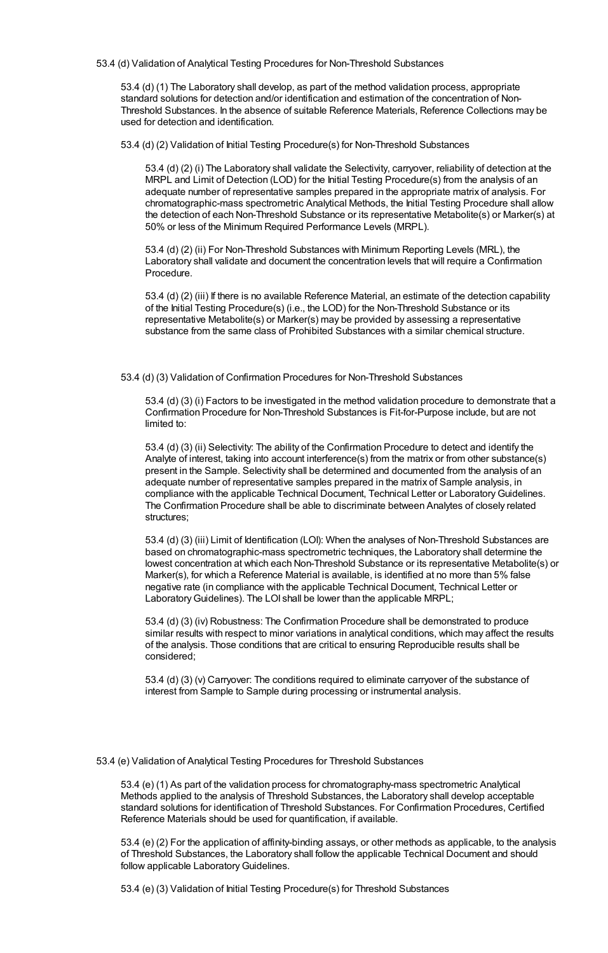53.4 (d) Validation of Analytical Testing Procedures for Non-Threshold Substances

53.4 (d) (1) The Laboratory shall develop, as part of the method validation process, appropriate standard solutions for detection and/or identification and estimation of the concentration of Non-Threshold Substances. In the absence of suitable Reference Materials, Reference Collections may be used for detection and identification.

53.4 (d) (2) Validation of Initial Testing Procedure(s) for Non-Threshold Substances

53.4 (d) (2) (i) The Laboratory shall validate the Selectivity, carryover, reliability of detection at the MRPL and Limit of Detection (LOD) for the Initial Testing Procedure(s) from the analysis of an adequate number of representative samples prepared in the appropriate matrix of analysis. For chromatographic-mass spectrometric Analytical Methods, the Initial Testing Procedure shall allow the detection of each Non-Threshold Substance or its representative Metabolite(s) or Marker(s) at 50% or less of the Minimum Required Performance Levels (MRPL).

53.4 (d) (2) (ii) For Non-Threshold Substances with Minimum Reporting Levels (MRL), the Laboratory shall validate and document the concentration levels that will require a Confirmation Procedure.

53.4 (d) (2) (iii) If there is no available Reference Material, an estimate of the detection capability of the Initial Testing Procedure(s) (i.e., the LOD) for the Non-Threshold Substance or its representative Metabolite(s) or Marker(s) may be provided by assessing a representative substance from the same class of Prohibited Substances with a similar chemical structure.

53.4 (d) (3) Validation of Confirmation Procedures for Non-Threshold Substances

53.4 (d) (3) (i) Factors to be investigated in the method validation procedure to demonstrate that a Confirmation Procedure for Non-Threshold Substances is Fit-for-Purpose include, but are not limited to:

53.4 (d) (3) (ii) Selectivity: The ability of the Confirmation Procedure to detect and identify the Analyte of interest, taking into account interference(s) from the matrix or from other substance(s) present in the Sample. Selectivity shall be determined and documented from the analysis of an adequate number of representative samples prepared in the matrix of Sample analysis, in compliance with the applicable Technical Document, Technical Letter or LaboratoryGuidelines. The Confirmation Procedure shall be able to discriminate between Analytes of closely related structures;

53.4 (d) (3) (iii) Limit of Identification (LOI): When the analyses of Non-Threshold Substances are based on chromatographic-mass spectrometric techniques, the Laboratory shall determine the lowest concentration at which each Non-Threshold Substance or its representative Metabolite(s) or Marker(s), for which a Reference Material is available, is identified at no more than 5% false negative rate (in compliance with the applicable Technical Document, Technical Letter or Laboratory Guidelines). The LOI shall be lower than the applicable MRPL;

53.4 (d) (3) (iv) Robustness: The Confirmation Procedure shall be demonstrated to produce similar results with respect to minor variations in analytical conditions, which may affect the results of the analysis. Those conditions that are critical to ensuring Reproducible results shall be considered;

53.4 (d) (3) (v) Carryover: The conditions required to eliminate carryover of the substance of interest from Sample to Sample during processing or instrumental analysis.

53.4 (e) Validation of Analytical Testing Procedures for Threshold Substances

53.4 (e) (1) As part of the validation process for chromatography-mass spectrometric Analytical Methods applied to the analysis of Threshold Substances, the Laboratory shall develop acceptable standard solutions for identification of Threshold Substances. For Confirmation Procedures, Certified Reference Materials should be used for quantification, if available.

53.4 (e) (2) For the application of affinity-binding assays, or other methods as applicable, to the analysis of Threshold Substances, the Laboratory shall follow the applicable Technical Document and should follow applicable Laboratory Guidelines.

53.4 (e) (3) Validation of Initial Testing Procedure(s) for Threshold Substances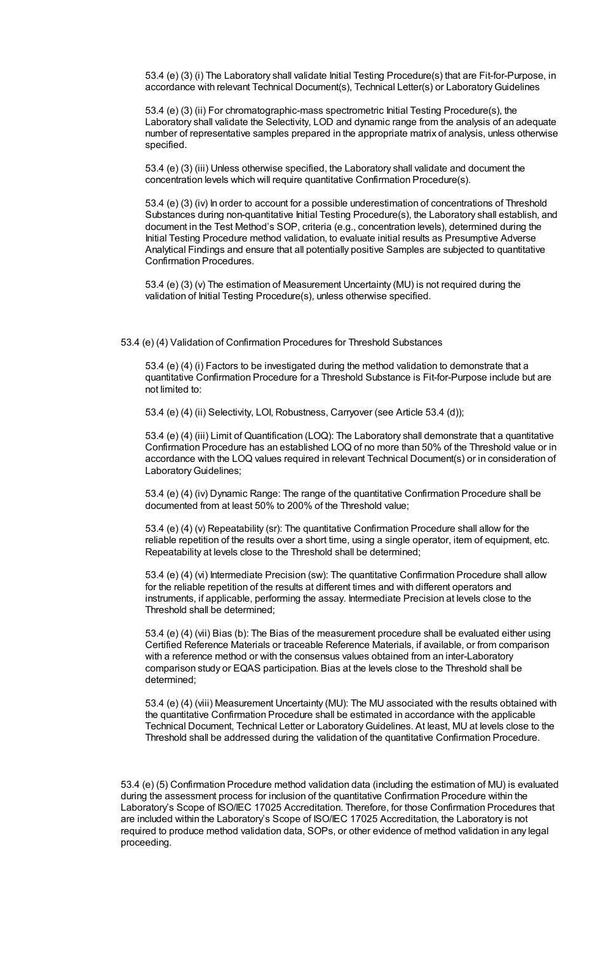53.4 (e) (3) (i) The Laboratory shall validate Initial Testing Procedure(s) that are Fit-for-Purpose, in accordance with relevant Technical Document(s), Technical Letter(s) or LaboratoryGuidelines

53.4 (e) (3) (ii) For chromatographic-mass spectrometric Initial Testing Procedure(s), the Laboratory shall validate the Selectivity, LOD and dynamic range from the analysis of an adequate number of representative samples prepared in the appropriate matrix of analysis, unless otherwise specified.

53.4 (e) (3) (iii) Unless otherwise specified, the Laboratory shall validate and document the concentration levels which will require quantitative Confirmation Procedure(s).

53.4 (e) (3) (iv) In order to account for a possible underestimation of concentrations of Threshold Substances during non-quantitative Initial Testing Procedure(s), the Laboratory shall establish, and document in the Test Method's SOP, criteria (e.g., concentration levels), determined during the Initial Testing Procedure method validation, to evaluate initial results as Presumptive Adverse Analytical Findings and ensure that all potentially positive Samples are subjected to quantitative Confirmation Procedures.

53.4 (e) (3) (v) The estimation of Measurement Uncertainty (MU) is not required during the validation of Initial Testing Procedure(s), unless otherwise specified.

53.4 (e) (4) Validation of Confirmation Procedures for Threshold Substances

53.4 (e) (4) (i) Factors to be investigated during the method validation to demonstrate that a quantitative Confirmation Procedure for a Threshold Substance is Fit-for-Purpose include but are not limited to:

53.4 (e) (4) (ii) Selectivity, LOI, Robustness, Carryover (see Article 53.4 (d));

53.4 (e) (4) (iii) Limit of Quantification (LOQ): The Laboratory shall demonstrate that a quantitative Confirmation Procedure has an established LOQ of no more than 50% of the Threshold value or in accordance with the LOQ values required in relevant Technical Document(s) or in consideration of Laboratory Guidelines;

53.4 (e) (4) (iv) Dynamic Range: The range of the quantitative Confirmation Procedure shall be documented from at least 50% to 200% of the Threshold value;

53.4 (e) (4) (v) Repeatability (sr): The quantitative Confirmation Procedure shall allow for the reliable repetition of the results over a short time, using a single operator, item of equipment, etc. Repeatability at levels close to the Threshold shall be determined;

53.4 (e) (4) (vi) Intermediate Precision (sw): The quantitative Confirmation Procedure shall allow for the reliable repetition of the results at different times and with different operators and instruments, if applicable, performing the assay. Intermediate Precision at levels close to the Threshold shall be determined;

53.4 (e) (4) (vii) Bias (b): The Bias of the measurement procedure shall be evaluated either using Certified Reference Materials or traceable Reference Materials, if available, or from comparison with a reference method or with the consensus values obtained from an inter-Laboratory comparison study or EQAS participation. Bias at the levels close to the Threshold shall be determined;

53.4 (e) (4) (viii) Measurement Uncertainty (MU): The MU associated with the results obtained with the quantitative Confirmation Procedure shall be estimated in accordance with the applicable Technical Document, Technical Letter or LaboratoryGuidelines. At least, MU at levels close to the Threshold shall be addressed during the validation of the quantitative Confirmation Procedure.

53.4 (e) (5) Confirmation Procedure method validation data (including the estimation of MU) is evaluated during the assessment process for inclusion of the quantitative Confirmation Procedure within the Laboratory's Scope of ISO/IEC 17025 Accreditation. Therefore, for those Confirmation Procedures that are included within the Laboratory's Scope of ISO/IEC 17025 Accreditation, the Laboratory is not required to produce method validation data, SOPs, or other evidence of method validation in any legal proceeding.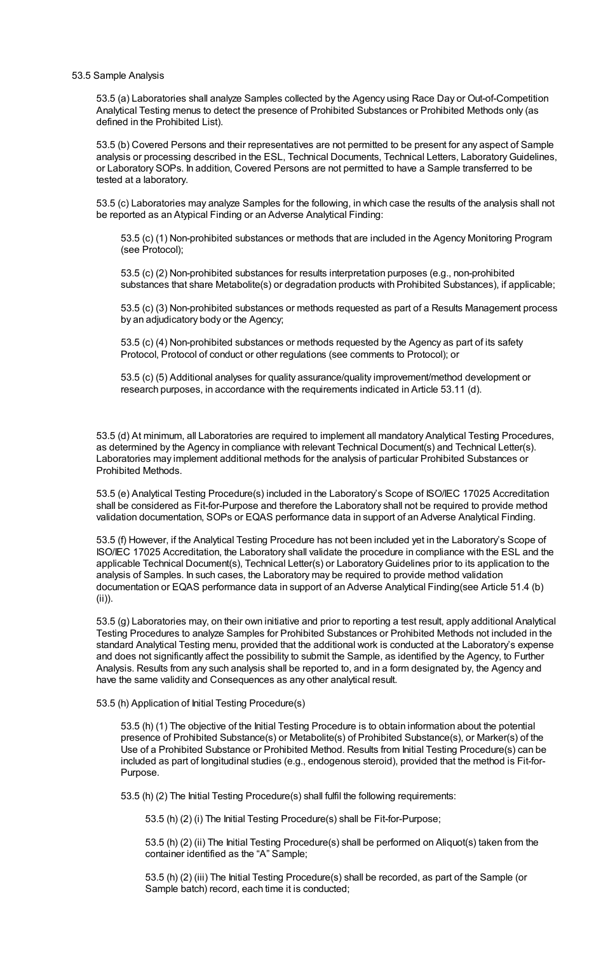#### 53.5 Sample Analysis

53.5 (a) Laboratories shall analyze Samples collected by the Agency using Race Day or Out-of-Competition Analytical Testing menus to detect the presence of Prohibited Substances or Prohibited Methods only (as defined in the Prohibited List).

53.5 (b) Covered Persons and their representatives are not permitted to be present for any aspect of Sample analysis or processing described in the ESL, Technical Documents, Technical Letters, LaboratoryGuidelines, or Laboratory SOPs. In addition, Covered Persons are not permitted to have a Sample transferred to be tested at a laboratory.

53.5 (c) Laboratories may analyze Samples for the following, in which case the results of the analysis shall not be reported as an Atypical Finding or an Adverse Analytical Finding:

53.5 (c) (1) Non-prohibited substances or methods that are included in the Agency Monitoring Program (see Protocol);

53.5 (c) (2) Non-prohibited substances for results interpretation purposes (e.g., non-prohibited substances that share Metabolite(s) or degradation products with Prohibited Substances), if applicable;

53.5 (c) (3) Non-prohibited substances or methods requested as part of a Results Management process by an adjudicatory body or the Agency;

53.5 (c) (4) Non-prohibited substances or methods requested by the Agency as part of its safety Protocol, Protocol of conduct or other regulations (see comments to Protocol); or

53.5 (c) (5) Additional analyses for quality assurance/quality improvement/method development or research purposes, in accordance with the requirements indicated in Article 53.11 (d).

53.5 (d) At minimum, all Laboratories are required to implement all mandatory Analytical Testing Procedures, as determined by the Agency in compliance with relevant Technical Document(s) and Technical Letter(s). Laboratories may implement additional methods for the analysis of particular Prohibited Substances or Prohibited Methods.

53.5 (e) Analytical Testing Procedure(s) included in the Laboratory's Scope of ISO/IEC 17025 Accreditation shall be considered as Fit-for-Purpose and therefore the Laboratory shall not be required to provide method validation documentation, SOPs or EQAS performance data in support of an Adverse Analytical Finding.

53.5 (f) However, if the Analytical Testing Procedure has not been included yet in the Laboratory's Scope of ISO/IEC 17025 Accreditation, the Laboratory shall validate the procedure in compliance with the ESL and the applicable Technical Document(s), Technical Letter(s) or LaboratoryGuidelines prior to its application to the analysis of Samples. In such cases, the Laboratory may be required to provide method validation documentation or EQAS performance data in support of an Adverse Analytical Finding(see Article 51.4 (b) (ii)).

53.5 (g) Laboratories may, on their own initiative and prior to reporting a test result, apply additional Analytical Testing Procedures to analyze Samples for Prohibited Substances or Prohibited Methods not included in the standard Analytical Testing menu, provided that the additional work is conducted at the Laboratory's expense and does not significantly affect the possibility to submit the Sample, as identified by the Agency, to Further Analysis. Results from any such analysis shall be reported to, and in a form designated by, the Agency and have the same validity and Consequences as any other analytical result.

53.5 (h) Application of Initial Testing Procedure(s)

53.5 (h) (1) The objective of the Initial Testing Procedure is to obtain information about the potential presence of Prohibited Substance(s) or Metabolite(s) of Prohibited Substance(s), or Marker(s) of the Use of a Prohibited Substance or Prohibited Method. Results from Initial Testing Procedure(s) can be included as part of longitudinal studies (e.g., endogenous steroid), provided that the method is Fit-for-Purpose.

53.5 (h) (2) The Initial Testing Procedure(s) shall fulfil the following requirements:

53.5 (h) (2) (i) The Initial Testing Procedure(s) shall be Fit-for-Purpose;

53.5 (h) (2) (ii) The Initial Testing Procedure(s) shall be performed on Aliquot(s) taken from the container identified as the "A" Sample;

53.5 (h) (2) (iii) The Initial Testing Procedure(s) shall be recorded, as part of the Sample (or Sample batch) record, each time it is conducted;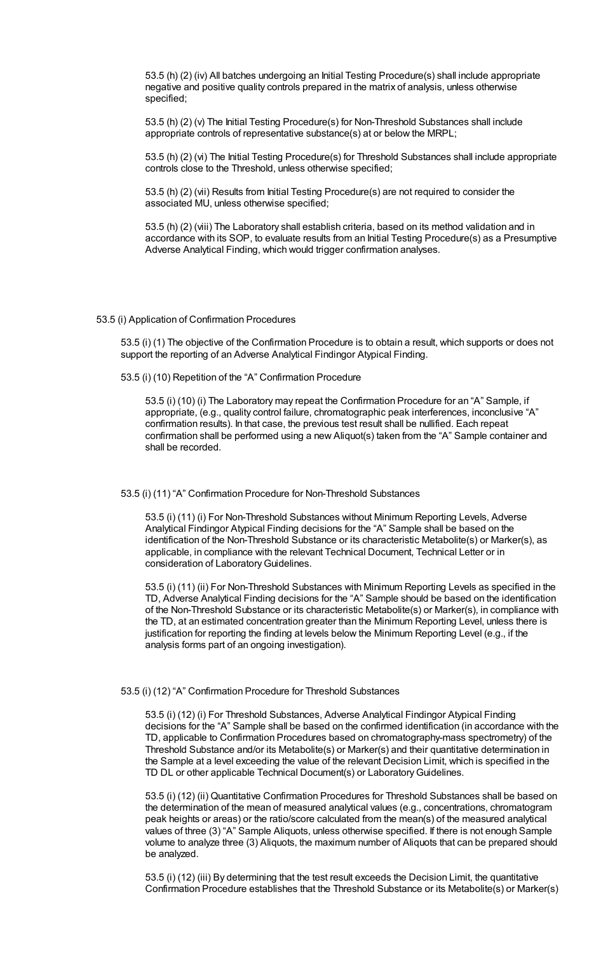53.5 (h) (2) (iv) All batches undergoing an Initial Testing Procedure(s) shall include appropriate negative and positive quality controls prepared in the matrix of analysis, unless otherwise specified;

53.5 (h) (2) (v) The Initial Testing Procedure(s) for Non-Threshold Substances shall include appropriate controls of representative substance(s) at or below the MRPL;

53.5 (h) (2) (vi) The Initial Testing Procedure(s) for Threshold Substances shall include appropriate controls close to the Threshold, unless otherwise specified;

53.5 (h) (2) (vii) Results from Initial Testing Procedure(s) are not required to consider the associated MU, unless otherwise specified;

53.5 (h) (2) (viii) The Laboratory shall establish criteria, based on its method validation and in accordance with its SOP, to evaluate results from an Initial Testing Procedure(s) as a Presumptive Adverse Analytical Finding, which would trigger confirmation analyses.

#### 53.5 (i) Application of Confirmation Procedures

53.5 (i) (1) The objective of the Confirmation Procedure is to obtain a result, which supports or does not support the reporting of an Adverse Analytical Findingor Atypical Finding.

53.5 (i) (10) Repetition of the "A" Confirmation Procedure

53.5 (i) (10) (i) The Laboratory may repeat the Confirmation Procedure for an "A" Sample, if appropriate, (e.g., quality control failure, chromatographic peak interferences, inconclusive "A" confirmation results). In that case, the previous test result shall be nullified. Each repeat confirmation shall be performed using a new Aliquot(s) taken from the "A" Sample container and shall be recorded.

#### 53.5 (i) (11) "A" Confirmation Procedure for Non-Threshold Substances

53.5 (i) (11) (i) For Non-Threshold Substances without Minimum Reporting Levels, Adverse Analytical Findingor Atypical Finding decisions for the "A" Sample shall be based on the identification of the Non-Threshold Substance or its characteristic Metabolite(s) or Marker(s), as applicable, in compliance with the relevant Technical Document, Technical Letter or in consideration of Laboratory Guidelines.

53.5 (i) (11) (ii) For Non-Threshold Substances with Minimum Reporting Levels as specified in the TD, Adverse Analytical Finding decisions for the "A" Sample should be based on the identification of the Non-Threshold Substance or its characteristic Metabolite(s) or Marker(s), in compliance with the TD, at an estimated concentration greater than the Minimum Reporting Level, unless there is justification for reporting the finding at levels below the Minimum Reporting Level (e.g., if the analysis forms part of an ongoing investigation).

### 53.5 (i) (12) "A" Confirmation Procedure for Threshold Substances

53.5 (i) (12) (i) For Threshold Substances, Adverse Analytical Findingor Atypical Finding decisions for the "A" Sample shall be based on the confirmed identification (in accordance with the TD, applicable to Confirmation Procedures based on chromatography-mass spectrometry) of the Threshold Substance and/or its Metabolite(s) or Marker(s) and their quantitative determination in the Sample at a level exceeding the value of the relevant Decision Limit, which is specified in the TD DL or other applicable Technical Document(s) or Laboratory Guidelines.

53.5 (i) (12) (ii) Quantitative Confirmation Procedures for Threshold Substances shall be based on the determination of the mean of measured analytical values (e.g., concentrations, chromatogram peak heights or areas) or the ratio/score calculated from the mean(s) of the measured analytical values of three (3) "A" Sample Aliquots, unless otherwise specified. If there is not enough Sample volume to analyze three (3) Aliquots, the maximum number of Aliquots that can be prepared should be analyzed.

53.5 (i) (12) (iii) By determining that the test result exceeds the Decision Limit, the quantitative Confirmation Procedure establishes that the Threshold Substance or its Metabolite(s) or Marker(s)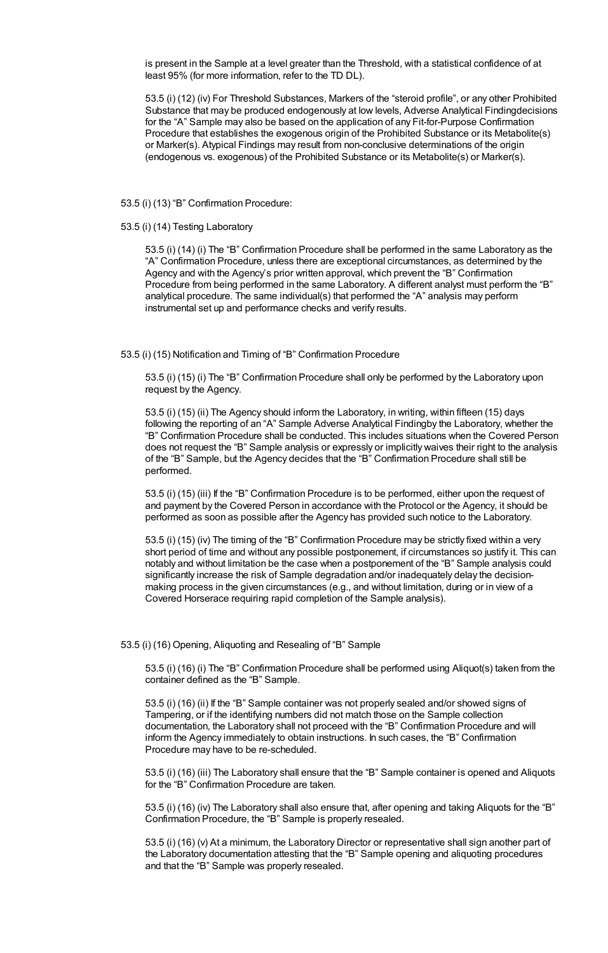is present in the Sample at a level greater than the Threshold, with a statistical confidence of at least 95% (for more information, refer to the TD DL).

53.5 (i) (12) (iv) For Threshold Substances, Markers of the "steroid profile", or any other Prohibited Substance that may be produced endogenously at low levels, Adverse Analytical Findingdecisions for the "A" Sample may also be based on the application of any Fit-for-Purpose Confirmation Procedure that establishes the exogenous origin of the Prohibited Substance or its Metabolite(s) or Marker(s). Atypical Findings may result from non-conclusive determinations of the origin (endogenous vs. exogenous) of the Prohibited Substance or its Metabolite(s) or Marker(s).

53.5 (i) (13) "B" Confirmation Procedure:

53.5 (i) (14) Testing Laboratory

53.5 (i) (14) (i) The "B" Confirmation Procedure shall be performed in the same Laboratory as the "A" Confirmation Procedure, unless there are exceptional circumstances, as determined by the Agency and with the Agency's prior written approval, which prevent the "B" Confirmation Procedure from being performed in the same Laboratory. A different analyst must perform the "B" analytical procedure. The same individual(s) that performed the "A" analysis may perform instrumental set up and performance checks and verify results.

53.5 (i) (15) Notification and Timing of "B" Confirmation Procedure

53.5 (i) (15) (i) The "B" Confirmation Procedure shall only be performed by the Laboratory upon request by the Agency.

53.5 (i) (15) (ii) The Agency should inform the Laboratory, in writing, within fifteen (15) days following the reporting of an "A" Sample Adverse Analytical Findingby the Laboratory, whether the "B" Confirmation Procedure shall be conducted. This includes situations when the Covered Person does not request the "B" Sample analysis or expressly or implicitly waives their right to the analysis of the "B" Sample, but the Agency decides that the "B" Confirmation Procedure shall still be performed.

53.5 (i) (15) (iii) If the "B" Confirmation Procedure is to be performed, either upon the request of and payment by the Covered Person in accordance with the Protocol or the Agency, it should be performed as soon as possible after the Agency has provided such notice to the Laboratory.

53.5 (i) (15) (iv) The timing of the "B" Confirmation Procedure may be strictly fixed within a very short period of time and without any possible postponement, if circumstances so justify it. This can notably and without limitation be the case when a postponement of the "B" Sample analysis could significantly increase the risk of Sample degradation and/or inadequately delay the decisionmaking process in the given circumstances (e.g., and without limitation, during or in view of a Covered Horserace requiring rapid completion of the Sample analysis).

53.5 (i) (16) Opening, Aliquoting and Resealing of "B" Sample

53.5 (i) (16) (i) The "B" Confirmation Procedure shall be performed using Aliquot(s) taken from the container defined as the "B" Sample.

53.5 (i) (16) (ii) If the "B" Sample container was not properly sealed and/or showed signs of Tampering, or if the identifying numbers did not match those on the Sample collection documentation, the Laboratory shall not proceed with the "B" Confirmation Procedure and will inform the Agency immediately to obtain instructions. In such cases, the "B" Confirmation Procedure may have to be re-scheduled.

53.5 (i) (16) (iii) The Laboratory shall ensure that the "B" Sample container is opened and Aliquots for the "B" Confirmation Procedure are taken.

53.5 (i) (16) (iv) The Laboratory shall also ensure that, after opening and taking Aliquots for the "B" Confirmation Procedure, the "B" Sample is properly resealed.

53.5 (i) (16) (v) At a minimum, the Laboratory Director or representative shall sign another part of the Laboratory documentation attesting that the "B" Sample opening and aliquoting procedures and that the "B" Sample was properly resealed.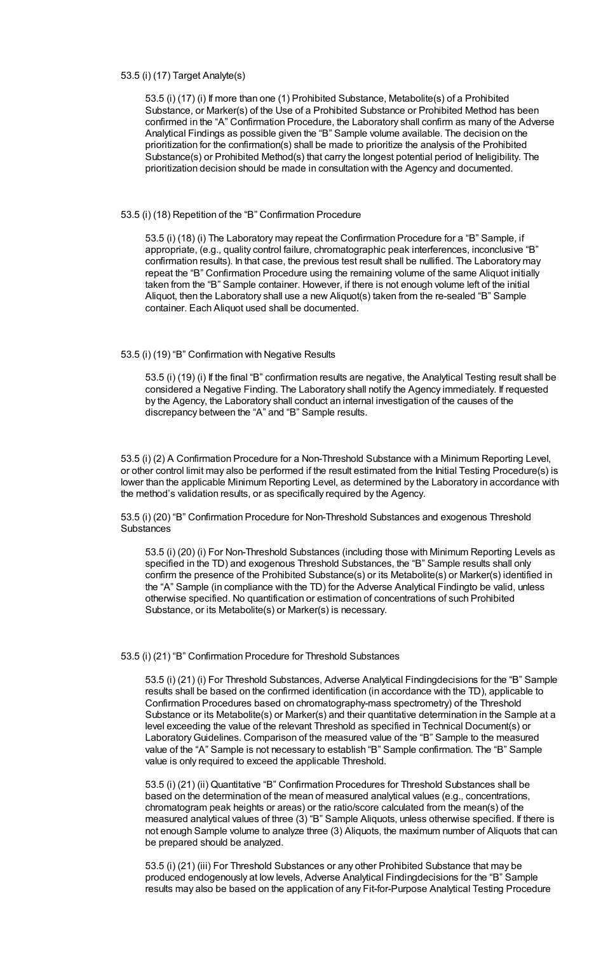#### 53.5 (i) (17) Target Analyte(s)

53.5 (i) (17) (i) If more than one (1) Prohibited Substance, Metabolite(s) of a Prohibited Substance, or Marker(s) of the Use of a Prohibited Substance or Prohibited Method has been confirmed in the "A" Confirmation Procedure, the Laboratory shall confirm as many of the Adverse Analytical Findings as possible given the "B" Sample volume available. The decision on the prioritization for the confirmation(s) shall be made to prioritize the analysis of the Prohibited Substance(s) or Prohibited Method(s) that carry the longest potential period of Ineligibility. The prioritization decision should be made in consultation with the Agency and documented.

#### 53.5 (i) (18) Repetition of the "B" Confirmation Procedure

53.5 (i) (18) (i) The Laboratory may repeat the Confirmation Procedure for a "B" Sample, if appropriate, (e.g., quality control failure, chromatographic peak interferences, inconclusive "B" confirmation results). In that case, the previous test result shall be nullified. The Laboratory may repeat the "B" Confirmation Procedure using the remaining volume of the same Aliquot initially taken from the "B" Sample container. However, if there is not enough volume left of the initial Aliquot, then the Laboratory shall use a new Aliquot(s) taken from the re-sealed "B" Sample container. Each Aliquot used shall be documented.

#### 53.5 (i) (19) "B" Confirmation with Negative Results

53.5 (i) (19) (i) If the final "B" confirmation results are negative, the Analytical Testing result shall be considered a Negative Finding. The Laboratory shall notify the Agency immediately. If requested by the Agency, the Laboratory shall conduct an internal investigation of the causes of the discrepancy between the "A" and "B" Sample results.

53.5 (i) (2) A Confirmation Procedure for a Non-Threshold Substance with a Minimum Reporting Level, or other control limit may also be performed if the result estimated from the Initial Testing Procedure(s) is lower than the applicable Minimum Reporting Level, as determined by the Laboratory in accordance with the method's validation results, or as specifically required by the Agency.

53.5 (i) (20) "B" Confirmation Procedure for Non-Threshold Substances and exogenous Threshold **Substances** 

53.5 (i) (20) (i) For Non-Threshold Substances (including those with Minimum Reporting Levels as specified in the TD) and exogenous Threshold Substances, the "B" Sample results shall only confirm the presence of the Prohibited Substance(s) or its Metabolite(s) or Marker(s) identified in the "A" Sample (in compliance with the TD) for the Adverse Analytical Findingto be valid, unless otherwise specified. No quantification or estimation of concentrations of such Prohibited Substance, or its Metabolite(s) or Marker(s) is necessary.

### 53.5 (i) (21) "B" Confirmation Procedure for Threshold Substances

53.5 (i) (21) (i) For Threshold Substances, Adverse Analytical Findingdecisions for the "B" Sample results shall be based on the confirmed identification (in accordance with the TD), applicable to Confirmation Procedures based on chromatography-mass spectrometry) of the Threshold Substance or its Metabolite(s) or Marker(s) and their quantitative determination in the Sample at a level exceeding the value of the relevant Threshold as specified in Technical Document(s) or LaboratoryGuidelines. Comparison of the measured value of the "B" Sample to the measured value of the "A" Sample is not necessary to establish "B" Sample confirmation. The "B" Sample value is only required to exceed the applicable Threshold.

53.5 (i) (21) (ii) Quantitative "B" Confirmation Procedures for Threshold Substances shall be based on the determination of the mean of measured analytical values (e.g., concentrations, chromatogram peak heights or areas) or the ratio/score calculated from the mean(s) of the measured analytical values of three (3) "B" Sample Aliquots, unless otherwise specified. If there is not enough Sample volume to analyze three (3) Aliquots, the maximum number of Aliquots that can be prepared should be analyzed.

53.5 (i) (21) (iii) For Threshold Substances or any other Prohibited Substance that may be produced endogenously at low levels, Adverse Analytical Findingdecisions for the "B" Sample results may also be based on the application of any Fit-for-Purpose Analytical Testing Procedure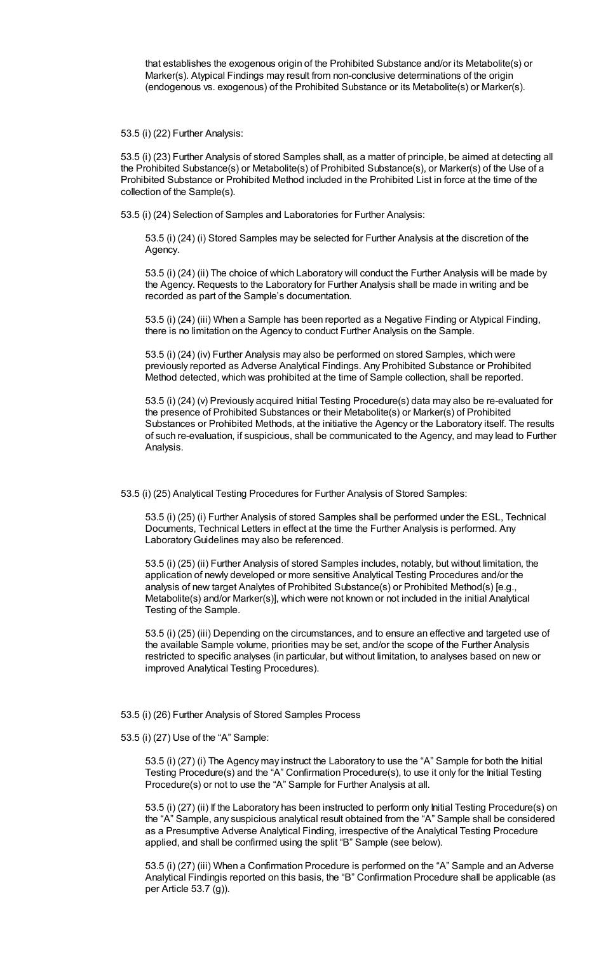that establishes the exogenous origin of the Prohibited Substance and/or its Metabolite(s) or Marker(s). Atypical Findings may result from non-conclusive determinations of the origin (endogenous vs. exogenous) of the Prohibited Substance or its Metabolite(s) or Marker(s).

53.5 (i) (22) Further Analysis:

53.5 (i) (23) Further Analysis of stored Samples shall, as a matter of principle, be aimed at detecting all the Prohibited Substance(s) or Metabolite(s) of Prohibited Substance(s), or Marker(s) of the Use of a Prohibited Substance or Prohibited Method included in the Prohibited List in force at the time of the collection of the Sample(s).

53.5 (i) (24) Selection of Samples and Laboratories for Further Analysis:

53.5 (i) (24) (i) Stored Samples may be selected for Further Analysis at the discretion of the Agency.

53.5 (i) (24) (ii) The choice of which Laboratory will conduct the Further Analysis will be made by the Agency. Requests to the Laboratory for Further Analysis shall be made in writing and be recorded as part of the Sample's documentation.

53.5 (i) (24) (iii) When a Sample has been reported as a Negative Finding or Atypical Finding, there is no limitation on the Agency to conduct Further Analysis on the Sample.

53.5 (i) (24) (iv) Further Analysis may also be performed on stored Samples, which were previously reported as Adverse Analytical Findings. Any Prohibited Substance or Prohibited Method detected, which was prohibited at the time of Sample collection, shall be reported.

53.5 (i) (24) (v) Previously acquired Initial Testing Procedure(s) data may also be re-evaluated for the presence of Prohibited Substances or their Metabolite(s) or Marker(s) of Prohibited Substances or Prohibited Methods, at the initiative the Agency or the Laboratory itself. The results of such re-evaluation, if suspicious, shall be communicated to the Agency, and may lead to Further Analysis.

53.5 (i) (25) Analytical Testing Procedures for Further Analysis of Stored Samples:

53.5 (i) (25) (i) Further Analysis of stored Samples shall be performed under the ESL, Technical Documents, Technical Letters in effect at the time the Further Analysis is performed. Any Laboratory Guidelines may also be referenced.

53.5 (i) (25) (ii) Further Analysis of stored Samples includes, notably, but without limitation, the application of newly developed or more sensitive Analytical Testing Procedures and/or the analysis of new target Analytes of Prohibited Substance(s) or Prohibited Method(s) [e.g., Metabolite(s) and/or Marker(s)], which were not known or not included in the initial Analytical Testing of the Sample.

53.5 (i) (25) (iii) Depending on the circumstances, and to ensure an effective and targeted use of the available Sample volume, priorities may be set, and/or the scope of the Further Analysis restricted to specific analyses (in particular, but without limitation, to analyses based on new or improved Analytical Testing Procedures).

53.5 (i) (26) Further Analysis of Stored Samples Process

53.5 (i) (27) Use of the "A" Sample:

53.5 (i) (27) (i) The Agency may instruct the Laboratory to use the "A" Sample for both the Initial Testing Procedure(s) and the "A" Confirmation Procedure(s), to use it only for the Initial Testing Procedure(s) or not to use the "A" Sample for Further Analysis at all.

53.5 (i) (27) (ii) If the Laboratory has been instructed to perform only Initial Testing Procedure(s) on the "A" Sample, any suspicious analytical result obtained from the "A" Sample shall be considered as a Presumptive Adverse Analytical Finding, irrespective of the Analytical Testing Procedure applied, and shall be confirmed using the split "B" Sample (see below).

53.5 (i) (27) (iii) When a Confirmation Procedure is performed on the "A" Sample and an Adverse Analytical Findingis reported on this basis, the "B" Confirmation Procedure shall be applicable (as per Article 53.7 (g)).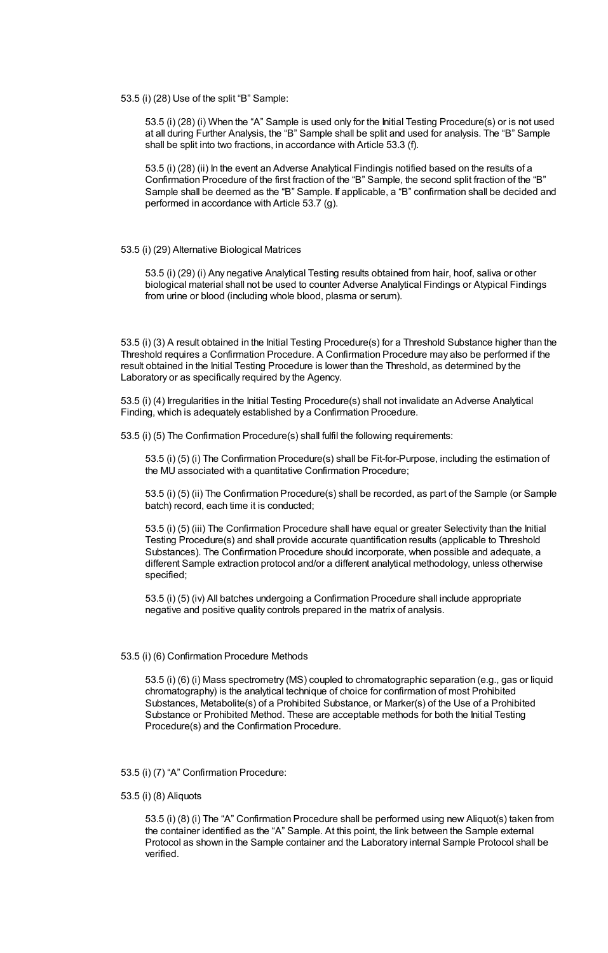53.5 (i) (28) Use of the split "B" Sample:

53.5 (i) (28) (i) When the "A" Sample is used only for the Initial Testing Procedure(s) or is not used at all during Further Analysis, the "B" Sample shall be split and used for analysis. The "B" Sample shall be split into two fractions, in accordance with Article 53.3 (f).

53.5 (i) (28) (ii) In the event an Adverse Analytical Findingis notified based on the results of a Confirmation Procedure of the first fraction of the "B" Sample, the second split fraction of the "B" Sample shall be deemed as the "B" Sample. If applicable, a "B" confirmation shall be decided and performed in accordance with Article 53.7 (g).

#### 53.5 (i) (29) Alternative Biological Matrices

53.5 (i) (29) (i) Any negative Analytical Testing results obtained from hair, hoof, saliva or other biological material shall not be used to counter Adverse Analytical Findings or Atypical Findings from urine or blood (including whole blood, plasma or serum).

53.5 (i) (3) A result obtained in the Initial Testing Procedure(s) for a Threshold Substance higher than the Threshold requires a Confirmation Procedure. A Confirmation Procedure may also be performed if the result obtained in the Initial Testing Procedure is lower than the Threshold, as determined by the Laboratory or as specifically required by the Agency.

53.5 (i) (4) Irregularities in the Initial Testing Procedure(s) shall not invalidate an Adverse Analytical Finding, which is adequately established by a Confirmation Procedure.

53.5 (i) (5) The Confirmation Procedure(s) shall fulfil the following requirements:

53.5 (i) (5) (i) The Confirmation Procedure(s) shall be Fit-for-Purpose, including the estimation of the MU associated with a quantitative Confirmation Procedure;

53.5 (i) (5) (ii) The Confirmation Procedure(s) shall be recorded, as part of the Sample (or Sample batch) record, each time it is conducted;

53.5 (i) (5) (iii) The Confirmation Procedure shall have equal or greater Selectivity than the Initial Testing Procedure(s) and shall provide accurate quantification results (applicable to Threshold Substances). The Confirmation Procedure should incorporate, when possible and adequate, a different Sample extraction protocol and/or a different analytical methodology, unless otherwise specified;

53.5 (i) (5) (iv) All batches undergoing a Confirmation Procedure shall include appropriate negative and positive quality controls prepared in the matrix of analysis.

#### 53.5 (i) (6) Confirmation Procedure Methods

53.5 (i) (6) (i) Mass spectrometry (MS) coupled to chromatographic separation (e.g., gas or liquid chromatography) is the analytical technique of choice for confirmation of most Prohibited Substances, Metabolite(s) of a Prohibited Substance, or Marker(s) of the Use of a Prohibited Substance or Prohibited Method. These are acceptable methods for both the Initial Testing Procedure(s) and the Confirmation Procedure.

- 53.5 (i) (7) "A" Confirmation Procedure:
- 53.5 (i) (8) Aliquots

53.5 (i) (8) (i) The "A" Confirmation Procedure shall be performed using new Aliquot(s) taken from the container identified as the "A" Sample. At this point, the link between the Sample external Protocol as shown in the Sample container and the Laboratory internal Sample Protocol shall be verified.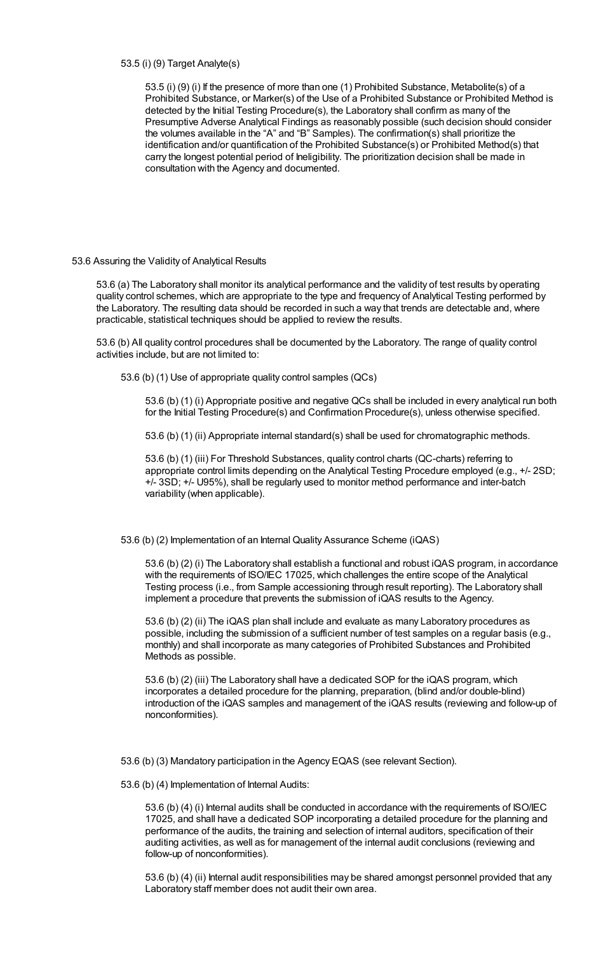## 53.5 (i) (9) Target Analyte(s)

53.5 (i) (9) (i) If the presence of more than one (1) Prohibited Substance, Metabolite(s) of a Prohibited Substance, or Marker(s) of the Use of a Prohibited Substance or Prohibited Method is detected by the Initial Testing Procedure(s), the Laboratory shall confirm as many of the Presumptive Adverse Analytical Findings as reasonably possible (such decision should consider the volumes available in the "A" and "B" Samples). The confirmation(s) shall prioritize the identification and/or quantification of the Prohibited Substance(s) or Prohibited Method(s) that carry the longest potential period of Ineligibility. The prioritization decision shall be made in consultation with the Agency and documented.

### 53.6 Assuring the Validity of Analytical Results

53.6 (a) The Laboratory shall monitor its analytical performance and the validity of test results by operating quality control schemes, which are appropriate to the type and frequency of Analytical Testing performed by the Laboratory. The resulting data should be recorded in such a way that trends are detectable and, where practicable, statistical techniques should be applied to review the results.

53.6 (b) All quality control procedures shall be documented by the Laboratory. The range of quality control activities include, but are not limited to:

53.6 (b) (1) Use of appropriate quality control samples (QCs)

53.6 (b) (1) (i) Appropriate positive and negative QCs shall be included in every analytical run both for the Initial Testing Procedure(s) and Confirmation Procedure(s), unless otherwise specified.

53.6 (b) (1) (ii) Appropriate internal standard(s) shall be used for chromatographic methods.

53.6 (b) (1) (iii) For Threshold Substances, quality control charts (QC-charts) referring to appropriate control limits depending on the Analytical Testing Procedure employed (e.g., +/- 2SD; +/- 3SD; +/- U95%), shall be regularly used to monitor method performance and inter-batch variability (when applicable).

53.6 (b) (2) Implementation of an Internal Quality Assurance Scheme (iQAS)

53.6 (b) (2) (i) The Laboratory shall establish a functional and robust iQAS program, in accordance with the requirements of ISO/IEC 17025, which challenges the entire scope of the Analytical Testing process (i.e., from Sample accessioning through result reporting). The Laboratory shall implement a procedure that prevents the submission of iQAS results to the Agency.

53.6 (b) (2) (ii) The iQAS plan shall include and evaluate as many Laboratory procedures as possible, including the submission of a sufficient number of test samples on a regular basis (e.g., monthly) and shall incorporate as many categories of Prohibited Substances and Prohibited Methods as possible.

53.6 (b) (2) (iii) The Laboratory shall have a dedicated SOP for the iQAS program, which incorporates a detailed procedure for the planning, preparation, (blind and/or double-blind) introduction of the iQAS samples and management of the iQAS results (reviewing and follow-up of nonconformities).

53.6 (b) (3) Mandatory participation in the Agency EQAS (see relevant Section).

53.6 (b) (4) Implementation of Internal Audits:

53.6 (b) (4) (i) Internal audits shall be conducted in accordance with the requirements of ISO/IEC 17025, and shall have a dedicated SOP incorporating a detailed procedure for the planning and performance of the audits, the training and selection of internal auditors, specification of their auditing activities, as well as for management of the internal audit conclusions (reviewing and follow-up of nonconformities).

53.6 (b) (4) (ii) Internal audit responsibilities may be shared amongst personnel provided that any Laboratory staff member does not audit their own area.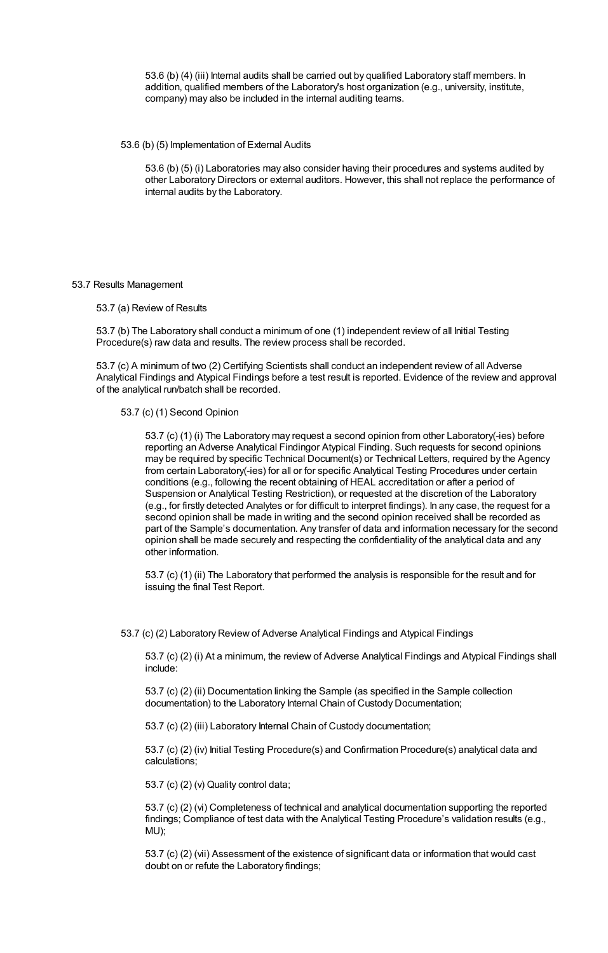53.6 (b) (4) (iii) Internal audits shall be carried out by qualified Laboratory staff members. In addition, qualified members of the Laboratory's host organization (e.g., university, institute, company) may also be included in the internal auditing teams.

53.6 (b) (5) Implementation of External Audits

53.6 (b) (5) (i) Laboratories may also consider having their procedures and systems audited by other Laboratory Directors or external auditors. However, this shall not replace the performance of internal audits by the Laboratory.

#### 53.7 Results Management

53.7 (a) Review of Results

53.7 (b) The Laboratory shall conduct a minimum of one (1) independent review of all Initial Testing Procedure(s) raw data and results. The review process shall be recorded.

53.7 (c) A minimum of two (2) Certifying Scientists shall conduct an independent review of all Adverse Analytical Findings and Atypical Findings before a test result is reported. Evidence of the review and approval of the analytical run/batch shall be recorded.

### 53.7 (c) (1) Second Opinion

53.7 (c) (1) (i) The Laboratory may request a second opinion from other Laboratory(-ies) before reporting an Adverse Analytical Findingor Atypical Finding. Such requests for second opinions may be required by specific Technical Document(s) or Technical Letters, required by the Agency from certain Laboratory(-ies) for all or for specific Analytical Testing Procedures under certain conditions (e.g., following the recent obtaining of HEAL accreditation or after a period of Suspension or Analytical Testing Restriction), or requested at the discretion of the Laboratory (e.g., for firstly detected Analytes or for difficult to interpret findings). In any case, the request for a second opinion shall be made in writing and the second opinion received shall be recorded as part of the Sample's documentation. Any transfer of data and information necessary for the second opinion shall be made securely and respecting the confidentiality of the analytical data and any other information.

53.7 (c) (1) (ii) The Laboratory that performed the analysis is responsible for the result and for issuing the final Test Report.

53.7 (c) (2) Laboratory Review of Adverse Analytical Findings and Atypical Findings

53.7 (c) (2) (i) At a minimum, the review of Adverse Analytical Findings and Atypical Findings shall include:

53.7 (c) (2) (ii) Documentation linking the Sample (as specified in the Sample collection documentation) to the Laboratory Internal Chain of Custody Documentation;

53.7 (c) (2) (iii) Laboratory Internal Chain of Custody documentation;

53.7 (c) (2) (iv) Initial Testing Procedure(s) and Confirmation Procedure(s) analytical data and calculations;

53.7 (c) (2) (v) Quality control data;

53.7 (c) (2) (vi) Completeness of technical and analytical documentation supporting the reported findings; Compliance of test data with the Analytical Testing Procedure's validation results (e.g., MU);

53.7 (c) (2) (vii) Assessment of the existence of significant data or information that would cast doubt on or refute the Laboratory findings;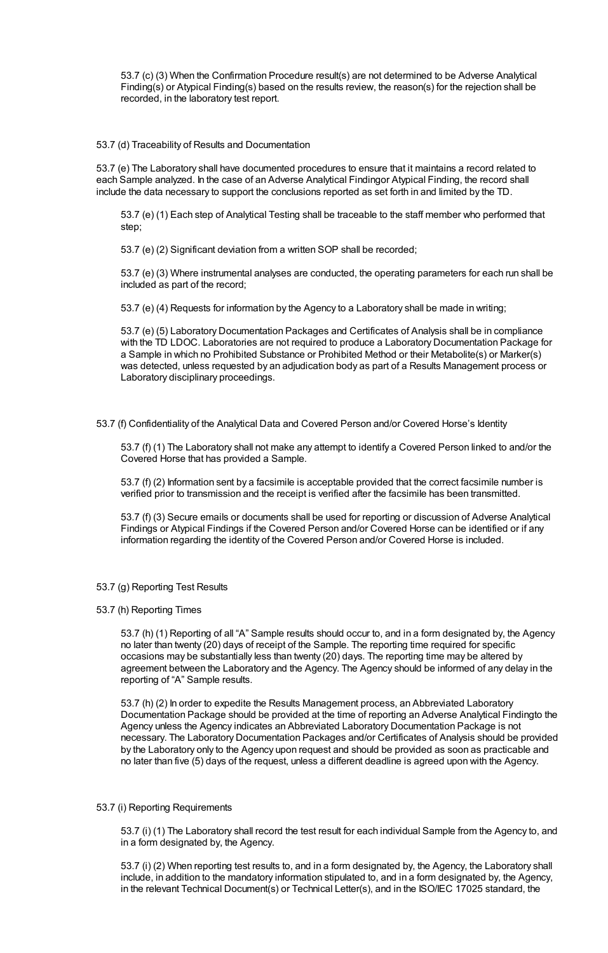53.7 (c) (3) When the Confirmation Procedure result(s) are not determined to be Adverse Analytical Finding(s) or Atypical Finding(s) based on the results review, the reason(s) for the rejection shall be recorded, in the laboratory test report.

53.7 (d) Traceability of Results and Documentation

53.7 (e) The Laboratory shall have documented procedures to ensure that it maintains a record related to each Sample analyzed. In the case of an Adverse Analytical Findingor Atypical Finding, the record shall include the data necessary to support the conclusions reported as set forth in and limited by the TD.

53.7 (e) (1) Each step of Analytical Testing shall be traceable to the staff member who performed that step;

53.7 (e) (2) Significant deviation from a written SOP shall be recorded;

53.7 (e) (3) Where instrumental analyses are conducted, the operating parameters for each run shall be included as part of the record;

53.7 (e) (4) Requests for information by the Agency to a Laboratory shall be made in writing;

53.7 (e) (5) Laboratory Documentation Packages and Certificates of Analysis shall be in compliance with the TD LDOC. Laboratories are not required to produce a Laboratory Documentation Package for a Sample in which no Prohibited Substance or Prohibited Method or their Metabolite(s) or Marker(s) was detected, unless requested by an adjudication body as part of a Results Management process or Laboratory disciplinary proceedings.

53.7 (f) Confidentiality of the Analytical Data and Covered Person and/or Covered Horse's Identity

53.7 (f) (1) The Laboratory shall not make any attempt to identify a Covered Person linked to and/or the Covered Horse that has provided a Sample.

53.7 (f) (2) Information sent by a facsimile is acceptable provided that the correct facsimile number is verified prior to transmission and the receipt is verified after the facsimile has been transmitted.

53.7 (f) (3) Secure emails or documents shall be used for reporting or discussion of Adverse Analytical Findings or Atypical Findings if the Covered Person and/or Covered Horse can be identified or if any information regarding the identity of the Covered Person and/or Covered Horse is included.

- 53.7 (g) Reporting Test Results
- 53.7 (h) Reporting Times

53.7 (h) (1) Reporting of all "A" Sample results should occur to, and in a form designated by, the Agency no later than twenty (20) days of receipt of the Sample. The reporting time required for specific occasions may be substantially less than twenty (20) days. The reporting time may be altered by agreement between the Laboratory and the Agency. The Agency should be informed of any delay in the reporting of "A" Sample results.

53.7 (h) (2) In order to expedite the Results Management process, an Abbreviated Laboratory Documentation Package should be provided at the time of reporting an Adverse Analytical Findingto the Agency unless the Agency indicates an Abbreviated Laboratory Documentation Package is not necessary. The Laboratory Documentation Packages and/or Certificates of Analysis should be provided by the Laboratory only to the Agency upon request and should be provided as soon as practicable and no later than five (5) days of the request, unless a different deadline is agreed upon with the Agency.

# 53.7 (i) Reporting Requirements

53.7 (i) (1) The Laboratory shall record the test result for each individual Sample from the Agency to, and in a form designated by, the Agency.

53.7 (i) (2) When reporting test results to, and in a form designated by, the Agency, the Laboratory shall include, in addition to the mandatory information stipulated to, and in a form designated by, the Agency, in the relevant Technical Document(s) or Technical Letter(s), and in the ISO/IEC 17025 standard, the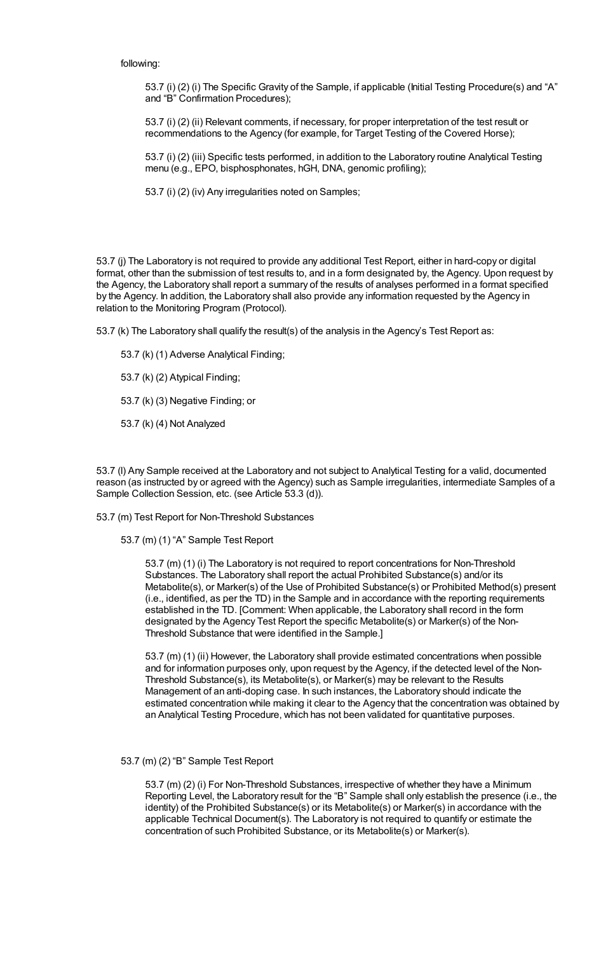#### following:

53.7 (i) (2) (i) The Specific Gravity of the Sample, if applicable (Initial Testing Procedure(s) and "A" and "B" Confirmation Procedures);

53.7 (i) (2) (ii) Relevant comments, if necessary, for proper interpretation of the test result or recommendations to the Agency (for example, for Target Testing of the Covered Horse);

53.7 (i) (2) (iii) Specific tests performed, in addition to the Laboratory routine Analytical Testing menu (e.g., EPO, bisphosphonates, hGH, DNA, genomic profiling);

53.7 (i) (2) (iv) Any irregularities noted on Samples;

53.7 (j) The Laboratory is not required to provide any additional Test Report, either in hard-copy or digital format, other than the submission of test results to, and in a form designated by, the Agency. Upon request by the Agency, the Laboratory shall report a summary of the results of analyses performed in a format specified by the Agency. In addition, the Laboratory shall also provide any information requested by the Agency in relation to the Monitoring Program (Protocol).

53.7 (k) The Laboratory shall qualify the result(s) of the analysis in the Agency's Test Report as:

- 53.7 (k) (1) Adverse Analytical Finding;
- 53.7 (k) (2) Atypical Finding;
- 53.7 (k) (3) Negative Finding; or
- 53.7 (k) (4) Not Analyzed

53.7 (l) Any Sample received at the Laboratory and not subject to Analytical Testing for a valid, documented reason (as instructed by or agreed with the Agency) such as Sample irregularities, intermediate Samples of a Sample Collection Session, etc. (see Article 53.3 (d)).

53.7 (m) Test Report for Non-Threshold Substances

53.7 (m) (1) "A" Sample Test Report

53.7 (m) (1) (i) The Laboratory is not required to report concentrations for Non-Threshold Substances. The Laboratory shall report the actual Prohibited Substance(s) and/or its Metabolite(s), or Marker(s) of the Use of Prohibited Substance(s) or Prohibited Method(s) present (i.e., identified, as per the TD) in the Sample and in accordance with the reporting requirements established in the TD. [Comment: When applicable, the Laboratory shall record in the form designated by the Agency Test Report the specific Metabolite(s) or Marker(s) of the Non-Threshold Substance that were identified in the Sample.]

53.7 (m) (1) (ii) However, the Laboratory shall provide estimated concentrations when possible and for information purposes only, upon request by the Agency, if the detected level of the Non-Threshold Substance(s), its Metabolite(s), or Marker(s) may be relevant to the Results Management of an anti-doping case. In such instances, the Laboratory should indicate the estimated concentration while making it clear to the Agency that the concentration was obtained by an Analytical Testing Procedure, which has not been validated for quantitative purposes.

#### 53.7 (m) (2) "B" Sample Test Report

53.7 (m) (2) (i) For Non-Threshold Substances, irrespective of whether they have a Minimum Reporting Level, the Laboratory result for the "B" Sample shall only establish the presence (i.e., the identity) of the Prohibited Substance(s) or its Metabolite(s) or Marker(s) in accordance with the applicable Technical Document(s). The Laboratory is not required to quantify or estimate the concentration of such Prohibited Substance, or its Metabolite(s) or Marker(s).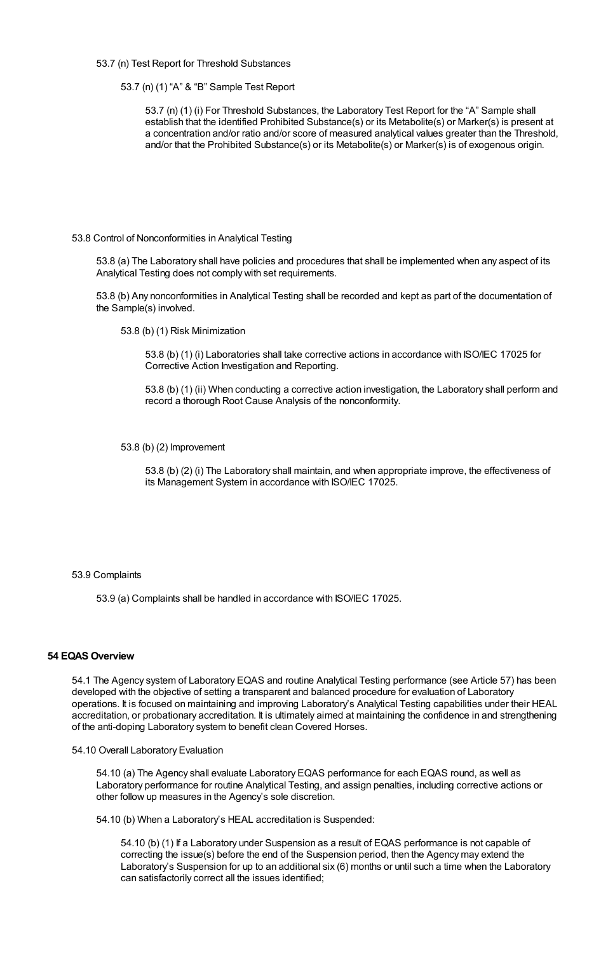53.7 (n) Test Report for Threshold Substances

53.7 (n) (1) "A" & "B" Sample Test Report

53.7 (n) (1) (i) For Threshold Substances, the Laboratory Test Report for the "A" Sample shall establish that the identified Prohibited Substance(s) or its Metabolite(s) or Marker(s) is present at a concentration and/or ratio and/or score of measured analytical values greater than the Threshold, and/or that the Prohibited Substance(s) or its Metabolite(s) or Marker(s) is of exogenous origin.

## 53.8 Control of Nonconformities in Analytical Testing

53.8 (a) The Laboratory shall have policies and procedures that shall be implemented when any aspect of its Analytical Testing does not comply with set requirements.

53.8 (b) Any nonconformities in Analytical Testing shall be recorded and kept as part of the documentation of the Sample(s) involved.

53.8 (b) (1) Risk Minimization

53.8 (b) (1) (i) Laboratories shall take corrective actions in accordance with ISO/IEC 17025 for Corrective Action Investigation and Reporting.

53.8 (b) (1) (ii) When conducting a corrective action investigation, the Laboratory shall perform and record a thorough Root Cause Analysis of the nonconformity.

53.8 (b) (2) Improvement

53.8 (b) (2) (i) The Laboratory shall maintain, and when appropriate improve, the effectiveness of its Management System in accordance with ISO/IEC 17025.

#### 53.9 Complaints

53.9 (a) Complaints shall be handled in accordance with ISO/IEC 17025.

# **54 EQAS Overview**

54.1 The Agency system of Laboratory EQAS and routine Analytical Testing performance (see Article 57) has been developed with the objective of setting a transparent and balanced procedure for evaluation of Laboratory operations. It is focused on maintaining and improving Laboratory's Analytical Testing capabilities under their HEAL accreditation, or probationary accreditation. It is ultimately aimed at maintaining the confidence in and strengthening of the anti-doping Laboratory system to benefit clean Covered Horses.

#### 54.10 Overall Laboratory Evaluation

54.10 (a) The Agency shall evaluate Laboratory EQAS performance for each EQAS round, as well as Laboratory performance for routine Analytical Testing, and assign penalties, including corrective actions or other follow up measures in the Agency's sole discretion.

54.10 (b) When a Laboratory's HEAL accreditation is Suspended:

54.10 (b) (1) If a Laboratory under Suspension as a result of EQAS performance is not capable of correcting the issue(s) before the end of the Suspension period, then the Agency may extend the Laboratory's Suspension for up to an additional six (6) months or until such a time when the Laboratory can satisfactorily correct all the issues identified;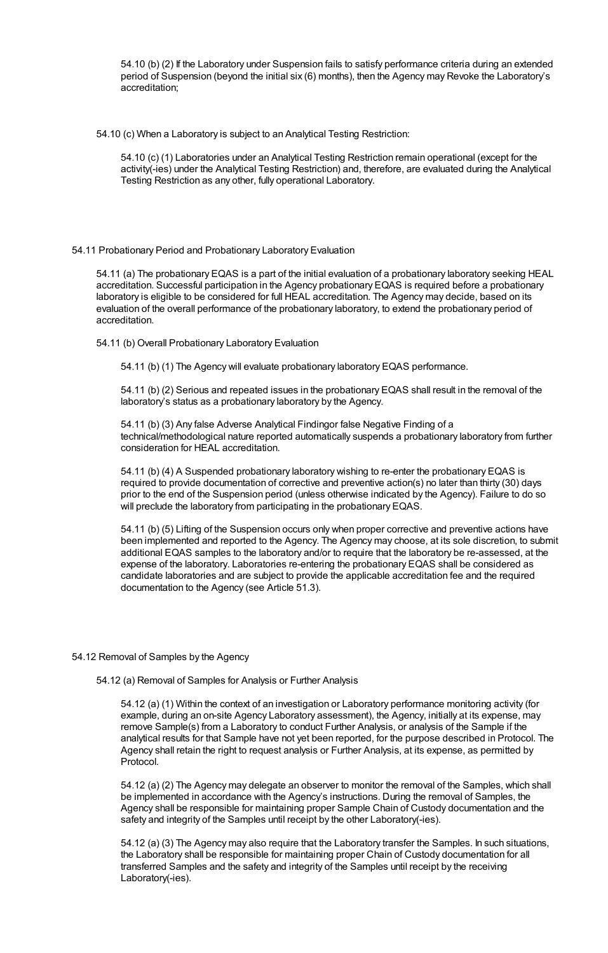54.10 (b) (2) If the Laboratory under Suspension fails to satisfy performance criteria during an extended period of Suspension (beyond the initial six (6) months), then the Agency may Revoke the Laboratory's accreditation;

54.10 (c) When a Laboratory is subject to an Analytical Testing Restriction:

54.10 (c) (1) Laboratories under an Analytical Testing Restriction remain operational (except for the activity(-ies) under the Analytical Testing Restriction) and, therefore, are evaluated during the Analytical Testing Restriction as any other, fully operational Laboratory.

## 54.11 Probationary Period and Probationary Laboratory Evaluation

54.11 (a) The probationary EQAS is a part of the initial evaluation of a probationary laboratory seeking HEAL accreditation. Successful participation in the Agency probationary EQAS is required before a probationary laboratory is eligible to be considered for full HEAL accreditation. The Agency may decide, based on its evaluation of the overall performance of the probationary laboratory, to extend the probationary period of accreditation.

54.11 (b) Overall Probationary Laboratory Evaluation

54.11 (b) (1) The Agency will evaluate probationary laboratory EQAS performance.

54.11 (b) (2) Serious and repeated issues in the probationary EQAS shall result in the removal of the laboratory's status as a probationary laboratory by the Agency.

54.11 (b) (3) Any false Adverse Analytical Findingor false Negative Finding of a technical/methodological nature reported automatically suspends a probationary laboratory from further consideration for HEAL accreditation.

54.11 (b) (4) A Suspended probationary laboratory wishing to re-enter the probationary EQAS is required to provide documentation of corrective and preventive action(s) no later than thirty (30) days prior to the end of the Suspension period (unless otherwise indicated by the Agency). Failure to do so will preclude the laboratory from participating in the probationary EQAS.

54.11 (b) (5) Lifting of the Suspension occurs only when proper corrective and preventive actions have been implemented and reported to the Agency. The Agency may choose, at its sole discretion, to submit additional EQAS samples to the laboratory and/or to require that the laboratory be re-assessed, at the expense of the laboratory. Laboratories re-entering the probationary EQAS shall be considered as candidate laboratories and are subject to provide the applicable accreditation fee and the required documentation to the Agency (see Article 51.3).

#### 54.12 Removal of Samples by the Agency

54.12 (a) Removal of Samples for Analysis or Further Analysis

54.12 (a) (1) Within the context of an investigation or Laboratory performance monitoring activity (for example, during an on-site Agency Laboratory assessment), the Agency, initially at its expense, may remove Sample(s) from a Laboratory to conduct Further Analysis, or analysis of the Sample if the analytical results for that Sample have not yet been reported, for the purpose described in Protocol. The Agency shall retain the right to request analysis or Further Analysis, at its expense, as permitted by Protocol.

54.12 (a) (2) The Agency may delegate an observer to monitor the removal of the Samples, which shall be implemented in accordance with the Agency's instructions. During the removal of Samples, the Agency shall be responsible for maintaining proper Sample Chain of Custody documentation and the safety and integrity of the Samples until receipt by the other Laboratory(-ies).

54.12 (a) (3) The Agency may also require that the Laboratory transfer the Samples. In such situations, the Laboratory shall be responsible for maintaining proper Chain of Custody documentation for all transferred Samples and the safety and integrity of the Samples until receipt by the receiving Laboratory(-ies).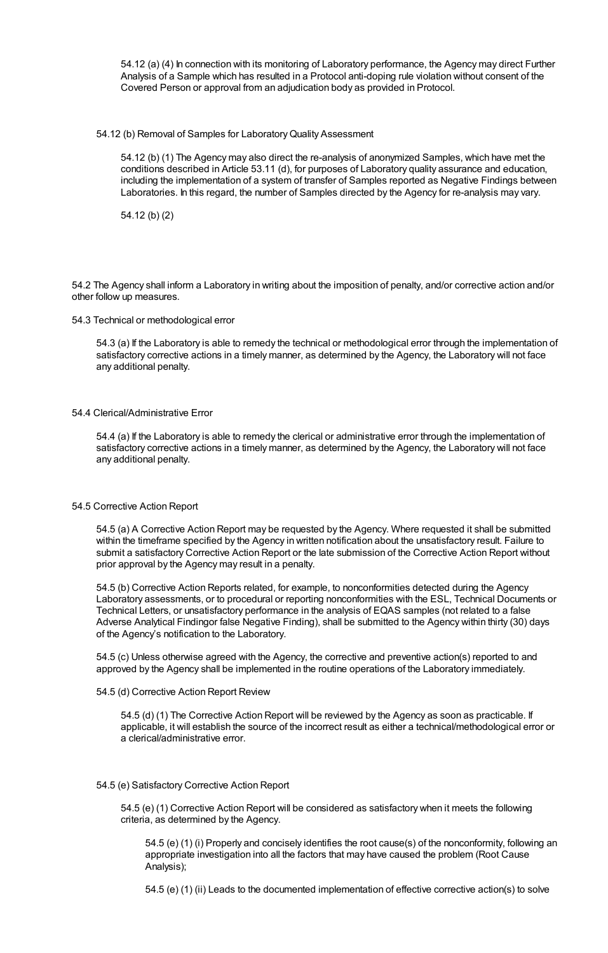54.12 (a) (4) In connection with its monitoring of Laboratory performance, the Agency may direct Further Analysis of a Sample which has resulted in a Protocol anti-doping rule violation without consent of the Covered Person or approval from an adjudication body as provided in Protocol.

## 54.12 (b) Removal of Samples for LaboratoryQuality Assessment

54.12 (b) (1) The Agency may also direct the re-analysis of anonymized Samples, which have met the conditions described in Article 53.11 (d), for purposes of Laboratory quality assurance and education, including the implementation of a system of transfer of Samples reported as Negative Findings between Laboratories. In this regard, the number of Samples directed by the Agency for re-analysis may vary.

54.12 (b) (2)

54.2 The Agency shall inform a Laboratory in writing about the imposition of penalty, and/or corrective action and/or other follow up measures.

#### 54.3 Technical or methodological error

54.3 (a) If the Laboratory is able to remedy the technical or methodological error through the implementation of satisfactory corrective actions in a timely manner, as determined by the Agency, the Laboratory will not face any additional penalty.

## 54.4 Clerical/Administrative Error

54.4 (a) If the Laboratory is able to remedy the clerical or administrative error through the implementation of satisfactory corrective actions in a timely manner, as determined by the Agency, the Laboratory will not face any additional penalty.

#### 54.5 Corrective Action Report

54.5 (a) A Corrective Action Report may be requested by the Agency. Where requested it shall be submitted within the timeframe specified by the Agency in written notification about the unsatisfactory result. Failure to submit a satisfactory Corrective Action Report or the late submission of the Corrective Action Report without prior approval by the Agency may result in a penalty.

54.5 (b) Corrective Action Reports related, for example, to nonconformities detected during the Agency Laboratory assessments, or to procedural or reporting nonconformities with the ESL, Technical Documents or Technical Letters, or unsatisfactory performance in the analysis of EQAS samples (not related to a false Adverse Analytical Findingor false Negative Finding), shall be submitted to the Agency within thirty (30) days of the Agency's notification to the Laboratory.

54.5 (c) Unless otherwise agreed with the Agency, the corrective and preventive action(s) reported to and approved by the Agency shall be implemented in the routine operations of the Laboratory immediately.

## 54.5 (d) Corrective Action Report Review

54.5 (d) (1) The Corrective Action Report will be reviewed by the Agency as soon as practicable. If applicable, it will establish the source of the incorrect result as either a technical/methodological error or a clerical/administrative error.

## 54.5 (e) Satisfactory Corrective Action Report

54.5 (e) (1) Corrective Action Report will be considered as satisfactory when it meets the following criteria, as determined by the Agency.

54.5 (e) (1) (i) Properly and concisely identifies the root cause(s) of the nonconformity, following an appropriate investigation into all the factors that may have caused the problem (Root Cause Analysis);

54.5 (e) (1) (ii) Leads to the documented implementation of effective corrective action(s) to solve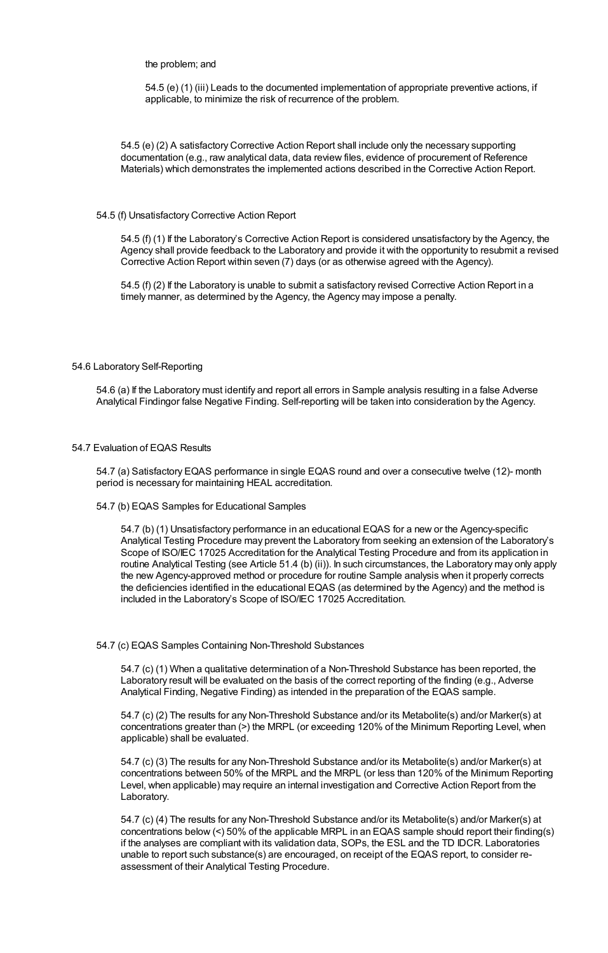## the problem; and

54.5 (e) (1) (iii) Leads to the documented implementation of appropriate preventive actions, if applicable, to minimize the risk of recurrence of the problem.

54.5 (e) (2) A satisfactory Corrective Action Report shall include only the necessary supporting documentation (e.g., raw analytical data, data review files, evidence of procurement of Reference Materials) which demonstrates the implemented actions described in the Corrective Action Report.

#### 54.5 (f) Unsatisfactory Corrective Action Report

54.5 (f) (1) If the Laboratory's Corrective Action Report is considered unsatisfactory by the Agency, the Agency shall provide feedback to the Laboratory and provide it with the opportunity to resubmit a revised Corrective Action Report within seven (7) days (or as otherwise agreed with the Agency).

54.5 (f) (2) If the Laboratory is unable to submit a satisfactory revised Corrective Action Report in a timely manner, as determined by the Agency, the Agency may impose a penalty.

#### 54.6 Laboratory Self-Reporting

54.6 (a) If the Laboratory must identify and report all errors in Sample analysis resulting in a false Adverse Analytical Findingor false Negative Finding. Self-reporting will be taken into consideration by the Agency.

## 54.7 Evaluation of EQAS Results

54.7 (a) Satisfactory EQAS performance in single EQAS round and over a consecutive twelve (12)- month period is necessary for maintaining HEAL accreditation.

#### 54.7 (b) EQAS Samples for Educational Samples

54.7 (b) (1) Unsatisfactory performance in an educational EQAS for a new or the Agency-specific Analytical Testing Procedure may prevent the Laboratory from seeking an extension of the Laboratory's Scope of ISO/IEC 17025 Accreditation for the Analytical Testing Procedure and from its application in routine Analytical Testing (see Article 51.4 (b) (ii)). In such circumstances, the Laboratory may only apply the new Agency-approved method or procedure for routine Sample analysis when it properly corrects the deficiencies identified in the educational EQAS (as determined by the Agency) and the method is included in the Laboratory's Scope of ISO/IEC 17025 Accreditation.

#### 54.7 (c) EQAS Samples Containing Non-Threshold Substances

54.7 (c) (1) When a qualitative determination of a Non-Threshold Substance has been reported, the Laboratory result will be evaluated on the basis of the correct reporting of the finding (e.g., Adverse Analytical Finding, Negative Finding) as intended in the preparation of the EQAS sample.

54.7 (c) (2) The results for any Non-Threshold Substance and/or its Metabolite(s) and/or Marker(s) at concentrations greater than (>) the MRPL (or exceeding 120% of the Minimum Reporting Level, when applicable) shall be evaluated.

54.7 (c) (3) The results for any Non-Threshold Substance and/or its Metabolite(s) and/or Marker(s) at concentrations between 50% of the MRPL and the MRPL (or less than 120% of the Minimum Reporting Level, when applicable) may require an internal investigation and Corrective Action Report from the Laboratory.

54.7 (c) (4) The results for any Non-Threshold Substance and/or its Metabolite(s) and/or Marker(s) at concentrations below (<) 50% of the applicable MRPL in an EQAS sample should report their finding(s) if the analyses are compliant with its validation data, SOPs, the ESL and the TD IDCR. Laboratories unable to report such substance(s) are encouraged, on receipt of the EQAS report, to consider reassessment of their Analytical Testing Procedure.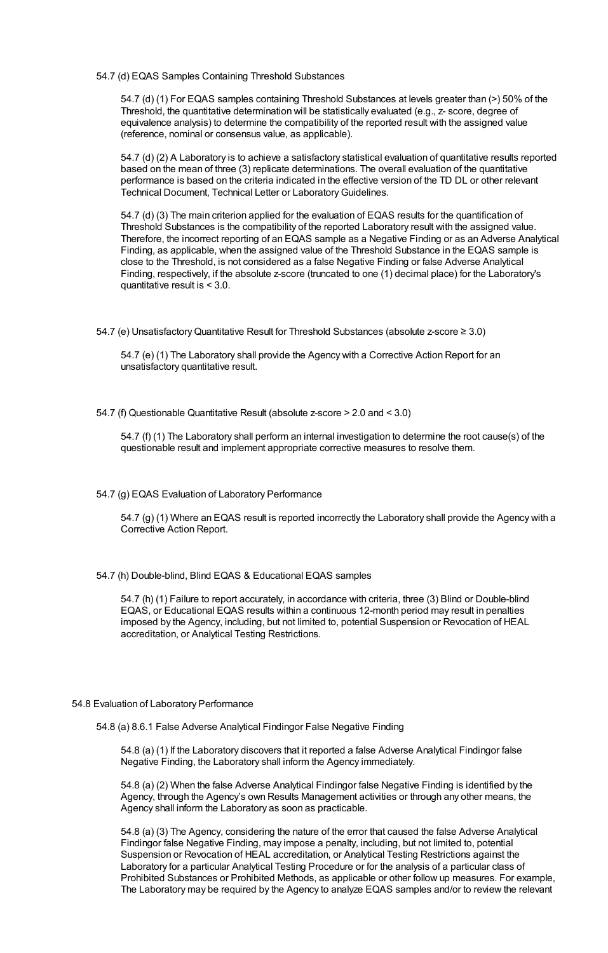54.7 (d) EQAS Samples Containing Threshold Substances

54.7 (d) (1) For EQAS samples containing Threshold Substances at levels greater than (>) 50% of the Threshold, the quantitative determination will be statistically evaluated (e.g., z- score, degree of equivalence analysis) to determine the compatibility of the reported result with the assigned value (reference, nominal or consensus value, as applicable).

54.7 (d) (2) A Laboratory is to achieve a satisfactory statistical evaluation of quantitative results reported based on the mean of three (3) replicate determinations. The overall evaluation of the quantitative performance is based on the criteria indicated in the effective version of the TD DL or other relevant Technical Document, Technical Letter or LaboratoryGuidelines.

54.7 (d) (3) The main criterion applied for the evaluation of EQAS results for the quantification of Threshold Substances is the compatibility of the reported Laboratory result with the assigned value. Therefore, the incorrect reporting of an EQAS sample as a Negative Finding or as an Adverse Analytical Finding, as applicable, when the assigned value of the Threshold Substance in the EQAS sample is close to the Threshold, is not considered as a false Negative Finding or false Adverse Analytical Finding, respectively, if the absolute z-score (truncated to one (1) decimal place) for the Laboratory's quantitative result is < 3.0.

54.7 (e) UnsatisfactoryQuantitative Result for Threshold Substances (absolute z-score ≥ 3.0)

54.7 (e) (1) The Laboratory shall provide the Agency with a Corrective Action Report for an unsatisfactory quantitative result.

54.7 (f) Questionable Quantitative Result (absolute z-score > 2.0 and < 3.0)

54.7 (f) (1) The Laboratory shall perform an internal investigation to determine the root cause(s) of the questionable result and implement appropriate corrective measures to resolve them.

54.7 (g) EQAS Evaluation of Laboratory Performance

54.7 (g) (1) Where an EQAS result is reported incorrectly the Laboratory shall provide the Agency with a Corrective Action Report.

54.7 (h) Double-blind, Blind EQAS & Educational EQAS samples

54.7 (h) (1) Failure to report accurately, in accordance with criteria, three (3) Blind or Double-blind EQAS, or Educational EQAS results within a continuous 12-month period may result in penalties imposed by the Agency, including, but not limited to, potential Suspension or Revocation of HEAL accreditation, or Analytical Testing Restrictions.

#### 54.8 Evaluation of Laboratory Performance

54.8 (a) 8.6.1 False Adverse Analytical Findingor False Negative Finding

54.8 (a) (1) If the Laboratory discovers that it reported a false Adverse Analytical Findingor false Negative Finding, the Laboratory shall inform the Agency immediately.

54.8 (a) (2) When the false Adverse Analytical Findingor false Negative Finding is identified by the Agency, through the Agency's own Results Management activities or through any other means, the Agency shall inform the Laboratory as soon as practicable.

54.8 (a) (3) The Agency, considering the nature of the error that caused the false Adverse Analytical Findingor false Negative Finding, may impose a penalty, including, but not limited to, potential Suspension or Revocation of HEAL accreditation, or Analytical Testing Restrictions against the Laboratory for a particular Analytical Testing Procedure or for the analysis of a particular class of Prohibited Substances or Prohibited Methods, as applicable or other follow up measures. For example, The Laboratory may be required by the Agency to analyze EQAS samples and/or to review the relevant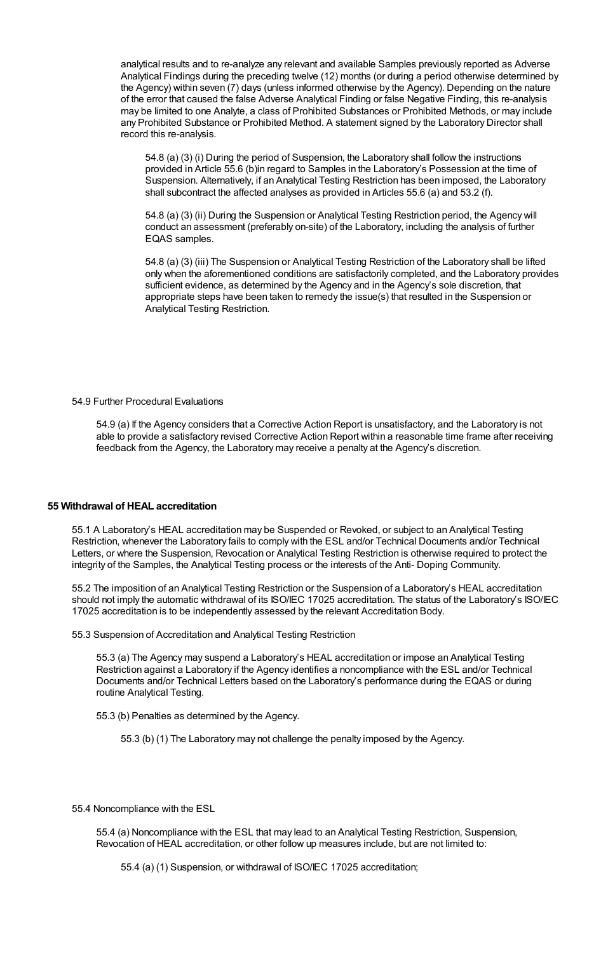analytical results and to re-analyze any relevant and available Samples previously reported as Adverse Analytical Findings during the preceding twelve (12) months (or during a period otherwise determined by the Agency) within seven (7) days (unless informed otherwise by the Agency). Depending on the nature of the error that caused the false Adverse Analytical Finding or false Negative Finding, this re-analysis may be limited to one Analyte, a class of Prohibited Substances or Prohibited Methods, or may include any Prohibited Substance or Prohibited Method. A statement signed by the Laboratory Director shall record this re-analysis.

54.8 (a) (3) (i) During the period of Suspension, the Laboratory shall follow the instructions provided in Article 55.6 (b)in regard to Samples in the Laboratory's Possession at the time of Suspension. Alternatively, if an Analytical Testing Restriction has been imposed, the Laboratory shall subcontract the affected analyses as provided in Articles 55.6 (a) and 53.2 (f).

54.8 (a) (3) (ii) During the Suspension or Analytical Testing Restriction period, the Agency will conduct an assessment (preferably on-site) of the Laboratory, including the analysis of further EQAS samples.

54.8 (a) (3) (iii) The Suspension or Analytical Testing Restriction of the Laboratory shall be lifted only when the aforementioned conditions are satisfactorily completed, and the Laboratory provides sufficient evidence, as determined by the Agency and in the Agency's sole discretion, that appropriate steps have been taken to remedy the issue(s) that resulted in the Suspension or Analytical Testing Restriction.

54.9 Further Procedural Evaluations

54.9 (a) If the Agency considers that a Corrective Action Report is unsatisfactory, and the Laboratory is not able to provide a satisfactory revised Corrective Action Report within a reasonable time frame after receiving feedback from the Agency, the Laboratory may receive a penalty at the Agency's discretion.

# **55 Withdrawal of HEAL accreditation**

55.1 A Laboratory's HEAL accreditation may be Suspended or Revoked, or subject to an Analytical Testing Restriction, whenever the Laboratory fails to comply with the ESL and/or Technical Documents and/or Technical Letters, or where the Suspension, Revocation or Analytical Testing Restriction is otherwise required to protect the integrity of the Samples, the Analytical Testing process or the interests of the Anti- Doping Community.

55.2 The imposition of an Analytical Testing Restriction or the Suspension of a Laboratory's HEAL accreditation should not imply the automatic withdrawal of its ISO/IEC 17025 accreditation. The status of the Laboratory's ISO/IEC 17025 accreditation is to be independently assessed by the relevant Accreditation Body.

55.3 Suspension of Accreditation and Analytical Testing Restriction

55.3 (a) The Agency may suspend a Laboratory's HEAL accreditation or impose an Analytical Testing Restriction against a Laboratory if the Agency identifies a noncompliance with the ESL and/or Technical Documents and/or Technical Letters based on the Laboratory's performance during the EQAS or during routine Analytical Testing.

55.3 (b) Penalties as determined by the Agency.

55.3 (b) (1) The Laboratory may not challenge the penalty imposed by the Agency.

55.4 Noncompliance with the ESL

55.4 (a) Noncompliance with the ESL that may lead to an Analytical Testing Restriction, Suspension, Revocation of HEAL accreditation, or other follow up measures include, but are not limited to:

55.4 (a) (1) Suspension, or withdrawal of ISO/IEC 17025 accreditation;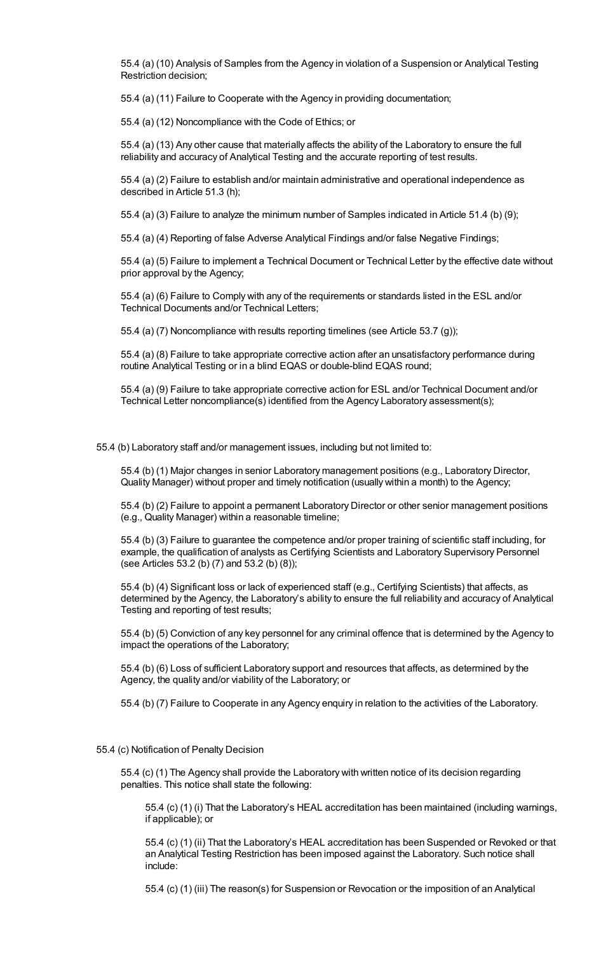55.4 (a) (10) Analysis of Samples from the Agency in violation of a Suspension or Analytical Testing Restriction decision;

55.4 (a) (11) Failure to Cooperate with the Agency in providing documentation;

55.4 (a) (12) Noncompliance with the Code of Ethics; or

55.4 (a) (13) Any other cause that materially affects the ability of the Laboratory to ensure the full reliability and accuracy of Analytical Testing and the accurate reporting of test results.

55.4 (a) (2) Failure to establish and/or maintain administrative and operational independence as described in Article 51.3 (h);

55.4 (a) (3) Failure to analyze the minimum number of Samples indicated in Article 51.4 (b) (9);

55.4 (a) (4) Reporting of false Adverse Analytical Findings and/or false Negative Findings;

55.4 (a) (5) Failure to implement a Technical Document or Technical Letter by the effective date without prior approval by the Agency;

55.4 (a) (6) Failure to Comply with any of the requirements or standards listed in the ESL and/or Technical Documents and/or Technical Letters;

55.4 (a) (7) Noncompliance with results reporting timelines (see Article 53.7 (g));

55.4 (a) (8) Failure to take appropriate corrective action after an unsatisfactory performance during routine Analytical Testing or in a blind EQAS or double-blind EQAS round;

55.4 (a) (9) Failure to take appropriate corrective action for ESL and/or Technical Document and/or Technical Letter noncompliance(s) identified from the Agency Laboratory assessment(s);

55.4 (b) Laboratory staff and/or management issues, including but not limited to:

55.4 (b) (1) Major changes in senior Laboratory management positions (e.g., Laboratory Director, Quality Manager) without proper and timely notification (usually within a month) to the Agency;

55.4 (b) (2) Failure to appoint a permanent Laboratory Director or other senior management positions (e.g., Quality Manager) within a reasonable timeline;

55.4 (b) (3) Failure to guarantee the competence and/or proper training of scientific staff including, for example, the qualification of analysts as Certifying Scientists and Laboratory Supervisory Personnel (see Articles 53.2 (b) (7) and 53.2 (b) (8));

55.4 (b) (4) Significant loss or lack of experienced staff (e.g., Certifying Scientists) that affects, as determined by the Agency, the Laboratory's ability to ensure the full reliability and accuracy of Analytical Testing and reporting of test results;

55.4 (b) (5) Conviction of any key personnel for any criminal offence that is determined by the Agency to impact the operations of the Laboratory;

55.4 (b) (6) Loss of sufficient Laboratory support and resources that affects, as determined by the Agency, the quality and/or viability of the Laboratory; or

55.4 (b) (7) Failure to Cooperate in any Agency enquiry in relation to the activities of the Laboratory.

## 55.4 (c) Notification of Penalty Decision

55.4 (c) (1) The Agency shall provide the Laboratory with written notice of its decision regarding penalties. This notice shall state the following:

55.4 (c) (1) (i) That the Laboratory's HEAL accreditation has been maintained (including warnings, if applicable); or

55.4 (c) (1) (ii) That the Laboratory's HEAL accreditation has been Suspended or Revoked or that an Analytical Testing Restriction has been imposed against the Laboratory. Such notice shall include:

55.4 (c) (1) (iii) The reason(s) for Suspension or Revocation or the imposition of an Analytical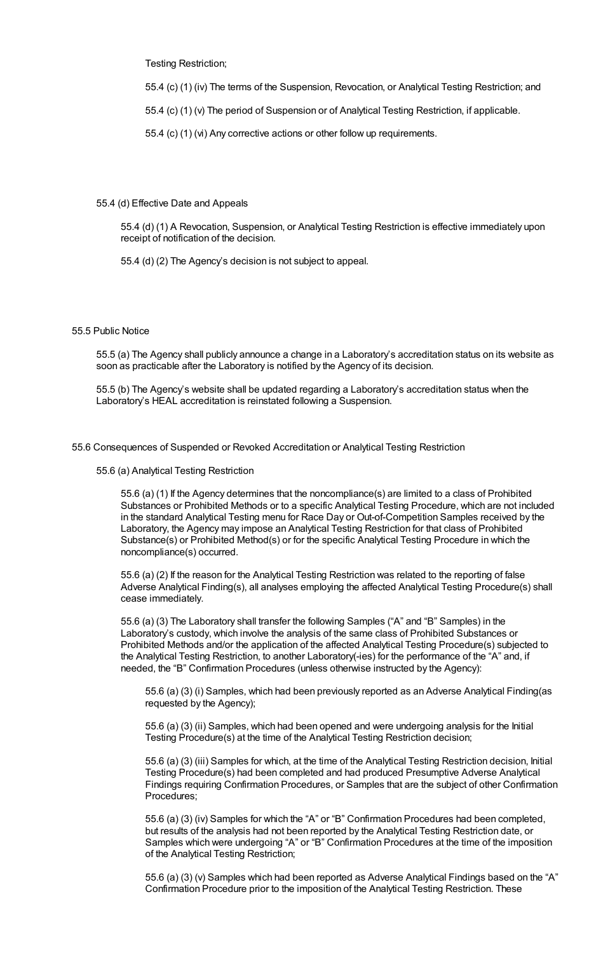Testing Restriction;

55.4 (c) (1) (iv) The terms of the Suspension, Revocation, or Analytical Testing Restriction; and

55.4 (c) (1) (v) The period of Suspension or of Analytical Testing Restriction, if applicable.

55.4 (c) (1) (vi) Any corrective actions or other follow up requirements.

## 55.4 (d) Effective Date and Appeals

55.4 (d) (1) A Revocation, Suspension, or Analytical Testing Restriction is effective immediately upon receipt of notification of the decision.

55.4 (d) (2) The Agency's decision is not subject to appeal.

## 55.5 Public Notice

55.5 (a) The Agency shall publicly announce a change in a Laboratory's accreditation status on its website as soon as practicable after the Laboratory is notified by the Agency of its decision.

55.5 (b) The Agency's website shall be updated regarding a Laboratory's accreditation status when the Laboratory's HEAL accreditation is reinstated following a Suspension.

55.6 Consequences of Suspended or Revoked Accreditation or Analytical Testing Restriction

55.6 (a) Analytical Testing Restriction

55.6 (a) (1) If the Agency determines that the noncompliance(s) are limited to a class of Prohibited Substances or Prohibited Methods or to a specific Analytical Testing Procedure, which are not included in the standard Analytical Testing menu for Race Day or Out-of-Competition Samples received by the Laboratory, the Agency may impose an Analytical Testing Restriction for that class of Prohibited Substance(s) or Prohibited Method(s) or for the specific Analytical Testing Procedure in which the noncompliance(s) occurred.

55.6 (a) (2) If the reason for the Analytical Testing Restriction was related to the reporting of false Adverse Analytical Finding(s), all analyses employing the affected Analytical Testing Procedure(s) shall cease immediately.

55.6 (a) (3) The Laboratory shall transfer the following Samples ("A" and "B" Samples) in the Laboratory's custody, which involve the analysis of the same class of Prohibited Substances or Prohibited Methods and/or the application of the affected Analytical Testing Procedure(s) subjected to the Analytical Testing Restriction, to another Laboratory(-ies) for the performance of the "A" and, if needed, the "B" Confirmation Procedures (unless otherwise instructed by the Agency):

55.6 (a) (3) (i) Samples, which had been previously reported as an Adverse Analytical Finding(as requested by the Agency);

55.6 (a) (3) (ii) Samples, which had been opened and were undergoing analysis for the Initial Testing Procedure(s) at the time of the Analytical Testing Restriction decision;

55.6 (a) (3) (iii) Samples for which, at the time of the Analytical Testing Restriction decision, Initial Testing Procedure(s) had been completed and had produced Presumptive Adverse Analytical Findings requiring Confirmation Procedures, or Samples that are the subject of other Confirmation Procedures;

55.6 (a) (3) (iv) Samples for which the "A" or "B" Confirmation Procedures had been completed, but results of the analysis had not been reported by the Analytical Testing Restriction date, or Samples which were undergoing "A" or "B" Confirmation Procedures at the time of the imposition of the Analytical Testing Restriction;

55.6 (a) (3) (v) Samples which had been reported as Adverse Analytical Findings based on the "A" Confirmation Procedure prior to the imposition of the Analytical Testing Restriction. These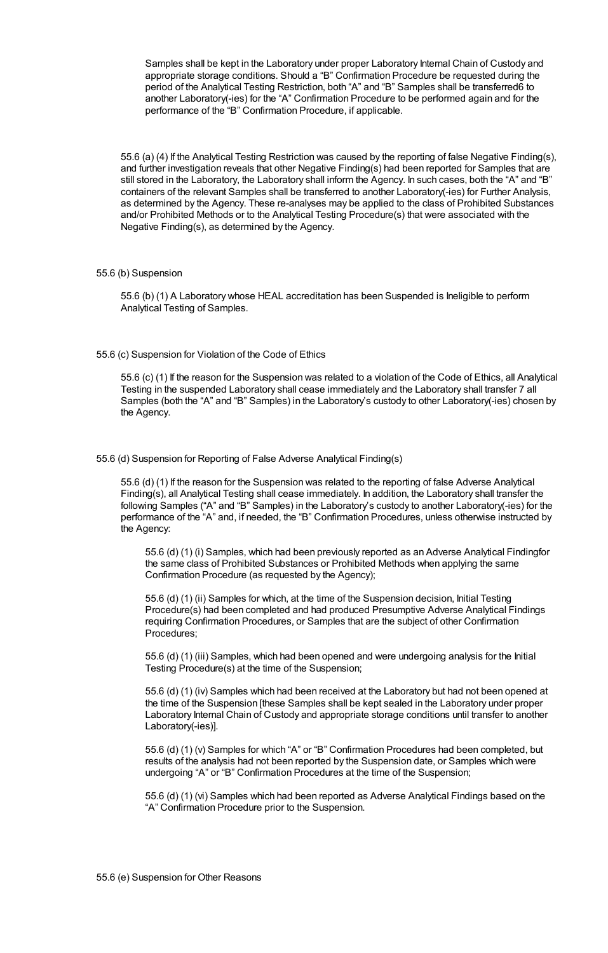Samples shall be kept in the Laboratory under proper Laboratory Internal Chain of Custody and appropriate storage conditions. Should a "B" Confirmation Procedure be requested during the period of the Analytical Testing Restriction, both "A" and "B" Samples shall be transferred6 to another Laboratory(-ies) for the "A" Confirmation Procedure to be performed again and for the performance of the "B" Confirmation Procedure, if applicable.

55.6 (a) (4) If the Analytical Testing Restriction was caused by the reporting of false Negative Finding(s), and further investigation reveals that other Negative Finding(s) had been reported for Samples that are still stored in the Laboratory, the Laboratory shall inform the Agency. In such cases, both the "A" and "B" containers of the relevant Samples shall be transferred to another Laboratory(-ies) for Further Analysis, as determined by the Agency. These re-analyses may be applied to the class of Prohibited Substances and/or Prohibited Methods or to the Analytical Testing Procedure(s) that were associated with the Negative Finding(s), as determined by the Agency.

## 55.6 (b) Suspension

55.6 (b) (1) A Laboratory whose HEAL accreditation has been Suspended is Ineligible to perform Analytical Testing of Samples.

55.6 (c) Suspension for Violation of the Code of Ethics

55.6 (c) (1) If the reason for the Suspension was related to a violation of the Code of Ethics, all Analytical Testing in the suspended Laboratory shall cease immediately and the Laboratory shall transfer 7 all Samples (both the "A" and "B" Samples) in the Laboratory's custody to other Laboratory(-ies) chosen by the Agency.

# 55.6 (d) Suspension for Reporting of False Adverse Analytical Finding(s)

55.6 (d) (1) If the reason for the Suspension was related to the reporting of false Adverse Analytical Finding(s), all Analytical Testing shall cease immediately. In addition, the Laboratory shall transfer the following Samples ("A" and "B" Samples) in the Laboratory's custody to another Laboratory(-ies) for the performance of the "A" and, if needed, the "B" Confirmation Procedures, unless otherwise instructed by the Agency:

55.6 (d) (1) (i) Samples, which had been previously reported as an Adverse Analytical Findingfor the same class of Prohibited Substances or Prohibited Methods when applying the same Confirmation Procedure (as requested by the Agency);

55.6 (d) (1) (ii) Samples for which, at the time of the Suspension decision, Initial Testing Procedure(s) had been completed and had produced Presumptive Adverse Analytical Findings requiring Confirmation Procedures, or Samples that are the subject of other Confirmation Procedures;

55.6 (d) (1) (iii) Samples, which had been opened and were undergoing analysis for the Initial Testing Procedure(s) at the time of the Suspension;

55.6 (d) (1) (iv) Samples which had been received at the Laboratory but had not been opened at the time of the Suspension [these Samples shall be kept sealed in the Laboratory under proper Laboratory Internal Chain of Custody and appropriate storage conditions until transfer to another Laboratory(-ies)].

55.6 (d) (1) (v) Samples for which "A" or "B" Confirmation Procedures had been completed, but results of the analysis had not been reported by the Suspension date, or Samples which were undergoing "A" or "B" Confirmation Procedures at the time of the Suspension;

55.6 (d) (1) (vi) Samples which had been reported as Adverse Analytical Findings based on the "A" Confirmation Procedure prior to the Suspension.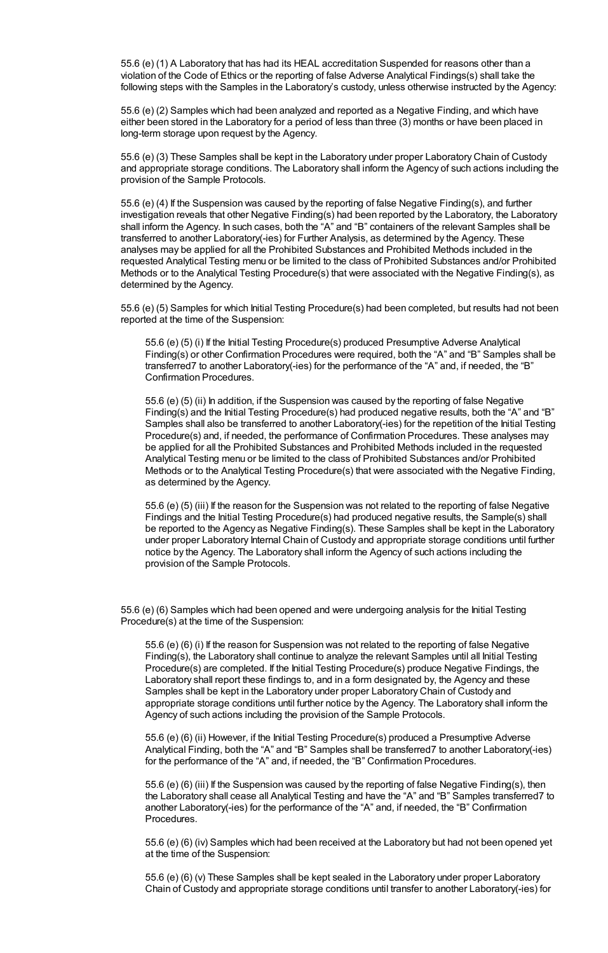55.6 (e) (1) A Laboratory that has had its HEAL accreditation Suspended for reasons other than a violation of the Code of Ethics or the reporting of false Adverse Analytical Findings(s) shall take the following steps with the Samples in the Laboratory's custody, unless otherwise instructed by the Agency:

55.6 (e) (2) Samples which had been analyzed and reported as a Negative Finding, and which have either been stored in the Laboratory for a period of less than three (3) months or have been placed in long-term storage upon request by the Agency.

55.6 (e) (3) These Samples shall be kept in the Laboratory under proper Laboratory Chain of Custody and appropriate storage conditions. The Laboratory shall inform the Agency of such actions including the provision of the Sample Protocols.

55.6 (e) (4) If the Suspension was caused by the reporting of false Negative Finding(s), and further investigation reveals that other Negative Finding(s) had been reported by the Laboratory, the Laboratory shall inform the Agency. In such cases, both the "A" and "B" containers of the relevant Samples shall be transferred to another Laboratory(-ies) for Further Analysis, as determined by the Agency. These analyses may be applied for all the Prohibited Substances and Prohibited Methods included in the requested Analytical Testing menu or be limited to the class of Prohibited Substances and/or Prohibited Methods or to the Analytical Testing Procedure(s) that were associated with the Negative Finding(s), as determined by the Agency.

55.6 (e) (5) Samples for which Initial Testing Procedure(s) had been completed, but results had not been reported at the time of the Suspension:

55.6 (e) (5) (i) If the Initial Testing Procedure(s) produced Presumptive Adverse Analytical Finding(s) or other Confirmation Procedures were required, both the "A" and "B" Samples shall be transferred7 to another Laboratory(-ies) for the performance of the "A" and, if needed, the "B" Confirmation Procedures.

55.6 (e) (5) (ii) In addition, if the Suspension was caused by the reporting of false Negative Finding(s) and the Initial Testing Procedure(s) had produced negative results, both the "A" and "B" Samples shall also be transferred to another Laboratory(-ies) for the repetition of the Initial Testing Procedure(s) and, if needed, the performance of Confirmation Procedures. These analyses may be applied for all the Prohibited Substances and Prohibited Methods included in the requested Analytical Testing menu or be limited to the class of Prohibited Substances and/or Prohibited Methods or to the Analytical Testing Procedure(s) that were associated with the Negative Finding, as determined by the Agency.

55.6 (e) (5) (iii) If the reason for the Suspension was not related to the reporting of false Negative Findings and the Initial Testing Procedure(s) had produced negative results, the Sample(s) shall be reported to the Agency as Negative Finding(s). These Samples shall be kept in the Laboratory under proper Laboratory Internal Chain of Custody and appropriate storage conditions until further notice by the Agency. The Laboratory shall inform the Agency of such actions including the provision of the Sample Protocols.

55.6 (e) (6) Samples which had been opened and were undergoing analysis for the Initial Testing Procedure(s) at the time of the Suspension:

55.6 (e) (6) (i) If the reason for Suspension was not related to the reporting of false Negative Finding(s), the Laboratory shall continue to analyze the relevant Samples until all Initial Testing Procedure(s) are completed. If the Initial Testing Procedure(s) produce Negative Findings, the Laboratory shall report these findings to, and in a form designated by, the Agency and these Samples shall be kept in the Laboratory under proper Laboratory Chain of Custody and appropriate storage conditions until further notice by the Agency. The Laboratory shall inform the Agency of such actions including the provision of the Sample Protocols.

55.6 (e) (6) (ii) However, if the Initial Testing Procedure(s) produced a Presumptive Adverse Analytical Finding, both the "A" and "B" Samples shall be transferred7 to another Laboratory(-ies) for the performance of the "A" and, if needed, the "B" Confirmation Procedures.

55.6 (e) (6) (iii) If the Suspension was caused by the reporting of false Negative Finding(s), then the Laboratory shall cease all Analytical Testing and have the "A" and "B" Samples transferred7 to another Laboratory(-ies) for the performance of the "A" and, if needed, the "B" Confirmation Procedures.

55.6 (e) (6) (iv) Samples which had been received at the Laboratory but had not been opened yet at the time of the Suspension:

55.6 (e) (6) (v) These Samples shall be kept sealed in the Laboratory under proper Laboratory Chain of Custody and appropriate storage conditions until transfer to another Laboratory(-ies) for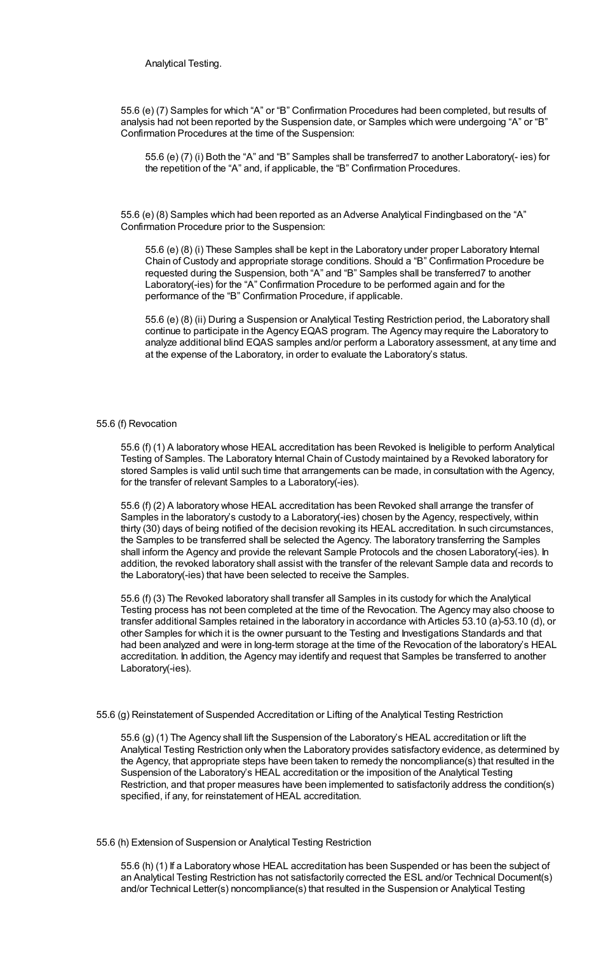Analytical Testing.

55.6 (e) (7) Samples for which "A" or "B" Confirmation Procedures had been completed, but results of analysis had not been reported by the Suspension date, or Samples which were undergoing "A" or "B" Confirmation Procedures at the time of the Suspension:

55.6 (e) (7) (i) Both the "A" and "B" Samples shall be transferred7 to another Laboratory(- ies) for the repetition of the "A" and, if applicable, the "B" Confirmation Procedures.

55.6 (e) (8) Samples which had been reported as an Adverse Analytical Findingbased on the "A" Confirmation Procedure prior to the Suspension:

55.6 (e) (8) (i) These Samples shall be kept in the Laboratory under proper Laboratory Internal Chain of Custody and appropriate storage conditions. Should a "B" Confirmation Procedure be requested during the Suspension, both "A" and "B" Samples shall be transferred7 to another Laboratory(-ies) for the "A" Confirmation Procedure to be performed again and for the performance of the "B" Confirmation Procedure, if applicable.

55.6 (e) (8) (ii) During a Suspension or Analytical Testing Restriction period, the Laboratory shall continue to participate in the Agency EQAS program. The Agency may require the Laboratory to analyze additional blind EQAS samples and/or perform a Laboratory assessment, at any time and at the expense of the Laboratory, in order to evaluate the Laboratory's status.

## 55.6 (f) Revocation

55.6 (f) (1) A laboratory whose HEAL accreditation has been Revoked is Ineligible to perform Analytical Testing of Samples. The Laboratory Internal Chain of Custody maintained by a Revoked laboratory for stored Samples is valid until such time that arrangements can be made, in consultation with the Agency, for the transfer of relevant Samples to a Laboratory(-ies).

55.6 (f) (2) A laboratory whose HEAL accreditation has been Revoked shall arrange the transfer of Samples in the laboratory's custody to a Laboratory(-ies) chosen by the Agency, respectively, within thirty (30) days of being notified of the decision revoking its HEAL accreditation. In such circumstances, the Samples to be transferred shall be selected the Agency. The laboratory transferring the Samples shall inform the Agency and provide the relevant Sample Protocols and the chosen Laboratory(-ies). In addition, the revoked laboratory shall assist with the transfer of the relevant Sample data and records to the Laboratory(-ies) that have been selected to receive the Samples.

55.6 (f) (3) The Revoked laboratory shall transfer all Samples in its custody for which the Analytical Testing process has not been completed at the time of the Revocation. The Agency may also choose to transfer additional Samples retained in the laboratory in accordance with Articles 53.10 (a)-53.10 (d), or other Samples for which it is the owner pursuant to the Testing and Investigations Standards and that had been analyzed and were in long-term storage at the time of the Revocation of the laboratory's HEAL accreditation. In addition, the Agency may identify and request that Samples be transferred to another Laboratory(-ies).

#### 55.6 (g) Reinstatement of Suspended Accreditation or Lifting of the Analytical Testing Restriction

55.6 (g) (1) The Agency shall lift the Suspension of the Laboratory's HEAL accreditation or lift the Analytical Testing Restriction only when the Laboratory provides satisfactory evidence, as determined by the Agency, that appropriate steps have been taken to remedy the noncompliance(s) that resulted in the Suspension of the Laboratory's HEAL accreditation or the imposition of the Analytical Testing Restriction, and that proper measures have been implemented to satisfactorily address the condition(s) specified, if any, for reinstatement of HEAL accreditation.

## 55.6 (h) Extension of Suspension or Analytical Testing Restriction

55.6 (h) (1) If a Laboratory whose HEAL accreditation has been Suspended or has been the subject of an Analytical Testing Restriction has not satisfactorily corrected the ESL and/or Technical Document(s) and/or Technical Letter(s) noncompliance(s) that resulted in the Suspension or Analytical Testing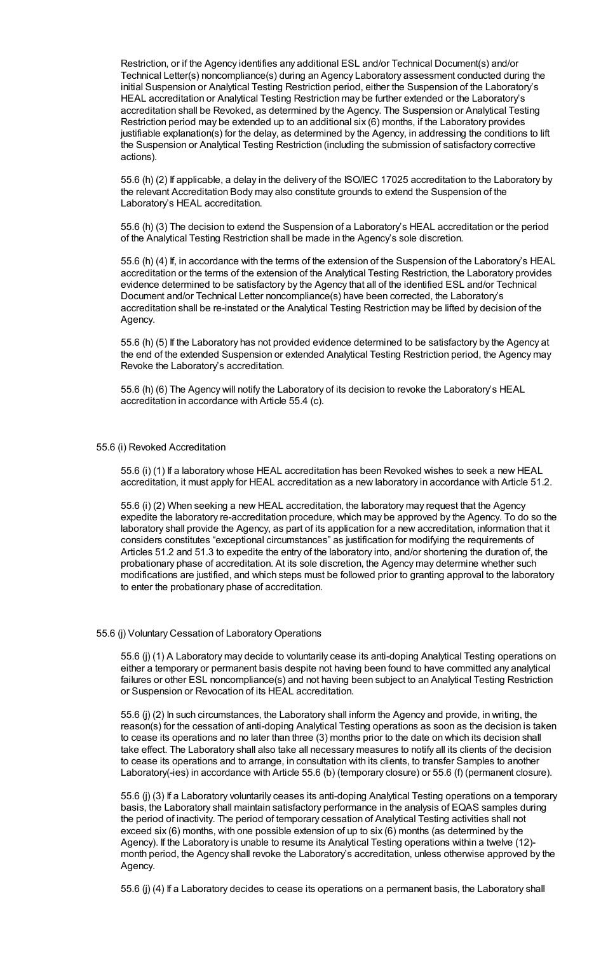Restriction, or if the Agency identifies any additional ESL and/or Technical Document(s) and/or Technical Letter(s) noncompliance(s) during an Agency Laboratory assessment conducted during the initial Suspension or Analytical Testing Restriction period, either the Suspension of the Laboratory's HEAL accreditation or Analytical Testing Restriction may be further extended or the Laboratory's accreditation shall be Revoked, as determined by the Agency. The Suspension or Analytical Testing Restriction period may be extended up to an additional six (6) months, if the Laboratory provides justifiable explanation(s) for the delay, as determined by the Agency, in addressing the conditions to lift the Suspension or Analytical Testing Restriction (including the submission of satisfactory corrective actions).

55.6 (h) (2) If applicable, a delay in the delivery of the ISO/IEC 17025 accreditation to the Laboratory by the relevant Accreditation Body may also constitute grounds to extend the Suspension of the Laboratory's HEAL accreditation.

55.6 (h) (3) The decision to extend the Suspension of a Laboratory's HEAL accreditation or the period of the Analytical Testing Restriction shall be made in the Agency's sole discretion.

55.6 (h) (4) If, in accordance with the terms of the extension of the Suspension of the Laboratory's HEAL accreditation or the terms of the extension of the Analytical Testing Restriction, the Laboratory provides evidence determined to be satisfactory by the Agency that all of the identified ESL and/or Technical Document and/or Technical Letter noncompliance(s) have been corrected, the Laboratory's accreditation shall be re-instated or the Analytical Testing Restriction may be lifted by decision of the Agency.

55.6 (h) (5) If the Laboratory has not provided evidence determined to be satisfactory by the Agency at the end of the extended Suspension or extended Analytical Testing Restriction period, the Agency may Revoke the Laboratory's accreditation.

55.6 (h) (6) The Agency will notify the Laboratory of its decision to revoke the Laboratory's HEAL accreditation in accordance with Article 55.4 (c).

## 55.6 (i) Revoked Accreditation

55.6 (i) (1) If a laboratory whose HEAL accreditation has been Revoked wishes to seek a new HEAL accreditation, it must apply for HEAL accreditation as a new laboratory in accordance with Article 51.2.

55.6 (i) (2) When seeking a new HEAL accreditation, the laboratory may request that the Agency expedite the laboratory re-accreditation procedure, which may be approved by the Agency. To do so the laboratory shall provide the Agency, as part of its application for a new accreditation, information that it considers constitutes "exceptional circumstances" as justification for modifying the requirements of Articles 51.2 and 51.3 to expedite the entry of the laboratory into, and/or shortening the duration of, the probationary phase of accreditation. At its sole discretion, the Agency may determine whether such modifications are justified, and which steps must be followed prior to granting approval to the laboratory to enter the probationary phase of accreditation.

# 55.6 (j) Voluntary Cessation of Laboratory Operations

55.6 (j) (1) A Laboratory may decide to voluntarily cease its anti-doping Analytical Testing operations on either a temporary or permanent basis despite not having been found to have committed any analytical failures or other ESL noncompliance(s) and not having been subject to an Analytical Testing Restriction or Suspension or Revocation of its HEAL accreditation.

55.6 (j) (2) In such circumstances, the Laboratory shall inform the Agency and provide, in writing, the reason(s) for the cessation of anti-doping Analytical Testing operations as soon as the decision is taken to cease its operations and no later than three (3) months prior to the date on which its decision shall take effect. The Laboratory shall also take all necessary measures to notify all its clients of the decision to cease its operations and to arrange, in consultation with its clients, to transfer Samples to another Laboratory(-ies) in accordance with Article 55.6 (b) (temporary closure) or 55.6 (f) (permanent closure).

55.6 (j) (3) If a Laboratory voluntarily ceases its anti-doping Analytical Testing operations on a temporary basis, the Laboratory shall maintain satisfactory performance in the analysis of EQAS samples during the period of inactivity. The period of temporary cessation of Analytical Testing activities shall not exceed six (6) months, with one possible extension of up to six (6) months (as determined by the Agency). If the Laboratory is unable to resume its Analytical Testing operations within a twelve (12) month period, the Agency shall revoke the Laboratory's accreditation, unless otherwise approved by the Agency.

55.6 (j) (4) If a Laboratory decides to cease its operations on a permanent basis, the Laboratory shall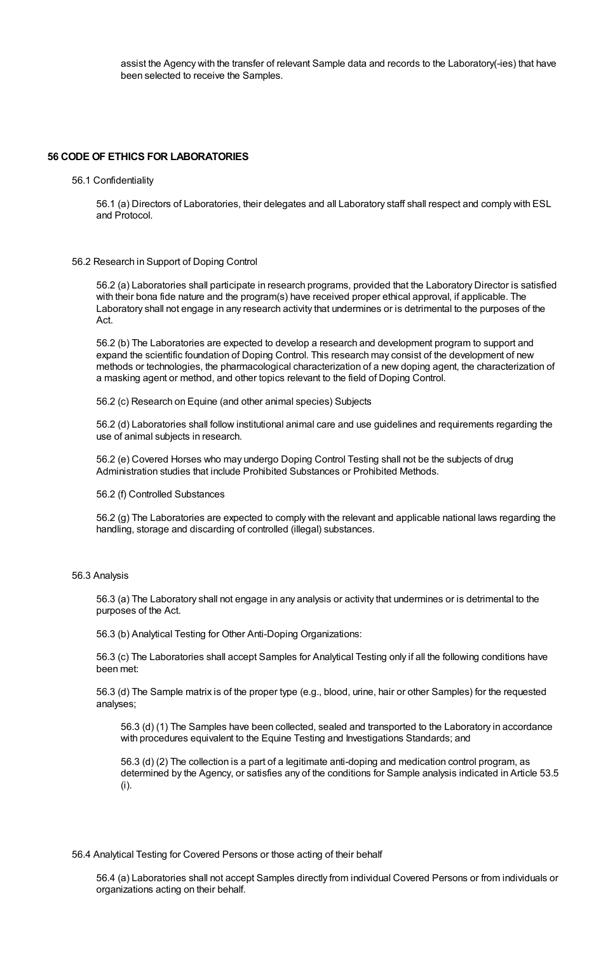assist the Agency with the transfer of relevant Sample data and records to the Laboratory(-ies) that have been selected to receive the Samples.

## **56 CODE OF ETHICS FOR LABORATORIES**

#### 56.1 Confidentiality

56.1 (a) Directors of Laboratories, their delegates and all Laboratory staff shall respect and comply with ESL and Protocol.

## 56.2 Research in Support of Doping Control

56.2 (a) Laboratories shall participate in research programs, provided that the Laboratory Director is satisfied with their bona fide nature and the program(s) have received proper ethical approval, if applicable. The Laboratory shall not engage in any research activity that undermines or is detrimental to the purposes of the Act.

56.2 (b) The Laboratories are expected to develop a research and development program to support and expand the scientific foundation of Doping Control. This research may consist of the development of new methods or technologies, the pharmacological characterization of a new doping agent, the characterization of a masking agent or method, and other topics relevant to the field of Doping Control.

56.2 (c) Research on Equine (and other animal species) Subjects

56.2 (d) Laboratories shall follow institutional animal care and use guidelines and requirements regarding the use of animal subjects in research.

56.2 (e) Covered Horses who may undergo Doping Control Testing shall not be the subjects of drug Administration studies that include Prohibited Substances or Prohibited Methods.

#### 56.2 (f) Controlled Substances

56.2 (g) The Laboratories are expected to comply with the relevant and applicable national laws regarding the handling, storage and discarding of controlled (illegal) substances.

#### 56.3 Analysis

56.3 (a) The Laboratory shall not engage in any analysis or activity that undermines or is detrimental to the purposes of the Act.

56.3 (b) Analytical Testing for Other Anti-Doping Organizations:

56.3 (c) The Laboratories shall accept Samples for Analytical Testing only if all the following conditions have been met:

56.3 (d) The Sample matrix is of the proper type (e.g., blood, urine, hair or other Samples) for the requested analyses;

56.3 (d) (1) The Samples have been collected, sealed and transported to the Laboratory in accordance with procedures equivalent to the Equine Testing and Investigations Standards; and

56.3 (d) (2) The collection is a part of a legitimate anti-doping and medication control program, as determined by the Agency, or satisfies any of the conditions for Sample analysis indicated in Article 53.5 (i).

## 56.4 Analytical Testing for Covered Persons or those acting of their behalf

56.4 (a) Laboratories shall not accept Samples directly from individual Covered Persons or from individuals or organizations acting on their behalf.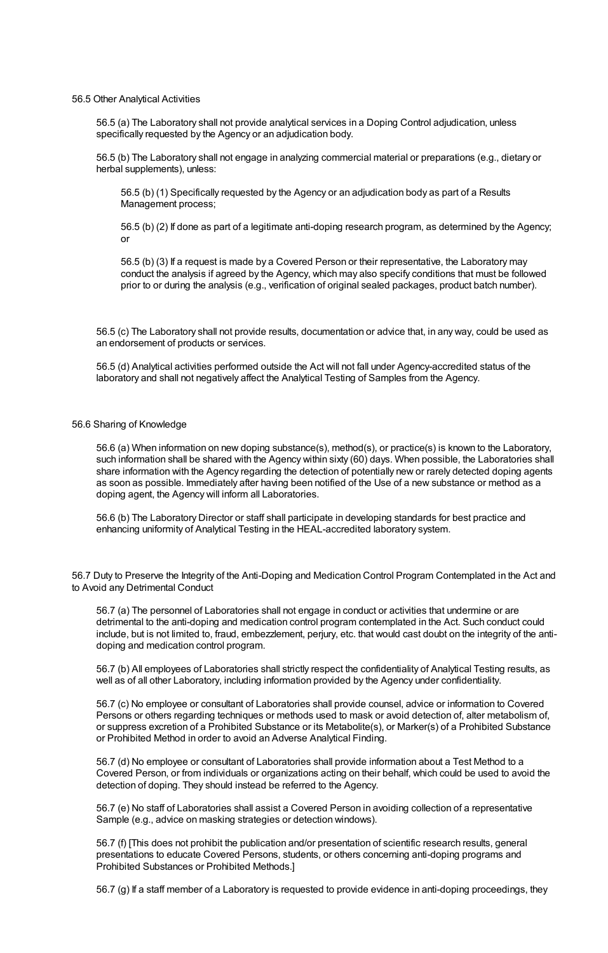#### 56.5 Other Analytical Activities

56.5 (a) The Laboratory shall not provide analytical services in a Doping Control adjudication, unless specifically requested by the Agency or an adjudication body.

56.5 (b) The Laboratory shall not engage in analyzing commercial material or preparations (e.g., dietary or herbal supplements), unless:

56.5 (b) (1) Specifically requested by the Agency or an adjudication body as part of a Results Management process;

56.5 (b) (2) If done as part of a legitimate anti-doping research program, as determined by the Agency; or

56.5 (b) (3) If a request is made by a Covered Person or their representative, the Laboratory may conduct the analysis if agreed by the Agency, which may also specify conditions that must be followed prior to or during the analysis (e.g., verification of original sealed packages, product batch number).

56.5 (c) The Laboratory shall not provide results, documentation or advice that, in any way, could be used as an endorsement of products or services.

56.5 (d) Analytical activities performed outside the Act will not fall under Agency-accredited status of the laboratory and shall not negatively affect the Analytical Testing of Samples from the Agency.

# 56.6 Sharing of Knowledge

56.6 (a) When information on new doping substance(s), method(s), or practice(s) is known to the Laboratory, such information shall be shared with the Agency within sixty (60) days. When possible, the Laboratories shall share information with the Agency regarding the detection of potentially new or rarely detected doping agents as soon as possible. Immediately after having been notified of the Use of a new substance or method as a doping agent, the Agency will inform all Laboratories.

56.6 (b) The Laboratory Director or staff shall participate in developing standards for best practice and enhancing uniformity of Analytical Testing in the HEAL-accredited laboratory system.

56.7 Duty to Preserve the Integrity of the Anti-Doping and Medication Control Program Contemplated in the Act and to Avoid any Detrimental Conduct

56.7 (a) The personnel of Laboratories shall not engage in conduct or activities that undermine or are detrimental to the anti-doping and medication control program contemplated in the Act. Such conduct could include, but is not limited to, fraud, embezzlement, perjury, etc. that would cast doubt on the integrity of the antidoping and medication control program.

56.7 (b) All employees of Laboratories shall strictly respect the confidentiality of Analytical Testing results, as well as of all other Laboratory, including information provided by the Agency under confidentiality.

56.7 (c) No employee or consultant of Laboratories shall provide counsel, advice or information to Covered Persons or others regarding techniques or methods used to mask or avoid detection of, alter metabolism of, or suppress excretion of a Prohibited Substance or its Metabolite(s), or Marker(s) of a Prohibited Substance or Prohibited Method in order to avoid an Adverse Analytical Finding.

56.7 (d) No employee or consultant of Laboratories shall provide information about a Test Method to a Covered Person, or from individuals or organizations acting on their behalf, which could be used to avoid the detection of doping. They should instead be referred to the Agency.

56.7 (e) No staff of Laboratories shall assist a Covered Person in avoiding collection of a representative Sample (e.g., advice on masking strategies or detection windows).

56.7 (f) [This does not prohibit the publication and/or presentation of scientific research results, general presentations to educate Covered Persons, students, or others concerning anti-doping programs and Prohibited Substances or Prohibited Methods.]

56.7 (g) If a staff member of a Laboratory is requested to provide evidence in anti-doping proceedings, they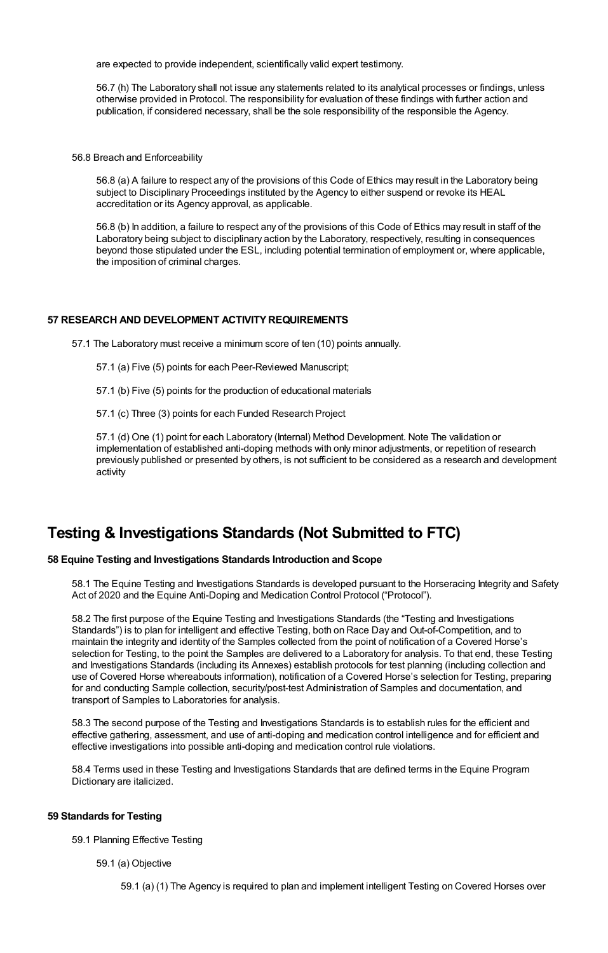are expected to provide independent, scientifically valid expert testimony.

56.7 (h) The Laboratory shall not issue any statements related to its analytical processes or findings, unless otherwise provided in Protocol. The responsibility for evaluation of these findings with further action and publication, if considered necessary, shall be the sole responsibility of the responsible the Agency.

56.8 Breach and Enforceability

56.8 (a) A failure to respect any of the provisions of this Code of Ethics may result in the Laboratory being subject to Disciplinary Proceedings instituted by the Agency to either suspend or revoke its HEAL accreditation or its Agency approval, as applicable.

56.8 (b) In addition, a failure to respect any of the provisions of this Code of Ethics may result in staff of the Laboratory being subject to disciplinary action by the Laboratory, respectively, resulting in consequences beyond those stipulated under the ESL, including potential termination of employment or, where applicable, the imposition of criminal charges.

# **57 RESEARCH AND DEVELOPMENT ACTIVITYREQUIREMENTS**

57.1 The Laboratory must receive a minimum score of ten (10) points annually.

- 57.1 (a) Five (5) points for each Peer-Reviewed Manuscript;
- 57.1 (b) Five (5) points for the production of educational materials
- 57.1 (c) Three (3) points for each Funded Research Project

57.1 (d) One (1) point for each Laboratory (Internal) Method Development. Note The validation or implementation of established anti-doping methods with only minor adjustments, or repetition of research previously published or presented by others, is not sufficient to be considered as a research and development activity

# **Testing & Investigations Standards (Not Submitted to FTC)**

# **58 Equine Testing and Investigations Standards Introduction and Scope**

58.1 The Equine Testing and Investigations Standards is developed pursuant to the Horseracing Integrity and Safety Act of 2020 and the Equine Anti-Doping and Medication Control Protocol ("Protocol").

58.2 The first purpose of the Equine Testing and Investigations Standards (the "Testing and Investigations Standards") is to plan for intelligent and effective Testing, both on Race Day and Out-of-Competition, and to maintain the integrity and identity of the Samples collected from the point of notification of a Covered Horse's selection for Testing, to the point the Samples are delivered to a Laboratory for analysis. To that end, these Testing and Investigations Standards (including its Annexes) establish protocols for test planning (including collection and use of Covered Horse whereabouts information), notification of a Covered Horse's selection for Testing, preparing for and conducting Sample collection, security/post-test Administration of Samples and documentation, and transport of Samples to Laboratories for analysis.

58.3 The second purpose of the Testing and Investigations Standards is to establish rules for the efficient and effective gathering, assessment, and use of anti-doping and medication control intelligence and for efficient and effective investigations into possible anti-doping and medication control rule violations.

58.4 Terms used in these Testing and Investigations Standards that are defined terms in the Equine Program Dictionary are italicized.

## **59 Standards for Testing**

59.1 Planning Effective Testing

59.1 (a) Objective

59.1 (a) (1) The Agency is required to plan and implement intelligent Testing on Covered Horses over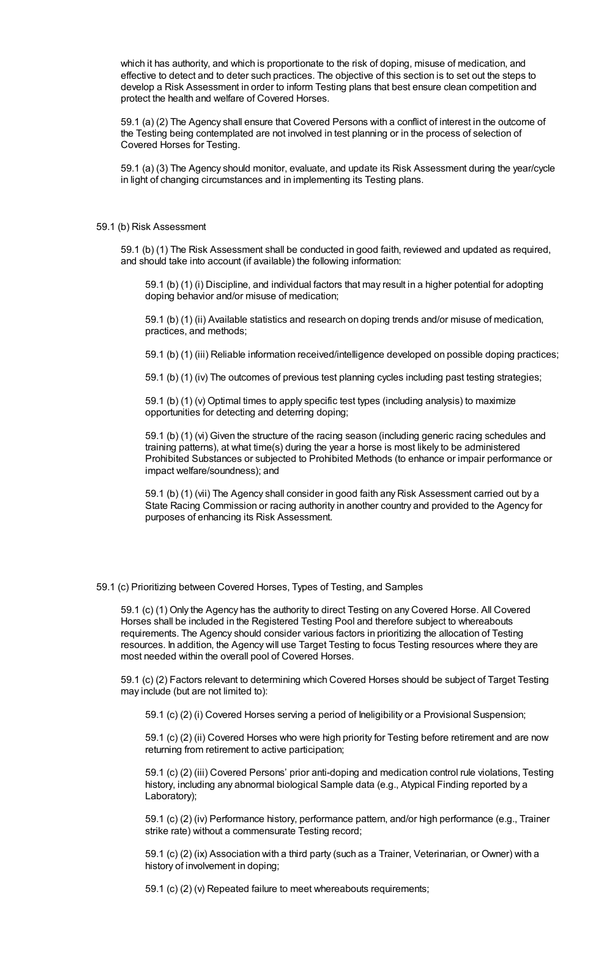which it has authority, and which is proportionate to the risk of doping, misuse of medication, and effective to detect and to deter such practices. The objective of this section is to set out the steps to develop a Risk Assessment in order to inform Testing plans that best ensure clean competition and protect the health and welfare of Covered Horses.

59.1 (a) (2) The Agency shall ensure that Covered Persons with a conflict of interest in the outcome of the Testing being contemplated are not involved in test planning or in the process of selection of Covered Horses for Testing.

59.1 (a) (3) The Agency should monitor, evaluate, and update its Risk Assessment during the year/cycle in light of changing circumstances and in implementing its Testing plans.

#### 59.1 (b) Risk Assessment

59.1 (b) (1) The Risk Assessment shall be conducted in good faith, reviewed and updated as required, and should take into account (if available) the following information:

59.1 (b) (1) (i) Discipline, and individual factors that may result in a higher potential for adopting doping behavior and/or misuse of medication;

59.1 (b) (1) (ii) Available statistics and research on doping trends and/or misuse of medication, practices, and methods;

59.1 (b) (1) (iii) Reliable information received/intelligence developed on possible doping practices;

59.1 (b) (1) (iv) The outcomes of previous test planning cycles including past testing strategies;

59.1 (b) (1) (v) Optimal times to apply specific test types (including analysis) to maximize opportunities for detecting and deterring doping;

59.1 (b) (1) (vi) Given the structure of the racing season (including generic racing schedules and training patterns), at what time(s) during the year a horse is most likely to be administered Prohibited Substances or subjected to Prohibited Methods (to enhance or impair performance or impact welfare/soundness); and

59.1 (b) (1) (vii) The Agency shall consider in good faith any Risk Assessment carried out by a State Racing Commission or racing authority in another country and provided to the Agency for purposes of enhancing its Risk Assessment.

59.1 (c) Prioritizing between Covered Horses, Types of Testing, and Samples

59.1 (c) (1) Only the Agency has the authority to direct Testing on any Covered Horse. All Covered Horses shall be included in the Registered Testing Pool and therefore subject to whereabouts requirements. The Agency should consider various factors in prioritizing the allocation of Testing resources. In addition, the Agency will use Target Testing to focus Testing resources where they are most needed within the overall pool of Covered Horses.

59.1 (c) (2) Factors relevant to determining which Covered Horses should be subject of Target Testing may include (but are not limited to):

59.1 (c) (2) (i) Covered Horses serving a period of Ineligibility or a Provisional Suspension;

59.1 (c) (2) (ii) Covered Horses who were high priority for Testing before retirement and are now returning from retirement to active participation;

59.1 (c) (2) (iii) Covered Persons' prior anti-doping and medication control rule violations, Testing history, including any abnormal biological Sample data (e.g., Atypical Finding reported by a Laboratory);

59.1 (c) (2) (iv) Performance history, performance pattern, and/or high performance (e.g., Trainer strike rate) without a commensurate Testing record;

59.1 (c) (2) (ix) Association with a third party (such as a Trainer, Veterinarian, or Owner) with a history of involvement in doping;

59.1 (c) (2) (v) Repeated failure to meet whereabouts requirements;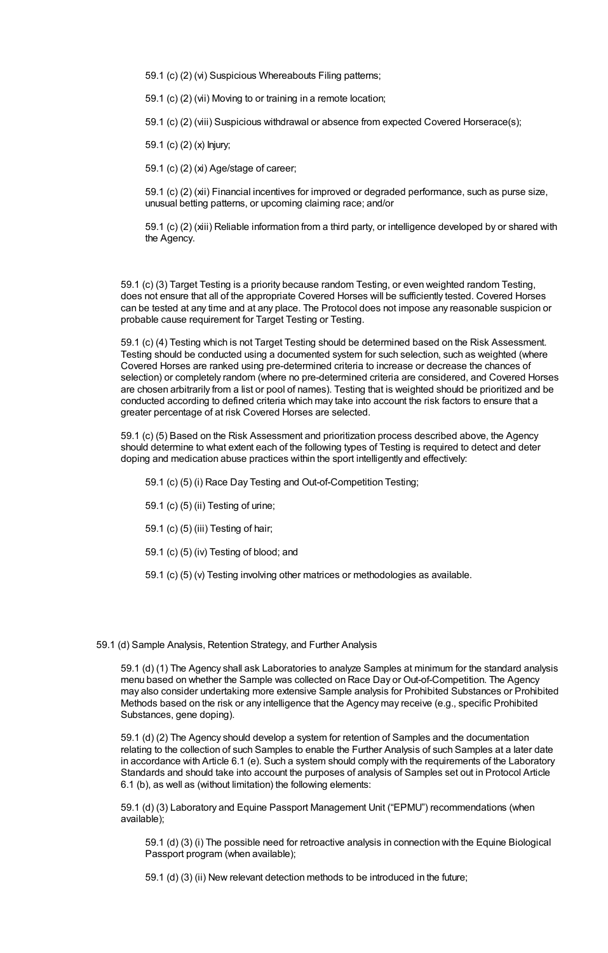59.1 (c) (2) (vi) Suspicious Whereabouts Filing patterns;

59.1 (c) (2) (vii) Moving to or training in a remote location;

59.1 (c) (2) (viii) Suspicious withdrawal or absence from expected Covered Horserace(s);

59.1 (c) (2) (x) Injury;

59.1 (c) (2) (xi) Age/stage of career;

59.1 (c) (2) (xii) Financial incentives for improved or degraded performance, such as purse size, unusual betting patterns, or upcoming claiming race; and/or

59.1 (c) (2) (xiii) Reliable information from a third party, or intelligence developed by or shared with the Agency.

59.1 (c) (3) Target Testing is a priority because random Testing, or even weighted random Testing, does not ensure that all of the appropriate Covered Horses will be sufficiently tested. Covered Horses can be tested at any time and at any place. The Protocol does not impose any reasonable suspicion or probable cause requirement for Target Testing or Testing.

59.1 (c) (4) Testing which is not Target Testing should be determined based on the Risk Assessment. Testing should be conducted using a documented system for such selection, such as weighted (where Covered Horses are ranked using pre-determined criteria to increase or decrease the chances of selection) or completely random (where no pre-determined criteria are considered, and Covered Horses are chosen arbitrarily from a list or pool of names). Testing that is weighted should be prioritized and be conducted according to defined criteria which may take into account the risk factors to ensure that a greater percentage of at risk Covered Horses are selected.

59.1 (c) (5) Based on the Risk Assessment and prioritization process described above, the Agency should determine to what extent each of the following types of Testing is required to detect and deter doping and medication abuse practices within the sport intelligently and effectively:

- 59.1 (c) (5) (i) Race Day Testing and Out-of-Competition Testing;
- 59.1 (c) (5) (ii) Testing of urine;
- 59.1 (c) (5) (iii) Testing of hair;
- 59.1 (c) (5) (iv) Testing of blood; and
- 59.1 (c) (5) (v) Testing involving other matrices or methodologies as available.

#### 59.1 (d) Sample Analysis, Retention Strategy, and Further Analysis

59.1 (d) (1) The Agency shall ask Laboratories to analyze Samples at minimum for the standard analysis menu based on whether the Sample was collected on Race Day or Out-of-Competition. The Agency may also consider undertaking more extensive Sample analysis for Prohibited Substances or Prohibited Methods based on the risk or any intelligence that the Agency may receive (e.g., specific Prohibited Substances, gene doping).

59.1 (d) (2) The Agency should develop a system for retention of Samples and the documentation relating to the collection of such Samples to enable the Further Analysis of such Samples at a later date in accordance with Article 6.1 (e). Such a system should comply with the requirements of the Laboratory Standards and should take into account the purposes of analysis of Samples set out in Protocol Article 6.1 (b), as well as (without limitation) the following elements:

59.1 (d) (3) Laboratory and Equine Passport Management Unit ("EPMU") recommendations (when available);

59.1 (d) (3) (i) The possible need for retroactive analysis in connection with the Equine Biological Passport program (when available);

59.1 (d) (3) (ii) New relevant detection methods to be introduced in the future;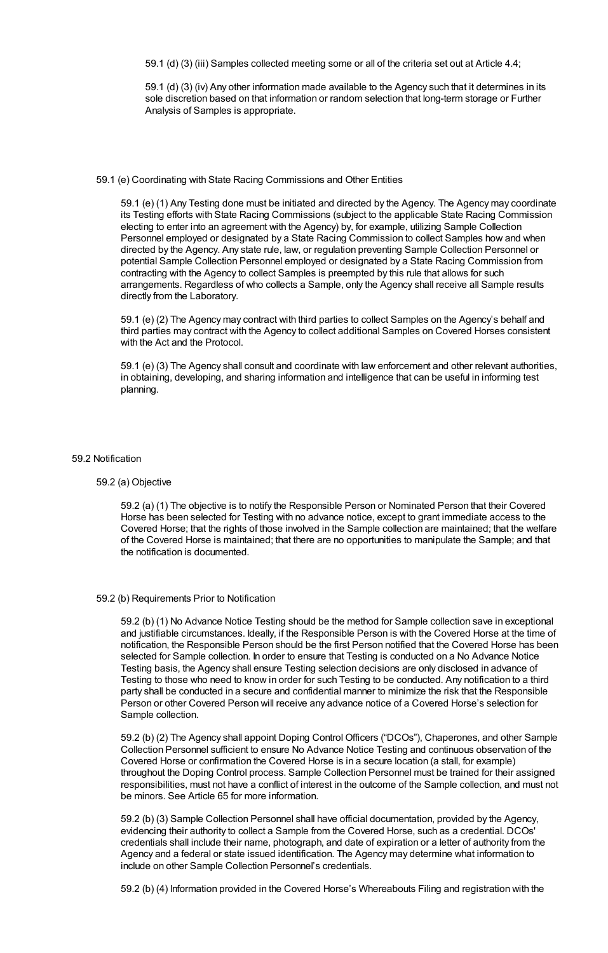59.1 (d) (3) (iii) Samples collected meeting some or all of the criteria set out at Article 4.4;

59.1 (d) (3) (iv) Any other information made available to the Agency such that it determines in its sole discretion based on that information or random selection that long-term storage or Further Analysis of Samples is appropriate.

## 59.1 (e) Coordinating with State Racing Commissions and Other Entities

59.1 (e) (1) Any Testing done must be initiated and directed by the Agency. The Agency may coordinate its Testing efforts with State Racing Commissions (subject to the applicable State Racing Commission electing to enter into an agreement with the Agency) by, for example, utilizing Sample Collection Personnel employed or designated by a State Racing Commission to collect Samples how and when directed by the Agency. Any state rule, law, or regulation preventing Sample Collection Personnel or potential Sample Collection Personnel employed or designated by a State Racing Commission from contracting with the Agency to collect Samples is preempted by this rule that allows for such arrangements. Regardless of who collects a Sample, only the Agency shall receive all Sample results directly from the Laboratory.

59.1 (e) (2) The Agency may contract with third parties to collect Samples on the Agency's behalf and third parties may contract with the Agency to collect additional Samples on Covered Horses consistent with the Act and the Protocol.

59.1 (e) (3) The Agency shall consult and coordinate with law enforcement and other relevant authorities, in obtaining, developing, and sharing information and intelligence that can be useful in informing test planning.

## 59.2 Notification

# 59.2 (a) Objective

59.2 (a) (1) The objective is to notify the Responsible Person or Nominated Person that their Covered Horse has been selected for Testing with no advance notice, except to grant immediate access to the Covered Horse; that the rights of those involved in the Sample collection are maintained; that the welfare of the Covered Horse is maintained; that there are no opportunities to manipulate the Sample; and that the notification is documented.

#### 59.2 (b) Requirements Prior to Notification

59.2 (b) (1) No Advance Notice Testing should be the method for Sample collection save in exceptional and justifiable circumstances. Ideally, if the Responsible Person is with the Covered Horse at the time of notification, the Responsible Person should be the first Person notified that the Covered Horse has been selected for Sample collection. In order to ensure that Testing is conducted on a No Advance Notice Testing basis, the Agency shall ensure Testing selection decisions are only disclosed in advance of Testing to those who need to know in order for such Testing to be conducted. Any notification to a third party shall be conducted in a secure and confidential manner to minimize the risk that the Responsible Person or other Covered Person will receive any advance notice of a Covered Horse's selection for Sample collection.

59.2 (b) (2) The Agency shall appoint Doping Control Officers ("DCOs"), Chaperones, and other Sample Collection Personnel sufficient to ensure No Advance Notice Testing and continuous observation of the Covered Horse or confirmation the Covered Horse is in a secure location (a stall, for example) throughout the Doping Control process. Sample Collection Personnel must be trained for their assigned responsibilities, must not have a conflict of interest in the outcome of the Sample collection, and must not be minors. See Article 65 for more information.

59.2 (b) (3) Sample Collection Personnel shall have official documentation, provided by the Agency, evidencing their authority to collect a Sample from the Covered Horse, such as a credential. DCOs' credentials shall include their name, photograph, and date of expiration or a letter of authority from the Agency and a federal or state issued identification. The Agency may determine what information to include on other Sample Collection Personnel's credentials.

59.2 (b) (4) Information provided in the Covered Horse's Whereabouts Filing and registration with the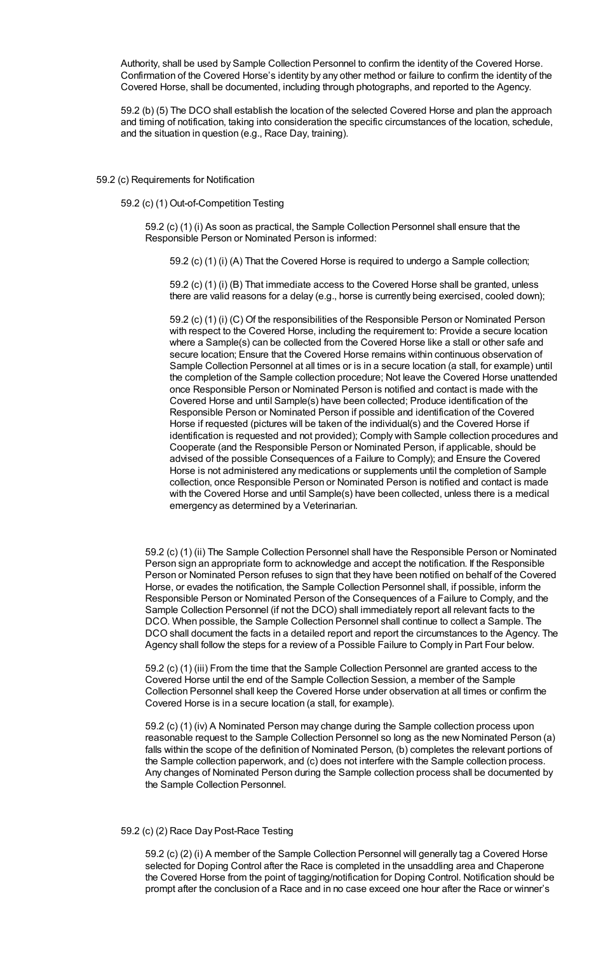Authority, shall be used by Sample Collection Personnel to confirm the identity of the Covered Horse. Confirmation of the Covered Horse's identity by any other method or failure to confirm the identity of the Covered Horse, shall be documented, including through photographs, and reported to the Agency.

59.2 (b) (5) The DCO shall establish the location of the selected Covered Horse and plan the approach and timing of notification, taking into consideration the specific circumstances of the location, schedule, and the situation in question (e.g., Race Day, training).

#### 59.2 (c) Requirements for Notification

59.2 (c) (1) Out-of-Competition Testing

59.2 (c) (1) (i) As soon as practical, the Sample Collection Personnel shall ensure that the Responsible Person or Nominated Person is informed:

59.2 (c) (1) (i) (A) That the Covered Horse is required to undergo a Sample collection;

59.2 (c) (1) (i) (B) That immediate access to the Covered Horse shall be granted, unless there are valid reasons for a delay (e.g., horse is currently being exercised, cooled down);

59.2 (c) (1) (i) (C) Of the responsibilities of the Responsible Person or Nominated Person with respect to the Covered Horse, including the requirement to: Provide a secure location where a Sample(s) can be collected from the Covered Horse like a stall or other safe and secure location; Ensure that the Covered Horse remains within continuous observation of Sample Collection Personnel at all times or is in a secure location (a stall, for example) until the completion of the Sample collection procedure; Not leave the Covered Horse unattended once Responsible Person or Nominated Person is notified and contact is made with the Covered Horse and until Sample(s) have been collected; Produce identification of the Responsible Person or Nominated Person if possible and identification of the Covered Horse if requested (pictures will be taken of the individual(s) and the Covered Horse if identification is requested and not provided); Comply with Sample collection procedures and Cooperate (and the Responsible Person or Nominated Person, if applicable, should be advised of the possible Consequences of a Failure to Comply); and Ensure the Covered Horse is not administered any medications or supplements until the completion of Sample collection, once Responsible Person or Nominated Person is notified and contact is made with the Covered Horse and until Sample(s) have been collected, unless there is a medical emergency as determined by a Veterinarian.

59.2 (c) (1) (ii) The Sample Collection Personnel shall have the Responsible Person or Nominated Person sign an appropriate form to acknowledge and accept the notification. If the Responsible Person or Nominated Person refuses to sign that they have been notified on behalf of the Covered Horse, or evades the notification, the Sample Collection Personnel shall, if possible, inform the Responsible Person or Nominated Person of the Consequences of a Failure to Comply, and the Sample Collection Personnel (if not the DCO) shall immediately report all relevant facts to the DCO. When possible, the Sample Collection Personnel shall continue to collect a Sample. The DCO shall document the facts in a detailed report and report the circumstances to the Agency. The Agency shall follow the steps for a review of a Possible Failure to Comply in Part Four below.

59.2 (c) (1) (iii) From the time that the Sample Collection Personnel are granted access to the Covered Horse until the end of the Sample Collection Session, a member of the Sample Collection Personnel shall keep the Covered Horse under observation at all times or confirm the Covered Horse is in a secure location (a stall, for example).

59.2 (c) (1) (iv) A Nominated Person may change during the Sample collection process upon reasonable request to the Sample Collection Personnel so long as the new Nominated Person (a) falls within the scope of the definition of Nominated Person, (b) completes the relevant portions of the Sample collection paperwork, and (c) does not interfere with the Sample collection process. Any changes of Nominated Person during the Sample collection process shall be documented by the Sample Collection Personnel.

## 59.2 (c) (2) Race Day Post-Race Testing

59.2 (c) (2) (i) A member of the Sample Collection Personnel will generally tag a Covered Horse selected for Doping Control after the Race is completed in the unsaddling area and Chaperone the Covered Horse from the point of tagging/notification for Doping Control. Notification should be prompt after the conclusion of a Race and in no case exceed one hour after the Race or winner's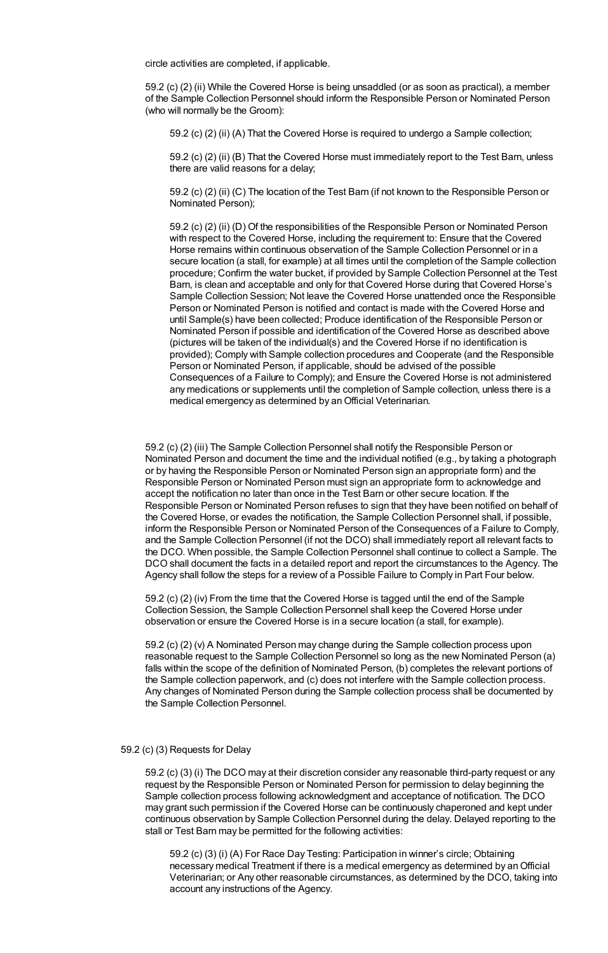circle activities are completed, if applicable.

59.2 (c) (2) (ii) While the Covered Horse is being unsaddled (or as soon as practical), a member of the Sample Collection Personnel should inform the Responsible Person or Nominated Person (who will normally be the Groom):

59.2 (c) (2) (ii) (A) That the Covered Horse is required to undergo a Sample collection;

59.2 (c) (2) (ii) (B) That the Covered Horse must immediately report to the Test Barn, unless there are valid reasons for a delay;

59.2 (c) (2) (ii) (C) The location of the Test Barn (if not known to the Responsible Person or Nominated Person);

59.2 (c) (2) (ii) (D) Of the responsibilities of the Responsible Person or Nominated Person with respect to the Covered Horse, including the requirement to: Ensure that the Covered Horse remains within continuous observation of the Sample Collection Personnel or in a secure location (a stall, for example) at all times until the completion of the Sample collection procedure; Confirm the water bucket, if provided by Sample Collection Personnel at the Test Barn, is clean and acceptable and only for that Covered Horse during that Covered Horse's Sample Collection Session; Not leave the Covered Horse unattended once the Responsible Person or Nominated Person is notified and contact is made with the Covered Horse and until Sample(s) have been collected; Produce identification of the Responsible Person or Nominated Person if possible and identification of the Covered Horse as described above (pictures will be taken of the individual(s) and the Covered Horse if no identification is provided); Comply with Sample collection procedures and Cooperate (and the Responsible Person or Nominated Person, if applicable, should be advised of the possible Consequences of a Failure to Comply); and Ensure the Covered Horse is not administered any medications or supplements until the completion of Sample collection, unless there is a medical emergency as determined by an Official Veterinarian.

59.2 (c) (2) (iii) The Sample Collection Personnel shall notify the Responsible Person or Nominated Person and document the time and the individual notified (e.g., by taking a photograph or by having the Responsible Person or Nominated Person sign an appropriate form) and the Responsible Person or Nominated Person must sign an appropriate form to acknowledge and accept the notification no later than once in the Test Barn or other secure location. If the Responsible Person or Nominated Person refuses to sign that they have been notified on behalf of the Covered Horse, or evades the notification, the Sample Collection Personnel shall, if possible, inform the Responsible Person or Nominated Person of the Consequences of a Failure to Comply, and the Sample Collection Personnel (if not the DCO) shall immediately report all relevant facts to the DCO. When possible, the Sample Collection Personnel shall continue to collect a Sample. The DCO shall document the facts in a detailed report and report the circumstances to the Agency. The Agency shall follow the steps for a review of a Possible Failure to Comply in Part Four below.

59.2 (c) (2) (iv) From the time that the Covered Horse is tagged until the end of the Sample Collection Session, the Sample Collection Personnel shall keep the Covered Horse under observation or ensure the Covered Horse is in a secure location (a stall, for example).

59.2 (c) (2) (v) A Nominated Person may change during the Sample collection process upon reasonable request to the Sample Collection Personnel so long as the new Nominated Person (a) falls within the scope of the definition of Nominated Person, (b) completes the relevant portions of the Sample collection paperwork, and (c) does not interfere with the Sample collection process. Any changes of Nominated Person during the Sample collection process shall be documented by the Sample Collection Personnel.

#### 59.2 (c) (3) Requests for Delay

59.2 (c) (3) (i) The DCO may at their discretion consider any reasonable third-party request or any request by the Responsible Person or Nominated Person for permission to delay beginning the Sample collection process following acknowledgment and acceptance of notification. The DCO may grant such permission if the Covered Horse can be continuously chaperoned and kept under continuous observation by Sample Collection Personnel during the delay. Delayed reporting to the stall or Test Barn may be permitted for the following activities:

59.2 (c) (3) (i) (A) For Race Day Testing: Participation in winner's circle; Obtaining necessary medical Treatment if there is a medical emergency as determined by anOfficial Veterinarian; or Any other reasonable circumstances, as determined by the DCO, taking into account any instructions of the Agency.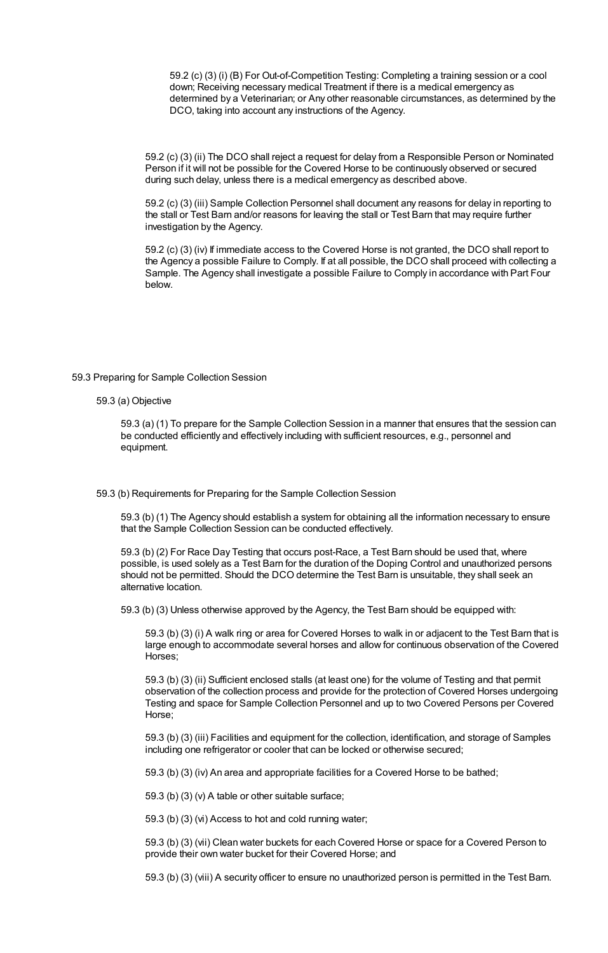59.2 (c) (3) (i) (B) For Out-of-Competition Testing: Completing a training session or a cool down; Receiving necessary medical Treatment if there is a medical emergency as determined by a Veterinarian; or Any other reasonable circumstances, as determined by the DCO, taking into account any instructions of the Agency.

59.2 (c) (3) (ii) The DCO shall reject a request for delay from a Responsible Person or Nominated Person if it will not be possible for the Covered Horse to be continuously observed or secured during such delay, unless there is a medical emergency as described above.

59.2 (c) (3) (iii) Sample Collection Personnel shall document any reasons for delay in reporting to the stall or Test Barn and/or reasons for leaving the stall or Test Barn that may require further investigation by the Agency.

59.2 (c) (3) (iv) If immediate access to the Covered Horse is not granted, the DCO shall report to the Agency a possible Failure to Comply. If at all possible, the DCO shall proceed with collecting a Sample. The Agency shall investigate a possible Failure to Comply in accordance with Part Four below.

59.3 Preparing for Sample Collection Session

59.3 (a) Objective

59.3 (a) (1) To prepare for the Sample Collection Session in a manner that ensures that the session can be conducted efficiently and effectively including with sufficient resources, e.g., personnel and equipment.

59.3 (b) Requirements for Preparing for the Sample Collection Session

59.3 (b) (1) The Agency should establish a system for obtaining all the information necessary to ensure that the Sample Collection Session can be conducted effectively.

59.3 (b) (2) For Race Day Testing that occurs post-Race, a Test Barn should be used that, where possible, is used solely as a Test Barn for the duration of the Doping Control and unauthorized persons should not be permitted. Should the DCO determine the Test Barn is unsuitable, they shall seek an alternative location.

59.3 (b) (3) Unless otherwise approved by the Agency, the Test Barn should be equipped with:

59.3 (b) (3) (i) A walk ring or area for Covered Horses to walk in or adjacent to the Test Barn that is large enough to accommodate several horses and allow for continuous observation of the Covered Horses;

59.3 (b) (3) (ii) Sufficient enclosed stalls (at least one) for the volume of Testing and that permit observation of the collection process and provide for the protection of Covered Horses undergoing Testing and space for Sample Collection Personnel and up to two Covered Persons per Covered Horse;

59.3 (b) (3) (iii) Facilities and equipment for the collection, identification, and storage of Samples including one refrigerator or cooler that can be locked or otherwise secured;

59.3 (b) (3) (iv) An area and appropriate facilities for a Covered Horse to be bathed;

59.3 (b) (3) (v) A table or other suitable surface;

59.3 (b) (3) (vi) Access to hot and cold running water;

59.3 (b) (3) (vii) Clean water buckets for each Covered Horse or space for a Covered Person to provide their own water bucket for their Covered Horse; and

59.3 (b) (3) (viii) A security officer to ensure no unauthorized person is permitted in the Test Barn.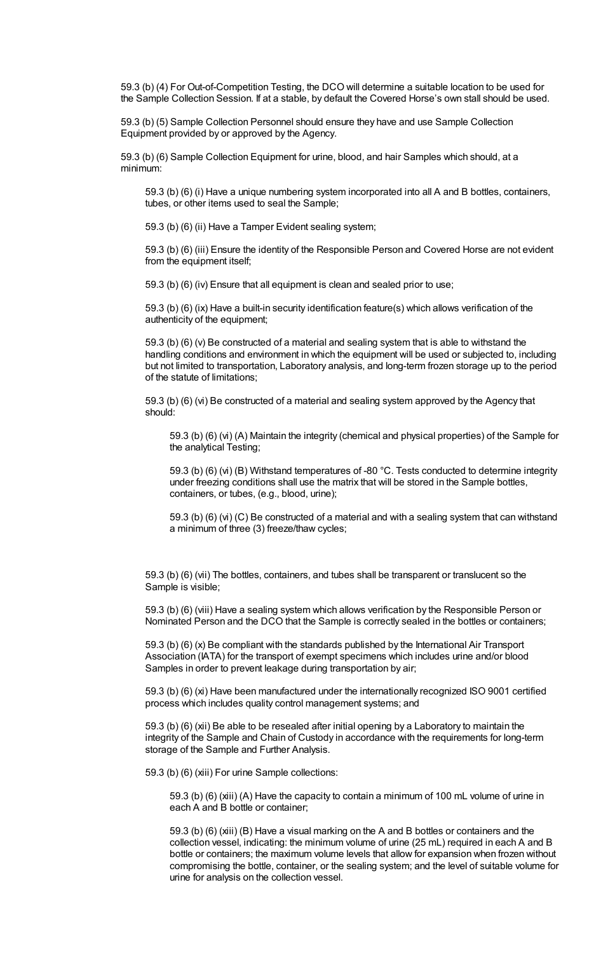59.3 (b) (4) For Out-of-Competition Testing, the DCO will determine a suitable location to be used for the Sample Collection Session. If at a stable, by default the Covered Horse's own stall should be used.

59.3 (b) (5) Sample Collection Personnel should ensure they have and use Sample Collection Equipment provided by or approved by the Agency.

59.3 (b) (6) Sample Collection Equipment for urine, blood, and hair Samples which should, at a minimum:

59.3 (b) (6) (i) Have a unique numbering system incorporated into all A and B bottles, containers, tubes, or other items used to seal the Sample;

59.3 (b) (6) (ii) Have a Tamper Evident sealing system;

59.3 (b) (6) (iii) Ensure the identity of the Responsible Person and Covered Horse are not evident from the equipment itself;

59.3 (b) (6) (iv) Ensure that all equipment is clean and sealed prior to use;

59.3 (b) (6) (ix) Have a built-in security identification feature(s) which allows verification of the authenticity of the equipment;

59.3 (b) (6) (v) Be constructed of a material and sealing system that is able to withstand the handling conditions and environment in which the equipment will be used or subjected to, including but not limited to transportation, Laboratory analysis, and long-term frozen storage up to the period of the statute of limitations;

59.3 (b) (6) (vi) Be constructed of a material and sealing system approved by the Agency that should:

59.3 (b) (6) (vi) (A) Maintain the integrity (chemical and physical properties) of the Sample for the analytical Testing;

59.3 (b) (6) (vi) (B) Withstand temperatures of -80 °C. Tests conducted to determine integrity under freezing conditions shall use the matrix that will be stored in the Sample bottles, containers, or tubes, (e.g., blood, urine);

59.3 (b) (6) (vi) (C) Be constructed of a material and with a sealing system that can withstand a minimum of three (3) freeze/thaw cycles;

59.3 (b) (6) (vii) The bottles, containers, and tubes shall be transparent or translucent so the Sample is visible;

59.3 (b) (6) (viii) Have a sealing system which allows verification by the Responsible Person or Nominated Person and the DCO that the Sample is correctly sealed in the bottles or containers;

59.3 (b) (6) (x) Be compliant with the standards published by the International Air Transport Association (IATA) for the transport of exempt specimens which includes urine and/or blood Samples in order to prevent leakage during transportation by air;

59.3 (b) (6) (xi) Have been manufactured under the internationally recognized ISO 9001 certified process which includes quality control management systems; and

59.3 (b) (6) (xii) Be able to be resealed after initial opening by a Laboratory to maintain the integrity of the Sample and Chain of Custody in accordance with the requirements for long-term storage of the Sample and Further Analysis.

59.3 (b) (6) (xiii) For urine Sample collections:

59.3 (b) (6) (xiii) (A) Have the capacity to contain a minimum of 100 mL volume of urine in each A and B bottle or container;

59.3 (b) (6) (xiii) (B) Have a visual marking on the A and B bottles or containers and the collection vessel, indicating: the minimum volume of urine (25 mL) required in each A and B bottle or containers; the maximum volume levels that allow for expansion when frozen without compromising the bottle, container, or the sealing system; and the level of suitable volume for urine for analysis on the collection vessel.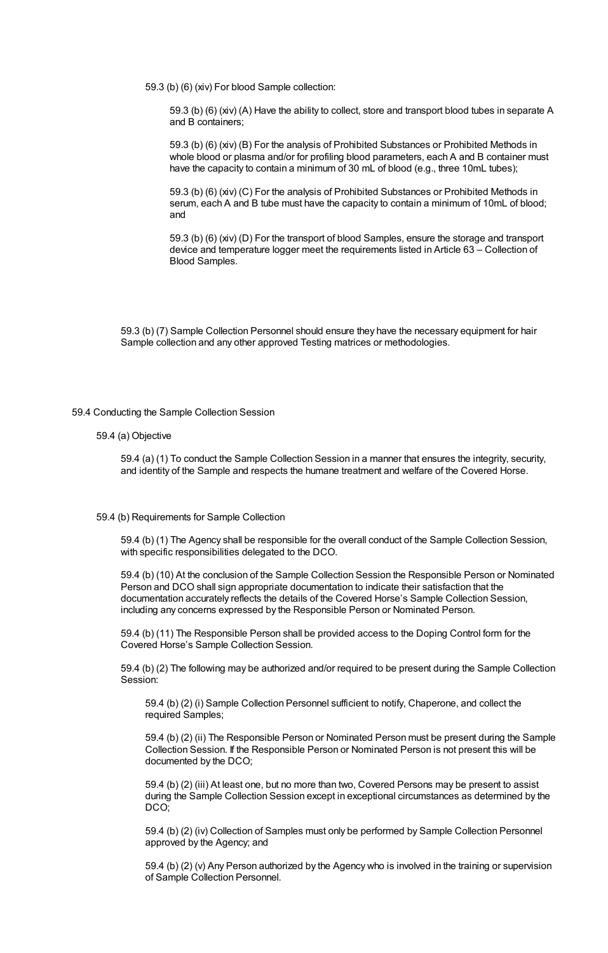59.3 (b) (6) (xiv) For blood Sample collection:

59.3 (b) (6) (xiv) (A) Have the ability to collect, store and transport blood tubes in separate A and B containers;

59.3 (b) (6) (xiv) (B) For the analysis of Prohibited Substances or Prohibited Methods in whole blood or plasma and/or for profiling blood parameters, each A and B container must have the capacity to contain a minimum of 30 mL of blood (e.g., three 10mL tubes);

59.3 (b) (6) (xiv) (C) For the analysis of Prohibited Substances or Prohibited Methods in serum, each A and B tube must have the capacity to contain a minimum of 10mL of blood; and

59.3 (b) (6) (xiv) (D) For the transport of blood Samples, ensure the storage and transport device and temperature logger meet the requirements listed in Article 63 – Collection of Blood Samples.

59.3 (b) (7) Sample Collection Personnel should ensure they have the necessary equipment for hair Sample collection and any other approved Testing matrices or methodologies.

#### 59.4 Conducting the Sample Collection Session

## 59.4 (a) Objective

59.4 (a) (1) To conduct the Sample Collection Session in a manner that ensures the integrity, security, and identity of the Sample and respects the humane treatment and welfare of the Covered Horse.

#### 59.4 (b) Requirements for Sample Collection

59.4 (b) (1) The Agency shall be responsible for the overall conduct of the Sample Collection Session, with specific responsibilities delegated to the DCO.

59.4 (b) (10) At the conclusion of the Sample Collection Session the Responsible Person or Nominated Person and DCO shall sign appropriate documentation to indicate their satisfaction that the documentation accurately reflects the details of the Covered Horse's Sample Collection Session, including any concerns expressed by the Responsible Person or Nominated Person.

59.4 (b) (11) The Responsible Person shall be provided access to the Doping Control form for the Covered Horse's Sample Collection Session.

59.4 (b) (2) The following may be authorized and/or required to be present during the Sample Collection Session:

59.4 (b) (2) (i) Sample Collection Personnel sufficient to notify, Chaperone, and collect the required Samples;

59.4 (b) (2) (ii) The Responsible Person or Nominated Person must be present during the Sample Collection Session. If the Responsible Person or Nominated Person is not present this will be documented by the DCO;

59.4 (b) (2) (iii) At least one, but no more than two, Covered Persons may be present to assist during the Sample Collection Session except in exceptional circumstances as determined by the DCO;

59.4 (b) (2) (iv) Collection of Samples must only be performed by Sample Collection Personnel approved by the Agency; and

59.4 (b) (2) (v) Any Person authorized by the Agency who is involved in the training or supervision of Sample Collection Personnel.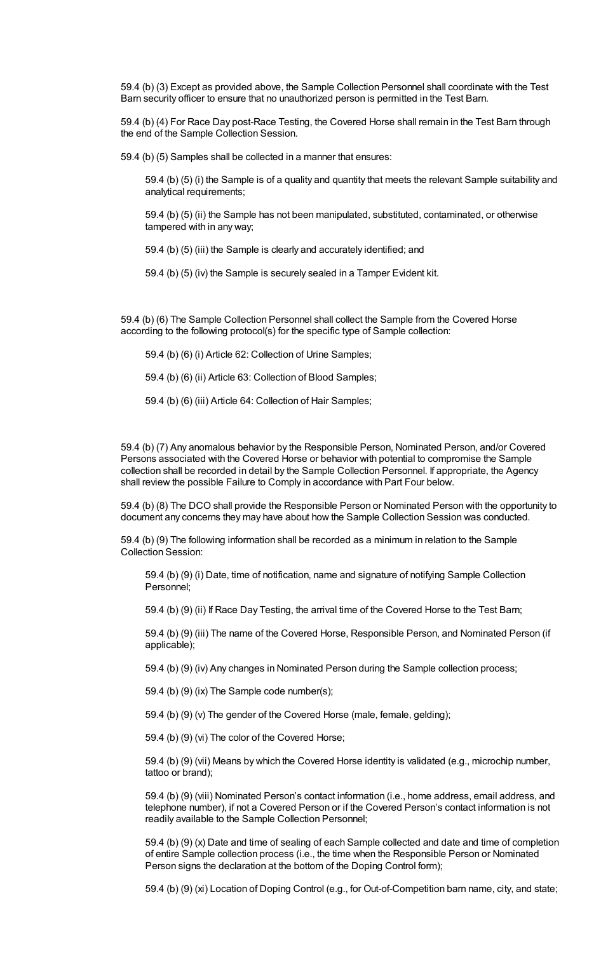59.4 (b) (3) Except as provided above, the Sample Collection Personnel shall coordinate with the Test Barn security officer to ensure that no unauthorized person is permitted in the Test Barn.

59.4 (b) (4) For Race Day post-Race Testing, the Covered Horse shall remain in the Test Barn through the end of the Sample Collection Session.

59.4 (b) (5) Samples shall be collected in a manner that ensures:

59.4 (b) (5) (i) the Sample is of a quality and quantity that meets the relevant Sample suitability and analytical requirements;

59.4 (b) (5) (ii) the Sample has not been manipulated, substituted, contaminated, or otherwise tampered with in any way;

59.4 (b) (5) (iii) the Sample is clearly and accurately identified; and

59.4 (b) (5) (iv) the Sample is securely sealed in a Tamper Evident kit.

59.4 (b) (6) The Sample Collection Personnel shall collect the Sample from the Covered Horse according to the following protocol(s) for the specific type of Sample collection:

59.4 (b) (6) (i) Article 62: Collection of Urine Samples;

59.4 (b) (6) (ii) Article 63: Collection of Blood Samples;

59.4 (b) (6) (iii) Article 64: Collection of Hair Samples;

59.4 (b) (7) Any anomalous behavior by the Responsible Person, Nominated Person, and/or Covered Persons associated with the Covered Horse or behavior with potential to compromise the Sample collection shall be recorded in detail by the Sample Collection Personnel. If appropriate, the Agency shall review the possible Failure to Comply in accordance with Part Four below.

59.4 (b) (8) The DCO shall provide the Responsible Person or Nominated Person with the opportunity to document any concerns they may have about how the Sample Collection Session was conducted.

59.4 (b) (9) The following information shall be recorded as a minimum in relation to the Sample Collection Session:

59.4 (b) (9) (i) Date, time of notification, name and signature of notifying Sample Collection Personnel;

59.4 (b) (9) (ii) If Race Day Testing, the arrival time of the Covered Horse to the Test Barn;

59.4 (b) (9) (iii) The name of the Covered Horse, Responsible Person, and Nominated Person (if applicable);

59.4 (b) (9) (iv) Any changes in Nominated Person during the Sample collection process;

59.4 (b) (9) (ix) The Sample code number(s);

59.4 (b) (9) (v) The gender of the Covered Horse (male, female, gelding);

59.4 (b) (9) (vi) The color of the Covered Horse;

59.4 (b) (9) (vii) Means by which the Covered Horse identity is validated (e.g., microchip number, tattoo or brand);

59.4 (b) (9) (viii) Nominated Person's contact information (i.e., home address, email address, and telephone number), if not a Covered Person or if the Covered Person's contact information is not readily available to the Sample Collection Personnel;

59.4 (b) (9) (x) Date and time of sealing of each Sample collected and date and time of completion of entire Sample collection process (i.e., the time when the Responsible Person or Nominated Person signs the declaration at the bottom of the Doping Control form);

59.4 (b) (9) (xi) Location of Doping Control (e.g., for Out-of-Competition barn name, city, and state;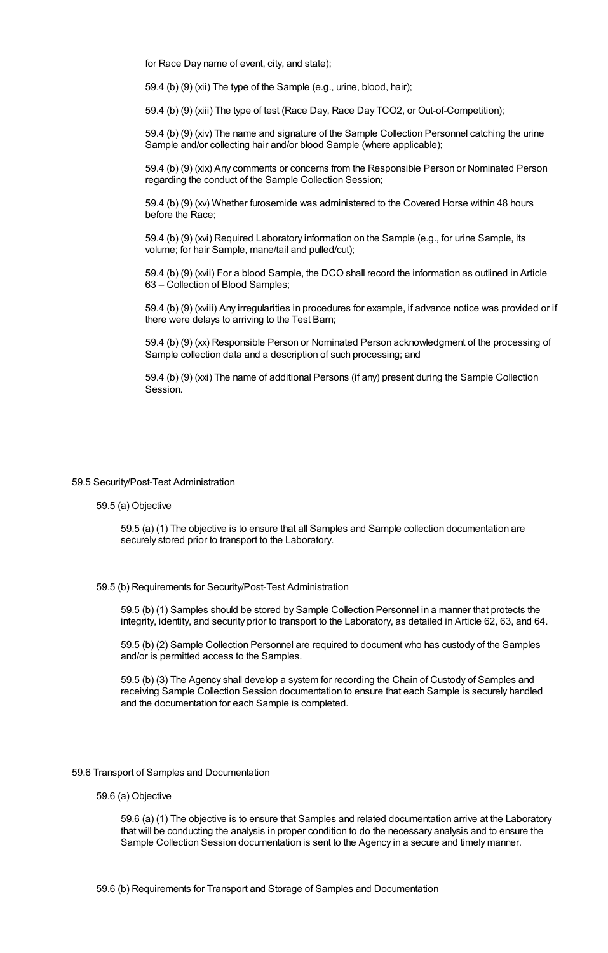for Race Day name of event, city, and state);

59.4 (b) (9) (xii) The type of the Sample (e.g., urine, blood, hair);

59.4 (b) (9) (xiii) The type of test (Race Day, Race Day TCO2, or Out-of-Competition);

59.4 (b) (9) (xiv) The name and signature of the Sample Collection Personnel catching the urine Sample and/or collecting hair and/or blood Sample (where applicable);

59.4 (b) (9) (xix) Any comments or concerns from the Responsible Person or Nominated Person regarding the conduct of the Sample Collection Session;

59.4 (b) (9) (xv) Whether furosemide was administered to the Covered Horse within 48 hours before the Race;

59.4 (b) (9) (xvi) Required Laboratory information on the Sample (e.g., for urine Sample, its volume; for hair Sample, mane/tail and pulled/cut);

59.4 (b) (9) (xvii) For a blood Sample, the DCO shall record the information as outlined in Article 63 – Collection of Blood Samples;

59.4 (b) (9) (xviii) Any irregularities in procedures for example, if advance notice was provided or if there were delays to arriving to the Test Barn;

59.4 (b) (9) (xx) Responsible Person or Nominated Person acknowledgment of the processing of Sample collection data and a description of such processing; and

59.4 (b) (9) (xxi) The name of additional Persons (if any) present during the Sample Collection Session.

#### 59.5 Security/Post-Test Administration

#### 59.5 (a) Objective

59.5 (a) (1) The objective is to ensure that all Samples and Sample collection documentation are securely stored prior to transport to the Laboratory.

#### 59.5 (b) Requirements for Security/Post-Test Administration

59.5 (b) (1) Samples should be stored by Sample Collection Personnel in a manner that protects the integrity, identity, and security prior to transport to the Laboratory, as detailed in Article 62, 63, and 64.

59.5 (b) (2) Sample Collection Personnel are required to document who has custody of the Samples and/or is permitted access to the Samples.

59.5 (b) (3) The Agency shall develop a system for recording the Chain of Custody of Samples and receiving Sample Collection Session documentation to ensure that each Sample is securely handled and the documentation for each Sample is completed.

#### 59.6 Transport of Samples and Documentation

#### 59.6 (a) Objective

59.6 (a) (1) The objective is to ensure that Samples and related documentation arrive at the Laboratory that will be conducting the analysis in proper condition to do the necessary analysis and to ensure the Sample Collection Session documentation is sent to the Agency in a secure and timely manner.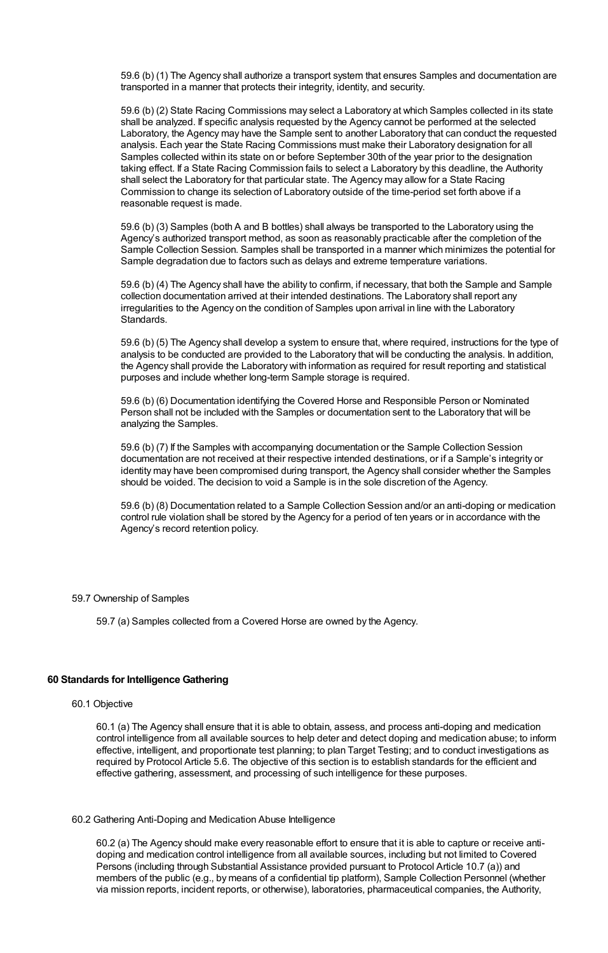59.6 (b) (1) The Agency shall authorize a transport system that ensures Samples and documentation are transported in a manner that protects their integrity, identity, and security.

59.6 (b) (2) State Racing Commissions may select a Laboratory at which Samples collected in its state shall be analyzed. If specific analysis requested by the Agency cannot be performed at the selected Laboratory, the Agency may have the Sample sent to another Laboratory that can conduct the requested analysis. Each year the State Racing Commissions must make their Laboratory designation for all Samples collected within its state on or before September 30th of the year prior to the designation taking effect. If a State Racing Commission fails to select a Laboratory by this deadline, the Authority shall select the Laboratory for that particular state. The Agency may allow for a State Racing Commission to change its selection of Laboratory outside of the time-period set forth above if a reasonable request is made.

59.6 (b) (3) Samples (both A and B bottles) shall always be transported to the Laboratory using the Agency's authorized transport method, as soon as reasonably practicable after the completion of the Sample Collection Session. Samples shall be transported in a manner which minimizes the potential for Sample degradation due to factors such as delays and extreme temperature variations.

59.6 (b) (4) The Agency shall have the ability to confirm, if necessary, that both the Sample and Sample collection documentation arrived at their intended destinations. The Laboratory shall report any irregularities to the Agency on the condition of Samples upon arrival in line with the Laboratory Standards.

59.6 (b) (5) The Agency shall develop a system to ensure that, where required, instructions for the type of analysis to be conducted are provided to the Laboratory that will be conducting the analysis. In addition, the Agency shall provide the Laboratory with information as required for result reporting and statistical purposes and include whether long-term Sample storage is required.

59.6 (b) (6) Documentation identifying the Covered Horse and Responsible Person or Nominated Person shall not be included with the Samples or documentation sent to the Laboratory that will be analyzing the Samples.

59.6 (b) (7) If the Samples with accompanying documentation or the Sample Collection Session documentation are not received at their respective intended destinations, or if a Sample's integrity or identity may have been compromised during transport, the Agency shall consider whether the Samples should be voided. The decision to void a Sample is in the sole discretion of the Agency.

59.6 (b) (8) Documentation related to a Sample Collection Session and/or an anti-doping or medication control rule violation shall be stored by the Agency for a period of ten years or in accordance with the Agency's record retention policy.

#### 59.7 Ownership of Samples

59.7 (a) Samples collected from a Covered Horse are owned by the Agency.

# **60 Standards for Intelligence Gathering**

## 60.1 Objective

60.1 (a) The Agency shall ensure that it is able to obtain, assess, and process anti-doping and medication control intelligence from all available sources to help deter and detect doping and medication abuse; to inform effective, intelligent, and proportionate test planning; to plan Target Testing; and to conduct investigations as required by Protocol Article 5.6. The objective of this section is to establish standards for the efficient and effective gathering, assessment, and processing of such intelligence for these purposes.

#### 60.2 Gathering Anti-Doping and Medication Abuse Intelligence

60.2 (a) The Agency should make every reasonable effort to ensure that it is able to capture or receive antidoping and medication control intelligence from all available sources, including but not limited to Covered Persons (including through Substantial Assistance provided pursuant to Protocol Article 10.7 (a)) and members of the public (e.g., by means of a confidential tip platform), Sample Collection Personnel (whether via mission reports, incident reports, or otherwise), laboratories, pharmaceutical companies, the Authority,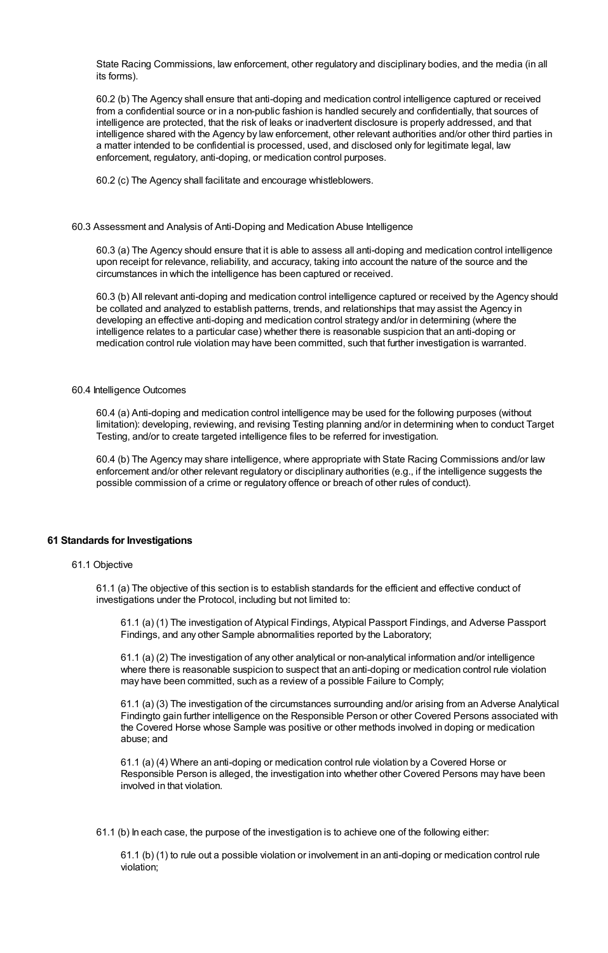State Racing Commissions, law enforcement, other regulatory and disciplinary bodies, and the media (in all its forms).

60.2 (b) The Agency shall ensure that anti-doping and medication control intelligence captured or received from a confidential source or in a non-public fashion is handled securely and confidentially, that sources of intelligence are protected, that the risk of leaks or inadvertent disclosure is properly addressed, and that intelligence shared with the Agency by law enforcement, other relevant authorities and/or other third parties in a matter intended to be confidential is processed, used, and disclosed only for legitimate legal, law enforcement, regulatory, anti-doping, or medication control purposes.

60.2 (c) The Agency shall facilitate and encourage whistleblowers.

#### 60.3 Assessment and Analysis of Anti-Doping and Medication Abuse Intelligence

60.3 (a) The Agency should ensure that it is able to assess all anti-doping and medication control intelligence upon receipt for relevance, reliability, and accuracy, taking into account the nature of the source and the circumstances in which the intelligence has been captured or received.

60.3 (b) All relevant anti-doping and medication control intelligence captured or received by the Agency should be collated and analyzed to establish patterns, trends, and relationships that may assist the Agency in developing an effective anti-doping and medication control strategy and/or in determining (where the intelligence relates to a particular case) whether there is reasonable suspicion that an anti-doping or medication control rule violation may have been committed, such that further investigation is warranted.

#### 60.4 Intelligence Outcomes

60.4 (a) Anti-doping and medication control intelligence may be used for the following purposes (without limitation): developing, reviewing, and revising Testing planning and/or in determining when to conduct Target Testing, and/or to create targeted intelligence files to be referred for investigation.

60.4 (b) The Agency may share intelligence, where appropriate with State Racing Commissions and/or law enforcement and/or other relevant regulatory or disciplinary authorities (e.g., if the intelligence suggests the possible commission of a crime or regulatory offence or breach of other rules of conduct).

## **61 Standards for Investigations**

#### 61.1 Objective

61.1 (a) The objective of this section is to establish standards for the efficient and effective conduct of investigations under the Protocol, including but not limited to:

61.1 (a) (1) The investigation of Atypical Findings, Atypical Passport Findings, and Adverse Passport Findings, and any other Sample abnormalities reported by the Laboratory;

61.1 (a) (2) The investigation of any other analytical or non-analytical information and/or intelligence where there is reasonable suspicion to suspect that an anti-doping or medication control rule violation may have been committed, such as a review of a possible Failure to Comply;

61.1 (a) (3) The investigation of the circumstances surrounding and/or arising from an Adverse Analytical Findingto gain further intelligence on the Responsible Person or other Covered Persons associated with the Covered Horse whose Sample was positive or other methods involved in doping or medication abuse; and

61.1 (a) (4) Where an anti-doping or medication control rule violation by a Covered Horse or Responsible Person is alleged, the investigation into whether other Covered Persons may have been involved in that violation.

61.1 (b) In each case, the purpose of the investigation is to achieve one of the following either:

61.1 (b) (1) to rule out a possible violation or involvement in an anti-doping or medication control rule violation;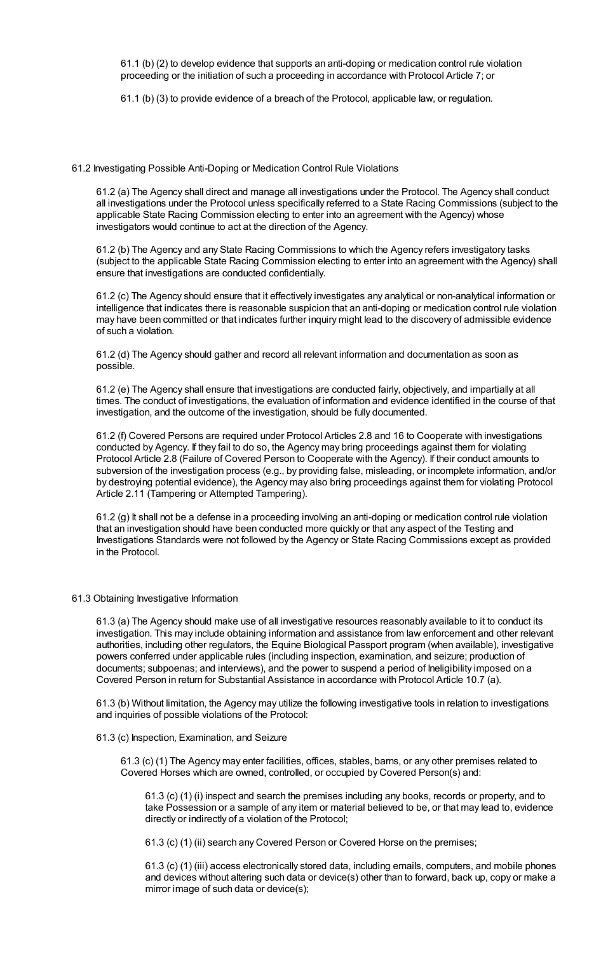61.1 (b) (2) to develop evidence that supports an anti-doping or medication control rule violation proceeding or the initiation of such a proceeding in accordance with Protocol Article 7; or

61.1 (b) (3) to provide evidence of a breach of the Protocol, applicable law, or regulation.

61.2 Investigating Possible Anti-Doping or Medication Control Rule Violations

61.2 (a) The Agency shall direct and manage all investigations under the Protocol. The Agency shall conduct all investigations under the Protocol unless specifically referred to a State Racing Commissions (subject to the applicable State Racing Commission electing to enter into an agreement with the Agency) whose investigators would continue to act at the direction of the Agency.

61.2 (b) The Agency and any State Racing Commissions to which the Agency refers investigatory tasks (subject to the applicable State Racing Commission electing to enter into an agreement with the Agency) shall ensure that investigations are conducted confidentially.

61.2 (c) The Agency should ensure that it effectively investigates any analytical or non-analytical information or intelligence that indicates there is reasonable suspicion that an anti-doping or medication control rule violation may have been committed or that indicates further inquiry might lead to the discovery of admissible evidence of such a violation.

61.2 (d) The Agency should gather and record all relevant information and documentation as soon as possible.

61.2 (e) The Agency shall ensure that investigations are conducted fairly, objectively, and impartially at all times. The conduct of investigations, the evaluation of information and evidence identified in the course of that investigation, and the outcome of the investigation, should be fully documented.

61.2 (f) Covered Persons are required under Protocol Articles 2.8 and 16 to Cooperate with investigations conducted by Agency. If they fail to do so, the Agency may bring proceedings against them for violating Protocol Article 2.8 (Failure of Covered Person to Cooperate with the Agency). If their conduct amounts to subversion of the investigation process (e.g., by providing false, misleading, or incomplete information, and/or by destroying potential evidence), the Agency may also bring proceedings against them for violating Protocol Article 2.11 (Tampering or Attempted Tampering).

61.2 (g) It shall not be a defense in a proceeding involving an anti-doping or medication control rule violation that an investigation should have been conducted more quickly or that any aspect of the Testing and Investigations Standards were not followed by the Agency or State Racing Commissions except as provided in the Protocol.

#### 61.3 Obtaining Investigative Information

61.3 (a) The Agency should make use of all investigative resources reasonably available to it to conduct its investigation. This may include obtaining information and assistance from law enforcement and other relevant authorities, including other regulators, the Equine Biological Passport program (when available), investigative powers conferred under applicable rules (including inspection, examination, and seizure; production of documents; subpoenas; and interviews), and the power to suspend a period of Ineligibility imposed on a Covered Person in return for Substantial Assistance in accordance with Protocol Article 10.7 (a).

61.3 (b) Without limitation, the Agency may utilize the following investigative tools in relation to investigations and inquiries of possible violations of the Protocol:

## 61.3 (c) Inspection, Examination, and Seizure

61.3 (c) (1) The Agency may enter facilities, offices, stables, barns, or any other premises related to Covered Horses which are owned, controlled, or occupied by Covered Person(s) and:

61.3 (c) (1) (i) inspect and search the premises including any books, records or property, and to take Possession or a sample of any item or material believed to be, or that may lead to, evidence directly or indirectly of a violation of the Protocol;

61.3 (c) (1) (ii) search any Covered Person or Covered Horse on the premises;

61.3 (c) (1) (iii) access electronically stored data, including emails, computers, and mobile phones and devices without altering such data or device(s) other than to forward, back up, copy or make a mirror image of such data or device(s);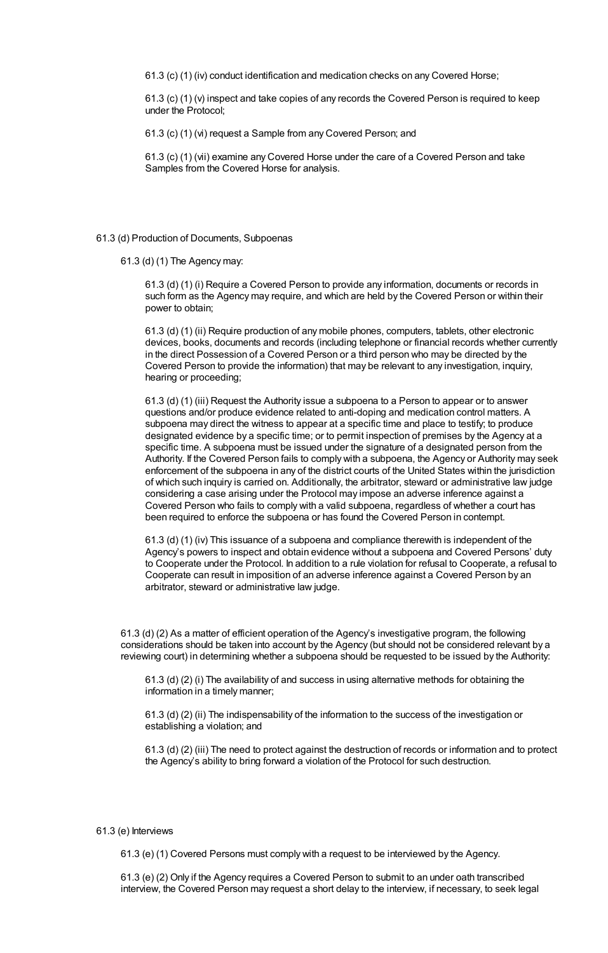61.3 (c) (1) (iv) conduct identification and medication checks on any Covered Horse;

61.3 (c) (1) (v) inspect and take copies of any records the Covered Person is required to keep under the Protocol;

61.3 (c) (1) (vi) request a Sample from any Covered Person; and

61.3 (c) (1) (vii) examine any Covered Horse under the care of a Covered Person and take Samples from the Covered Horse for analysis.

#### 61.3 (d) Production of Documents, Subpoenas

61.3 (d) (1) The Agency may:

61.3 (d) (1) (i) Require a Covered Person to provide any information, documents or records in such form as the Agency may require, and which are held by the Covered Person or within their power to obtain;

61.3 (d) (1) (ii) Require production of any mobile phones, computers, tablets, other electronic devices, books, documents and records (including telephone or financial records whether currently in the direct Possession of a Covered Person or a third person who may be directed by the Covered Person to provide the information) that may be relevant to any investigation, inquiry, hearing or proceeding;

61.3 (d) (1) (iii) Request the Authority issue a subpoena to a Person to appear or to answer questions and/or produce evidence related to anti-doping and medication control matters. A subpoena may direct the witness to appear at a specific time and place to testify; to produce designated evidence by a specific time; or to permit inspection of premises by the Agency at a specific time. A subpoena must be issued under the signature of a designated person from the Authority. If the Covered Person fails to comply with a subpoena, the Agency or Authority may seek enforcement of the subpoena in any of the district courts of the United States within the jurisdiction of which such inquiry is carried on. Additionally, the arbitrator, steward or administrative law judge considering a case arising under the Protocol may impose an adverse inference against a Covered Person who fails to comply with a valid subpoena, regardless of whether a court has been required to enforce the subpoena or has found the Covered Person in contempt.

61.3 (d) (1) (iv) This issuance of a subpoena and compliance therewith is independent of the Agency's powers to inspect and obtain evidence without a subpoena and Covered Persons' duty to Cooperate under the Protocol. In addition to a rule violation for refusal to Cooperate, a refusal to Cooperate can result in imposition of an adverse inference against a Covered Person by an arbitrator, steward or administrative law judge.

61.3 (d) (2) As a matter of efficient operation of the Agency's investigative program, the following considerations should be taken into account by the Agency (but should not be considered relevant by a reviewing court) in determining whether a subpoena should be requested to be issued by the Authority:

61.3 (d) (2) (i) The availability of and success in using alternative methods for obtaining the information in a timely manner;

61.3 (d) (2) (ii) The indispensability of the information to the success of the investigation or establishing a violation; and

61.3 (d) (2) (iii) The need to protect against the destruction of records or information and to protect the Agency's ability to bring forward a violation of the Protocol for such destruction.

## 61.3 (e) Interviews

61.3 (e) (1) Covered Persons must comply with a request to be interviewed by the Agency.

61.3 (e) (2) Only if the Agency requires a Covered Person to submit to an under oath transcribed interview, the Covered Person may request a short delay to the interview, if necessary, to seek legal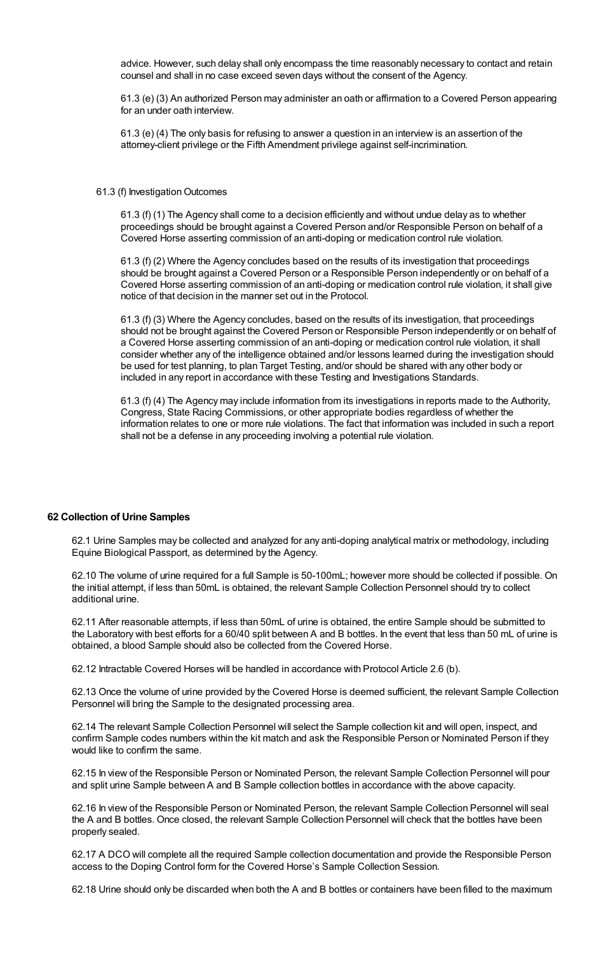advice. However, such delay shall only encompass the time reasonably necessary to contact and retain counsel and shall in no case exceed seven days without the consent of the Agency.

61.3 (e) (3) An authorized Person may administer an oath or affirmation to a Covered Person appearing for an under oath interview.

61.3 (e) (4) The only basis for refusing to answer a question in an interview is an assertion of the attorney-client privilege or the Fifth Amendment privilege against self-incrimination.

#### 61.3 (f) Investigation Outcomes

61.3 (f) (1) The Agency shall come to a decision efficiently and without undue delay as to whether proceedings should be brought against a Covered Person and/or Responsible Person on behalf of a Covered Horse asserting commission of an anti-doping or medication control rule violation.

61.3 (f) (2) Where the Agency concludes based on the results of its investigation that proceedings should be brought against a Covered Person or a Responsible Person independently or on behalf of a Covered Horse asserting commission of an anti-doping or medication control rule violation, it shall give notice of that decision in the manner set out in the Protocol.

61.3 (f) (3) Where the Agency concludes, based on the results of its investigation, that proceedings should not be brought against the Covered Person or Responsible Person independently or on behalf of a Covered Horse asserting commission of an anti-doping or medication control rule violation, it shall consider whether any of the intelligence obtained and/or lessons learned during the investigation should be used for test planning, to plan Target Testing, and/or should be shared with any other body or included in any report in accordance with these Testing and Investigations Standards.

61.3 (f) (4) The Agency may include information from its investigations in reports made to the Authority, Congress, State Racing Commissions, or other appropriate bodies regardless of whether the information relates to one or more rule violations. The fact that information was included in such a report shall not be a defense in any proceeding involving a potential rule violation.

## **62 Collection of Urine Samples**

62.1 Urine Samples may be collected and analyzed for any anti-doping analytical matrix or methodology, including Equine Biological Passport, as determined by the Agency.

62.10 The volume of urine required for a full Sample is 50-100mL; however more should be collected if possible. On the initial attempt, if less than 50mL is obtained, the relevant Sample Collection Personnel should try to collect additional urine.

62.11 After reasonable attempts, if less than 50mL of urine is obtained, the entire Sample should be submitted to the Laboratory with best efforts for a 60/40 split between A and B bottles. In the event that less than 50 mL of urine is obtained, a blood Sample should also be collected from the Covered Horse.

62.12 Intractable Covered Horses will be handled in accordance with Protocol Article 2.6 (b).

62.13 Once the volume of urine provided by the Covered Horse is deemed sufficient, the relevant Sample Collection Personnel will bring the Sample to the designated processing area.

62.14 The relevant Sample Collection Personnel will select the Sample collection kit and will open, inspect, and confirm Sample codes numbers within the kit match and ask the Responsible Person or Nominated Person if they would like to confirm the same.

62.15 In view of the Responsible Person or Nominated Person, the relevant Sample Collection Personnel will pour and split urine Sample between A and B Sample collection bottles in accordance with the above capacity.

62.16 In view of the Responsible Person or Nominated Person, the relevant Sample Collection Personnel will seal the A and B bottles. Once closed, the relevant Sample Collection Personnel will check that the bottles have been properly sealed.

62.17 A DCO will complete all the required Sample collection documentation and provide the Responsible Person access to the Doping Control form for the Covered Horse's Sample Collection Session.

62.18 Urine should only be discarded when both the A and B bottles or containers have been filled to the maximum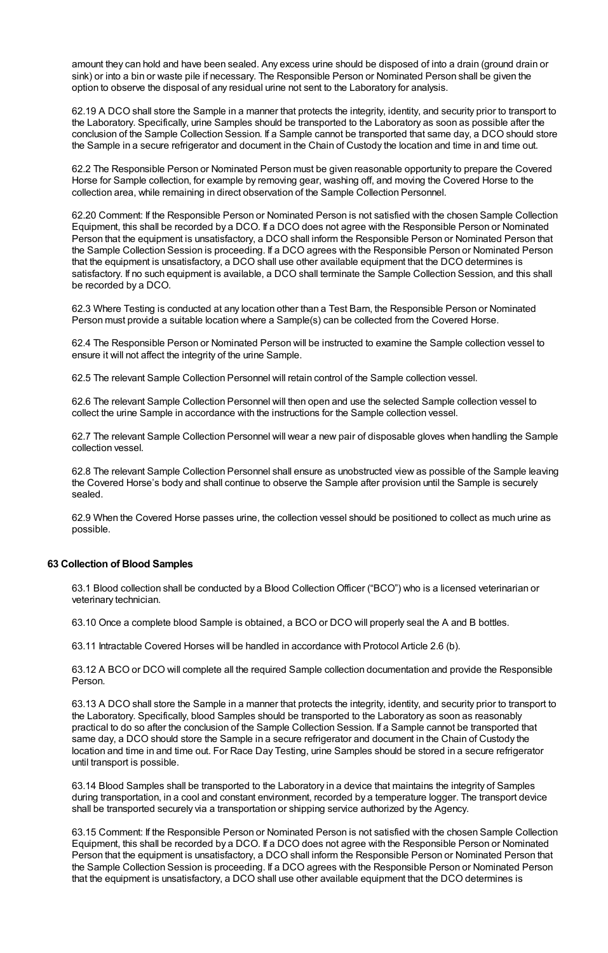amount they can hold and have been sealed. Any excess urine should be disposed of into a drain (ground drain or sink) or into a bin or waste pile if necessary. The Responsible Person or Nominated Person shall be given the option to observe the disposal of any residual urine not sent to the Laboratory for analysis.

62.19 A DCO shall store the Sample in a manner that protects the integrity, identity, and security prior to transport to the Laboratory. Specifically, urine Samples should be transported to the Laboratory as soon as possible after the conclusion of the Sample Collection Session. If a Sample cannot be transported that same day, a DCO should store the Sample in a secure refrigerator and document in the Chain of Custody the location and time in and time out.

62.2 The Responsible Person or Nominated Person must be given reasonable opportunity to prepare the Covered Horse for Sample collection, for example by removing gear, washing off, and moving the Covered Horse to the collection area, while remaining in direct observation of the Sample Collection Personnel.

62.20 Comment: If the Responsible Person or Nominated Person is not satisfied with the chosen Sample Collection Equipment, this shall be recorded by a DCO. If a DCO does not agree with the Responsible Person or Nominated Person that the equipment is unsatisfactory, a DCO shall inform the Responsible Person or Nominated Person that the Sample Collection Session is proceeding. If a DCO agrees with the Responsible Person or Nominated Person that the equipment is unsatisfactory, a DCO shall use other available equipment that the DCO determines is satisfactory. If no such equipment is available, a DCO shall terminate the Sample Collection Session, and this shall be recorded by a DCO.

62.3 Where Testing is conducted at any location other than a Test Barn, the Responsible Person or Nominated Person must provide a suitable location where a Sample(s) can be collected from the Covered Horse.

62.4 The Responsible Person or Nominated Person will be instructed to examine the Sample collection vessel to ensure it will not affect the integrity of the urine Sample.

62.5 The relevant Sample Collection Personnel will retain control of the Sample collection vessel.

62.6 The relevant Sample Collection Personnel will then open and use the selected Sample collection vessel to collect the urine Sample in accordance with the instructions for the Sample collection vessel.

62.7 The relevant Sample Collection Personnel will wear a new pair of disposable gloves when handling the Sample collection vessel.

62.8 The relevant Sample Collection Personnel shall ensure as unobstructed view as possible of the Sample leaving the Covered Horse's body and shall continue to observe the Sample after provision until the Sample is securely sealed.

62.9 When the Covered Horse passes urine, the collection vessel should be positioned to collect as much urine as possible.

# **63 Collection of Blood Samples**

63.1 Blood collection shall be conducted by a Blood CollectionOfficer ("BCO") who is a licensed veterinarian or veterinary technician.

63.10 Once a complete blood Sample is obtained, a BCO or DCO will properly seal the A and B bottles.

63.11 Intractable Covered Horses will be handled in accordance with Protocol Article 2.6 (b).

63.12 A BCO or DCO will complete all the required Sample collection documentation and provide the Responsible Person.

63.13 A DCO shall store the Sample in a manner that protects the integrity, identity, and security prior to transport to the Laboratory. Specifically, blood Samples should be transported to the Laboratory as soon as reasonably practical to do so after the conclusion of the Sample Collection Session. If a Sample cannot be transported that same day, a DCO should store the Sample in a secure refrigerator and document in the Chain of Custody the location and time in and time out. For Race Day Testing, urine Samples should be stored in a secure refrigerator until transport is possible.

63.14 Blood Samples shall be transported to the Laboratory in a device that maintains the integrity of Samples during transportation, in a cool and constant environment, recorded by a temperature logger. The transport device shall be transported securely via a transportation or shipping service authorized by the Agency.

63.15 Comment: If the Responsible Person or Nominated Person is not satisfied with the chosen Sample Collection Equipment, this shall be recorded by a DCO. If a DCO does not agree with the Responsible Person or Nominated Person that the equipment is unsatisfactory, a DCO shall inform the Responsible Person or Nominated Person that the Sample Collection Session is proceeding. If a DCO agrees with the Responsible Person or Nominated Person that the equipment is unsatisfactory, a DCO shall use other available equipment that the DCO determines is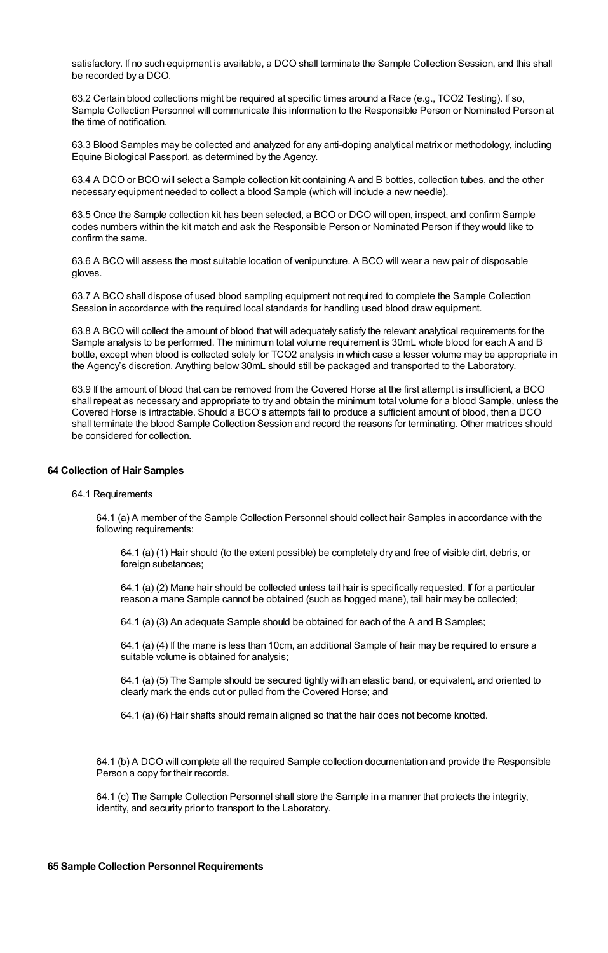satisfactory. If no such equipment is available, a DCO shall terminate the Sample Collection Session, and this shall be recorded by a DCO.

63.2 Certain blood collections might be required at specific times around a Race (e.g., TCO2 Testing). If so, Sample Collection Personnel will communicate this information to the Responsible Person or Nominated Person at the time of notification.

63.3 Blood Samples may be collected and analyzed for any anti-doping analytical matrix or methodology, including Equine Biological Passport, as determined by the Agency.

63.4 A DCO or BCO will select a Sample collection kit containing A and B bottles, collection tubes, and the other necessary equipment needed to collect a blood Sample (which will include a new needle).

63.5 Once the Sample collection kit has been selected, a BCO or DCO will open, inspect, and confirm Sample codes numbers within the kit match and ask the Responsible Person or Nominated Person if they would like to confirm the same.

63.6 A BCO will assess the most suitable location of venipuncture. A BCO will wear a new pair of disposable gloves.

63.7 A BCO shall dispose of used blood sampling equipment not required to complete the Sample Collection Session in accordance with the required local standards for handling used blood draw equipment.

63.8 A BCO will collect the amount of blood that will adequately satisfy the relevant analytical requirements for the Sample analysis to be performed. The minimum total volume requirement is 30mL whole blood for each A and B bottle, except when blood is collected solely for TCO2 analysis in which case a lesser volume may be appropriate in the Agency's discretion. Anything below 30mL should still be packaged and transported to the Laboratory.

63.9 If the amount of blood that can be removed from the Covered Horse at the first attempt is insufficient, a BCO shall repeat as necessary and appropriate to try and obtain the minimum total volume for a blood Sample, unless the Covered Horse is intractable. Should a BCO's attempts fail to produce a sufficient amount of blood, then a DCO shall terminate the blood Sample Collection Session and record the reasons for terminating. Other matrices should be considered for collection.

## **64 Collection of Hair Samples**

#### 64.1 Requirements

64.1 (a) A member of the Sample Collection Personnel should collect hair Samples in accordance with the following requirements:

64.1 (a) (1) Hair should (to the extent possible) be completely dry and free of visible dirt, debris, or foreign substances;

64.1 (a) (2) Mane hair should be collected unless tail hair is specifically requested. If for a particular reason a mane Sample cannot be obtained (such as hogged mane), tail hair may be collected;

64.1 (a) (3) An adequate Sample should be obtained for each of the A and B Samples;

64.1 (a) (4) If the mane is less than 10cm, an additional Sample of hair may be required to ensure a suitable volume is obtained for analysis;

64.1 (a) (5) The Sample should be secured tightly with an elastic band, or equivalent, and oriented to clearly mark the ends cut or pulled from the Covered Horse; and

64.1 (a) (6) Hair shafts should remain aligned so that the hair does not become knotted.

64.1 (b) A DCO will complete all the required Sample collection documentation and provide the Responsible Person a copy for their records.

64.1 (c) The Sample Collection Personnel shall store the Sample in a manner that protects the integrity, identity, and security prior to transport to the Laboratory.

#### **65 Sample Collection Personnel Requirements**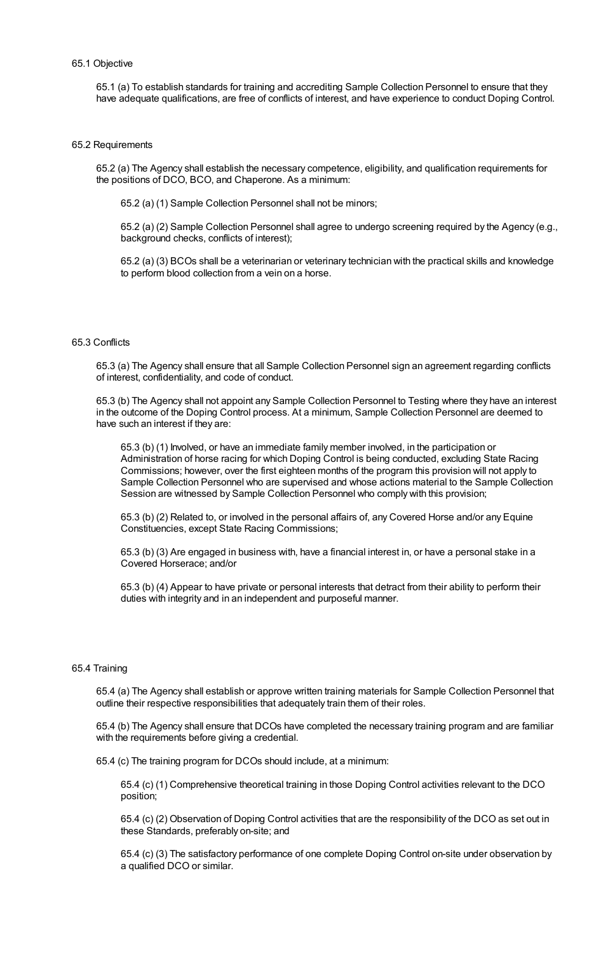# 65.1 Objective

65.1 (a) To establish standards for training and accrediting Sample Collection Personnel to ensure that they have adequate qualifications, are free of conflicts of interest, and have experience to conduct Doping Control.

#### 65.2 Requirements

65.2 (a) The Agency shall establish the necessary competence, eligibility, and qualification requirements for the positions of DCO, BCO, and Chaperone. As a minimum:

65.2 (a) (1) Sample Collection Personnel shall not be minors;

65.2 (a) (2) Sample Collection Personnel shall agree to undergo screening required by the Agency (e.g., background checks, conflicts of interest);

65.2 (a) (3) BCOs shall be a veterinarian or veterinary technician with the practical skills and knowledge to perform blood collection from a vein on a horse.

#### 65.3 Conflicts

65.3 (a) The Agency shall ensure that all Sample Collection Personnel sign an agreement regarding conflicts of interest, confidentiality, and code of conduct.

65.3 (b) The Agency shall not appoint any Sample Collection Personnel to Testing where they have an interest in the outcome of the Doping Control process. At a minimum, Sample Collection Personnel are deemed to have such an interest if they are:

65.3 (b) (1) Involved, or have an immediate family member involved, in the participation or Administration of horse racing for which Doping Control is being conducted, excluding State Racing Commissions; however, over the first eighteen months of the program this provision will not apply to Sample Collection Personnel who are supervised and whose actions material to the Sample Collection Session are witnessed by Sample Collection Personnel who comply with this provision;

65.3 (b) (2) Related to, or involved in the personal affairs of, any Covered Horse and/or any Equine Constituencies, except State Racing Commissions;

65.3 (b) (3) Are engaged in business with, have a financial interest in, or have a personal stake in a Covered Horserace; and/or

65.3 (b) (4) Appear to have private or personal interests that detract from their ability to perform their duties with integrity and in an independent and purposeful manner.

#### 65.4 Training

65.4 (a) The Agency shall establish or approve written training materials for Sample Collection Personnel that outline their respective responsibilities that adequately train them of their roles.

65.4 (b) The Agency shall ensure that DCOs have completed the necessary training program and are familiar with the requirements before giving a credential.

65.4 (c) The training program for DCOs should include, at a minimum:

65.4 (c) (1) Comprehensive theoretical training in those Doping Control activities relevant to the DCO position;

65.4 (c) (2) Observation of Doping Control activities that are the responsibility of the DCO as set out in these Standards, preferably on-site; and

65.4 (c) (3) The satisfactory performance of one complete Doping Control on-site under observation by a qualified DCO or similar.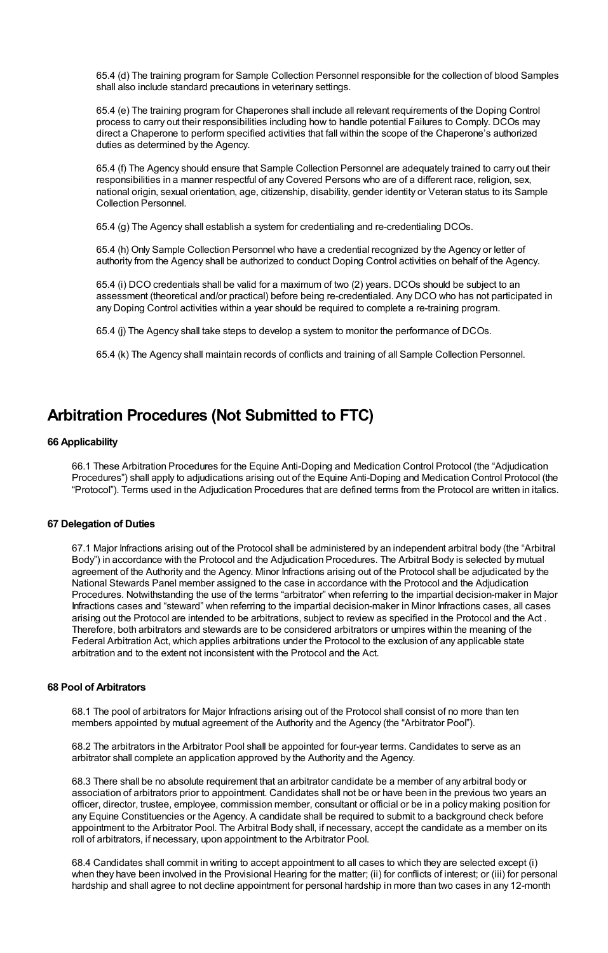65.4 (d) The training program for Sample Collection Personnel responsible for the collection of blood Samples shall also include standard precautions in veterinary settings.

65.4 (e) The training program for Chaperones shall include all relevant requirements of the Doping Control process to carry out their responsibilities including how to handle potential Failures to Comply. DCOs may direct a Chaperone to perform specified activities that fall within the scope of the Chaperone's authorized duties as determined by the Agency.

65.4 (f) The Agency should ensure that Sample Collection Personnel are adequately trained to carry out their responsibilities in a manner respectful of any Covered Persons who are of a different race, religion, sex, national origin, sexual orientation, age, citizenship, disability, gender identity or Veteran status to its Sample Collection Personnel.

65.4 (g) The Agency shall establish a system for credentialing and re-credentialing DCOs.

65.4 (h) Only Sample Collection Personnel who have a credential recognized by the Agency or letter of authority from the Agency shall be authorized to conduct Doping Control activities on behalf of the Agency.

65.4 (i) DCO credentials shall be valid for a maximum of two (2) years. DCOs should be subject to an assessment (theoretical and/or practical) before being re-credentialed. Any DCO who has not participated in any Doping Control activities within a year should be required to complete a re-training program.

65.4 (j) The Agency shall take steps to develop a system to monitor the performance of DCOs.

65.4 (k) The Agency shall maintain records of conflicts and training of all Sample Collection Personnel.

# **Arbitration Procedures (Not Submitted to FTC)**

# **66 Applicability**

66.1 These Arbitration Procedures for the Equine Anti-Doping and Medication Control Protocol (the "Adjudication Procedures") shall apply to adjudications arising out of the Equine Anti-Doping and Medication Control Protocol (the "Protocol"). Terms used in the Adjudication Procedures that are defined terms from the Protocol are written in italics.

# **67 Delegation of Duties**

67.1 Major Infractions arising out of the Protocol shall be administered by an independent arbitral body (the "Arbitral Body") in accordance with the Protocol and the Adjudication Procedures. The Arbitral Body is selected by mutual agreement of the Authority and the Agency. Minor Infractions arising out of the Protocol shall be adjudicated by the National Stewards Panel member assigned to the case in accordance with the Protocol and the Adjudication Procedures. Notwithstanding the use of the terms "arbitrator" when referring to the impartial decision-maker in Major Infractions cases and "steward" when referring to the impartial decision-maker in Minor Infractions cases, all cases arising out the Protocol are intended to be arbitrations, subject to review as specified in the Protocol and the Act . Therefore, both arbitrators and stewards are to be considered arbitrators or umpires within the meaning of the Federal Arbitration Act, which applies arbitrations under the Protocol to the exclusion of any applicable state arbitration and to the extent not inconsistent with the Protocol and the Act.

## **68 Pool of Arbitrators**

68.1 The pool of arbitrators for Major Infractions arising out of the Protocol shall consist of no more than ten members appointed by mutual agreement of the Authority and the Agency (the "Arbitrator Pool").

68.2 The arbitrators in the Arbitrator Pool shall be appointed for four-year terms. Candidates to serve as an arbitrator shall complete an application approved by the Authority and the Agency.

68.3 There shall be no absolute requirement that an arbitrator candidate be a member of any arbitral body or association of arbitrators prior to appointment. Candidates shall not be or have been in the previous two years an officer, director, trustee, employee, commission member, consultant or official or be in a policy making position for any Equine Constituencies or the Agency. A candidate shall be required to submit to a background check before appointment to the Arbitrator Pool. The Arbitral Body shall, if necessary, accept the candidate as a member on its roll of arbitrators, if necessary, upon appointment to the Arbitrator Pool.

68.4 Candidates shall commit in writing to accept appointment to all cases to which they are selected except (i) when they have been involved in the Provisional Hearing for the matter; (ii) for conflicts of interest; or (iii) for personal hardship and shall agree to not decline appointment for personal hardship in more than two cases in any 12-month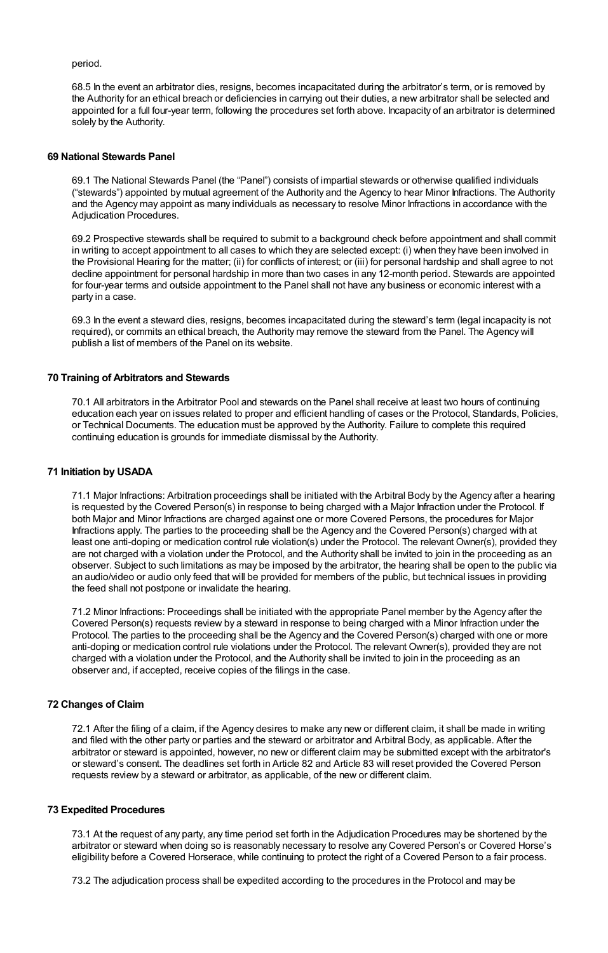period.

68.5 In the event an arbitrator dies, resigns, becomes incapacitated during the arbitrator's term, or is removed by the Authority for an ethical breach or deficiencies in carrying out their duties, a new arbitrator shall be selected and appointed for a full four-year term, following the procedures set forth above. Incapacity of an arbitrator is determined solely by the Authority.

## **69 National Stewards Panel**

69.1 The National Stewards Panel (the "Panel") consists of impartial stewards or otherwise qualified individuals ("stewards") appointed by mutual agreement of the Authority and the Agency to hear Minor Infractions. The Authority and the Agency may appoint as many individuals as necessary to resolve Minor Infractions in accordance with the Adjudication Procedures.

69.2 Prospective stewards shall be required to submit to a background check before appointment and shall commit in writing to accept appointment to all cases to which they are selected except: (i) when they have been involved in the Provisional Hearing for the matter; (ii) for conflicts of interest; or (iii) for personal hardship and shall agree to not decline appointment for personal hardship in more than two cases in any 12-month period. Stewards are appointed for four-year terms and outside appointment to the Panel shall not have any business or economic interest with a party in a case.

69.3 In the event a steward dies, resigns, becomes incapacitated during the steward's term (legal incapacity is not required), or commits an ethical breach, the Authority may remove the steward from the Panel. The Agency will publish a list of members of the Panel on its website.

# **70 Training of Arbitrators and Stewards**

70.1 All arbitrators in the Arbitrator Pool and stewards on the Panel shall receive at least two hours of continuing education each year on issues related to proper and efficient handling of cases or the Protocol, Standards, Policies, or Technical Documents. The education must be approved by the Authority. Failure to complete this required continuing education is grounds for immediate dismissal by the Authority.

## **71 Initiation by USADA**

71.1 Major Infractions: Arbitration proceedings shall be initiated with the Arbitral Body by the Agency after a hearing is requested by the Covered Person(s) in response to being charged with a Major Infraction under the Protocol. If both Major and Minor Infractions are charged against one or more Covered Persons, the procedures for Major Infractions apply. The parties to the proceeding shall be the Agency and the Covered Person(s) charged with at least one anti-doping or medication control rule violation(s) under the Protocol. The relevant Owner(s), provided they are not charged with a violation under the Protocol, and the Authority shall be invited to join in the proceeding as an observer. Subject to such limitations as may be imposed by the arbitrator, the hearing shall be open to the public via an audio/video or audio only feed that will be provided for members of the public, but technical issues in providing the feed shall not postpone or invalidate the hearing.

71.2 Minor Infractions: Proceedings shall be initiated with the appropriate Panel member by the Agency after the Covered Person(s) requests review by a steward in response to being charged with a Minor Infraction under the Protocol. The parties to the proceeding shall be the Agency and the Covered Person(s) charged with one or more anti-doping or medication control rule violations under the Protocol. The relevant Owner(s), provided they are not charged with a violation under the Protocol, and the Authority shall be invited to join in the proceeding as an observer and, if accepted, receive copies of the filings in the case.

# **72 Changes of Claim**

72.1 After the filing of a claim, if the Agency desires to make any new or different claim, it shall be made in writing and filed with the other party or parties and the steward or arbitrator and Arbitral Body, as applicable. After the arbitrator or steward is appointed, however, no new or different claim may be submitted except with the arbitrator's or steward's consent. The deadlines set forth in Article 82 and Article 83 will reset provided the Covered Person requests review by a steward or arbitrator, as applicable, of the new or different claim.

## **73 Expedited Procedures**

73.1 At the request of any party, any time period set forth in the Adjudication Procedures may be shortened by the arbitrator or steward when doing so is reasonably necessary to resolve any Covered Person's or Covered Horse's eligibility before a Covered Horserace, while continuing to protect the right of a Covered Person to a fair process.

73.2 The adjudication process shall be expedited according to the procedures in the Protocol and may be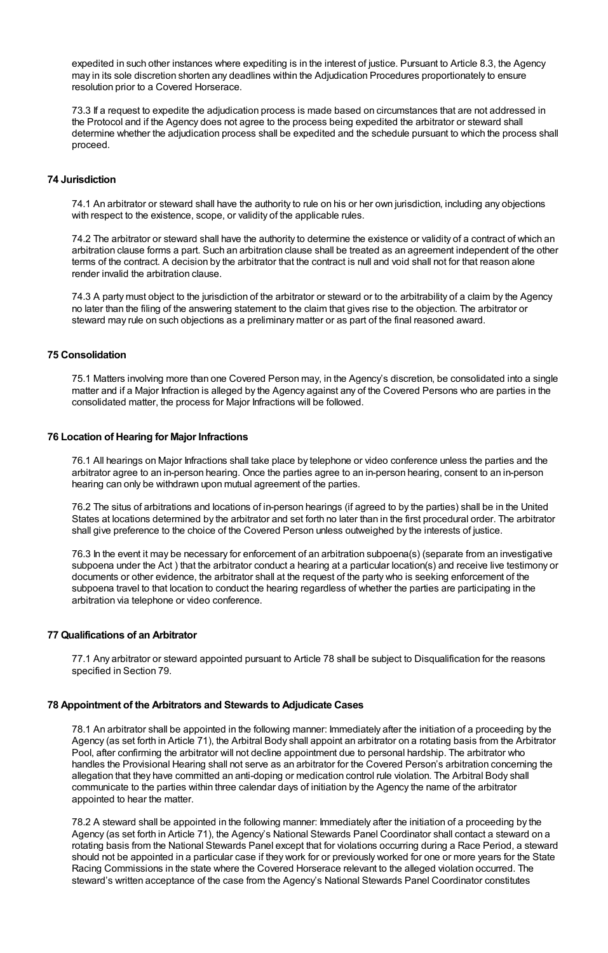expedited in such other instances where expediting is in the interest of justice. Pursuant to Article 8.3, the Agency may in its sole discretion shorten any deadlines within the Adjudication Procedures proportionately to ensure resolution prior to a Covered Horserace.

73.3 If a request to expedite the adjudication process is made based on circumstances that are not addressed in the Protocol and if the Agency does not agree to the process being expedited the arbitrator or steward shall determine whether the adjudication process shall be expedited and the schedule pursuant to which the process shall proceed.

# **74 Jurisdiction**

74.1 An arbitrator or steward shall have the authority to rule on his or her own jurisdiction, including any objections with respect to the existence, scope, or validity of the applicable rules.

74.2 The arbitrator or steward shall have the authority to determine the existence or validity of a contract of which an arbitration clause forms a part. Such an arbitration clause shall be treated as an agreement independent of the other terms of the contract. A decision by the arbitrator that the contract is null and void shall not for that reason alone render invalid the arbitration clause.

74.3 A party must object to the jurisdiction of the arbitrator or steward or to the arbitrability of a claim by the Agency no later than the filing of the answering statement to the claim that gives rise to the objection. The arbitrator or steward may rule on such objections as a preliminary matter or as part of the final reasoned award.

# **75 Consolidation**

75.1 Matters involving more than one Covered Person may, in the Agency's discretion, be consolidated into a single matter and if a Major Infraction is alleged by the Agency against any of the Covered Persons who are parties in the consolidated matter, the process for Major Infractions will be followed.

# **76 Location of Hearing for Major Infractions**

76.1 All hearings on Major Infractions shall take place by telephone or video conference unless the parties and the arbitrator agree to an in-person hearing. Once the parties agree to an in-person hearing, consent to an in-person hearing can only be withdrawn upon mutual agreement of the parties.

76.2 The situs of arbitrations and locations of in-person hearings (if agreed to by the parties) shall be in the United States at locations determined by the arbitrator and set forth no later than in the first procedural order. The arbitrator shall give preference to the choice of the Covered Person unless outweighed by the interests of justice.

76.3 In the event it may be necessary for enforcement of an arbitration subpoena(s) (separate from an investigative subpoena under the Act ) that the arbitrator conduct a hearing at a particular location(s) and receive live testimony or documents or other evidence, the arbitrator shall at the request of the party who is seeking enforcement of the subpoena travel to that location to conduct the hearing regardless of whether the parties are participating in the arbitration via telephone or video conference.

# **77 Qualifications of an Arbitrator**

77.1 Any arbitrator or steward appointed pursuant to Article 78 shall be subject to Disqualification for the reasons specified in Section 79.

# **78 Appointment of the Arbitrators and Stewards to Adjudicate Cases**

78.1 An arbitrator shall be appointed in the following manner: Immediately after the initiation of a proceeding by the Agency (as set forth in Article 71), the Arbitral Body shall appoint an arbitrator on a rotating basis from the Arbitrator Pool, after confirming the arbitrator will not decline appointment due to personal hardship. The arbitrator who handles the Provisional Hearing shall not serve as an arbitrator for the Covered Person's arbitration concerning the allegation that they have committed an anti-doping or medication control rule violation. The Arbitral Body shall communicate to the parties within three calendar days of initiation by the Agency the name of the arbitrator appointed to hear the matter.

78.2 A steward shall be appointed in the following manner: Immediately after the initiation of a proceeding by the Agency (as set forth in Article 71), the Agency's National Stewards Panel Coordinator shall contact a steward on a rotating basis from the National Stewards Panel except that for violations occurring during a Race Period, a steward should not be appointed in a particular case if they work for or previously worked for one or more years for the State Racing Commissions in the state where the Covered Horserace relevant to the alleged violation occurred. The steward's written acceptance of the case from the Agency's National Stewards Panel Coordinator constitutes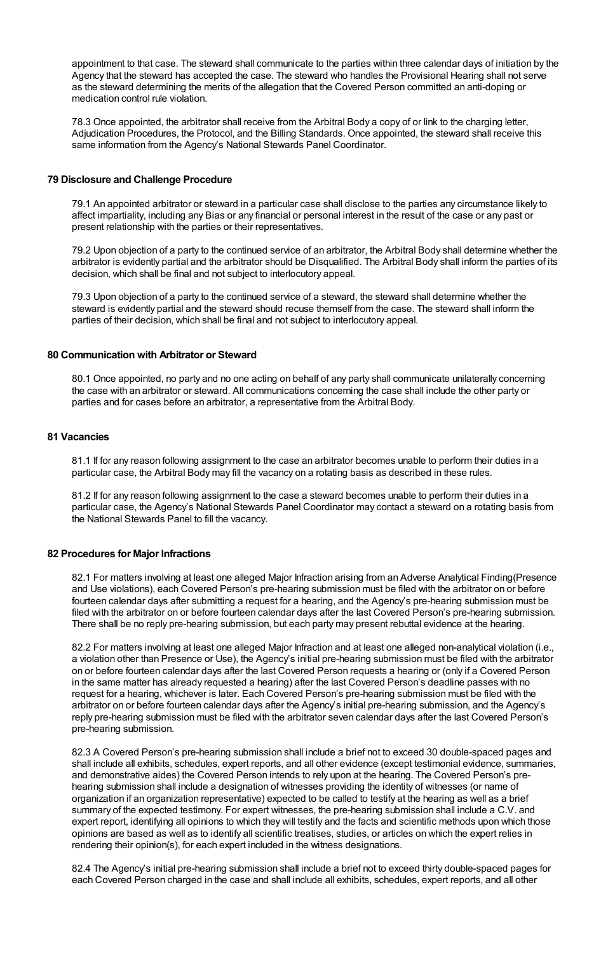appointment to that case. The steward shall communicate to the parties within three calendar days of initiation by the Agency that the steward has accepted the case. The steward who handles the Provisional Hearing shall not serve as the steward determining the merits of the allegation that the Covered Person committed an anti-doping or medication control rule violation.

78.3 Once appointed, the arbitrator shall receive from the Arbitral Body a copy of or link to the charging letter, Adjudication Procedures, the Protocol, and the Billing Standards. Once appointed, the steward shall receive this same information from the Agency's National Stewards Panel Coordinator.

# **79 Disclosure and Challenge Procedure**

79.1 An appointed arbitrator or steward in a particular case shall disclose to the parties any circumstance likely to affect impartiality, including any Bias or any financial or personal interest in the result of the case or any past or present relationship with the parties or their representatives.

79.2 Upon objection of a party to the continued service of an arbitrator, the Arbitral Body shall determine whether the arbitrator is evidently partial and the arbitrator should be Disqualified. The Arbitral Body shall inform the parties of its decision, which shall be final and not subject to interlocutory appeal.

79.3 Upon objection of a party to the continued service of a steward, the steward shall determine whether the steward is evidently partial and the steward should recuse themself from the case. The steward shall inform the parties of their decision, which shall be final and not subject to interlocutory appeal.

# **80 Communication with Arbitrator or Steward**

80.1 Once appointed, no party and no one acting on behalf of any party shall communicate unilaterally concerning the case with an arbitrator or steward. All communications concerning the case shall include the other party or parties and for cases before an arbitrator, a representative from the Arbitral Body.

# **81 Vacancies**

81.1 If for any reason following assignment to the case an arbitrator becomes unable to perform their duties in a particular case, the Arbitral Body may fill the vacancy on a rotating basis as described in these rules.

81.2 If for any reason following assignment to the case a steward becomes unable to perform their duties in a particular case, the Agency's National Stewards Panel Coordinator may contact a steward on a rotating basis from the National Stewards Panel to fill the vacancy.

#### **82 Procedures for Major Infractions**

82.1 For matters involving at least one alleged Major Infraction arising from an Adverse Analytical Finding(Presence and Use violations), each Covered Person's pre-hearing submission must be filed with the arbitrator on or before fourteen calendar days after submitting a request for a hearing, and the Agency's pre-hearing submission must be filed with the arbitrator on or before fourteen calendar days after the last Covered Person's pre-hearing submission. There shall be no reply pre-hearing submission, but each party may present rebuttal evidence at the hearing.

82.2 For matters involving at least one alleged Major Infraction and at least one alleged non-analytical violation (i.e., a violation other than Presence or Use), the Agency's initial pre-hearing submission must be filed with the arbitrator on or before fourteen calendar days after the last Covered Person requests a hearing or (only if a Covered Person in the same matter has already requested a hearing) after the last Covered Person's deadline passes with no request for a hearing, whichever is later. Each Covered Person's pre-hearing submission must be filed with the arbitrator on or before fourteen calendar days after the Agency's initial pre-hearing submission, and the Agency's reply pre-hearing submission must be filed with the arbitrator seven calendar days after the last Covered Person's pre-hearing submission.

82.3 A Covered Person's pre-hearing submission shall include a brief not to exceed 30 double-spaced pages and shall include all exhibits, schedules, expert reports, and all other evidence (except testimonial evidence, summaries, and demonstrative aides) the Covered Person intends to rely upon at the hearing. The Covered Person's prehearing submission shall include a designation of witnesses providing the identity of witnesses (or name of organization if an organization representative) expected to be called to testify at the hearing as well as a brief summary of the expected testimony. For expert witnesses, the pre-hearing submission shall include a C.V. and expert report, identifying all opinions to which they will testify and the facts and scientific methods upon which those opinions are based as well as to identify all scientific treatises, studies, or articles on which the expert relies in rendering their opinion(s), for each expert included in the witness designations.

82.4 The Agency's initial pre-hearing submission shall include a brief not to exceed thirty double-spaced pages for each Covered Person charged in the case and shall include all exhibits, schedules, expert reports, and all other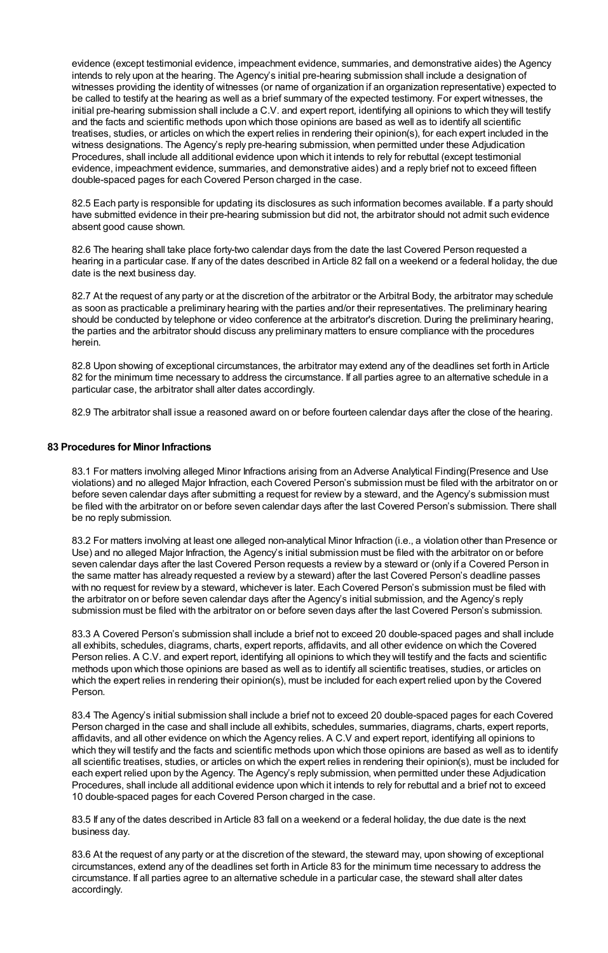evidence (except testimonial evidence, impeachment evidence, summaries, and demonstrative aides) the Agency intends to rely upon at the hearing. The Agency's initial pre-hearing submission shall include a designation of witnesses providing the identity of witnesses (or name of organization if an organization representative) expected to be called to testify at the hearing as well as a brief summary of the expected testimony. For expert witnesses, the initial pre-hearing submission shall include a C.V. and expert report, identifying all opinions to which they will testify and the facts and scientific methods upon which those opinions are based as well as to identify all scientific treatises, studies, or articles on which the expert relies in rendering their opinion(s), for each expert included in the witness designations. The Agency's reply pre-hearing submission, when permitted under these Adjudication Procedures, shall include all additional evidence upon which it intends to rely for rebuttal (except testimonial evidence, impeachment evidence, summaries, and demonstrative aides) and a reply brief not to exceed fifteen double-spaced pages for each Covered Person charged in the case.

82.5 Each party is responsible for updating its disclosures as such information becomes available. If a party should have submitted evidence in their pre-hearing submission but did not, the arbitrator should not admit such evidence absent good cause shown.

82.6 The hearing shall take place forty-two calendar days from the date the last Covered Person requested a hearing in a particular case. If any of the dates described in Article 82 fall on a weekend or a federal holiday, the due date is the next business day.

82.7 At the request of any party or at the discretion of the arbitrator or the Arbitral Body, the arbitrator may schedule as soon as practicable a preliminary hearing with the parties and/or their representatives. The preliminary hearing should be conducted by telephone or video conference at the arbitrator's discretion. During the preliminary hearing, the parties and the arbitrator should discuss any preliminary matters to ensure compliance with the procedures herein.

82.8 Upon showing of exceptional circumstances, the arbitrator may extend any of the deadlines set forth in Article 82 for the minimum time necessary to address the circumstance. If all parties agree to an alternative schedule in a particular case, the arbitrator shall alter dates accordingly.

82.9 The arbitrator shall issue a reasoned award on or before fourteen calendar days after the close of the hearing.

# **83 Procedures for Minor Infractions**

83.1 For matters involving alleged Minor Infractions arising from an Adverse Analytical Finding(Presence and Use violations) and no alleged Major Infraction, each Covered Person's submission must be filed with the arbitrator on or before seven calendar days after submitting a request for review by a steward, and the Agency's submission must be filed with the arbitrator on or before seven calendar days after the last Covered Person's submission. There shall be no reply submission.

83.2 For matters involving at least one alleged non-analytical Minor Infraction (i.e., a violation other than Presence or Use) and no alleged Major Infraction, the Agency's initial submission must be filed with the arbitrator on or before seven calendar days after the last Covered Person requests a review by a steward or (only if a Covered Person in the same matter has already requested a review by a steward) after the last Covered Person's deadline passes with no request for review by a steward, whichever is later. Each Covered Person's submission must be filed with the arbitrator on or before seven calendar days after the Agency's initial submission, and the Agency's reply submission must be filed with the arbitrator on or before seven days after the last Covered Person's submission.

83.3 A Covered Person's submission shall include a brief not to exceed 20 double-spaced pages and shall include all exhibits, schedules, diagrams, charts, expert reports, affidavits, and all other evidence on which the Covered Person relies. A C.V. and expert report, identifying all opinions to which they will testify and the facts and scientific methods upon which those opinions are based as well as to identify all scientific treatises, studies, or articles on which the expert relies in rendering their opinion(s), must be included for each expert relied upon by the Covered Person.

83.4 The Agency's initial submission shall include a brief not to exceed 20 double-spaced pages for each Covered Person charged in the case and shall include all exhibits, schedules, summaries, diagrams, charts, expert reports, affidavits, and all other evidence on which the Agency relies. A C.V and expert report, identifying all opinions to which they will testify and the facts and scientific methods upon which those opinions are based as well as to identify all scientific treatises, studies, or articles on which the expert relies in rendering their opinion(s), must be included for each expert relied upon by the Agency. The Agency's reply submission, when permitted under these Adjudication Procedures, shall include all additional evidence upon which it intends to rely for rebuttal and a brief not to exceed 10 double-spaced pages for each Covered Person charged in the case.

83.5 If any of the dates described in Article 83 fall on a weekend or a federal holiday, the due date is the next business day.

83.6 At the request of any party or at the discretion of the steward, the steward may, upon showing of exceptional circumstances, extend any of the deadlines set forth in Article 83 for the minimum time necessary to address the circumstance. If all parties agree to an alternative schedule in a particular case, the steward shall alter dates accordingly.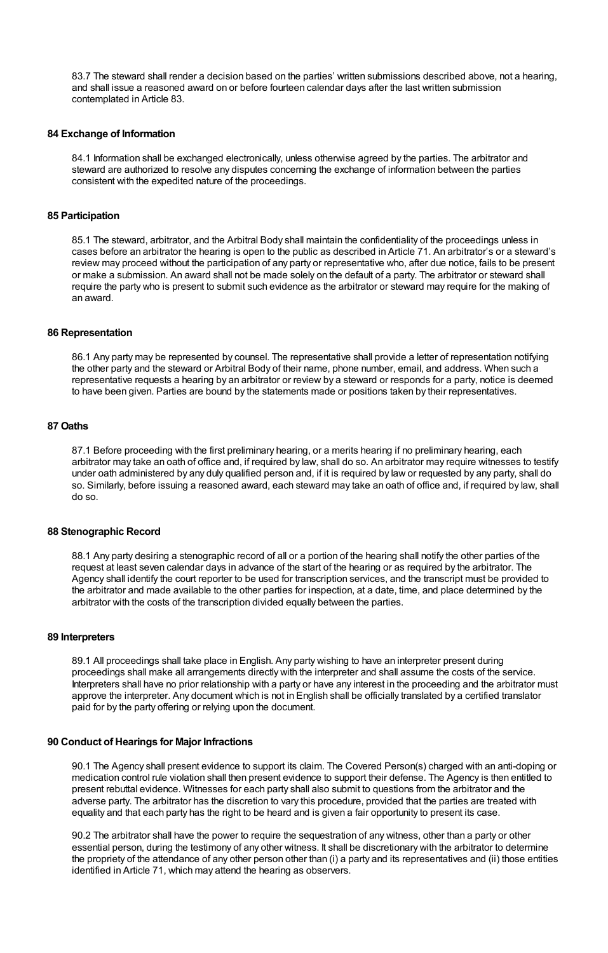83.7 The steward shall render a decision based on the parties' written submissions described above, not a hearing, and shall issue a reasoned award on or before fourteen calendar days after the last written submission contemplated in Article 83.

# **84 Exchange of Information**

84.1 Information shall be exchanged electronically, unless otherwise agreed by the parties. The arbitrator and steward are authorized to resolve any disputes concerning the exchange of information between the parties consistent with the expedited nature of the proceedings.

## **85 Participation**

85.1 The steward, arbitrator, and the Arbitral Body shall maintain the confidentiality of the proceedings unless in cases before an arbitrator the hearing is open to the public as described in Article 71. An arbitrator's or a steward's review may proceed without the participation of any party or representative who, after due notice, fails to be present or make a submission. An award shall not be made solely on the default of a party. The arbitrator or steward shall require the party who is present to submit such evidence as the arbitrator or steward may require for the making of an award.

#### **86 Representation**

86.1 Any party may be represented by counsel. The representative shall provide a letter of representation notifying the other party and the steward or Arbitral Body of their name, phone number, email, and address. When such a representative requests a hearing by an arbitrator or review by a steward or responds for a party, notice is deemed to have been given. Parties are bound by the statements made or positions taken by their representatives.

# **87 Oaths**

87.1 Before proceeding with the first preliminary hearing, or a merits hearing if no preliminary hearing, each arbitrator may take an oath of office and, if required by law, shall do so. An arbitrator may require witnesses to testify under oath administered by any duly qualified person and, if it is required by law or requested by any party, shall do so. Similarly, before issuing a reasoned award, each steward may take an oath of office and, if required by law, shall do so.

# **88 Stenographic Record**

88.1 Any party desiring a stenographic record of all or a portion of the hearing shall notify the other parties of the request at least seven calendar days in advance of the start of the hearing or as required by the arbitrator. The Agency shall identify the court reporter to be used for transcription services, and the transcript must be provided to the arbitrator and made available to the other parties for inspection, at a date, time, and place determined by the arbitrator with the costs of the transcription divided equally between the parties.

#### **89 Interpreters**

89.1 All proceedings shall take place in English. Any party wishing to have an interpreter present during proceedings shall make all arrangements directly with the interpreter and shall assume the costs of the service. Interpreters shall have no prior relationship with a party or have any interest in the proceeding and the arbitrator must approve the interpreter. Any document which is not in English shall be officially translated by a certified translator paid for by the party offering or relying upon the document.

# **90 Conduct of Hearings for Major Infractions**

90.1 The Agency shall present evidence to support its claim. The Covered Person(s) charged with an anti-doping or medication control rule violation shall then present evidence to support their defense. The Agency is then entitled to present rebuttal evidence. Witnesses for each party shall also submit to questions from the arbitrator and the adverse party. The arbitrator has the discretion to vary this procedure, provided that the parties are treated with equality and that each party has the right to be heard and is given a fair opportunity to present its case.

90.2 The arbitrator shall have the power to require the sequestration of any witness, other than a party or other essential person, during the testimony of any other witness. It shall be discretionary with the arbitrator to determine the propriety of the attendance of any other person other than (i) a party and its representatives and (ii) those entities identified in Article 71, which may attend the hearing as observers.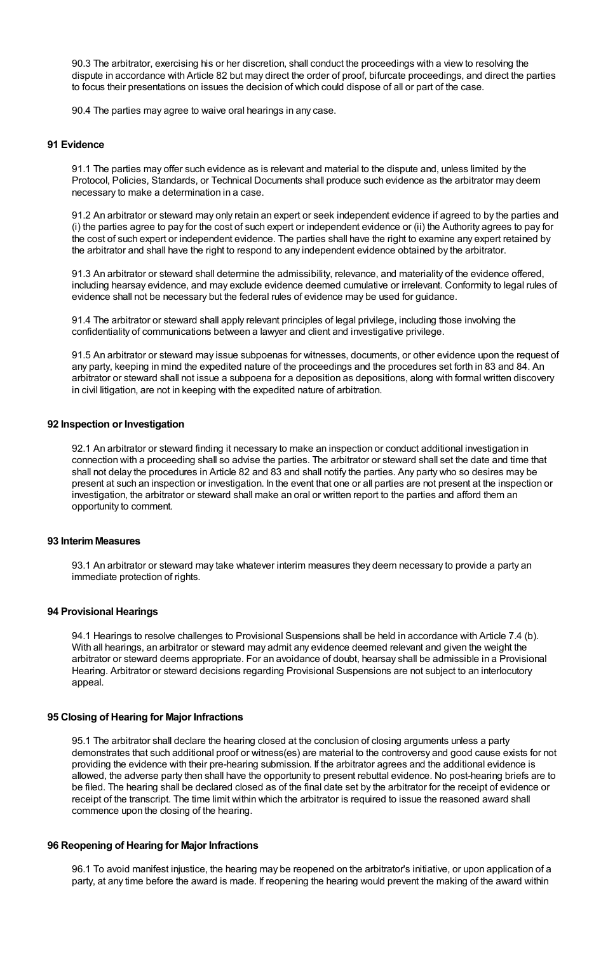90.3 The arbitrator, exercising his or her discretion, shall conduct the proceedings with a view to resolving the dispute in accordance with Article 82 but may direct the order of proof, bifurcate proceedings, and direct the parties to focus their presentations on issues the decision of which could dispose of all or part of the case.

90.4 The parties may agree to waive oral hearings in any case.

## **91 Evidence**

91.1 The parties may offer such evidence as is relevant and material to the dispute and, unless limited by the Protocol, Policies, Standards, or Technical Documents shall produce such evidence as the arbitrator may deem necessary to make a determination in a case.

91.2 An arbitrator or steward may only retain an expert or seek independent evidence if agreed to by the parties and (i) the parties agree to pay for the cost of such expert or independent evidence or (ii) the Authority agrees to pay for the cost of such expert or independent evidence. The parties shall have the right to examine any expert retained by the arbitrator and shall have the right to respond to any independent evidence obtained by the arbitrator.

91.3 An arbitrator or steward shall determine the admissibility, relevance, and materiality of the evidence offered, including hearsay evidence, and may exclude evidence deemed cumulative or irrelevant. Conformity to legal rules of evidence shall not be necessary but the federal rules of evidence may be used for guidance.

91.4 The arbitrator or steward shall apply relevant principles of legal privilege, including those involving the confidentiality of communications between a lawyer and client and investigative privilege.

91.5 An arbitrator or steward may issue subpoenas for witnesses, documents, or other evidence upon the request of any party, keeping in mind the expedited nature of the proceedings and the procedures set forth in 83 and 84. An arbitrator or steward shall not issue a subpoena for a deposition as depositions, along with formal written discovery in civil litigation, are not in keeping with the expedited nature of arbitration.

# **92 Inspection or Investigation**

92.1 An arbitrator or steward finding it necessary to make an inspection or conduct additional investigation in connection with a proceeding shall so advise the parties. The arbitrator or steward shall set the date and time that shall not delay the procedures in Article 82 and 83 and shall notify the parties. Any party who so desires may be present at such an inspection or investigation. In the event that one or all parties are not present at the inspection or investigation, the arbitrator or steward shall make an oral or written report to the parties and afford them an opportunity to comment.

# **93 InterimMeasures**

93.1 An arbitrator or steward may take whatever interim measures they deem necessary to provide a party an immediate protection of rights.

# **94 Provisional Hearings**

94.1 Hearings to resolve challenges to Provisional Suspensions shall be held in accordance with Article 7.4 (b). With all hearings, an arbitrator or steward may admit any evidence deemed relevant and given the weight the arbitrator or steward deems appropriate. For an avoidance of doubt, hearsay shall be admissible in a Provisional Hearing. Arbitrator or steward decisions regarding Provisional Suspensions are not subject to an interlocutory appeal.

# **95 Closing of Hearing for Major Infractions**

95.1 The arbitrator shall declare the hearing closed at the conclusion of closing arguments unless a party demonstrates that such additional proof or witness(es) are material to the controversy and good cause exists for not providing the evidence with their pre-hearing submission. If the arbitrator agrees and the additional evidence is allowed, the adverse party then shall have the opportunity to present rebuttal evidence. No post-hearing briefs are to be filed. The hearing shall be declared closed as of the final date set by the arbitrator for the receipt of evidence or receipt of the transcript. The time limit within which the arbitrator is required to issue the reasoned award shall commence upon the closing of the hearing.

#### **96 Reopening of Hearing for Major Infractions**

96.1 To avoid manifest injustice, the hearing may be reopened on the arbitrator's initiative, or upon application of a party, at any time before the award is made. If reopening the hearing would prevent the making of the award within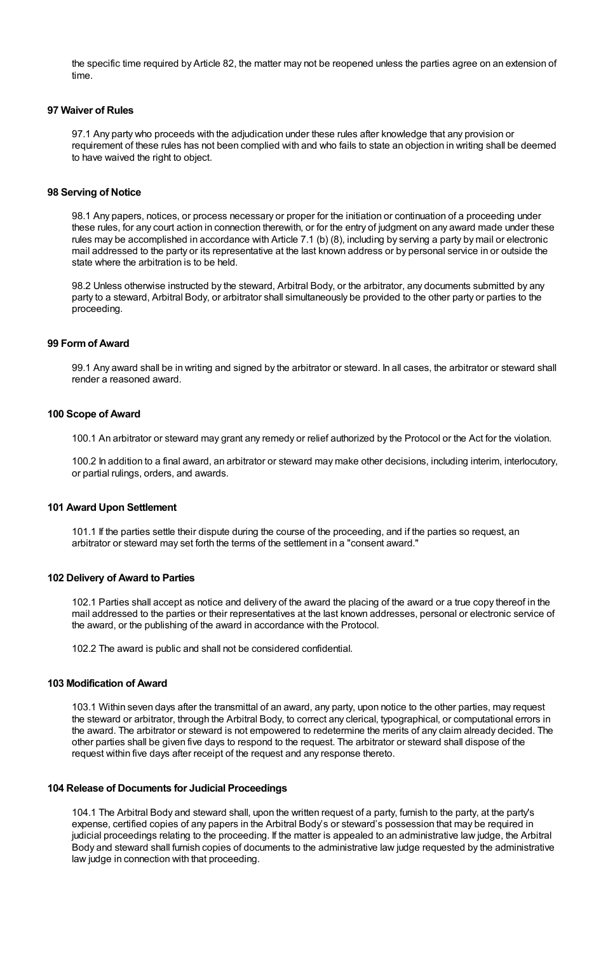the specific time required by Article 82, the matter may not be reopened unless the parties agree on an extension of time.

# **97 Waiver of Rules**

97.1 Any party who proceeds with the adjudication under these rules after knowledge that any provision or requirement of these rules has not been complied with and who fails to state an objection in writing shall be deemed to have waived the right to object.

## **98 Serving of Notice**

98.1 Any papers, notices, or process necessary or proper for the initiation or continuation of a proceeding under these rules, for any court action in connection therewith, or for the entry of judgment on any award made under these rules may be accomplished in accordance with Article 7.1 (b) (8), including by serving a party by mail or electronic mail addressed to the party or its representative at the last known address or by personal service in or outside the state where the arbitration is to be held.

98.2 Unless otherwise instructed by the steward, Arbitral Body, or the arbitrator, any documents submitted by any party to a steward, Arbitral Body, or arbitrator shall simultaneously be provided to the other party or parties to the proceeding.

# **99 Formof Award**

99.1 Any award shall be in writing and signed by the arbitrator or steward. In all cases, the arbitrator or steward shall render a reasoned award.

# **100 Scope of Award**

100.1 An arbitrator or steward may grant any remedy or relief authorized by the Protocol or the Act for the violation.

100.2 In addition to a final award, an arbitrator or steward may make other decisions, including interim, interlocutory, or partial rulings, orders, and awards.

#### **101 Award Upon Settlement**

101.1 If the parties settle their dispute during the course of the proceeding, and if the parties so request, an arbitrator or steward may set forth the terms of the settlement in a "consent award."

#### **102 Delivery of Award to Parties**

102.1 Parties shall accept as notice and delivery of the award the placing of the award or a true copy thereof in the mail addressed to the parties or their representatives at the last known addresses, personal or electronic service of the award, or the publishing of the award in accordance with the Protocol.

102.2 The award is public and shall not be considered confidential.

# **103 Modification of Award**

103.1 Within seven days after the transmittal of an award, any party, upon notice to the other parties, may request the steward or arbitrator, through the Arbitral Body, to correct any clerical, typographical, or computational errors in the award. The arbitrator or steward is not empowered to redetermine the merits of any claim already decided. The other parties shall be given five days to respond to the request. The arbitrator or steward shall dispose of the request within five days after receipt of the request and any response thereto.

# **104 Release of Documents for Judicial Proceedings**

104.1 The Arbitral Body and steward shall, upon the written request of a party, furnish to the party, at the party's expense, certified copies of any papers in the Arbitral Body's or steward's possession that may be required in judicial proceedings relating to the proceeding. If the matter is appealed to an administrative law judge, the Arbitral Body and steward shall furnish copies of documents to the administrative law judge requested by the administrative law judge in connection with that proceeding.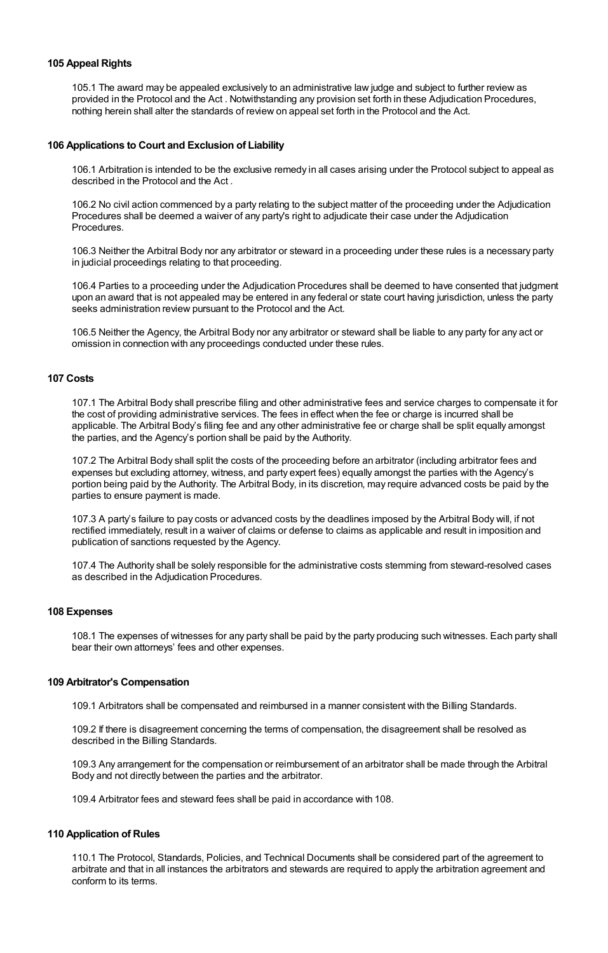# **105 Appeal Rights**

105.1 The award may be appealed exclusively to an administrative law judge and subject to further review as provided in the Protocol and the Act . Notwithstanding any provision set forth in these Adjudication Procedures, nothing herein shall alter the standards of review on appeal set forth in the Protocol and the Act.

## **106 Applications to Court and Exclusion of Liability**

106.1 Arbitration is intended to be the exclusive remedy in all cases arising under the Protocol subject to appeal as described in the Protocol and the Act .

106.2 No civil action commenced by a party relating to the subject matter of the proceeding under the Adjudication Procedures shall be deemed a waiver of any party's right to adjudicate their case under the Adjudication Procedures.

106.3 Neither the Arbitral Body nor any arbitrator or steward in a proceeding under these rules is a necessary party in judicial proceedings relating to that proceeding.

106.4 Parties to a proceeding under the Adjudication Procedures shall be deemed to have consented that judgment upon an award that is not appealed may be entered in any federal or state court having jurisdiction, unless the party seeks administration review pursuant to the Protocol and the Act.

106.5 Neither the Agency, the Arbitral Body nor any arbitrator or steward shall be liable to any party for any act or omission in connection with any proceedings conducted under these rules.

# **107 Costs**

107.1 The Arbitral Body shall prescribe filing and other administrative fees and service charges to compensate it for the cost of providing administrative services. The fees in effect when the fee or charge is incurred shall be applicable. The Arbitral Body's filing fee and any other administrative fee or charge shall be split equally amongst the parties, and the Agency's portion shall be paid by the Authority.

107.2 The Arbitral Body shall split the costs of the proceeding before an arbitrator (including arbitrator fees and expenses but excluding attorney, witness, and party expert fees) equally amongst the parties with the Agency's portion being paid by the Authority. The Arbitral Body, in its discretion, may require advanced costs be paid by the parties to ensure payment is made.

107.3 A party's failure to pay costs or advanced costs by the deadlines imposed by the Arbitral Body will, if not rectified immediately, result in a waiver of claims or defense to claims as applicable and result in imposition and publication of sanctions requested by the Agency.

107.4 The Authority shall be solely responsible for the administrative costs stemming from steward-resolved cases as described in the Adjudication Procedures.

# **108 Expenses**

108.1 The expenses of witnesses for any party shall be paid by the party producing such witnesses. Each party shall bear their own attorneys' fees and other expenses.

#### **109 Arbitrator's Compensation**

109.1 Arbitrators shall be compensated and reimbursed in a manner consistent with the Billing Standards.

109.2 If there is disagreement concerning the terms of compensation, the disagreement shall be resolved as described in the Billing Standards.

109.3 Any arrangement for the compensation or reimbursement of an arbitrator shall be made through the Arbitral Body and not directly between the parties and the arbitrator.

109.4 Arbitrator fees and steward fees shall be paid in accordance with 108.

#### **110 Application of Rules**

110.1 The Protocol, Standards, Policies, and Technical Documents shall be considered part of the agreement to arbitrate and that in all instances the arbitrators and stewards are required to apply the arbitration agreement and conform to its terms.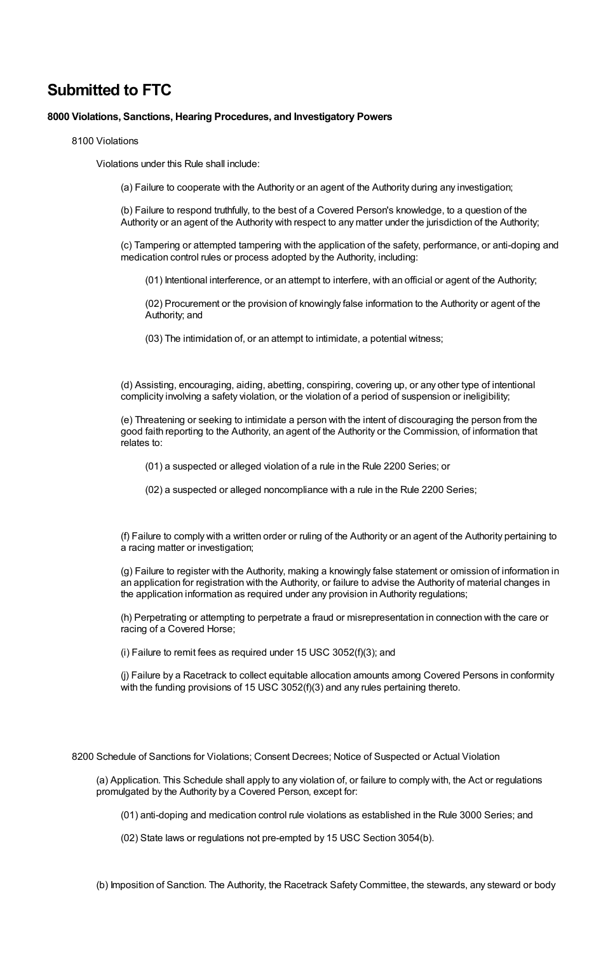# **Submitted to FTC**

# **8000 Violations, Sanctions, Hearing Procedures, and Investigatory Powers**

8100 Violations

Violations under this Rule shall include:

(a) Failure to cooperate with the Authority or an agent of the Authority during any investigation;

(b) Failure to respond truthfully, to the best of a Covered Person's knowledge, to a question of the Authority or an agent of the Authority with respect to any matter under the jurisdiction of the Authority;

(c) Tampering or attempted tampering with the application of the safety, performance, or anti-doping and medication control rules or process adopted by the Authority, including:

(01) Intentional interference, or an attempt to interfere, with an official or agent of the Authority;

(02) Procurement or the provision of knowingly false information to the Authority or agent of the Authority; and

(03) The intimidation of, or an attempt to intimidate, a potential witness;

(d) Assisting, encouraging, aiding, abetting, conspiring, covering up, or any other type of intentional complicity involving a safety violation, or the violation of a period of suspension or ineligibility;

(e) Threatening or seeking to intimidate a person with the intent of discouraging the person from the good faith reporting to the Authority, an agent of the Authority or the Commission, of information that relates to:

(01) a suspected or alleged violation of a rule in the Rule 2200 Series; or

(02) a suspected or alleged noncompliance with a rule in the Rule 2200 Series;

(f) Failure to comply with a written order or ruling of the Authority or an agent of the Authority pertaining to a racing matter or investigation;

(g) Failure to register with the Authority, making a knowingly false statement or omission of information in an application for registration with the Authority, or failure to advise the Authority of material changes in the application information as required under any provision in Authority regulations;

(h) Perpetrating or attempting to perpetrate a fraud or misrepresentation in connection with the care or racing of a Covered Horse;

(i) Failure to remit fees as required under 15 USC 3052(f)(3); and

(j) Failure by a Racetrack to collect equitable allocation amounts among Covered Persons in conformity with the funding provisions of 15 USC 3052(f)(3) and any rules pertaining thereto.

8200 Schedule of Sanctions for Violations; Consent Decrees; Notice of Suspected or Actual Violation

(a) Application. This Schedule shall apply to any violation of, or failure to comply with, the Act or regulations promulgated by the Authority by a Covered Person, except for:

(01) anti-doping and medication control rule violations as established in the Rule 3000 Series; and

(02) State laws or regulations not pre-empted by 15 USC Section 3054(b).

(b) Imposition of Sanction. The Authority, the Racetrack Safety Committee, the stewards, any steward or body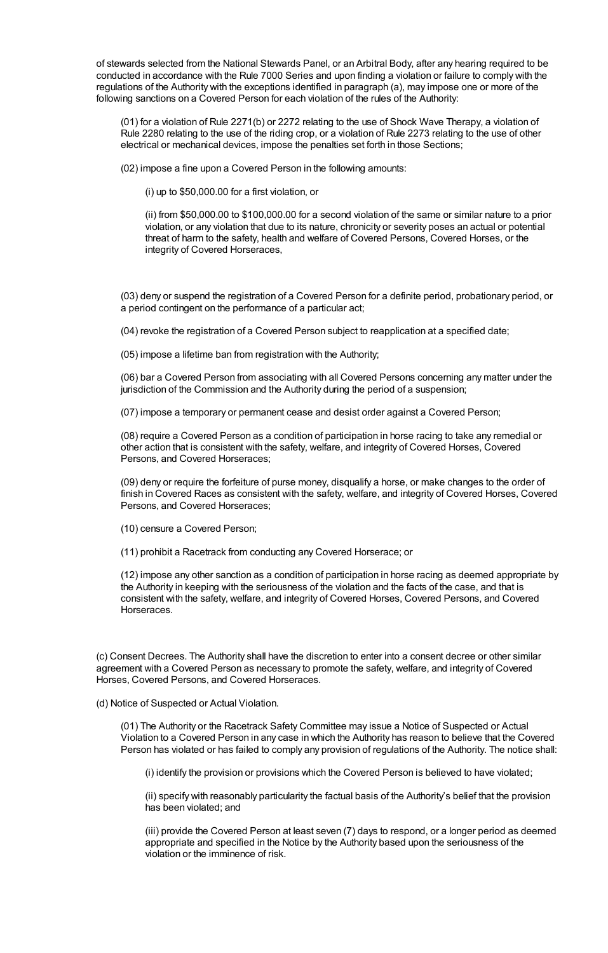of stewards selected from the National Stewards Panel, or an Arbitral Body, after any hearing required to be conducted in accordance with the Rule 7000 Series and upon finding a violation or failure to comply with the regulations of the Authority with the exceptions identified in paragraph (a), may impose one or more of the following sanctions on a Covered Person for each violation of the rules of the Authority:

(01) for a violation of Rule 2271(b) or 2272 relating to the use of Shock Wave Therapy, a violation of Rule 2280 relating to the use of the riding crop, or a violation of Rule 2273 relating to the use of other electrical or mechanical devices, impose the penalties set forth in those Sections;

(02) impose a fine upon a Covered Person in the following amounts:

(i) up to \$50,000.00 for a first violation, or

(ii) from \$50,000.00 to \$100,000.00 for a second violation of the same or similar nature to a prior violation, or any violation that due to its nature, chronicity or severity poses an actual or potential threat of harm to the safety, health and welfare of Covered Persons, Covered Horses, or the integrity of Covered Horseraces,

(03) deny or suspend the registration of a Covered Person for a definite period, probationary period, or a period contingent on the performance of a particular act;

(04) revoke the registration of a Covered Person subject to reapplication at a specified date;

(05) impose a lifetime ban from registration with the Authority;

(06) bar a Covered Person from associating with all Covered Persons concerning any matter under the jurisdiction of the Commission and the Authority during the period of a suspension;

(07) impose a temporary or permanent cease and desist order against a Covered Person;

(08) require a Covered Person as a condition of participation in horse racing to take any remedial or other action that is consistent with the safety, welfare, and integrity of Covered Horses, Covered Persons, and Covered Horseraces;

(09) deny or require the forfeiture of purse money, disqualify a horse, or make changes to the order of finish in Covered Races as consistent with the safety, welfare, and integrity of Covered Horses, Covered Persons, and Covered Horseraces;

- (10) censure a Covered Person;
- (11) prohibit a Racetrack from conducting any Covered Horserace; or

(12) impose any other sanction as a condition of participation in horse racing as deemed appropriate by the Authority in keeping with the seriousness of the violation and the facts of the case, and that is consistent with the safety, welfare, and integrity of Covered Horses, Covered Persons, and Covered Horseraces.

(c) Consent Decrees. The Authority shall have the discretion to enter into a consent decree or other similar agreement with a Covered Person as necessary to promote the safety, welfare, and integrity of Covered Horses, Covered Persons, and Covered Horseraces.

(d) Notice of Suspected or Actual Violation.

(01) The Authority or the Racetrack Safety Committee may issue a Notice of Suspected or Actual Violation to a Covered Person in any case in which the Authority has reason to believe that the Covered Person has violated or has failed to comply any provision of regulations of the Authority. The notice shall:

(i) identify the provision or provisions which the Covered Person is believed to have violated;

(ii) specify with reasonably particularity the factual basis of the Authority's belief that the provision has been violated; and

(iii) provide the Covered Person at least seven (7) days to respond, or a longer period as deemed appropriate and specified in the Notice by the Authority based upon the seriousness of the violation or the imminence of risk.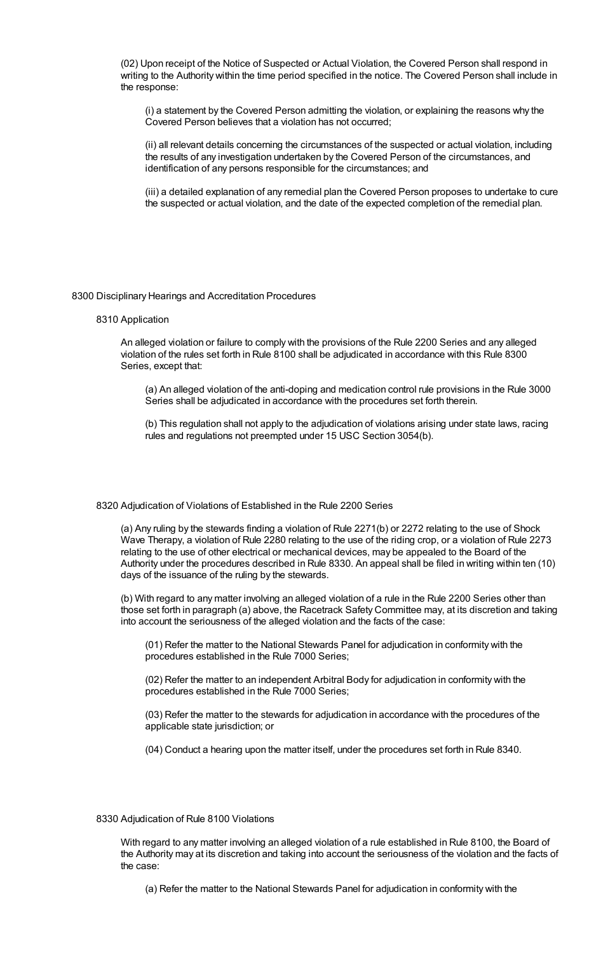(02) Upon receipt of the Notice of Suspected or Actual Violation, the Covered Person shall respond in writing to the Authority within the time period specified in the notice. The Covered Person shall include in the response:

(i) a statement by the Covered Person admitting the violation, or explaining the reasons why the Covered Person believes that a violation has not occurred;

(ii) all relevant details concerning the circumstances of the suspected or actual violation, including the results of any investigation undertaken by the Covered Person of the circumstances, and identification of any persons responsible for the circumstances; and

(iii) a detailed explanation of any remedial plan the Covered Person proposes to undertake to cure the suspected or actual violation, and the date of the expected completion of the remedial plan.

#### 8300 Disciplinary Hearings and Accreditation Procedures

#### 8310 Application

An alleged violation or failure to comply with the provisions of the Rule 2200 Series and any alleged violation of the rules set forth in Rule 8100 shall be adjudicated in accordance with this Rule 8300 Series, except that:

(a) An alleged violation of the anti-doping and medication control rule provisions in the Rule 3000 Series shall be adjudicated in accordance with the procedures set forth therein.

(b) This regulation shall not apply to the adjudication of violations arising under state laws, racing rules and regulations not preempted under 15 USC Section 3054(b).

#### 8320 Adjudication of Violations of Established in the Rule 2200 Series

(a) Any ruling by the stewards finding a violation of Rule 2271(b) or 2272 relating to the use of Shock Wave Therapy, a violation of Rule 2280 relating to the use of the riding crop, or a violation of Rule 2273 relating to the use of other electrical or mechanical devices, may be appealed to the Board of the Authority under the procedures described in Rule 8330. An appeal shall be filed in writing within ten (10) days of the issuance of the ruling by the stewards.

(b) With regard to any matter involving an alleged violation of a rule in the Rule 2200 Series other than those set forth in paragraph (a) above, the Racetrack Safety Committee may, at its discretion and taking into account the seriousness of the alleged violation and the facts of the case:

(01) Refer the matter to the National Stewards Panel for adjudication in conformity with the procedures established in the Rule 7000 Series;

(02) Refer the matter to an independent Arbitral Body for adjudication in conformity with the procedures established in the Rule 7000 Series;

(03) Refer the matter to the stewards for adjudication in accordance with the procedures of the applicable state jurisdiction; or

(04) Conduct a hearing upon the matter itself, under the procedures set forth in Rule 8340.

#### 8330 Adjudication of Rule 8100 Violations

With regard to any matter involving an alleged violation of a rule established in Rule 8100, the Board of the Authority may at its discretion and taking into account the seriousness of the violation and the facts of the case:

(a) Refer the matter to the National Stewards Panel for adjudication in conformity with the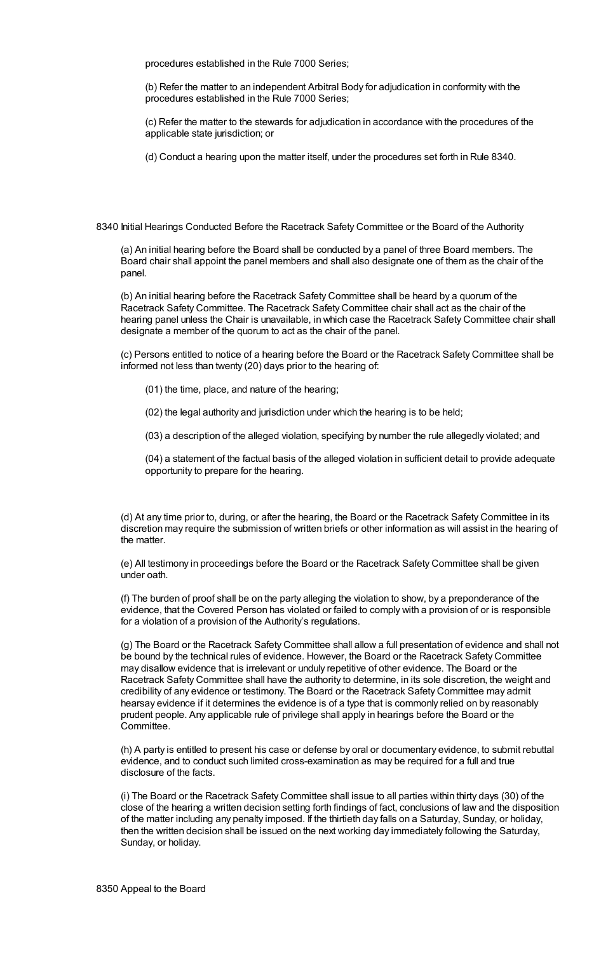procedures established in the Rule 7000 Series;

(b) Refer the matter to an independent Arbitral Body for adjudication in conformity with the procedures established in the Rule 7000 Series;

(c) Refer the matter to the stewards for adjudication in accordance with the procedures of the applicable state jurisdiction; or

(d) Conduct a hearing upon the matter itself, under the procedures set forth in Rule 8340.

8340 Initial Hearings Conducted Before the Racetrack Safety Committee or the Board of the Authority

(a) An initial hearing before the Board shall be conducted by a panel of three Board members. The Board chair shall appoint the panel members and shall also designate one of them as the chair of the panel.

(b) An initial hearing before the Racetrack Safety Committee shall be heard by a quorum of the Racetrack Safety Committee. The Racetrack Safety Committee chair shall act as the chair of the hearing panel unless the Chair is unavailable, in which case the Racetrack Safety Committee chair shall designate a member of the quorum to act as the chair of the panel.

(c) Persons entitled to notice of a hearing before the Board or the Racetrack Safety Committee shall be informed not less than twenty (20) days prior to the hearing of:

(01) the time, place, and nature of the hearing;

(02) the legal authority and jurisdiction under which the hearing is to be held;

(03) a description of the alleged violation, specifying by number the rule allegedly violated; and

(04) a statement of the factual basis of the alleged violation in sufficient detail to provide adequate opportunity to prepare for the hearing.

(d) At any time prior to, during, or after the hearing, the Board or the Racetrack Safety Committee in its discretion may require the submission of written briefs or other information as will assist in the hearing of the matter.

(e) All testimony in proceedings before the Board or the Racetrack Safety Committee shall be given under oath.

(f) The burden of proof shall be on the party alleging the violation to show, by a preponderance of the evidence, that the Covered Person has violated or failed to comply with a provision of or is responsible for a violation of a provision of the Authority's regulations.

(g) The Board or the Racetrack Safety Committee shall allow a full presentation of evidence and shall not be bound by the technical rules of evidence. However, the Board or the Racetrack Safety Committee may disallow evidence that is irrelevant or unduly repetitive of other evidence. The Board or the Racetrack Safety Committee shall have the authority to determine, in its sole discretion, the weight and credibility of any evidence or testimony. The Board or the Racetrack Safety Committee may admit hearsay evidence if it determines the evidence is of a type that is commonly relied on by reasonably prudent people. Any applicable rule of privilege shall apply in hearings before the Board or the Committee.

(h) A party is entitled to present his case or defense by oral or documentary evidence, to submit rebuttal evidence, and to conduct such limited cross-examination as may be required for a full and true disclosure of the facts.

(i) The Board or the Racetrack Safety Committee shall issue to all parties within thirty days (30) of the close of the hearing a written decision setting forth findings of fact, conclusions of law and the disposition of the matter including any penalty imposed. If the thirtieth day falls on a Saturday, Sunday, or holiday, then the written decision shall be issued on the next working day immediately following the Saturday, Sunday, or holiday.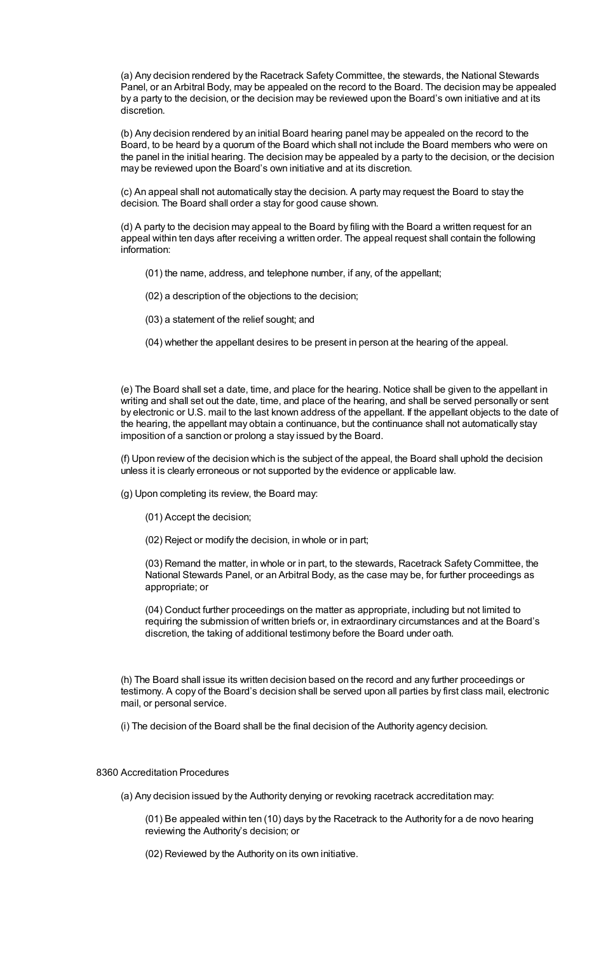(a) Any decision rendered by the Racetrack Safety Committee, the stewards, the National Stewards Panel, or an Arbitral Body, may be appealed on the record to the Board. The decision may be appealed by a party to the decision, or the decision may be reviewed upon the Board's own initiative and at its discretion.

(b) Any decision rendered by an initial Board hearing panel may be appealed on the record to the Board, to be heard by a quorum of the Board which shall not include the Board members who were on the panel in the initial hearing. The decision may be appealed by a party to the decision, or the decision may be reviewed upon the Board's own initiative and at its discretion.

(c) An appeal shall not automatically stay the decision. A party may request the Board to stay the decision. The Board shall order a stay for good cause shown.

(d) A party to the decision may appeal to the Board by filing with the Board a written request for an appeal within ten days after receiving a written order. The appeal request shall contain the following information:

(01) the name, address, and telephone number, if any, of the appellant;

- (02) a description of the objections to the decision;
- (03) a statement of the relief sought; and
- (04) whether the appellant desires to be present in person at the hearing of the appeal.

(e) The Board shall set a date, time, and place for the hearing. Notice shall be given to the appellant in writing and shall set out the date, time, and place of the hearing, and shall be served personally or sent by electronic or U.S. mail to the last known address of the appellant. If the appellant objects to the date of the hearing, the appellant may obtain a continuance, but the continuance shall not automatically stay imposition of a sanction or prolong a stay issued by the Board.

(f) Upon review of the decision which is the subject of the appeal, the Board shall uphold the decision unless it is clearly erroneous or not supported by the evidence or applicable law.

(g) Upon completing its review, the Board may:

- (01) Accept the decision;
- (02) Reject or modify the decision, in whole or in part;

(03) Remand the matter, in whole or in part, to the stewards, Racetrack Safety Committee, the National Stewards Panel, or an Arbitral Body, as the case may be, for further proceedings as appropriate; or

(04) Conduct further proceedings on the matter as appropriate, including but not limited to requiring the submission of written briefs or, in extraordinary circumstances and at the Board's discretion, the taking of additional testimony before the Board under oath.

(h) The Board shall issue its written decision based on the record and any further proceedings or testimony. A copy of the Board's decision shall be served upon all parties by first class mail, electronic mail, or personal service.

(i) The decision of the Board shall be the final decision of the Authority agency decision.

# 8360 Accreditation Procedures

(a) Any decision issued by the Authority denying or revoking racetrack accreditation may:

(01) Be appealed within ten (10) days by the Racetrack to the Authority for a de novo hearing reviewing the Authority's decision; or

(02) Reviewed by the Authority on its own initiative.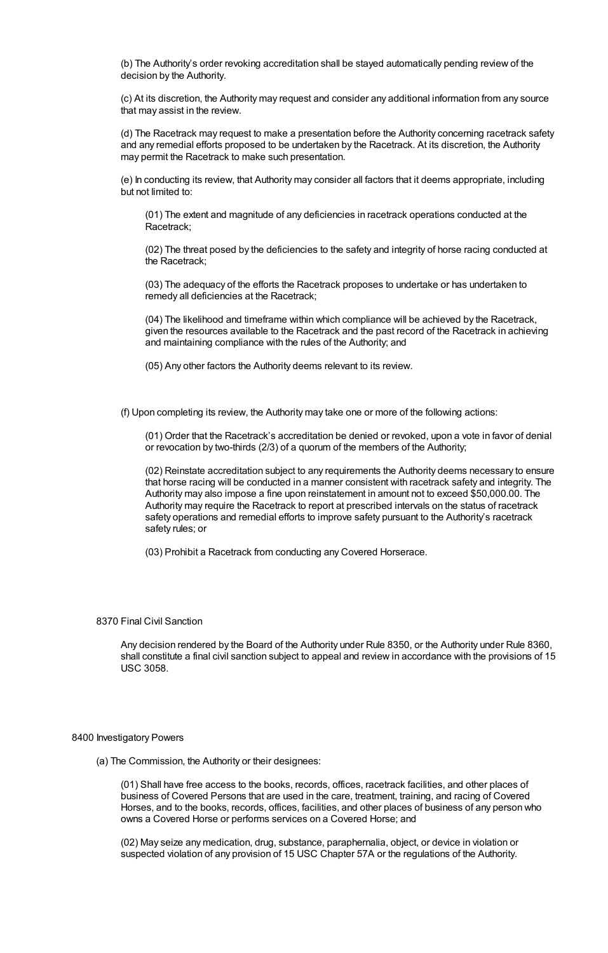(b) The Authority's order revoking accreditation shall be stayed automatically pending review of the decision by the Authority.

(c) At its discretion, the Authority may request and consider any additional information from any source that may assist in the review.

(d) The Racetrack may request to make a presentation before the Authority concerning racetrack safety and any remedial efforts proposed to be undertaken by the Racetrack. At its discretion, the Authority may permit the Racetrack to make such presentation.

(e) In conducting its review, that Authority may consider all factors that it deems appropriate, including but not limited to:

(01) The extent and magnitude of any deficiencies in racetrack operations conducted at the Racetrack;

(02) The threat posed by the deficiencies to the safety and integrity of horse racing conducted at the Racetrack;

(03) The adequacy of the efforts the Racetrack proposes to undertake or has undertaken to remedy all deficiencies at the Racetrack;

(04) The likelihood and timeframe within which compliance will be achieved by the Racetrack, given the resources available to the Racetrack and the past record of the Racetrack in achieving and maintaining compliance with the rules of the Authority; and

(05) Any other factors the Authority deems relevant to its review.

(f) Upon completing its review, the Authority may take one or more of the following actions:

(01) Order that the Racetrack's accreditation be denied or revoked, upon a vote in favor of denial or revocation by two-thirds (2/3) of a quorum of the members of the Authority;

(02) Reinstate accreditation subject to any requirements the Authority deems necessary to ensure that horse racing will be conducted in a manner consistent with racetrack safety and integrity. The Authority may also impose a fine upon reinstatement in amount not to exceed \$50,000.00. The Authority may require the Racetrack to report at prescribed intervals on the status of racetrack safety operations and remedial efforts to improve safety pursuant to the Authority's racetrack safety rules; or

(03) Prohibit a Racetrack from conducting any Covered Horserace.

# 8370 Final Civil Sanction

Any decision rendered by the Board of the Authority under Rule 8350, or the Authority under Rule 8360, shall constitute a final civil sanction subject to appeal and review in accordance with the provisions of 15 USC 3058.

#### 8400 Investigatory Powers

(a) The Commission, the Authority or their designees:

(01) Shall have free access to the books, records, offices, racetrack facilities, and other places of business of Covered Persons that are used in the care, treatment, training, and racing of Covered Horses, and to the books, records, offices, facilities, and other places of business of any person who owns a Covered Horse or performs services on a Covered Horse; and

(02) May seize any medication, drug, substance, paraphernalia, object, or device in violation or suspected violation of any provision of 15 USC Chapter 57A or the regulations of the Authority.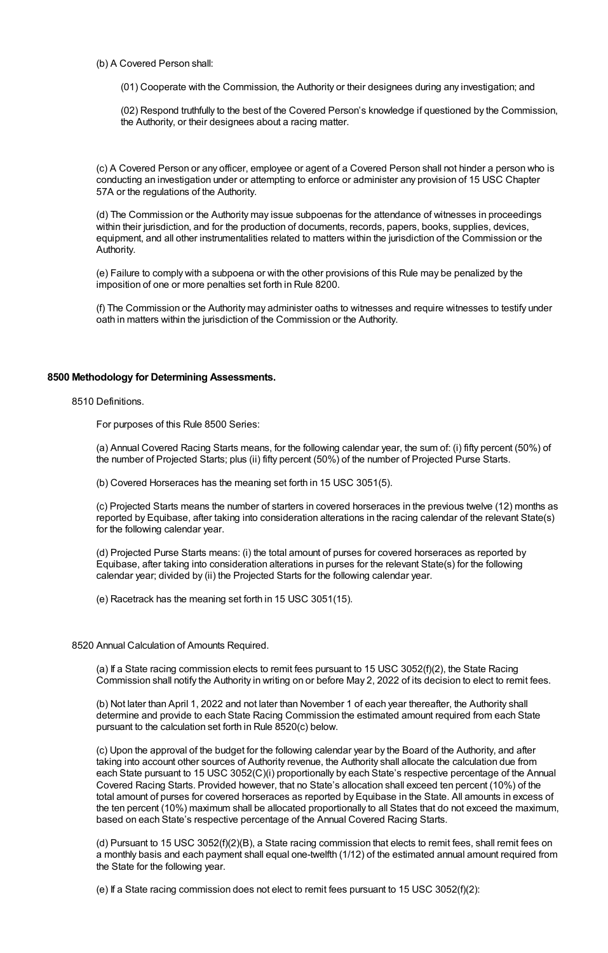- (b) A Covered Person shall:
	- (01) Cooperate with the Commission, the Authority or their designees during any investigation; and

(02) Respond truthfully to the best of the Covered Person's knowledge if questioned by the Commission, the Authority, or their designees about a racing matter.

(c) A Covered Person or any officer, employee or agent of a Covered Person shall not hinder a person who is conducting an investigation under or attempting to enforce or administer any provision of 15 USC Chapter 57A or the regulations of the Authority.

(d) The Commission or the Authority may issue subpoenas for the attendance of witnesses in proceedings within their jurisdiction, and for the production of documents, records, papers, books, supplies, devices, equipment, and all other instrumentalities related to matters within the jurisdiction of the Commission or the Authority.

(e) Failure to comply with a subpoena or with the other provisions of this Rule may be penalized by the imposition of one or more penalties set forth in Rule 8200.

(f) The Commission or the Authority may administer oaths to witnesses and require witnesses to testify under oath in matters within the jurisdiction of the Commission or the Authority.

# **8500 Methodology for Determining Assessments.**

8510 Definitions.

For purposes of this Rule 8500 Series:

(a) Annual Covered Racing Starts means, for the following calendar year, the sum of: (i) fifty percent (50%) of the number of Projected Starts; plus (ii) fifty percent (50%) of the number of Projected Purse Starts.

(b) Covered Horseraces has the meaning set forth in 15 USC 3051(5).

(c) Projected Starts means the number of starters in covered horseraces in the previous twelve (12) months as reported by Equibase, after taking into consideration alterations in the racing calendar of the relevant State(s) for the following calendar year.

(d) Projected Purse Starts means: (i) the total amount of purses for covered horseraces as reported by Equibase, after taking into consideration alterations in purses for the relevant State(s) for the following calendar year; divided by (ii) the Projected Starts for the following calendar year.

(e) Racetrack has the meaning set forth in 15 USC 3051(15).

8520 Annual Calculation of Amounts Required.

(a) If a State racing commission elects to remit fees pursuant to 15 USC 3052(f)(2), the State Racing Commission shall notify the Authority in writing on or before May 2, 2022 of its decision to elect to remit fees.

(b) Not later than April 1, 2022 and not later than November 1 of each year thereafter, the Authority shall determine and provide to each State Racing Commission the estimated amount required from each State pursuant to the calculation set forth in Rule 8520(c) below.

(c) Upon the approval of the budget for the following calendar year by the Board of the Authority, and after taking into account other sources of Authority revenue, the Authority shall allocate the calculation due from each State pursuant to 15 USC 3052(C)(i) proportionally by each State's respective percentage of the Annual Covered Racing Starts. Provided however, that no State's allocation shall exceed ten percent (10%) of the total amount of purses for covered horseraces as reported by Equibase in the State. All amounts in excess of the ten percent (10%) maximum shall be allocated proportionally to all States that do not exceed the maximum, based on each State's respective percentage of the Annual Covered Racing Starts.

(d) Pursuant to 15 USC 3052(f)(2)(B), a State racing commission that elects to remit fees, shall remit fees on a monthly basis and each payment shall equal one-twelfth (1/12) of the estimated annual amount required from the State for the following year.

(e) If a State racing commission does not elect to remit fees pursuant to 15 USC 3052(f)(2):